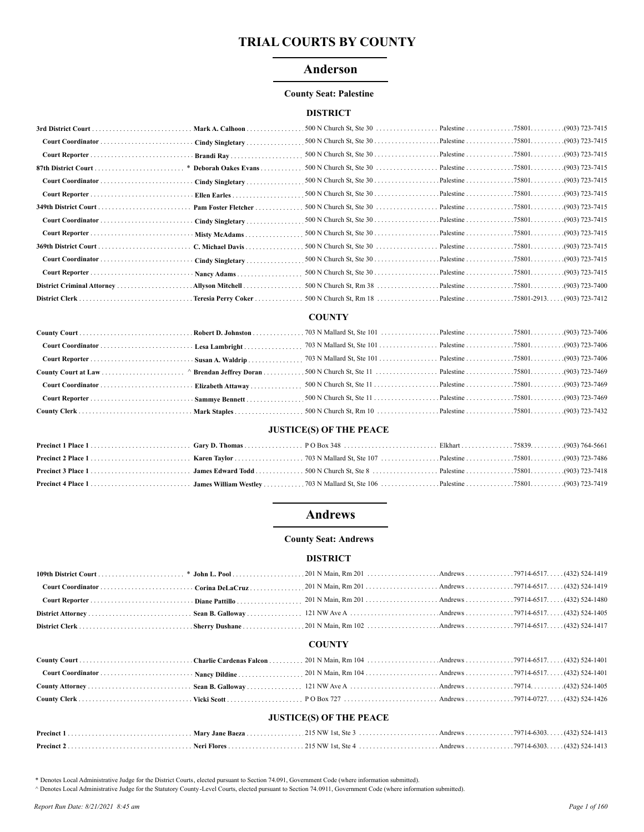## Anderson

#### **County Seat: Palestine**

### **DISTRICT**

| Cindy Singletary      |                                                                 |  |                  |
|-----------------------|-----------------------------------------------------------------|--|------------------|
|                       |                                                                 |  | . (903) 723-7415 |
| * Deborah Oakes Evans |                                                                 |  | . (903) 723-7415 |
| Cindy Singletary      |                                                                 |  |                  |
| Ellen Earles          |                                                                 |  |                  |
| Pam Foster Fletcher   |                                                                 |  |                  |
| Cindy Singletary      |                                                                 |  |                  |
| Misty McAdams         |                                                                 |  | (903) 723-7415   |
| C. Michael Davis      | 500 N Church St, Ste 30 $\dots$ $\dots$ $\dots$ $\dots$ $25801$ |  | .(903) 723-7415  |
| Cindy Singletary      |                                                                 |  | .(903) 723-7415  |
| Nancy Adams           |                                                                 |  | (903) 723-7415   |
| Allyson Mitchell      |                                                                 |  |                  |
| Teresia Perry Coker.  |                                                                 |  |                  |

#### **COUNTY**

#### **JUSTICE(S) OF THE PEACE**

## **Andrews**

#### **County Seat: Andrews**

### **DISTRICT**

#### **COUNTY**

| <b>JUSTICE(S) OF THE PEACE</b> |  |  |  |  |  |  |
|--------------------------------|--|--|--|--|--|--|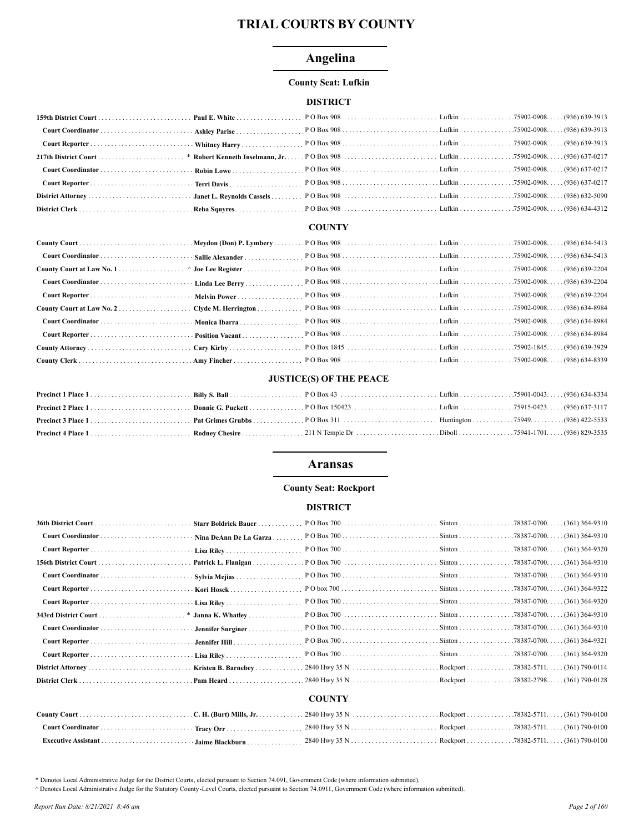# Angelina

### **County Seat: Lufkin**

### **DISTRICT**

#### **COUNTY**

## **JUSTICE(S) OF THE PEACE**

### **Aransas**

#### **County Seat: Rockport**

#### **DISTRICT**

| · Nina DeAnn De La Garza     |  |  |
|------------------------------|--|--|
|                              |  |  |
| Patrick L. Flanigan $\ldots$ |  |  |
|                              |  |  |
|                              |  |  |
|                              |  |  |
| * Janna K. Whatley           |  |  |
|                              |  |  |
|                              |  |  |
|                              |  |  |
|                              |  |  |
|                              |  |  |
|                              |  |  |

### **COUNTY**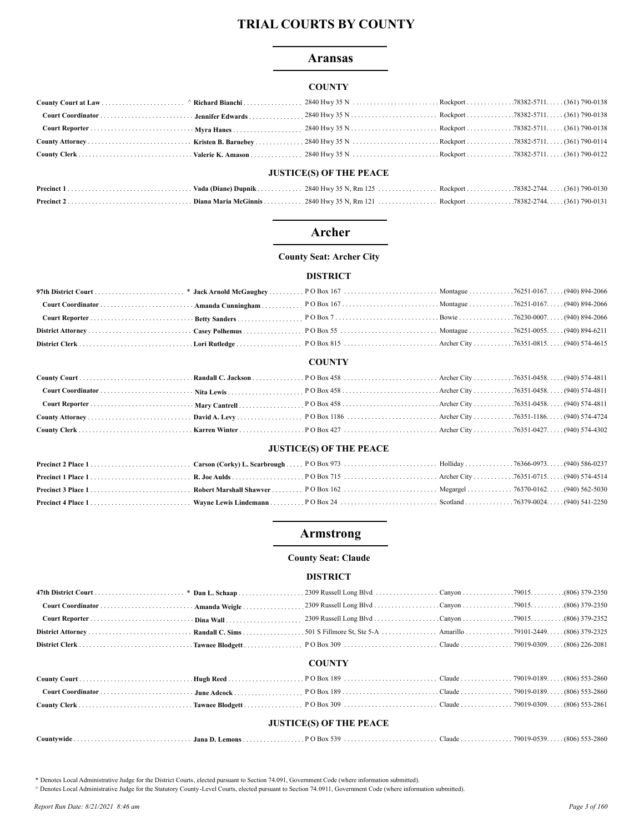### **Aransas**

### **COUNTY**

## **JUSTICE(S) OF THE PEACE**

## **Archer**

#### **County Seat: Archer City**

#### **DISTRICT**

#### **COUNTY**

### **JUSTICE(S) OF THE PEACE**

## **Armstrong**

#### **County Seat: Claude**

#### **DISTRICT**

|  | <b>COUNTY</b> |  |
|--|---------------|--|
|  |               |  |

| <b>JUSTICE(S) OF THE PEACE</b>                                                                                                                                                                                                 |  |  |  |  |  |
|--------------------------------------------------------------------------------------------------------------------------------------------------------------------------------------------------------------------------------|--|--|--|--|--|
|                                                                                                                                                                                                                                |  |  |  |  |  |
|                                                                                                                                                                                                                                |  |  |  |  |  |
| COMMY COMERCIAL COMMISSION AND AND AND THE RELEASED OF THE RELEASED OF THE CHANGE COMMISSION OF THE COMMISSION OF THE RELEASED OF THE RELEASED OF THE COMMISSION OF THE RELEASED OF THE RELEASED OF THE RELEASED OF THE RELEAS |  |  |  |  |  |

| Countywide. | Jana D. Lemons . |  |  |  | $(806)$ 553-2860 |
|-------------|------------------|--|--|--|------------------|
|-------------|------------------|--|--|--|------------------|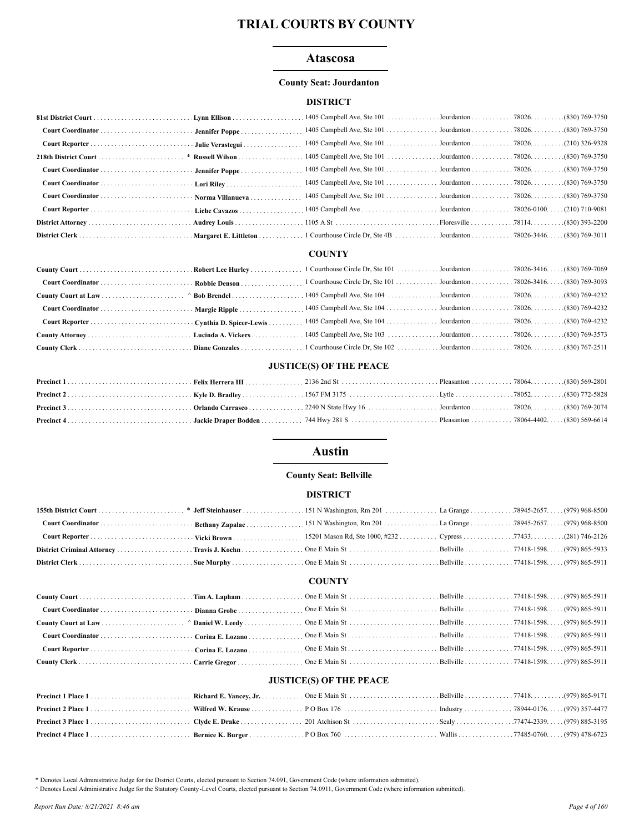### **Atascosa**

#### **County Seat: Jourdanton**

#### **DISTRICT**

#### **COUNTY**

#### **JUSTICE(S) OF THE PEACE**

## **Austin**

#### **County Seat: Bellville**

#### **DISTRICT**

### **COUNTY**

#### **JUSTICE(S) OF THE PEACE**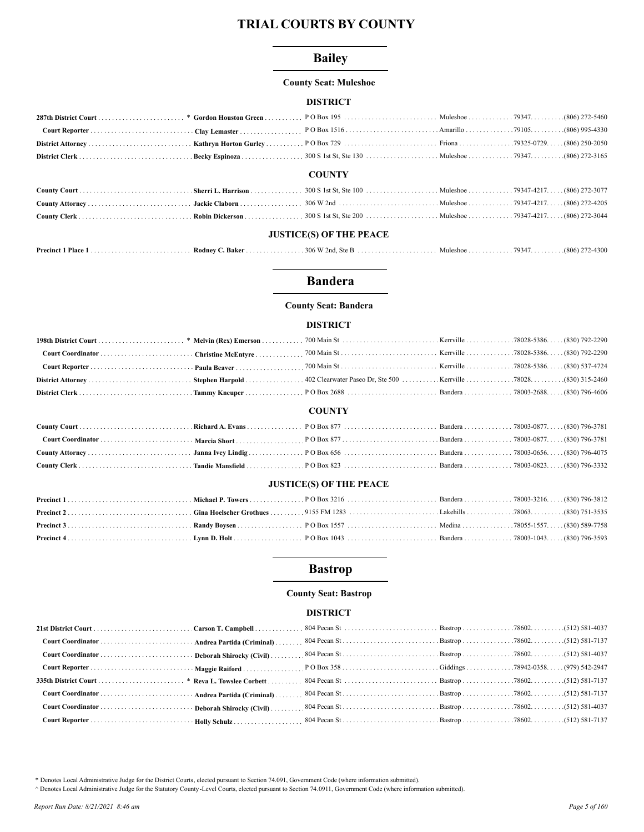## **Bailey**

#### **County Seat: Muleshoe**

### **DISTRICT**

|  | <b>COUNTY</b> |  |
|--|---------------|--|
|  |               |  |
|  |               |  |
|  |               |  |
|  |               |  |

## **JUSTICE(S) OF THE PEACE**

| Precinct 1<br>Place 1. | – Rodnev C<br>Baker . | $\ldots$ 306 W $\degree$ |  |  |  |
|------------------------|-----------------------|--------------------------|--|--|--|
|------------------------|-----------------------|--------------------------|--|--|--|

## **Bandera**

#### **County Seat: Bandera**

#### **DISTRICT**

#### **COUNTY**

### **JUSTICE(S) OF THE PEACE**

## **Bastrop**

### **County Seat: Bastrop**

## **DISTRICT**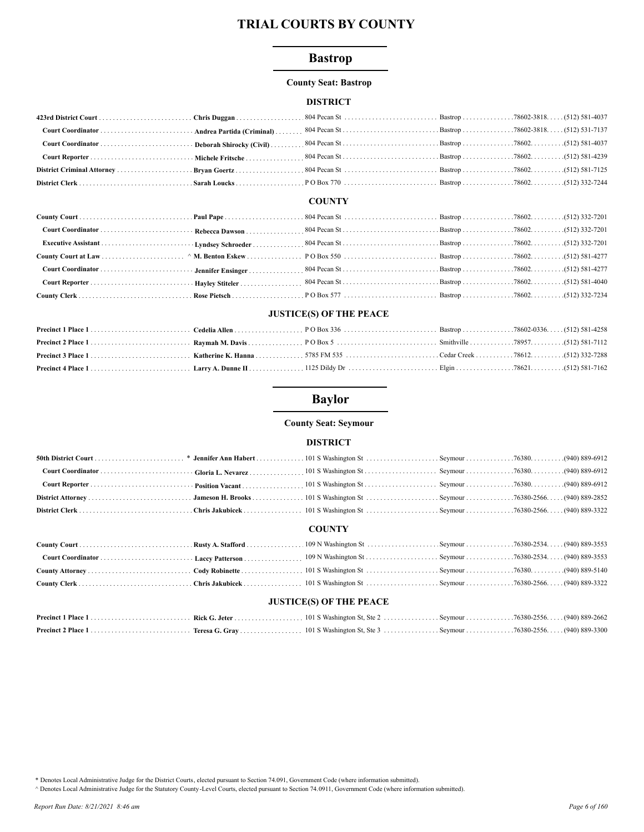## **Bastrop**

#### **County Seat: Bastrop**

### **DISTRICT**

### **COUNTY**

## **JUSTICE(S) OF THE PEACE**

# **Baylor**

#### **County Seat: Seymour**

### **DISTRICT**

## **COUNTY**

### **JUSTICE(S) OF THE PEACE**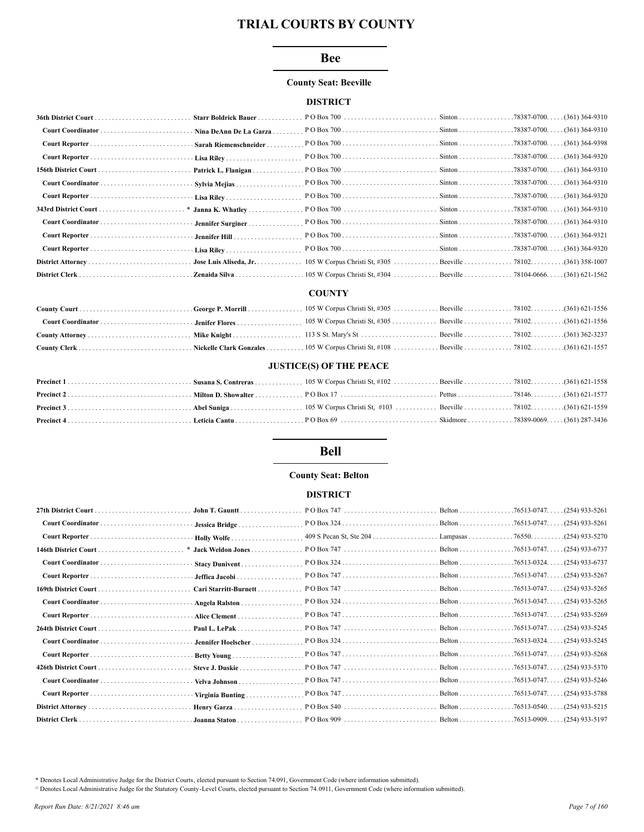#### **Bee**

#### **County Seat: Beeville**

### **DISTRICT**

| Starr Boldrick Bauer |  |  |
|----------------------|--|--|
|                      |  |  |
|                      |  |  |
|                      |  |  |
|                      |  |  |
|                      |  |  |
|                      |  |  |
|                      |  |  |
|                      |  |  |
|                      |  |  |
|                      |  |  |
|                      |  |  |
|                      |  |  |

#### **COUNTY**

#### **JUSTICE(S) OF THE PEACE**

## **Bell**

#### **County Seat: Belton**

#### **DISTRICT**

| John T. Gauntt        |                                        | $(254)$ 933-5261   |
|-----------------------|----------------------------------------|--------------------|
| Jessica Bridge        |                                        | $. (254)$ 933-5261 |
|                       | 409 S Pecan St, Ste 204 Lampasas 76550 | . (254) 933-5270   |
| * Jack Weldon Jones   |                                        | $(254)$ 933-6737   |
| Stacy Dunivent        |                                        | . (254) 933-6737   |
| Jeffica Jacobi        |                                        | $(254)$ 933-5267   |
| Cari Starritt-Burnett |                                        | (254) 933-5265     |
| Angela Ralston        |                                        | $(254)$ 933-5265   |
| Alice Clement         |                                        | $(254)$ 933-5269   |
| Paul L. LePak         |                                        |                    |
| Jennifer Hoelscher    |                                        |                    |
|                       |                                        |                    |
| Steve J. Duskie       |                                        | $(254)$ 933-5370   |
| Velva Johnson         |                                        |                    |
| Virginia Bunting      |                                        |                    |
|                       |                                        | $(254)$ 933-5215   |
|                       |                                        |                    |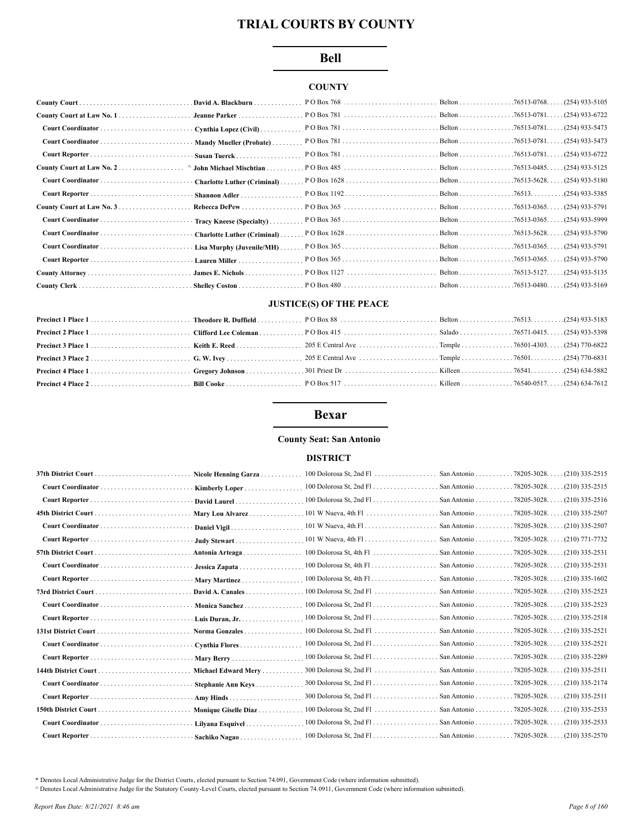#### **Bell**

### **COUNTY**

| County Court | David A. Blackburn.            |  |                  |
|--------------|--------------------------------|--|------------------|
|              | Jeanne Parker                  |  |                  |
|              | Cynthia Lopez (Civil)          |  |                  |
|              | Mandy Mueller (Probate)        |  |                  |
|              | Susan Tuerck                   |  |                  |
|              | $\land$ John Michael Mischtian |  |                  |
|              | Charlotte Luther (Criminal)    |  |                  |
|              | Shannon Adler                  |  |                  |
|              | Rebecca DePew                  |  |                  |
|              | Tracy Kneese (Specialty).      |  |                  |
|              | Charlotte Luther (Criminal).   |  |                  |
|              | Lisa Murphy (Juvenile/MH)      |  |                  |
|              | Lauren Miller                  |  |                  |
|              | James E. Nichols               |  | . (254) 933-5135 |
|              | . Shelley Coston               |  |                  |

## **JUSTICE(S) OF THE PEACE**

## **Bexar**

## **County Seat: San Antonio**

#### **DISTRICT**

| <b>Nicole Henning Garza</b> . | $100$ Dolorosa St, 2nd Fl $\ldots$ | San Antonio             | $(210)$ 335-2515<br>.78205-3028.     |
|-------------------------------|------------------------------------|-------------------------|--------------------------------------|
| Kimberly Loper                |                                    |                         | $.78205 - 3028.$<br>$(210)$ 335-2515 |
| David Laurel                  | $100$ Dolorosa St, 2nd Fl          | San Antonio             | .78205-3028.<br>$(210)$ 335-2516     |
| Mary Lou Alvarez              |                                    | San Antonio             | .78205-3028.<br>$(210)$ 335-2507     |
| Daniel Vigil                  | $101$ W Nueva, 4th Fl              | San Antonio             | $(210)$ 335-2507<br>.78205-3028.     |
| Judy Stewart                  |                                    |                         | $(210)$ 771-7732<br>.78205-3028.     |
| Antonia Arteaga               |                                    |                         | $(210)$ 335-2531<br>.78205-3028.     |
| Jessica Zapata                |                                    | San Antonio             | $(210)$ 335-2531<br>.78205-3028.     |
| Mary Martinez                 | $100$ Dolorosa St, 4th Fl          | San Antonio             | .78205-3028.<br>$(210)$ 335-1602     |
| David A. Canales              | $100$ Dolorosa St, 2nd Fl $\ldots$ | San Antonio             | $(210)$ 335-2523<br>.78205-3028.     |
| Monica Sanchez.               |                                    |                         | . 78205-3028.<br>$(210)$ 335-2523    |
| Luis Duran, $Jr$              |                                    |                         | $(210)$ 335-2518<br>.78205-3028.     |
| Norma Gonzales                | 100 Dolorosa St, 2nd Fl            | San Antonio 78205-3028. | $(210)$ 335-2521                     |
| Cynthia Flores                |                                    |                         | (210) 335-2521                       |
|                               |                                    |                         | .78205-3028.<br>$(210)$ 335-2289     |
| Michael Edward Mery           |                                    |                         | $(210)$ 335-2511<br>.78205-3028.     |
| Stephanie Ann Keys            |                                    | San Antonio             | $(210)$ 335-2174<br>.78205-3028.     |
| Amy Hinds                     |                                    | San Antonio             | .78205-3028.<br>$(210)$ 335-2511     |
| Monique Giselle Diaz          | 100 Dolorosa St, 2nd Fl            | San Antonio             | $(210)$ 335-2533<br>.78205-3028.     |
| Lilyana Esquivel.             |                                    |                         | $(210)$ 335-2533<br>.78205-3028.     |
| Sachiko Nagao                 |                                    |                         | (210) 335-2570<br>$.78205 - 3028$    |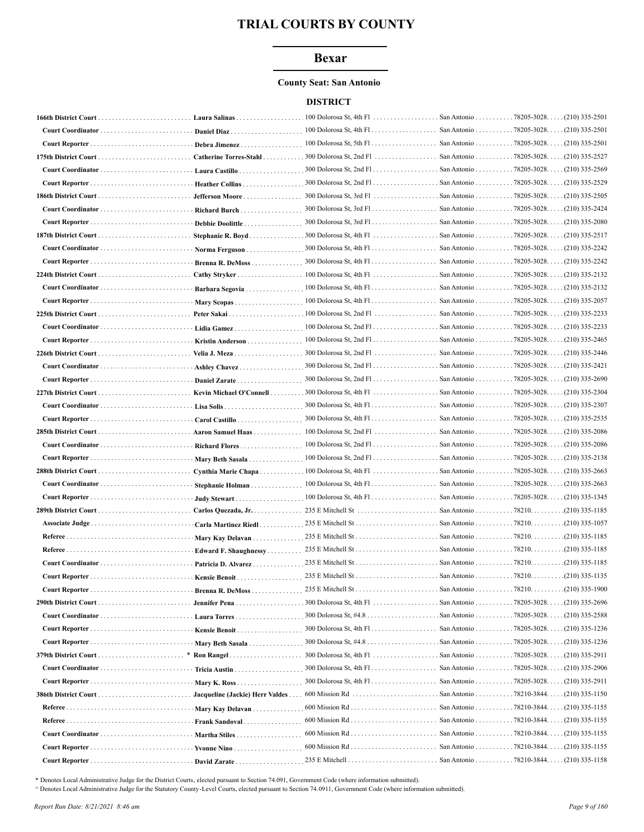### **Bexar**

#### **County Seat: San Antonio**

#### **DISTRICT**

|                                   | Laura Salinas                   |                                      |                           | $(210)$ 335-2501                       |
|-----------------------------------|---------------------------------|--------------------------------------|---------------------------|----------------------------------------|
|                                   | Daniel Diaz.                    |                                      |                           | $(210)$ 335-2501                       |
|                                   | Debra Jimenez.                  |                                      |                           | $(210)$ 335-2501                       |
|                                   | Catherine Torres-Stahl          |                                      |                           | $(210)$ 335-2527                       |
|                                   | Laura Castillo.                 |                                      |                           | (210) 335-2569                         |
|                                   | <b>Heather Collins</b>          |                                      |                           | . . (210) 335-2529                     |
|                                   | Jefferson Moore                 |                                      |                           | $\ldots$ (210) 335-2505                |
|                                   | Richard Burch                   |                                      |                           | (210) 335-2424                         |
|                                   | Debbie Doolittle                |                                      |                           | (210) 335-2080                         |
|                                   | Stephanie R. Boyd               |                                      |                           | (210) 335-2517                         |
|                                   | Norma Ferguson                  |                                      |                           | $(210)$ 335-2242                       |
|                                   | Brenna R. DeMoss                |                                      |                           | $\ldots$ (210) 335-2242                |
|                                   |                                 |                                      |                           | $\ldots$ (210) 335-2132                |
|                                   | Barbara Segovia                 |                                      |                           |                                        |
|                                   | Mary Scopas                     |                                      |                           | (210) 335-2057                         |
|                                   |                                 | 100 Dolorosa St, 2nd Fl              | San Antonio               | 78205-3028.<br>$(210)$ 335-2233        |
|                                   | Lidia Gamez                     | 100 Dolorosa St, 2nd Fl. San Antonio |                           | 78205-3028.<br>(210) 335-2233          |
| Court Reporter                    | Kristin Anderson                |                                      |                           | 78205-3028.<br>$(210)$ 335-2465        |
| 226th District Court              | Velia J. Meza                   | 300 Dolorosa St, 2nd Fl<br>.         | San Antonio               | 78205-3028.<br>$(210)$ 335-2446        |
|                                   | Ashley Chavez                   |                                      |                           | . (210) 335-2421                       |
|                                   | Daniel Zarate                   |                                      | San Antonio 78205-3028.   | $(210)$ 335-2690                       |
|                                   |                                 |                                      | San Antonio 78205-3028.   | $(210)$ 335-2304                       |
|                                   |                                 | $300$ Dolorosa St, 4th Fl            | San Antonio 78205-3028.   | $(210)$ 335-2307                       |
|                                   | Carol Castillo                  | 300 Dolorosa St, 4th Fl              | San Antonio 78205-3028.   | $(210)$ 335-2535                       |
|                                   | Aaron Samuel Haas               |                                      |                           | $(210)$ 335-2086                       |
| Court Coordinator  Richard Flores |                                 |                                      |                           | (210) 335-2086                         |
|                                   | Mary Beth Sasala                |                                      |                           | . (210) 335-2138                       |
| 288th District Court              | Cynthia Marie Chapa             |                                      |                           | $(210)$ 335-2663                       |
|                                   | Stephanie Holman                |                                      | San Antonio 78205-3028. . | $(210)$ 335-2663                       |
|                                   | Judy Stewart                    |                                      |                           | . (210) 335-1345                       |
| 289th District Court              | Carlos Quezada, Jr.             | 235 E Mitchell St                    | San Antonio 78210.        | $(210)$ 335-1185                       |
|                                   | Carla Martinez Riedl.           |                                      |                           |                                        |
|                                   | Mary Kay Delavan                |                                      |                           |                                        |
|                                   | Edward F. Shaughnessy           |                                      |                           | $(210)$ 335-1185                       |
|                                   | Patricia D. Alvarez             |                                      |                           | .(210) 335-1185                        |
| Court Reporter                    | <b>Kensie Benoit.</b>           |                                      | San Antonio               | 78210<br>.(210) 335-1135               |
|                                   | Brenna R. DeMoss                |                                      |                           |                                        |
|                                   |                                 |                                      |                           |                                        |
|                                   | Laura Torres                    |                                      |                           |                                        |
|                                   | Kensie Benoit                   |                                      | San Antonio 78205-3028.   | $(210)$ 335-1236                       |
|                                   | Mary Beth Sasala                |                                      | San Antonio 78205-3028.   | . (210) 335-1236                       |
|                                   | Ron Rangel                      | 300 Dolorosa St, 4th Fl              | San Antonio               | 78205-3028.<br>(210) 335-2911          |
|                                   | Tricia Austin                   | 300 Dolorosa St, 4th Fl              | San Antonio               | $. .78205 - 3028. .$<br>(210) 335-2906 |
|                                   | $\cdot$ Mary K. Ross            | $300$ Dolorosa St, 4th Fl            |                           | San Antonio 78205-3028. (210) 335-2911 |
|                                   | Jacqueline (Jackie) Herr Valdes | $600$ Mission Rd                     |                           | San Antonio 78210-3844. (210) 335-1150 |
|                                   | Mary Kay Delavan                | 600 Mission Rd                       |                           | San Antonio 78210-3844. (210) 335-1155 |
|                                   | Frank Sandoval                  |                                      |                           | San Antonio 78210-3844. (210) 335-1155 |
| Court Coordinator                 | Martha Stiles                   |                                      |                           | San Antonio 78210-3844. (210) 335-1155 |
|                                   | Yvonne Nino                     |                                      |                           | San Antonio 78210-3844. (210) 335-1155 |
|                                   | David Zarate                    |                                      |                           |                                        |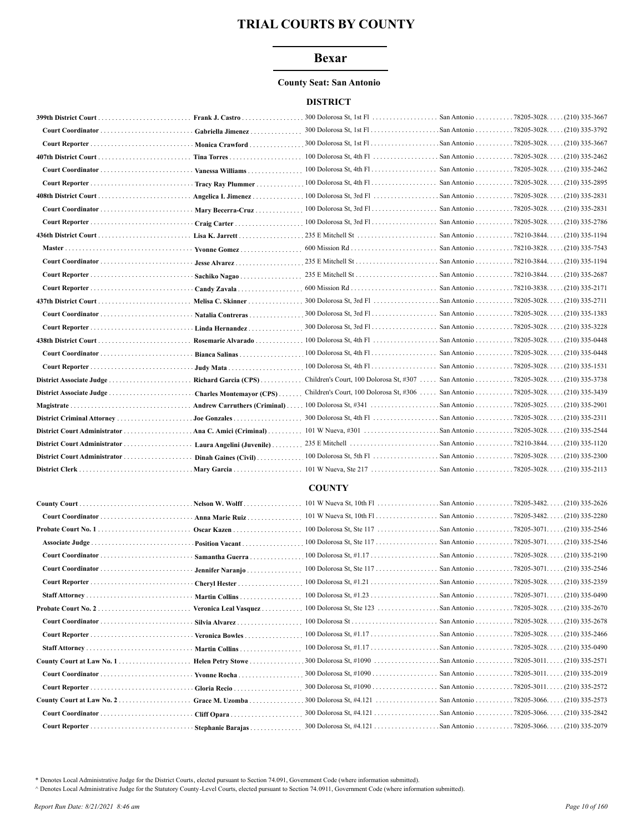### **Bexar**

#### **County Seat: San Antonio**

#### **DISTRICT**

|                                                | Frank J. Castro      | $300$ Dolorosa St, 1st Fl                                        | San Antonio               | .78205-3028.<br>$(210)$ 335-3667 |
|------------------------------------------------|----------------------|------------------------------------------------------------------|---------------------------|----------------------------------|
|                                                |                      |                                                                  |                           | (210) 335-3792                   |
|                                                | Monica Crawford      |                                                                  |                           | (210) 335-3667                   |
| 407th District Court                           |                      |                                                                  | . San Antonio 78205-3028. | $(210)$ 335-2462                 |
|                                                |                      |                                                                  |                           | $. (210)$ 335-2462               |
|                                                | Tracy Ray Plummer    |                                                                  | San Antonio 78205-3028. . | (210) 335-2895                   |
| 408th District Court                           |                      | Angelica I. Jimenez 100 Dolorosa St, 3rd Fl                      | San Antonio 78205-3028.   | (210) 335-2831                   |
|                                                |                      |                                                                  |                           | $(210)$ 335-2831                 |
| Court Reporter                                 | Craig Carter         |                                                                  | San Antonio 78205-3028. . | (210) 335-2786                   |
|                                                |                      |                                                                  | San Antonio 78210-3844.   | $(210)$ 335-1194                 |
|                                                | Vyonne Gomez         |                                                                  |                           | $. (210)$ 335-7543               |
|                                                |                      |                                                                  |                           | (210) 335-1194                   |
|                                                | Sachiko Nagao        |                                                                  |                           | $. (210)$ 335-2687               |
|                                                |                      |                                                                  |                           | $(210)$ 335-2171                 |
|                                                |                      |                                                                  |                           | (210) 335-2711                   |
|                                                |                      |                                                                  |                           | $(210)$ 335-1383                 |
|                                                |                      |                                                                  |                           |                                  |
|                                                |                      |                                                                  |                           | $(210)$ 335-0448                 |
|                                                |                      |                                                                  |                           | $(210)$ 335-0448                 |
|                                                |                      |                                                                  |                           |                                  |
| District Associate Judge  Richard Garcia (CPS) |                      | Children's Court, 100 Dolorosa St, #307  San Antonio 78205-3028. |                           | (210) 335-3738                   |
|                                                |                      | Children's Court, 100 Dolorosa St, #306  San Antonio 78205-3028  |                           | $(210)$ 335-3439                 |
|                                                |                      |                                                                  |                           | $. (210)$ 335-2901               |
|                                                |                      |                                                                  |                           | $(210)$ 335-2311                 |
|                                                |                      |                                                                  | San Antonio 78205-3028.   | (210) 335-2544                   |
|                                                |                      |                                                                  |                           | $(210)$ 335-1120                 |
|                                                | Dinah Gaines (Civil) |                                                                  |                           | $(210)$ 335-2300                 |
|                                                |                      |                                                                  |                           |                                  |
|                                                |                      |                                                                  |                           |                                  |

### **COUNTY**

|                     | Nelson W. Wolff       |                            |                         | . (210) 335-2626                     |
|---------------------|-----------------------|----------------------------|-------------------------|--------------------------------------|
|                     | Anna Marie Ruiz       |                            |                         | (210) 335-2280                       |
| Probate Court No. 1 | Oscar Kazen           |                            |                         | $(210)$ 335-2546<br>$.78205 - 3071.$ |
|                     | Position Vacant       |                            |                         | $.78205 - 3071.$<br>(210) 335-2546   |
|                     | Samantha Guerra       |                            |                         | $.78205 - 3028.$<br>$(210)$ 335-2190 |
|                     | Jennifer Naranjo      |                            | San Antonio 78205-3071. | . (210) 335-2546                     |
|                     | Cheryl Hester         |                            |                         | $.78205 - 3028.$<br>(210) 335-2359   |
|                     | Martin Collins        |                            |                         | $(210)$ 335-0490                     |
|                     | Veronica Leal Vasquez |                            |                         | $(210)$ 335-2670                     |
|                     | Silvia Alvarez        |                            |                         | $(210)$ 335-2678                     |
|                     | Veronica Bowles       |                            |                         | . (210) 335-2466                     |
|                     | Martin Collins        |                            |                         | . (210) 335-0490                     |
|                     | Helen Petry Stowe     |                            |                         | $(210)$ 335-2571                     |
|                     | Yvonne Rocha          |                            |                         | . (210) 335-2019                     |
|                     | Gloria Recio          |                            |                         | . (210) 335-2572                     |
|                     | Grace M. Uzomba       | 300 Dolorosa St, $\#4.121$ | San Antonio 78205-3066. | (210) 335-2573                       |
|                     | Cliff Opara           |                            |                         | . (210) 335-2842                     |
|                     | Stephanie Barajas     |                            |                         |                                      |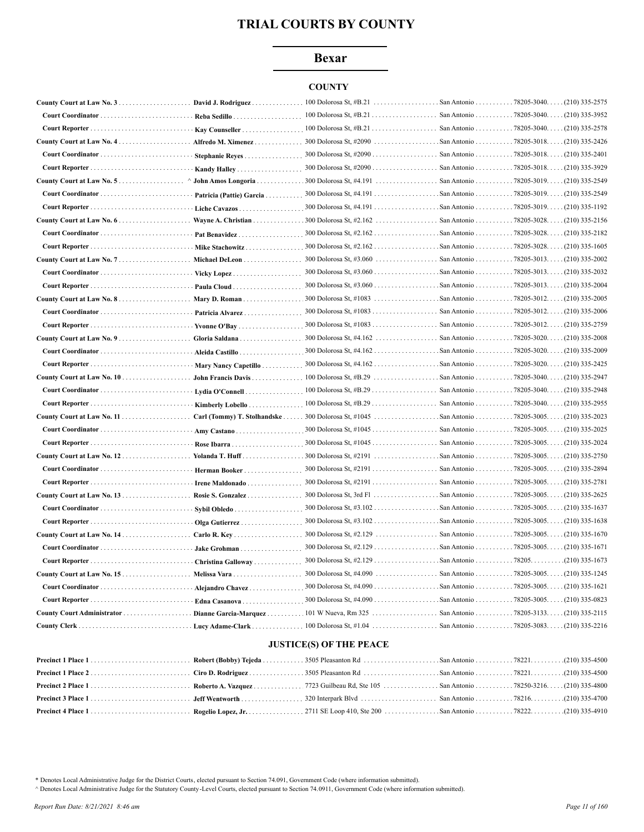## **Bexar**

### **COUNTY**

|                                   | David J. Rodriguez.         | 100 Dolorosa St, #B.21       | San Antonio               | $.78205 - 3040$ $(210)$ 335-2575     |
|-----------------------------------|-----------------------------|------------------------------|---------------------------|--------------------------------------|
|                                   | Reba Sedillo                |                              | San Antonio               | $.78205 - 3040.$<br>$(210)$ 335-3952 |
|                                   | Kay Counseller.             | 100 Dolorosa St, $#B.21$     | San Antonio 78205-3040.   | $(210)$ 335-2578                     |
|                                   | Alfredo M. Ximenez          | 300 Dolorosa St, #2090       | San Antonio               | $.78205 - 3018$<br>$(210)$ 335-2426  |
| Court Coordinator                 | Stephanie Reyes             | 300 Dolorosa St, $\#2090$    | San Antonio 78205-3018. . | $(210)$ 335-2401                     |
| Court Reporter                    | Kandy Halley                | 300 Dolorosa St, #2090       | San Antonio 78205-3018.   | $(210)$ 335-3929                     |
| County Court at Law No. 5.        | John Amos Longoria          | 300 Dolorosa St, #4.191      | San Antonio 78205-3019. . | $(210)$ 335-2549                     |
| Court Coordinator                 | Patricia (Pattie) Garcia    | 300 Dolorosa St, #4.191      | San Antonio 78205-3019.   | (210) 335-2549                       |
|                                   | Liche Cavazos               |                              |                           | . (210) 335-1192                     |
| <b>County Court at Law No. 6</b>  | Wayne A. Christian          | 300 Dolorosa St, #2.162      | San Antonio 78205-3028.   | (210) 335-2156                       |
| Court Coordinator                 | Pat Benavidez.              |                              | San Antonio 78205-3028. . | $(210)$ 335-2182                     |
| Court Reporter                    | Mike Stachowitz             |                              |                           |                                      |
| County Court at Law No. 7.        | <b>Michael DeLeon</b>       | 300 Dolorosa St, #3.060      | San Antonio 78205-3013. . | (210) 335-2002                       |
|                                   | Vicky Lopez                 | 300 Dolorosa St, $\#3.060$   | San Antonio 78205-3013.   | . (210) 335-2032                     |
|                                   | Paula Cloud                 |                              |                           | (210) 335-2004                       |
| County Court at Law No. 8.        | Mary D. Roman               | 300 Dolorosa St, #1083       | San Antonio 78205-3012.   | $(210)$ 335-2005                     |
| Court Coordinator                 | Patricia Alvarez            | 300 Dolorosa St, $\#1083$    | San Antonio 78205-3012.   | $(210)$ 335-2006                     |
|                                   | Yvonne O'Bay                | 300 Dolorosa St, $\#1083$    | San Antonio 78205-3012. . | . (210) 335-2759                     |
| County Court at Law No. 9.        | Gloria Saldana.             | 300 Dolorosa St, #4.162      | San Antonio 78205-3020.   | $(210)$ 335-2008                     |
|                                   | Aleida Castillo             | 300 Dolorosa St, $\#4.162$   | San Antonio 78205-3020.   | $(210)$ 335-2009                     |
|                                   | Mary Nancy Capetillo        |                              | San Antonio 78205-3020.   | $(210)$ 335-2425                     |
|                                   | John Francis Davis          |                              |                           | $(210)$ 335-2947                     |
| Court Coordinator                 | Lydia O'Connell             | 100 Dolorosa St, $#B.29$     | San Antonio 78205-3040.   | $(210)$ 335-2948                     |
| Court Reporter                    | <b>Kimberly Lobello</b>     | 100 Dolorosa St, $#B.29$     | San Antonio 78205-3040. . | (210) 335-2955                       |
| County Court at Law No. 11        | Carl (Tommy) T. Stolhandske |                              |                           | $(210)$ 335-2023                     |
|                                   | Amy Castano                 |                              |                           | (210) 335-2025                       |
|                                   | Rose Ibarra                 |                              |                           | (210) 335-2024                       |
| County Court at Law No. 12.       | Yolanda T. Huff             |                              |                           | $(210)$ 335-2750                     |
| Court Coordinator                 | Herman Booker               |                              |                           | $(210)$ 335-2894                     |
| Court Reporter                    | Irene Maldonado.            | 300 Dolorosa St, $\#2191$    | San Antonio 78205-3005.   | (210) 335-2781                       |
|                                   | Rosie S. Gonzalez           |                              |                           | $(210)$ 335-2625                     |
|                                   | Sybil Obledo                |                              |                           | $(210)$ 335-1637                     |
| Court Reporter                    | Olga Gutierrez              |                              |                           | . (210) 335-1638                     |
| <b>County Court at Law No. 14</b> | Carlo R. Key                | 300 Dolorosa St, #2.129<br>. | San Antonio 78205-3005.   | . (210) 335-1670                     |
|                                   | Jake Grohman                |                              |                           |                                      |
| Court Reporter                    | Christina Galloway          |                              |                           | $(210)$ 335-1673                     |
|                                   |                             | 300 Dolorosa St, #4.090<br>. | San Antonio 78205-3005.   | $(210)$ 335-1245                     |
|                                   | Alejandro Chavez            |                              |                           | . (210) 335-1621                     |
|                                   | Edna Casanova               |                              |                           | $(210)$ 335-0823                     |
|                                   | Dianne Garcia-Marquez       |                              |                           | $(210)$ 335-2115                     |
|                                   |                             |                              |                           |                                      |

## **JUSTICE(S) OF THE PEACE**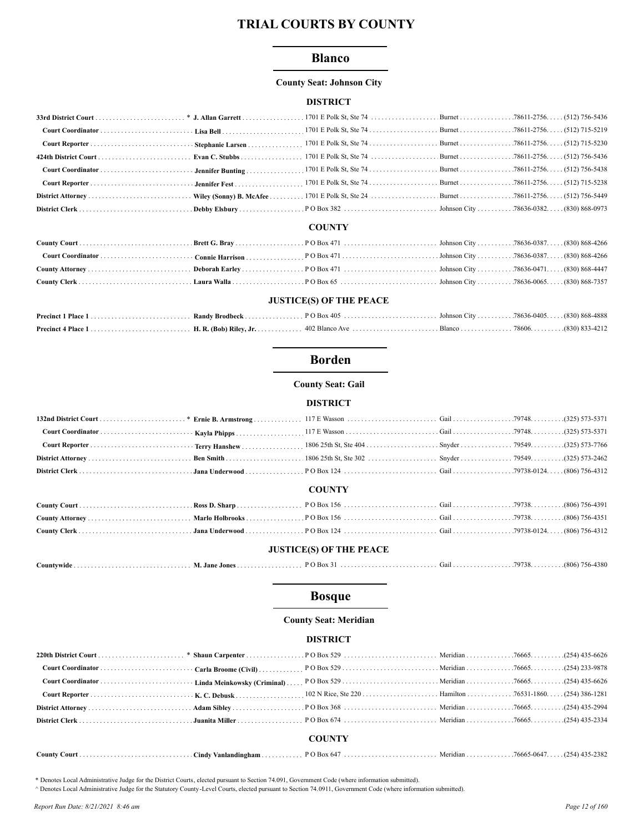### **Blanco**

#### **County Seat: Johnson City**

#### **DISTRICT**

#### **COUNTY**

#### **JUSTICE(S) OF THE PEACE**

## **Borden**

**County Seat: Gail** 

#### **DISTRICT**

#### **COUNTY**

#### **JUSTICE(S) OF THE PEACE**

|--|--|--|--|--|--|

## **Bosque**

#### **County Seat: Meridian**

#### **DISTRICT**

|  | <b>COUNTY</b> |  |  |
|--|---------------|--|--|
|  |               |  |  |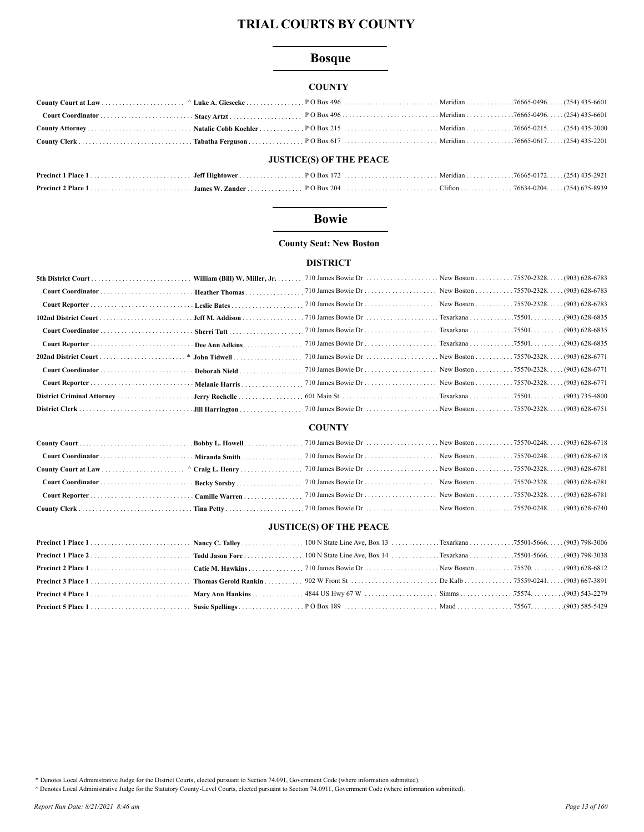# **Bosque**

#### **COUNTY**

| <b>JUSTICE(S) OF THE PEACE</b> |  |  |  |  |  |
|--------------------------------|--|--|--|--|--|

## **Bowie**

### **County Seat: New Boston**

#### **DISTRICT**

### **COUNTY**

### **JUSTICE(S) OF THE PEACE**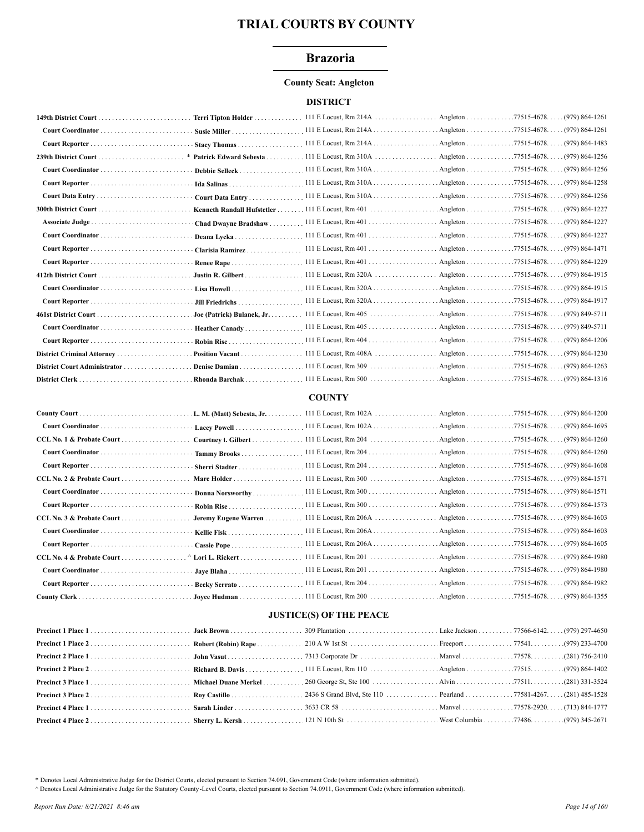## **Brazoria**

#### **County Seat: Angleton**

#### **DISTRICT**

|                              |                      |                                         |                      | Angleton 77515-4678. (979) 864-1256   |
|------------------------------|----------------------|-----------------------------------------|----------------------|---------------------------------------|
|                              | Debbie Selleck       |                                         |                      |                                       |
|                              |                      | 111 E Locust, Rm 310A                   |                      | . Angleton 77515-4678. (979) 864-1258 |
|                              |                      | Court Data Entry  111 E Locust, Rm 310A |                      | . Angleton 77515-4678. (979) 864-1256 |
|                              |                      |                                         |                      | . Angleton 77515-4678. (979) 864-1227 |
| Associate Judge              | Chad Dwayne Bradshaw |                                         |                      |                                       |
|                              | Deana Lycka          |                                         |                      |                                       |
|                              | Clarisia Ramirez     |                                         |                      |                                       |
|                              |                      |                                         |                      |                                       |
|                              |                      |                                         |                      |                                       |
|                              |                      |                                         |                      |                                       |
|                              |                      |                                         |                      |                                       |
|                              |                      |                                         |                      |                                       |
|                              |                      |                                         |                      |                                       |
|                              |                      |                                         |                      |                                       |
|                              |                      |                                         | Angleton 77515-4678. | $(979)864-1230$                       |
| District Court Administrator |                      |                                         |                      | $(979) 864 - 1263$                    |
|                              |                      |                                         |                      |                                       |

### **COUNTY**

|                           | Courtney t. Gilbert      |                                                           |  |
|---------------------------|--------------------------|-----------------------------------------------------------|--|
|                           | Tammy Brooks             |                                                           |  |
|                           | <b>Sherri Stadter</b>    |                                                           |  |
| CCL No. 2 & Probate Court |                          |                                                           |  |
|                           | Donna Norsworthy         |                                                           |  |
|                           |                          |                                                           |  |
| CCL No. 3 & Probate Court | Jeremy Eugene Warren     | 111 E Locust, Rm 206A Angleton 77515-4678. (979) 864-1603 |  |
|                           |                          |                                                           |  |
|                           |                          | 111 E Locust, Rm 206A Angleton 77515-4678. (979) 864-1605 |  |
| CCL No. 4 & Probate Court | $\wedge$ Lori L. Rickert |                                                           |  |
|                           |                          |                                                           |  |
|                           |                          |                                                           |  |
|                           |                          |                                                           |  |

#### **JUSTICE(S) OF THE PEACE**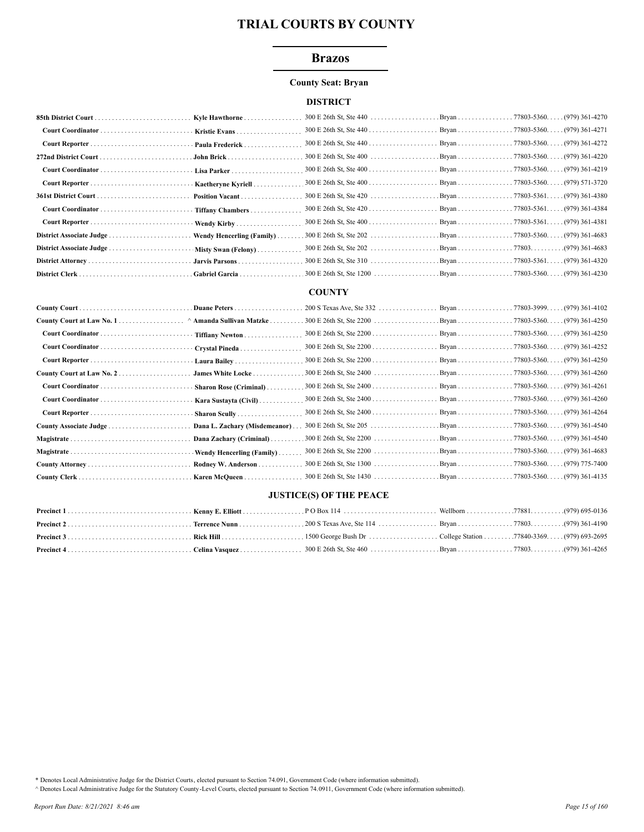### **Brazos**

#### **County Seat: Bryan**

#### **DISTRICT**

|                          | Kyle Hawthorne                       |  |  |
|--------------------------|--------------------------------------|--|--|
|                          |                                      |  |  |
|                          |                                      |  |  |
|                          |                                      |  |  |
|                          | Lisa Parker                          |  |  |
|                          | Kaetheryne Kyriell                   |  |  |
|                          | Position Vacant                      |  |  |
|                          |                                      |  |  |
|                          |                                      |  |  |
| District Associate Judge | Wendy Hencerling (Family) $\ldots$ . |  |  |
|                          | Misty Swan (Felony)                  |  |  |
|                          |                                      |  |  |
|                          |                                      |  |  |

#### **COUNTY**

| County Court at Law No. 1 ^ Amanda Sullivan Matzke . |                               |  |  |
|------------------------------------------------------|-------------------------------|--|--|
| Court Coordinator                                    | Tiffiany Newton               |  |  |
|                                                      | Crystal Pineda                |  |  |
|                                                      | Laura Bailey                  |  |  |
| County Court at Law No. 2                            | James White Locke             |  |  |
|                                                      | Sharon Rose (Criminal)        |  |  |
|                                                      | Kara Sustayta (Civil)         |  |  |
|                                                      | Sharon Scully                 |  |  |
|                                                      | Dana L. Zachary (Misdemeanor) |  |  |
| Magistrate                                           | Dana Zachary (Criminal)       |  |  |
|                                                      | Wendy Hencerling (Family)     |  |  |
|                                                      | Rodney W. Anderson            |  |  |
|                                                      | Karen McQueen                 |  |  |

#### **JUSTICE(S) OF THE PEACE**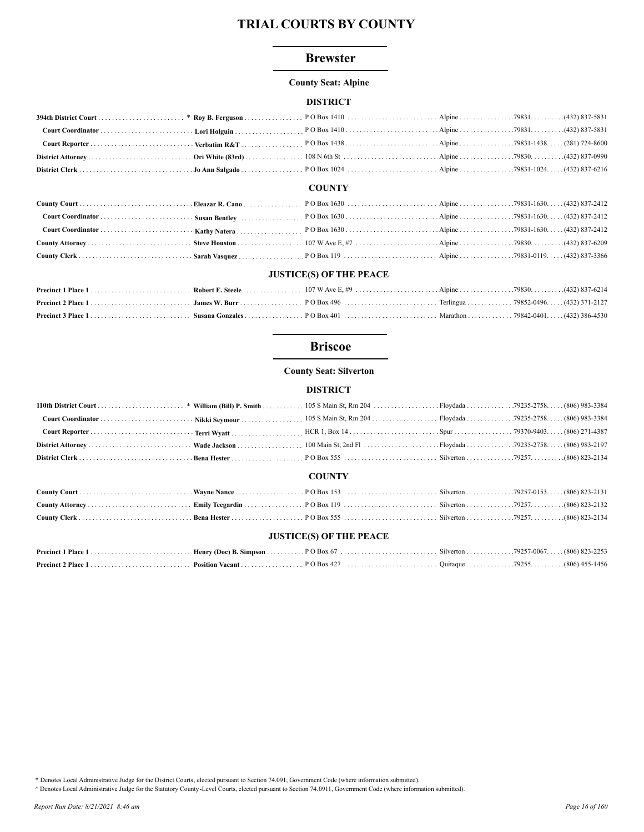### **Brewster**

#### **County Seat: Alpine**

### **DISTRICT**

#### **COUNTY**

#### **JUSTICE(S) OF THE PEACE**

## **Briscoe**

#### **County Seat: Silverton**

### **DISTRICT**

| <b>COUNTY</b> |  |  |  |  |  |
|---------------|--|--|--|--|--|

#### **JUSTICE(S) OF THE PEACE**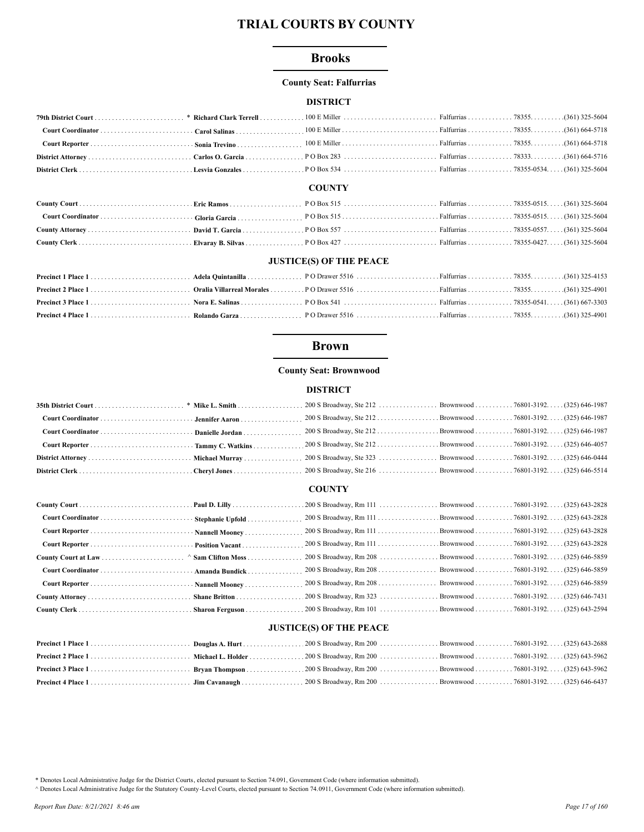## **Brooks**

#### **County Seat: Falfurrias**

### **DISTRICT**

#### **COUNTY**

### **JUSTICE(S) OF THE PEACE**

## **Brown**

### **County Seat: Brownwood**

### **DISTRICT**

#### **COUNTY**

| Court Reporter  Nannell Mooney |                                                               |  |
|--------------------------------|---------------------------------------------------------------|--|
|                                | 200 S Broadway, Rm 111 Brownwood 76801-3192 (325) 643-2828    |  |
|                                | 200 S Broadway, Rm 208 Brownwood 76801-3192. (325) 646-5859   |  |
|                                | 200 S Broadway, Rm 208 Brownwood 76801-3192. (325) 646-5859   |  |
|                                | 200 S Broadway, Rm 208 Brownwood 76801-3192 (325) 646-5859    |  |
|                                | . 200 S Broadway, Rm 323 Brownwood 76801-3192. (325) 646-7431 |  |
|                                |                                                               |  |

#### **JUSTICE(S) OF THE PEACE**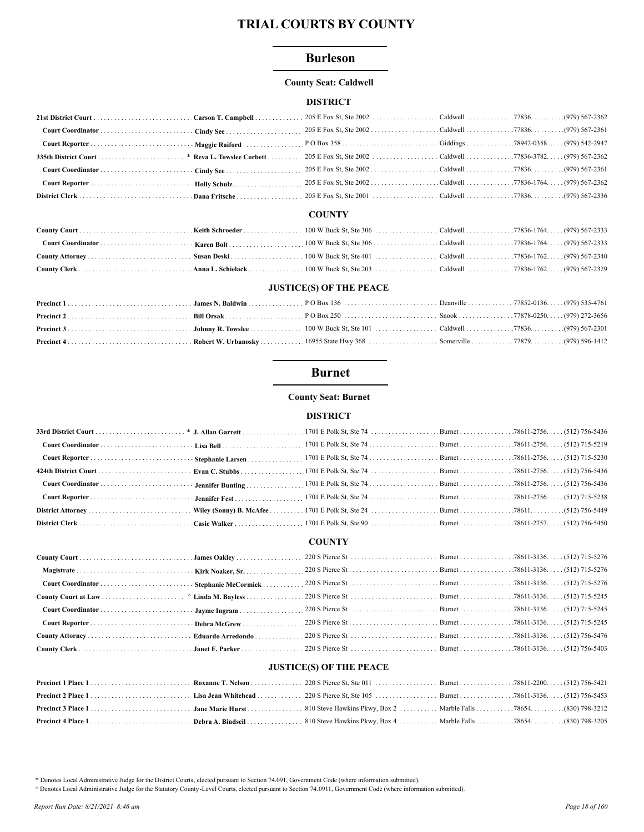#### **Burleson**

#### **County Seat: Caldwell**

### **DISTRICT**

### **COUNTY**

#### **JUSTICE(S) OF THE PEACE**

## **Burnet**

#### **County Seat: Burnet**

#### **DISTRICT**

#### **COUNTY**

## **JUSTICE(S) OF THE PEACE**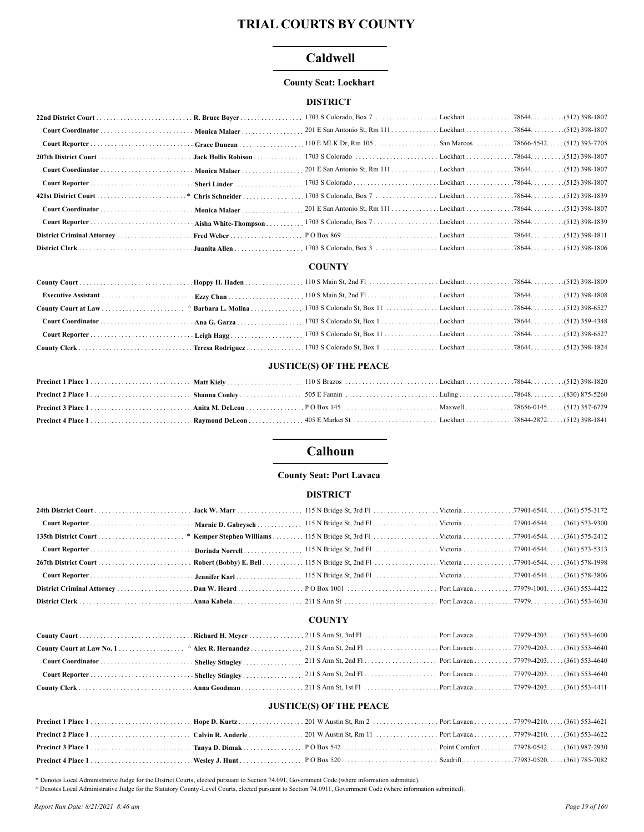## Caldwell

#### **County Seat: Lockhart**

#### **DISTRICT**

| Court Coordinator  Monica Malaer |  |  |  |
|----------------------------------|--|--|--|
|                                  |  |  |  |
|                                  |  |  |  |
|                                  |  |  |  |
|                                  |  |  |  |
|                                  |  |  |  |
|                                  |  |  |  |
|                                  |  |  |  |
|                                  |  |  |  |
|                                  |  |  |  |

## **COUNTY**

#### **JUSTICE(S) OF THE PEACE**

# Calhoun

#### **County Seat: Port Lavaca**

#### **DISTRICT**

#### **COUNTY**

### **JUSTICE(S) OF THE PEACE**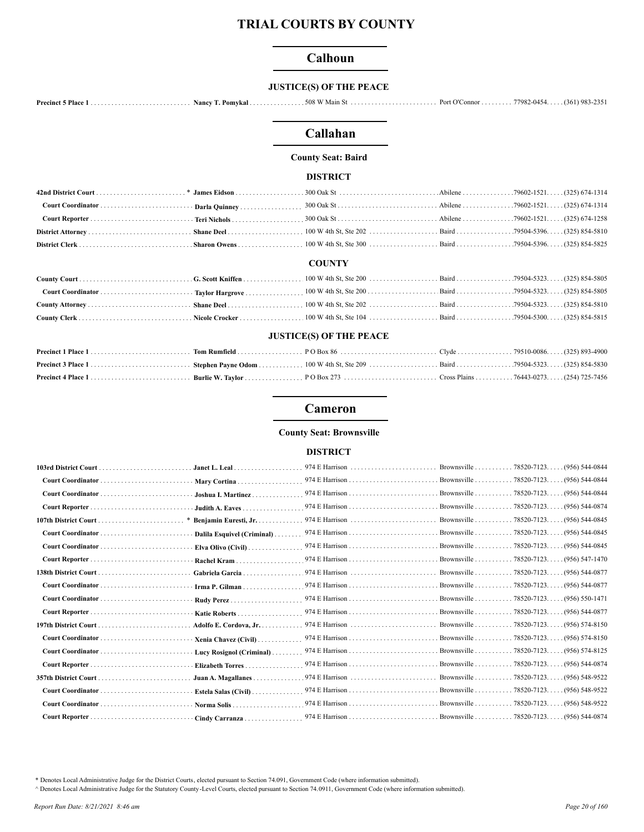## Calhoun

#### **JUSTICE(S) OF THE PEACE**

## Callahan

## **County Seat: Baird**

#### **DISTRICT**

#### **COUNTY**

### **JUSTICE(S) OF THE PEACE**

#### Cameron

#### **County Seat: Brownsville**

#### **DISTRICT**

| Janet L. Leal                                     | 974 E Harrison | Brownsville               | 78520-7123.<br>$(956)$ 544-0844        |
|---------------------------------------------------|----------------|---------------------------|----------------------------------------|
| Mary Cortina                                      |                | Brownsville               | $(956) 544 - 0844$<br>. 78520-7123.    |
| Joshua I. Martinez                                |                | Brownsville               | $(956)$ 544-0844<br>.78520-7123.       |
| Judith A. Eaves                                   |                | Brownsville 78520-7123. . | (956) 544-0874                         |
| Benjamin Euresti, Jr.                             | 974 E Harrison | Brownsville               | $(956)$ 544-0845<br>.78520-7123.       |
| Dalila Esquivel (Criminal)                        |                | . Brownsville             | $(956)$ 544-0845<br>. 78520-7123.      |
| Elva Olivo (Civil) $\ldots$                       |                | Brownsville 78520-7123. . | $(956)$ 544-0845                       |
| Rachel Kram                                       |                | Brownsville               | (956) 547-1470<br>. 78520-7123. .      |
| Gabriela Garcia                                   |                | Brownsville               | .78520-7123.<br>(956) 544-0877         |
| Irma P. Gilman                                    |                | Brownsville 78520-7123. . | (956) 544-0877                         |
|                                                   |                | Brownsville 78520-7123.   | . (956) 550-1471                       |
| Katie Roberts                                     |                | Brownsville 78520-7123. . | (956) 544-0877                         |
| Adolfo E. Cordova, Jr                             | 974 E Harrison | Brownsville               | $.78520 - 7123.$<br>$(956) 574 - 8150$ |
| Xenia Chavez (Civil)                              |                | Brownsville78520-7123     | $(956) 574 - 8150$                     |
| Lucy Rosignol (Criminal)                          |                | Brownsville               | $(956) 574 - 8125$<br>.78520-7123.     |
| <b>Elizabeth Torres</b>                           |                | Brownsville               | .78520-7123.<br>$(956) 544 - 0874$     |
| Juan A. Magallanes<br>distribution of the control |                | Brownsville               | (956) 548-9522<br>.78520-7123.         |
| Estela Salas (Civil).                             |                | Brownsville 78520-7123. . | (956) 548-9522                         |
| Norma Solis                                       |                |                           | (956) 548-9522                         |
| Cindy Carranza                                    |                |                           | . (956) 544-0874                       |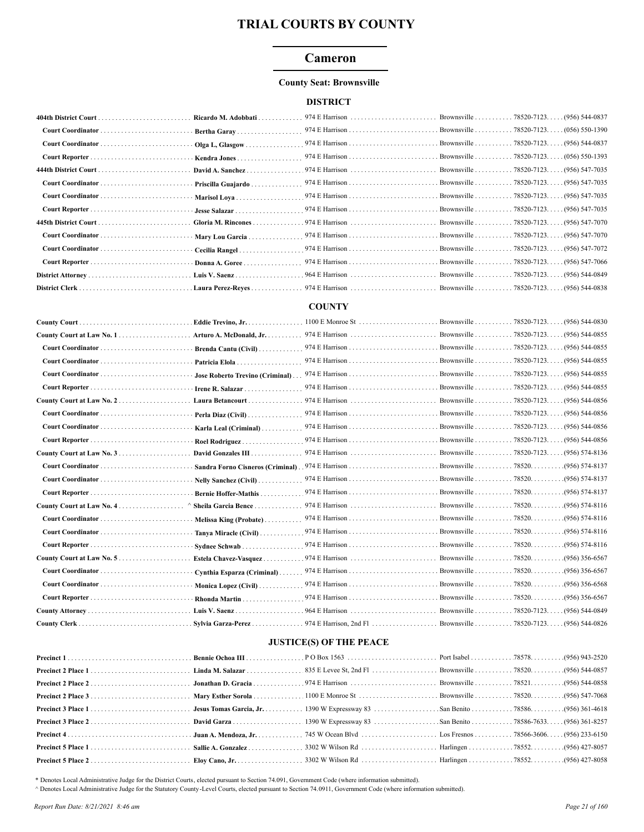### Cameron

#### **County Seat: Brownsville**

### **DISTRICT**

|                               | Ricardo M. Adobbati |  |  |
|-------------------------------|---------------------|--|--|
|                               | Bertha Garay        |  |  |
|                               | Olga L. Glasgow     |  |  |
|                               | Kendra Jones        |  |  |
|                               | David A. Sanchez    |  |  |
|                               | Priscilla Guajardo  |  |  |
| Court Coordinator             | Marisol Lova        |  |  |
|                               |                     |  |  |
|                               | Gloria M. Rincones  |  |  |
|                               |                     |  |  |
|                               | Cecilia Rangel      |  |  |
| Court Reporter Donna A. Goree |                     |  |  |
|                               |                     |  |  |
|                               |                     |  |  |

#### **COUNTY**

|              | Eddie Trevino, Jr.                |                | Brownsville 78520-7123. | (956) 544-0830     |
|--------------|-----------------------------------|----------------|-------------------------|--------------------|
|              | Arturo A. McDonald, Jr. .         | 974 E Harrison | Brownsville 78520-7123  | (956) 544-0855     |
|              | Brenda Cantu (Civil)              |                |                         | $(956) 544 - 0855$ |
|              | Patricia Elola                    |                |                         | $(956) 544 - 0855$ |
|              | Jose Roberto Trevino (Criminal).  |                |                         |                    |
|              | Irene R. Salazar                  |                |                         | (956) 544-0855     |
|              | Laura Betancourt                  | 974 E Harrison | Brownsville 78520-7123. | $(956) 544 - 0856$ |
|              | Perla Diaz (Civil)                |                |                         | $(956)$ 544-0856   |
|              | Karla Leal (Criminal)             |                |                         | . (956) 544-0856   |
|              | Roel Rodriguez                    |                |                         | (956) 544-0856     |
|              | David Gonzales III.               |                |                         | . (956) 574-8136   |
|              | Sandra Forno Cisneros (Criminal). |                |                         | $(956) 574 - 8137$ |
|              | Nelly Sanchez (Civil)             |                |                         | .(956) 574-8137    |
|              | <b>Bernie Hoffer-Mathis</b>       |                |                         | (956) 574-8137     |
|              | Sheila Garcia Bence               |                |                         | .(956) 574-8116    |
|              | Melissa King (Probate)            |                |                         | .(956) 574-8116    |
|              | Tanya Miracle (Civil)             |                |                         | .(956) 574-8116    |
|              | Sydnee Schwab.                    |                |                         | $(956) 574 - 8116$ |
|              | Estela Chavez-Vasquez             | 974 E Harrison | Brownsville 78520.      | .(956) 356-6567    |
|              | Cynthia Esparza (Criminal)        |                |                         | .(956) 356-6567    |
|              | Monica Lopez (Civil)              |                | Brownsville 78520.      | (956) 356-6568.    |
|              | Rhonda Martin                     |                | Brownsville 78520.      | .(956) 356-6567    |
|              | Luis V. Saenz                     |                | Brownsville78520-7123   | . (956) 544-0849   |
| County Clerk | Sylvia Garza-Perez                |                |                         |                    |

## **JUSTICE(S) OF THE PEACE**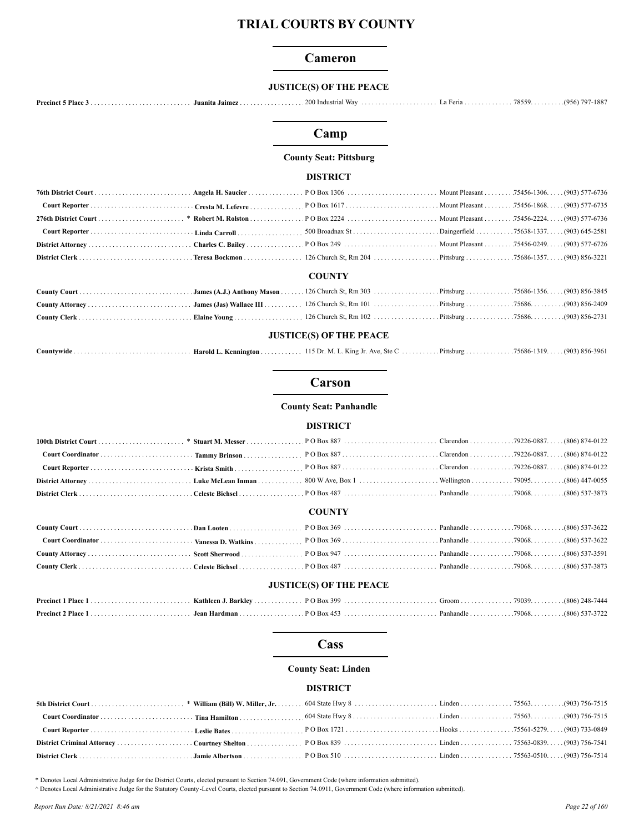#### Cameron

#### **JUSTICE(S) OF THE PEACE**

## Camp

#### **County Seat: Pittsburg**

#### **DISTRICT**

| <b>COUNTY</b> |  |  |  |  |  |  |
|---------------|--|--|--|--|--|--|
|               |  |  |  |  |  |  |
|               |  |  |  |  |  |  |

#### **JUSTICE(S) OF THE PEACE**

| Harold L. Ke<br>ountvwide_<br>ennington . | King Jr.<br>Ave. Ste C<br>$15$ Dr. M.<br>. | Pittsburg | $\ldots \ldots \ldots \ldots \ldots$ 75686-1319 (903) 856-3961 |  |
|-------------------------------------------|--------------------------------------------|-----------|----------------------------------------------------------------|--|
|-------------------------------------------|--------------------------------------------|-----------|----------------------------------------------------------------|--|

## Carson

**County Seat: Panhandle** 

#### **DISTRICT**

#### **COUNTY**

#### **JUSTICE(S) OF THE PEACE**

#### Cass

#### **County Seat: Linden**

#### **DISTRICT**

\* Denotes Local Administrative Judge for the District Courts, elected pursuant to Section 74.091, Government Code (where information submitted).

A Denotes Local Administrative Judge for the Statutory County-Level Courts, elected pursuant to Section 74.0911, Government Code (where information submitted).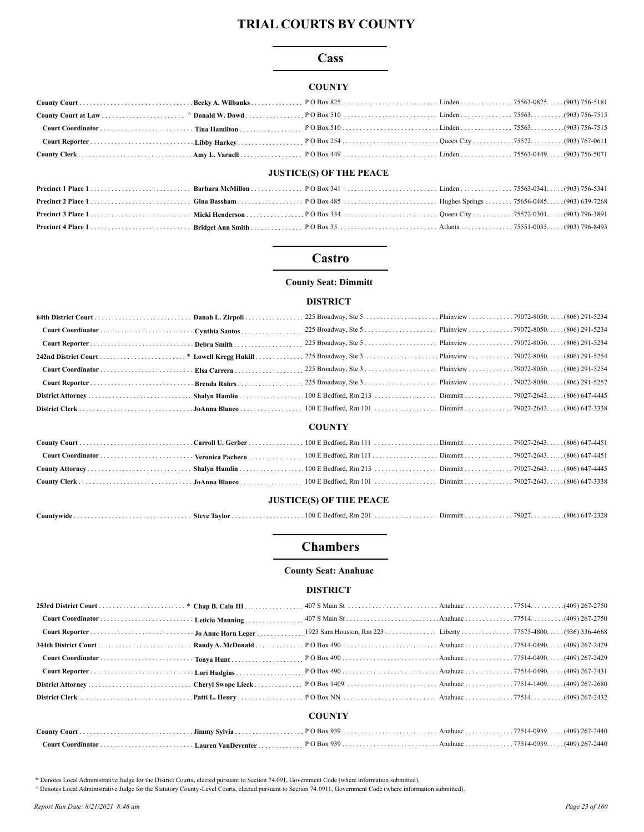### Cass

### **COUNTY**

## **JUSTICE(S) OF THE PEACE**

### Castro

#### **County Seat: Dimmitt**

### **DISTRICT**

#### **COUNTY**

#### **JUSTICE(S) OF THE PEACE**

|  | Countywide<br>. | <b>Steve Taylor</b> | . Rm 201<br>100 E Bedforo | Dimmitt<br>. | 79027 | (90C)<br>، ک د ک |
|--|-----------------|---------------------|---------------------------|--------------|-------|------------------|
|--|-----------------|---------------------|---------------------------|--------------|-------|------------------|

### **Chambers**

#### **County Seat: Anahuac**

#### **DISTRICT**

|  | <b>COUNTY</b> |  |
|--|---------------|--|
|  |               |  |
|  |               |  |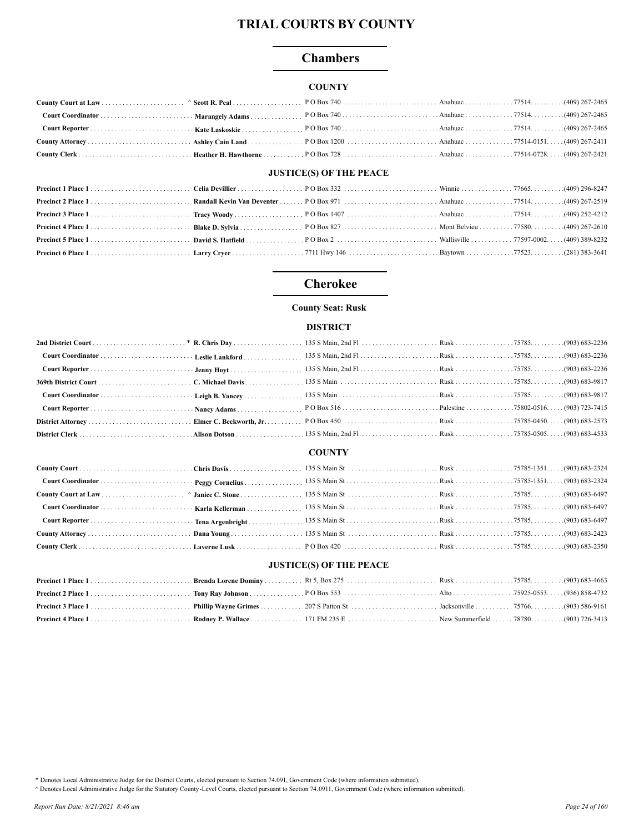## **Chambers**

### **COUNTY**

## **JUSTICE(S) OF THE PEACE**

## **Cherokee**

## **County Seat: Rusk**

### **DISTRICT**

### **COUNTY**

#### **JUSTICE(S) OF THE PEACE**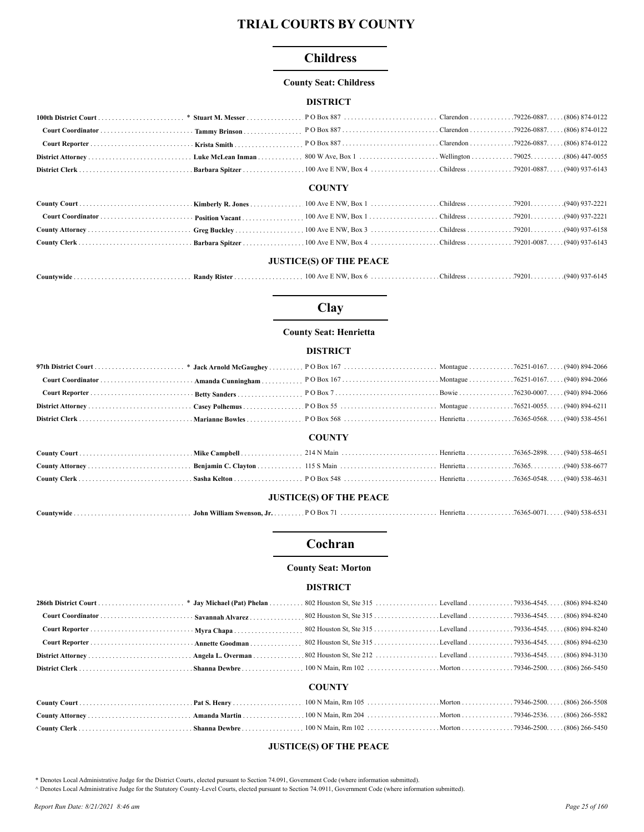## **Childress**

#### **County Seat: Childress**

#### **DISTRICT**

|  | <b>COUNTRY</b> |  |
|--|----------------|--|

#### **COUNTY**

#### **JUSTICE(S) OF THE PEACE**

|--|--|--|--|--|

# Clay

### **County Seat: Henrietta**

### **DISTRICT**

|                                |  | <b>COUNTY</b> |  |  |  |
|--------------------------------|--|---------------|--|--|--|
|                                |  |               |  |  |  |
|                                |  |               |  |  |  |
|                                |  |               |  |  |  |
| <b>JUSTICE(S) OF THE PEACE</b> |  |               |  |  |  |
|                                |  |               |  |  |  |

## Cochran

#### **County Seat: Morton**

#### **DISTRICT**

### **COUNTY**

## **JUSTICE(S) OF THE PEACE**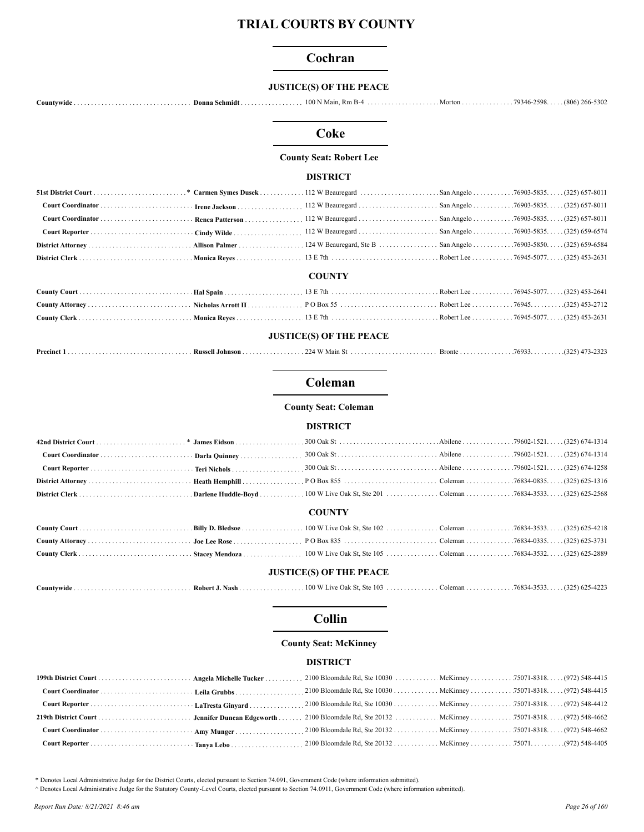## Cochran

### **JUSTICE(S) OF THE PEACE**

## Coke

#### **County Seat: Robert Lee**

#### **DISTRICT**

|  | <b>COUNTY</b> |  |
|--|---------------|--|

### **JUSTICE(S) OF THE PEACE**

|  | $\mathbf{u}$<br>.  Kussell Johnson . |  |  |  |  |
|--|--------------------------------------|--|--|--|--|
|--|--------------------------------------|--|--|--|--|

# Coleman

**County Seat: Coleman** 

#### **DISTRICT**

#### **COUNTY**

## **JUSTICE(S) OF THE PEACE**

| $Countwide \dots \dots \dots \dots \dots \dots \dots \dots \dots \dots \dots \dots$ |  |  |  |  |  |
|-------------------------------------------------------------------------------------|--|--|--|--|--|
|-------------------------------------------------------------------------------------|--|--|--|--|--|

#### **Collin**

#### **County Seat: McKinney**

#### **DISTRICT**

\* Denotes Local Administrative Judge for the District Courts, elected pursuant to Section 74.091, Government Code (where information submitted).

A Denotes Local Administrative Judge for the Statutory County -Level Courts, elected pursuant to Section 74.0911, Government Code (where information submitted).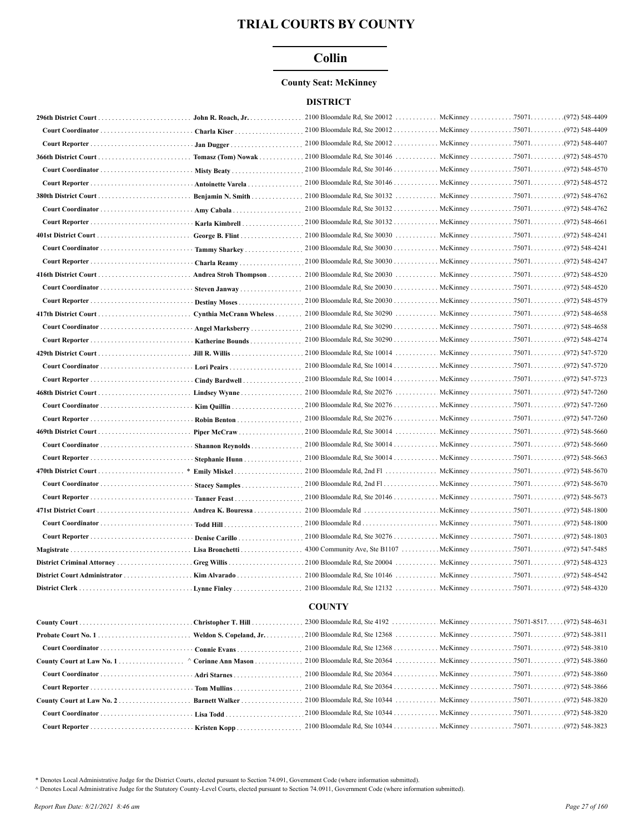## **Collin**

## **County Seat: McKinney**

#### **DISTRICT**

| John R. Roach, Jr.      |                                              |                                | .(972) 548-4409    |
|-------------------------|----------------------------------------------|--------------------------------|--------------------|
| Charla Kiser            | 2100 Bloomdale Rd, Ste 20012 McKinney 75071  |                                | .(972) 548-4409    |
| Jan Dugger              | 2100 Bloomdale Rd, Ste 20012 McKinney 75071  |                                | .(972) 548-4407    |
|                         |                                              |                                | .(972) 548-4570    |
|                         | 2100 Bloomdale Rd, Ste 30146 McKinney 75071. |                                | .(972) 548-4570    |
| Antoinette Varela       |                                              |                                |                    |
| Benjamin N. Smith       |                                              |                                | .(972) 548-4762    |
|                         | 2100 Bloomdale Rd, Ste 30132 McKinney 75071  |                                | .(972) 548-4762    |
| Karla Kimbrell          |                                              |                                |                    |
|                         |                                              |                                | .(972) 548-4241    |
| Tammy Sharkey           | 2100 Bloomdale Rd, Ste 30030 McKinney 75071  |                                | .(972) 548-4241    |
| Charla Reamy            | 2100 Bloomdale Rd, Ste 30030 McKinney 75071  |                                | .(972) 548-4247    |
| Andrea Stroh Thompson   |                                              |                                | .(972) 548-4520    |
| Steven Janway           | 2100 Bloomdale Rd, Ste 20030 McKinney 75071  |                                | .(972) 548-4520    |
| Destiny Moses           | 2100 Bloomdale Rd, Ste 20030 McKinney 75071  |                                | .(972) 548-4579    |
| Cynthia McCrann Wheless | 2100 Bloomdale Rd, Ste 30290                 | McKinney 75071.                | .(972) 548-4658    |
| Angel Marksberry        | 2100 Bloomdale Rd, Ste 30290 McKinney 75071  |                                | .(972) 548-4658    |
| <b>Katherine Bounds</b> | 2100 Bloomdale Rd, Ste 30290 McKinney 75071  |                                | .(972) 548-4274    |
|                         | 2100 Bloomdale Rd, Ste 10014                 | McKinney 75071. (972) 547-5720 |                    |
|                         |                                              |                                |                    |
| Cindy Bardwell          |                                              |                                |                    |
|                         |                                              |                                |                    |
|                         |                                              |                                |                    |
|                         |                                              |                                |                    |
|                         |                                              |                                |                    |
| Shannon Reynolds        |                                              |                                |                    |
| Stephanie Hunn          |                                              |                                |                    |
| Emily Miskel            |                                              |                                | .(972) 548-5670    |
| Stacey Samples          |                                              |                                |                    |
| Tanner Feast            |                                              |                                | $(972) 548 - 5673$ |
| Andrea K. Bouressa      |                                              |                                |                    |
|                         |                                              |                                |                    |
| Denise Carillo          |                                              |                                |                    |
| Lisa Bronchetti         |                                              |                                | .(972) 547-5485    |
|                         |                                              |                                | .(972) 548-4323    |
|                         |                                              |                                |                    |
|                         |                                              |                                |                    |
|                         | <b>COUNTY</b>                                |                                |                    |
|                         |                                              |                                |                    |
|                         |                                              |                                | $(972)$ 548-3811   |
| Connie Evans            | 2100 Bloomdale Rd, Ste 12368 McKinney 75071  |                                | .(972) 548-3810    |
| Corinne Ann Mason       |                                              |                                | .(972) 548-3860    |
|                         | 2100 Bloomdale Rd, Ste 20364 McKinney 75071. |                                | .(972) 548-3860    |
| $\cdot$ Tom Mullins     |                                              |                                |                    |
| Barnett Walker          |                                              |                                | .(972) 548-3820    |
|                         |                                              |                                |                    |

\* Denotes Local Administrative Judge for the District Courts, elected pursuant to Section 74.091, Government Code (where information submitted).

A Denotes Local Administrative Judge for the Statutory County -Level Courts, elected pursuant to Section 74.0911, Government Code (where information submitted).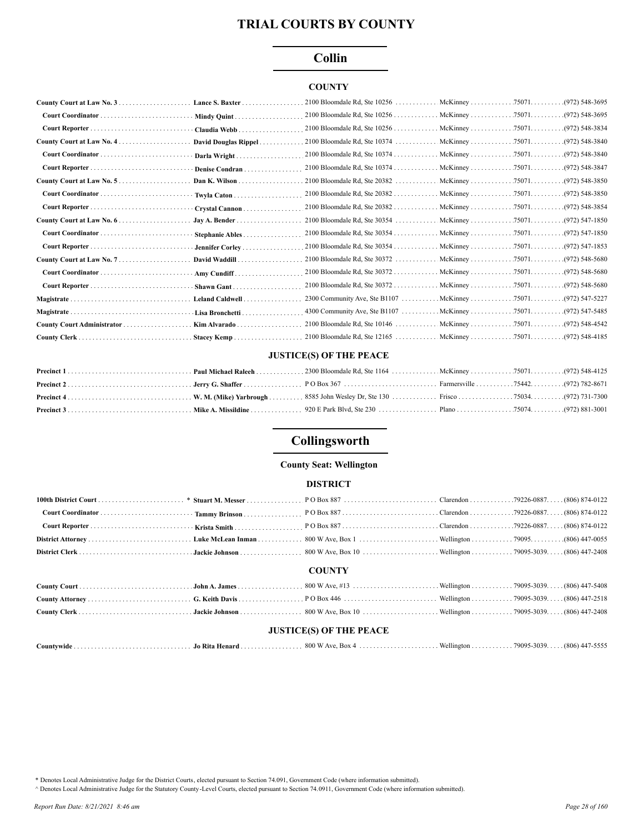## **Collin**

### **COUNTY**

|            | Mindy Quint          |  |                 |
|------------|----------------------|--|-----------------|
|            | Claudia Webb         |  |                 |
|            | David Douglas Rippel |  |                 |
|            | Darla Wright         |  |                 |
|            | Denise Condran       |  |                 |
|            | Dan K. Wilson        |  |                 |
|            | Twyla Caton          |  |                 |
|            | Crystal Cannon       |  |                 |
|            | Jay A. Bender        |  |                 |
|            | Stephanie Ables      |  |                 |
|            | Jennifer Corley      |  |                 |
|            | David Waddill        |  |                 |
|            | Amy Cundiff          |  |                 |
|            | Shawn Gant           |  |                 |
|            | Leland Caldwell      |  |                 |
| Magistrate | Lisa Bronchetti      |  | .(972) 547-5485 |
|            | Kim Alvarado         |  |                 |
|            | Stacey Kemp          |  |                 |

#### **JUSTICE(S) OF THE PEACE**

# Collingsworth

#### **County Seat: Wellington**

#### **DISTRICT**

|                                |  | <b>COUNTY</b> |  |  |  |
|--------------------------------|--|---------------|--|--|--|
|                                |  |               |  |  |  |
|                                |  |               |  |  |  |
|                                |  |               |  |  |  |
| <b>JUSTICE(S) OF THE PEACE</b> |  |               |  |  |  |
|                                |  |               |  |  |  |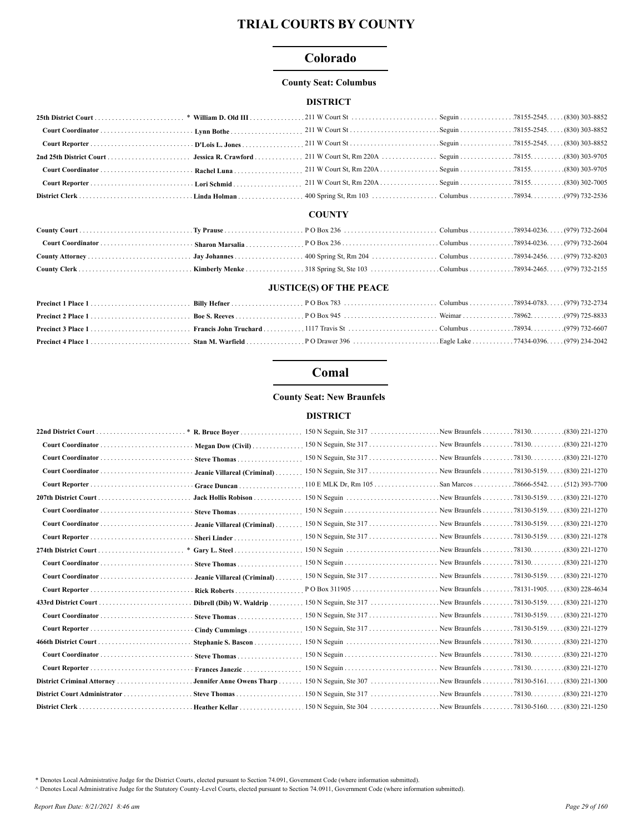## Colorado

#### **County Seat: Columbus**

### **DISTRICT**

### **COUNTY**

#### **JUSTICE(S) OF THE PEACE**

# Comal

#### **County Seat: New Braunfels**

#### **DISTRICT**

|                              |                             |                                                                              |                        | $(830)$ 221-1270 |
|------------------------------|-----------------------------|------------------------------------------------------------------------------|------------------------|------------------|
|                              |                             |                                                                              |                        | $(830)$ 221-1270 |
|                              | Jeanie Villareal (Criminal) |                                                                              |                        |                  |
|                              | Grace Duncan                | $110$ E MLK Dr, Rm $105$                                                     | San Marcos 78666-5542. | $(512)$ 393-7700 |
|                              | Jack Hollis Robison         |                                                                              |                        | $(830)$ 221-1270 |
|                              |                             |                                                                              |                        |                  |
|                              | Jeanie Villareal (Criminal) |                                                                              |                        |                  |
|                              |                             |                                                                              |                        |                  |
| 274th District Court         |                             |                                                                              |                        |                  |
|                              |                             |                                                                              |                        | $(830)$ 221-1270 |
|                              |                             | Jeanie Villareal (Criminal)  150 N Seguin, Ste 317  New Braunfels 78130-5159 |                        | $(830)$ 221-1270 |
|                              | Rick Roberts                |                                                                              |                        | $(830)$ 228-4634 |
|                              |                             |                                                                              |                        | $(830)$ 221-1270 |
|                              |                             |                                                                              |                        |                  |
|                              | Cindy Cummings              |                                                                              |                        |                  |
|                              |                             |                                                                              |                        | $(830)$ 221-1270 |
|                              |                             |                                                                              |                        | $(830)$ 221-1270 |
|                              | Frances Janezic             |                                                                              |                        | $(830)$ 221-1270 |
|                              |                             | Jennifer Anne Owens Tharp 150 N Seguin, Ste 307 New Braunfels 78130-5161.    |                        | $(830)$ 221-1300 |
| District Court Administrator | Steve Thomas                |                                                                              |                        |                  |
|                              |                             |                                                                              |                        |                  |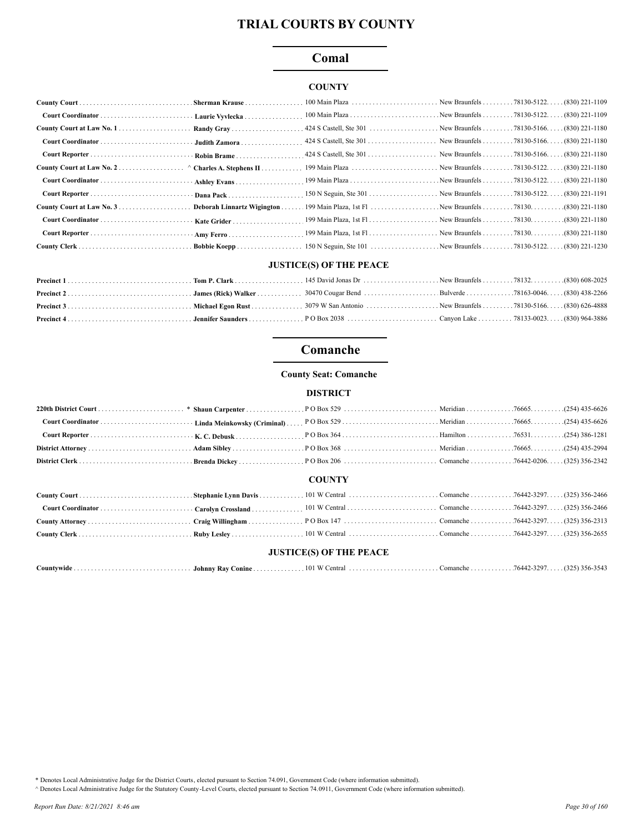## Comal

### **COUNTY**

| Deborah Linnartz Wigington. |  |  |
|-----------------------------|--|--|
| Kate Grider                 |  |  |
|                             |  |  |
|                             |  |  |

#### **JUSTICE(S) OF THE PEACE**

## Comanche

#### **County Seat: Comanche**

### **DISTRICT**

## **COUNTY**

### **JUSTICE(S) OF THE PEACE**

| Countywide<br>Johnny Rav | Conine | $\mathbf{u}$<br>101<br>entral | Comanche. | $7 - 3797$<br>16442 | 356-3543 |
|--------------------------|--------|-------------------------------|-----------|---------------------|----------|
|--------------------------|--------|-------------------------------|-----------|---------------------|----------|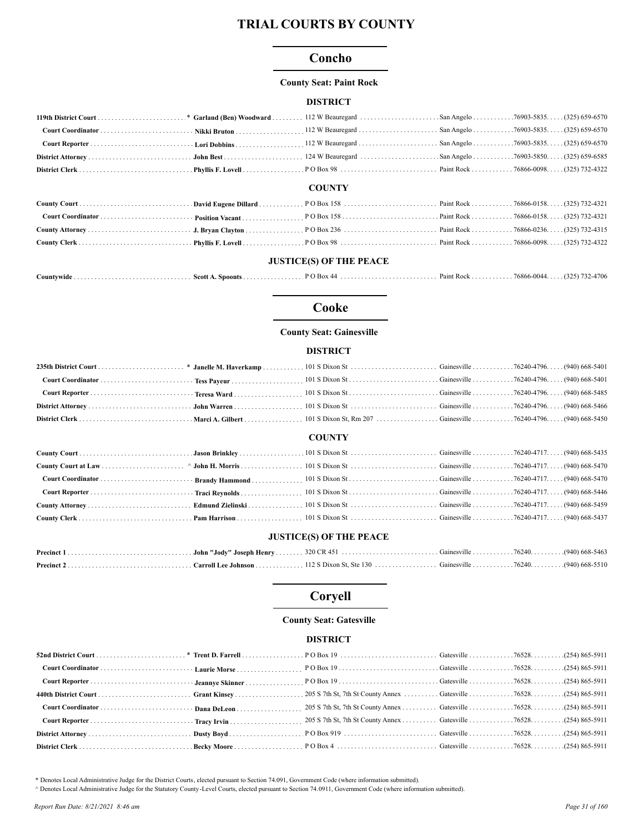## Concho

#### **County Seat: Paint Rock**

#### **DISTRICT**

|  | <b>COUNTY</b> |  |
|--|---------------|--|

### **JUSTICE(S) OF THE PEACE**

| . Scott A. Spoonts |  |  |  |  | $76866 - 0044$ | $(325)$ 732-4706 |
|--------------------|--|--|--|--|----------------|------------------|
|--------------------|--|--|--|--|----------------|------------------|

#### Cooke

### **County Seat: Gainesville**

### **DISTRICT**

#### **COUNTY**

### **JUSTICE(S) OF THE PEACE**

# Coryell

### **County Seat: Gatesville**

## **DISTRICT**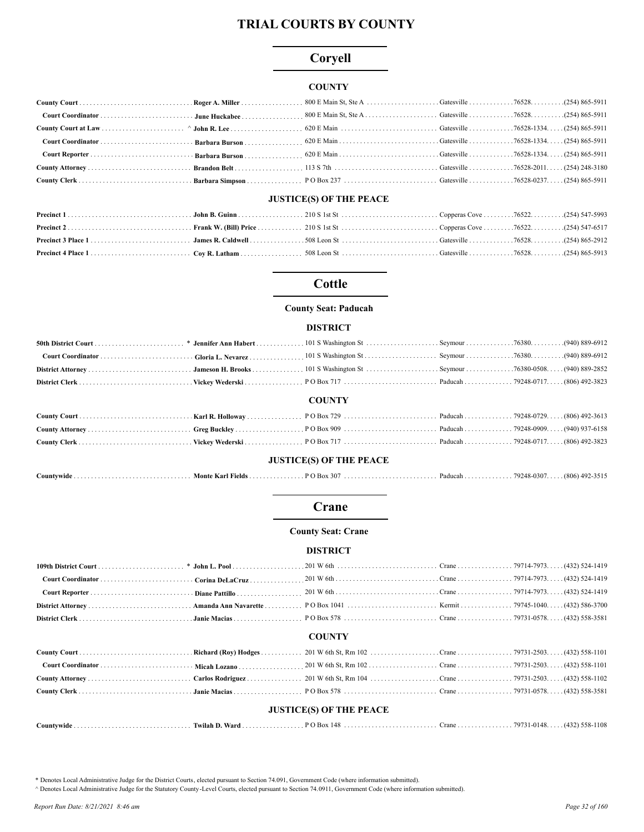# Coryell

### **COUNTY**

#### **JUSTICE(S) OF THE PEACE**

## **Cottle**

#### **County Seat: Paducah**

#### **DISTRICT**

| <b>COUNTY</b> |  |  |  |  |  |
|---------------|--|--|--|--|--|

#### **JUSTICE(S) OF THE PEACE**

| ountvwide | Monte Kai<br>l Fields | $\sum_{i=1}^{n}$<br>307<br>ורוי | - Paquean<br>. | 79248-0307 | $\Delta Q$<br>(806)<br>- 7 / - |
|-----------|-----------------------|---------------------------------|----------------|------------|--------------------------------|
|-----------|-----------------------|---------------------------------|----------------|------------|--------------------------------|

#### Crane

#### **County Seat: Crane**

#### **DISTRICT**

#### **COUNTY**

| <b>JUSTICE(S) OF THE PEACE</b> |  |  |  |  |  |
|--------------------------------|--|--|--|--|--|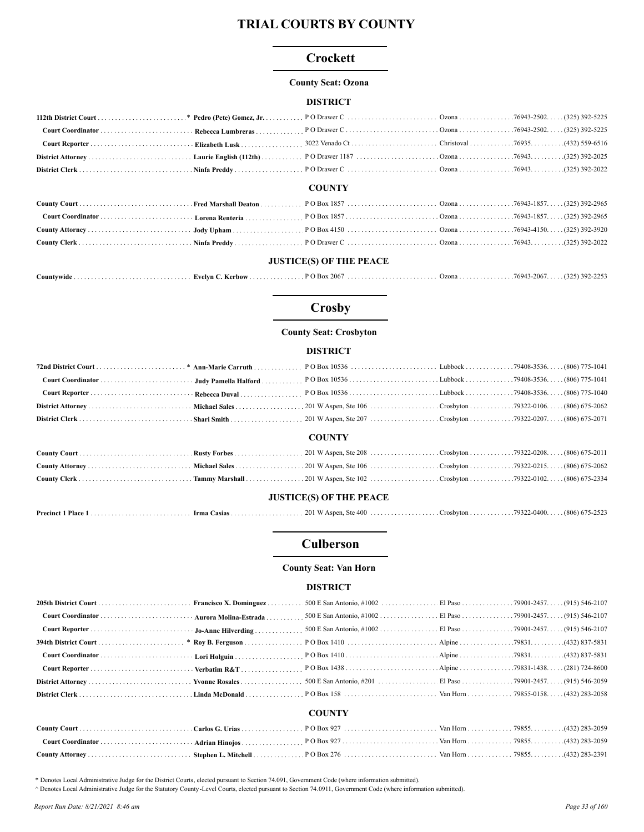## Crockett

#### **County Seat: Ozona**

### **DISTRICT**

#### **COUNTY**

### **JUSTICE(S) OF THE PEACE**

|--|--|--|--|--|--|

# **Crosby**

## **County Seat: Crosbyton**

### **DISTRICT**

|                                |  | <b>COUNTY</b> |  |  |
|--------------------------------|--|---------------|--|--|
|                                |  |               |  |  |
|                                |  |               |  |  |
|                                |  |               |  |  |
| <b>JUSTICE(S) OF THE PEACE</b> |  |               |  |  |
|                                |  |               |  |  |

## **Culberson**

#### **County Seat: Van Horn**

#### **DISTRICT**

|  | <b>COUNTY</b> |  |
|--|---------------|--|
|  |               |  |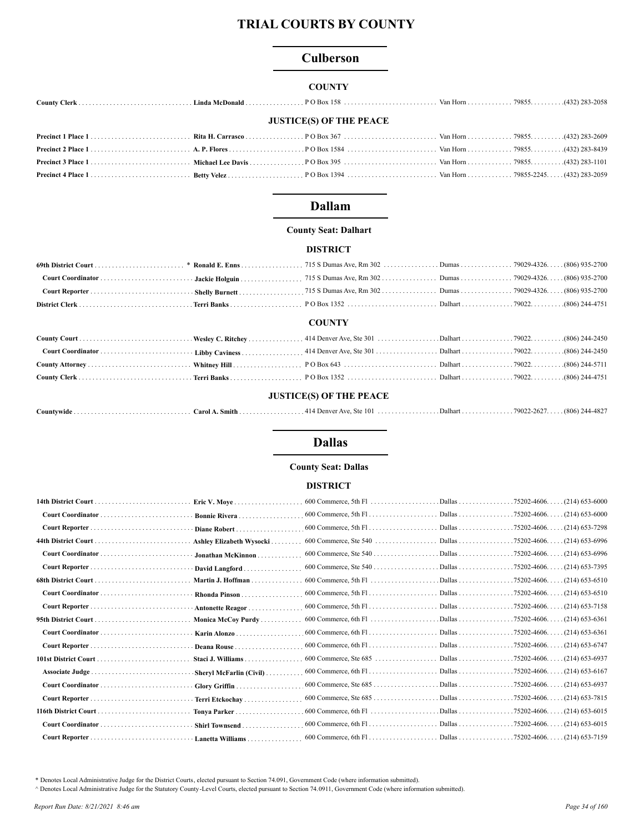## **Culberson**

### **COUNTY**

| <b>JUSTICE(S) OF THE PEACE</b> |  |  |  |  |  |  |
|--------------------------------|--|--|--|--|--|--|
|                                |  |  |  |  |  |  |
|                                |  |  |  |  |  |  |
|                                |  |  |  |  |  |  |
|                                |  |  |  |  |  |  |

## **Dallam**

#### **County Seat: Dalhart**

#### **DISTRICT**

#### **COUNTY**

#### **JUSTICE(S) OF THE PEACE**

|--|--|--|--|--|--|

### **Dallas**

#### **County Seat: Dallas**

### **DISTRICT**

|                      | Eric V. Move             |                                                                                                                           | .75202-4606.<br>$(214)$ 653-6000     |
|----------------------|--------------------------|---------------------------------------------------------------------------------------------------------------------------|--------------------------------------|
|                      | Bonnie Rivera            |                                                                                                                           | $(214)$ 653-6000<br>.75202-4606.     |
|                      | Diane Robert             |                                                                                                                           | .75202-4606.<br>(214) 653-7298       |
|                      | Ashley Elizabeth Wysocki |                                                                                                                           | $(214)$ 653-6996<br>.75202-4606.     |
|                      | Jonathan McKinnon.       |                                                                                                                           | .75202-4606.<br>(214) 653-6996       |
|                      | David Langford           |                                                                                                                           | $.75202 - 4606.$<br>(214) 653-7395   |
|                      | Martin J. Hoffman        |                                                                                                                           | $(214)$ 653-6510<br>$.75202 - 4606.$ |
|                      | Rhonda Pinson            |                                                                                                                           | $.75202 - 4606.$<br>. (214) 653-6510 |
|                      | Antonette Reagor         |                                                                                                                           | $.75202 - 4606.$<br>(214) 653-7158   |
|                      | Monica McCoy Purdy       |                                                                                                                           | $(214)$ 653-6361                     |
|                      | Karin Alonzo             |                                                                                                                           |                                      |
|                      | Deana Rouse              |                                                                                                                           |                                      |
|                      | Staci J. Williams        |                                                                                                                           |                                      |
|                      | Sheryl McFarlin (Civil)  |                                                                                                                           | $(214)$ 653-6167                     |
|                      | Glory Griffin            |                                                                                                                           | $(214)$ 653-6937                     |
|                      | Terri Etckochay          |                                                                                                                           |                                      |
| 116th District Court | Tonya Parker             |                                                                                                                           | $.75202 - 4606$<br>. (214) 653-6015  |
|                      | Shirl Townsend           | 600 Commerce, 6th Fl. (214) 653-6015                                                                                      |                                      |
|                      | Lanetta Williams         | 600 Commerce, 6th Fl. $\ldots$ . $\ldots$ . $\ldots$ . Dallas $\ldots$ . $\ldots$ . 75202-4606. $\ldots$ . (214) 653-7159 |                                      |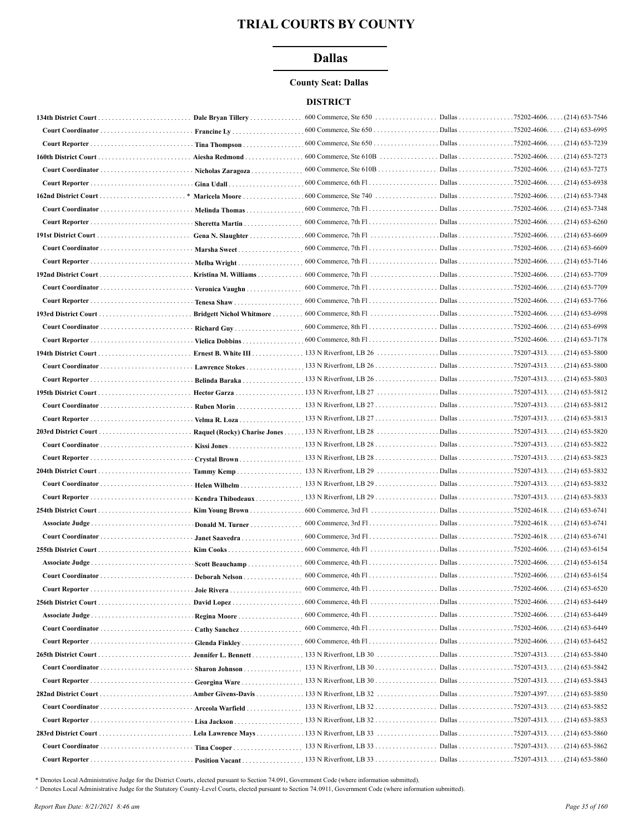## **Dallas**

#### **County Seat: Dallas**

#### **DISTRICT**

|                              | Dale Bryan Tillery       |                                                                                                                                      |                                   |
|------------------------------|--------------------------|--------------------------------------------------------------------------------------------------------------------------------------|-----------------------------------|
|                              | Francine $Lv$            |                                                                                                                                      | . (214) 653-6995                  |
|                              | Tina Thompson            |                                                                                                                                      | . (214) 653-7239                  |
|                              | Aiesha Redmond           |                                                                                                                                      | . (214) 653-7273                  |
|                              | Nicholas Zaragoza        | 600 Commerce, Ste 610B Dallas 75202-4606. (214) 653-7273                                                                             |                                   |
|                              |                          |                                                                                                                                      |                                   |
|                              | Maricela Moore           | $600$ Commerce, Ste 740                                                                                                              | Dallas 75202-4606. (214) 653-7348 |
|                              | Melinda Thomas           |                                                                                                                                      |                                   |
|                              | Sheretta Martin          |                                                                                                                                      |                                   |
|                              | Gena N. Slaughter        |                                                                                                                                      |                                   |
|                              | Marsha Sweet             |                                                                                                                                      |                                   |
| Court Reporter  Melba Wright |                          |                                                                                                                                      |                                   |
|                              | Kristina M. Williams     |                                                                                                                                      |                                   |
|                              |                          |                                                                                                                                      |                                   |
|                              | Tenesa Shaw              |                                                                                                                                      |                                   |
|                              | Bridgett Nichol Whitmore |                                                                                                                                      | $(214)$ 653-6998                  |
|                              |                          | 600 Commerce, 8th Fl. (214) 653-6998                                                                                                 |                                   |
|                              | Vielica Dobbins          |                                                                                                                                      |                                   |
|                              |                          |                                                                                                                                      |                                   |
|                              | Lawrence Stokes          | 133 N Riverfront, LB $26$                                                                                                            | Dallas 75207-4313. (214) 653-5800 |
|                              | Belinda Baraka           | 133 N Riverfront, LB $26$                                                                                                            | Dallas 75207-4313. (214) 653-5803 |
|                              |                          |                                                                                                                                      |                                   |
|                              |                          |                                                                                                                                      |                                   |
|                              | Velma R. Loza            |                                                                                                                                      |                                   |
|                              |                          |                                                                                                                                      |                                   |
|                              |                          |                                                                                                                                      |                                   |
|                              | Crystal Brown            |                                                                                                                                      |                                   |
|                              | Tammy Kemp               |                                                                                                                                      |                                   |
|                              |                          | 133 N Riverfront, LB 29                                                                                                              | Dallas 75207-4313. (214) 653-5832 |
|                              | Kendra Thibodeaux        |                                                                                                                                      |                                   |
|                              | Kim Young Brown          |                                                                                                                                      |                                   |
|                              | Donald M. Turner         |                                                                                                                                      |                                   |
|                              | Janet Saavedra           |                                                                                                                                      |                                   |
|                              |                          |                                                                                                                                      |                                   |
|                              | Scott Beauchamp          |                                                                                                                                      |                                   |
|                              | Deborah Nelson           |                                                                                                                                      |                                   |
|                              |                          | $600$ Commerce, 4th Fl                                                                                                               | Dallas 75202-4606. (214) 653-6520 |
|                              |                          |                                                                                                                                      |                                   |
|                              |                          | 600 Commerce, 4th Fl. $\ldots$ . $\ldots$ . $\ldots$ . $\ldots$ . Dallas $\ldots$ . $\ldots$ . 75202-4606. $\ldots$ . (214) 653-6449 |                                   |
|                              | Cathy Sanchez            | 600 Commerce, 4th Fl. (214) 653-6449                                                                                                 |                                   |
|                              | Glenda Finkley           |                                                                                                                                      |                                   |
|                              | Jennifer L. Bennett      |                                                                                                                                      |                                   |
|                              | Sharon Johnson           | 133 N Riverfront, LB $30$                                                                                                            | Dallas 75207-4313. (214) 653-5842 |
|                              | Georgina Ware            | 133 N Riverfront, LB $30$                                                                                                            | Dallas 75207-4313. (214) 653-5843 |
|                              | Amber Givens-Davis       |                                                                                                                                      |                                   |
|                              | Arceola Warfield         | 133 N Riverfront, LB $32$                                                                                                            | Dallas 75207-4313. (214) 653-5852 |
|                              |                          |                                                                                                                                      |                                   |
|                              |                          | 133 N Riverfront, LB $32$                                                                                                            | Dallas 75207-4313. (214) 653-5853 |
|                              |                          |                                                                                                                                      |                                   |
|                              | Tina Cooper              | $133$ N Riverfront, LB $33$                                                                                                          | Dallas 75207-4313. (214) 653-5862 |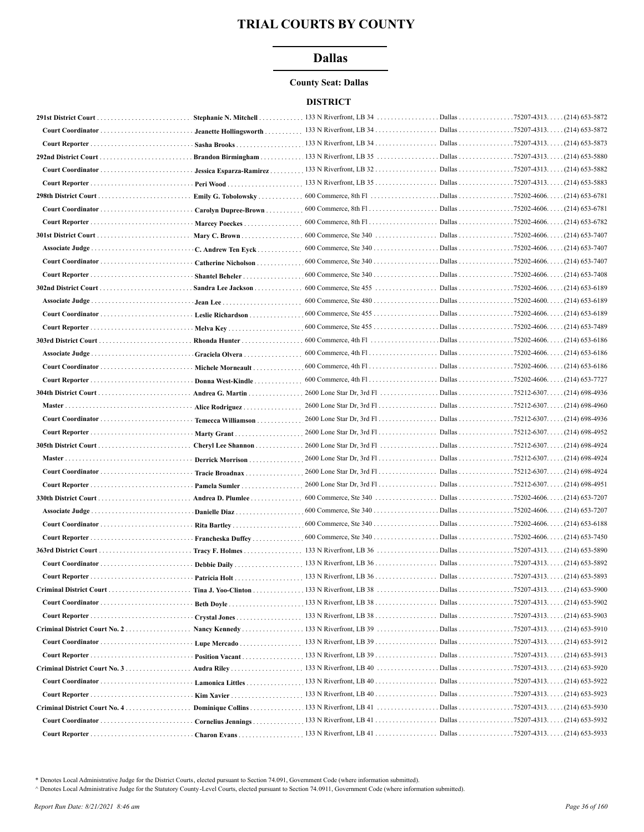## **Dallas**

#### **County Seat: Dallas**

#### **DISTRICT**

|        | Jeanette Hollingsworth  |                                                              |                    |                                     |
|--------|-------------------------|--------------------------------------------------------------|--------------------|-------------------------------------|
|        | Sasha Brooks            |                                                              |                    |                                     |
|        | Brandon Birmingham      |                                                              |                    |                                     |
|        | Jessica Esparza-Ramirez |                                                              |                    |                                     |
|        |                         |                                                              |                    |                                     |
|        | Emily G. Tobolowsky     |                                                              |                    |                                     |
|        | Carolyn Dupree-Brown    |                                                              |                    |                                     |
|        | Marcey Poeckes          | $600$ Commerce, 8th Fl                                       |                    | Dallas 75202-4606. (214) 653-6782   |
|        | Mary C. Brown           |                                                              |                    |                                     |
|        | C. Andrew Ten Eyck      |                                                              |                    | . (214) 653-7407                    |
|        | Catherine Nicholson     |                                                              |                    |                                     |
|        | <b>Shantel Beheler</b>  |                                                              |                    |                                     |
|        | Sandra Lee Jackson      |                                                              |                    |                                     |
|        |                         |                                                              |                    |                                     |
|        | · Leslie Richardson     |                                                              |                    |                                     |
|        |                         |                                                              |                    |                                     |
|        | Rhonda Hunter           |                                                              |                    |                                     |
|        |                         |                                                              |                    |                                     |
|        | Graciela Olvera         |                                                              |                    |                                     |
|        | Michele Morneault       |                                                              |                    |                                     |
|        | Donna West-Kindle       | $600$ Commerce, 4th Fl                                       | Dallas 75202-4606. | (214) 653-7727                      |
|        | Andrea G. Martin        |                                                              |                    |                                     |
| Master | Alice Rodriguez         | $2600$ Lone Star Dr, $3rd$ Fl                                | Dallas 75212-6307. | $(214)$ 698-4960                    |
|        | Temecca Williamson      |                                                              |                    |                                     |
|        |                         |                                                              |                    |                                     |
|        | Cheryl Lee Shannon      | 2600 Lone Star Dr, 3rd Fl Dallas 75212-6307(214) 698-4924    |                    |                                     |
| Master | Derrick Morrison        | 2600 Lone Star Dr, 3rd Fl. Dallas 75212-6307. (214) 698-4924 |                    |                                     |
|        | Tracie Broadnax         |                                                              |                    |                                     |
|        | Pamela Sumler           |                                                              |                    |                                     |
|        | Andrea D. Plumlee       |                                                              |                    |                                     |
|        | Danielle Diaz           |                                                              |                    |                                     |
|        |                         |                                                              |                    |                                     |
|        | Francheska Duffey       |                                                              |                    |                                     |
|        |                         |                                                              |                    |                                     |
|        |                         |                                                              |                    |                                     |
|        | Patricia Holt           |                                                              |                    | Dallas 75207-4313. (214) 653-5893   |
|        |                         |                                                              |                    |                                     |
|        |                         |                                                              |                    |                                     |
|        |                         |                                                              |                    |                                     |
|        |                         |                                                              |                    |                                     |
|        |                         |                                                              |                    |                                     |
|        | Lupe Mercado            |                                                              |                    |                                     |
|        | Position Vacant         | 133 N Riverfront, LB $39$                                    |                    | Dallas 75207-4313. (214) 653-5913   |
|        |                         |                                                              |                    | . Dallas 75207-4313. (214) 653-5920 |
|        |                         |                                                              |                    | Dallas 75207-4313. (214) 653-5922   |
|        | Kim Xavier              | 133 N Riverfront, LB 40                                      |                    | Dallas 75207-4313. (214) 653-5923   |
|        | Dominique Collins       | $.133$ N Riverfront, LB 41 $\ldots$                          |                    | Dallas 75207-4313(214) 653-5930     |
|        |                         | Cornelius Jennings 133 N Riverfront, LB 41                   |                    | Dallas 75207-4313. (214) 653-5932   |
|        |                         |                                                              |                    |                                     |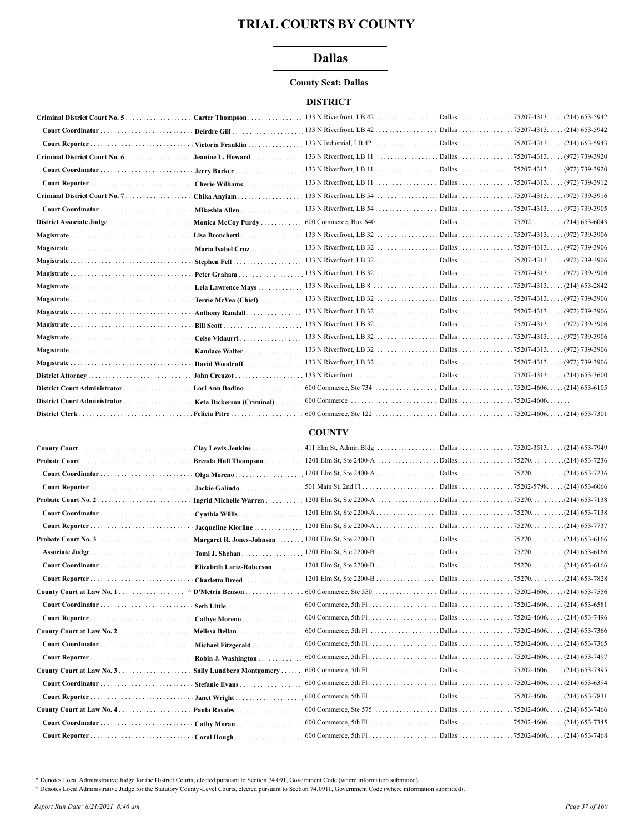# **Dallas**

## **County Seat: Dallas**

## **DISTRICT**

|                              | Carter Thompson           |  |                    |
|------------------------------|---------------------------|--|--------------------|
|                              |                           |  |                    |
|                              | Victoria Franklin         |  |                    |
|                              | Jeanine L. Howard         |  |                    |
|                              | Jerry Barker              |  |                    |
|                              | Cherie Williams           |  |                    |
|                              | Chika Anviam              |  |                    |
|                              | Mikeshia Allen            |  |                    |
| District Associate Judge     | Monica McCoy Purdy        |  |                    |
|                              | Lisa Bronchetti           |  |                    |
|                              | Maria Isabel Cruz         |  |                    |
|                              | Stephen Fell              |  |                    |
|                              | Peter Graham              |  |                    |
|                              | Lela Lawrence Mays        |  |                    |
|                              | Terrie McVea (Chief)      |  |                    |
| Magistrate                   | Anthony Randall           |  |                    |
|                              |                           |  |                    |
|                              | Celso Vidaurri            |  |                    |
|                              | Kandace Walter            |  | . (972) 739-3906   |
|                              | David Woodruff            |  |                    |
|                              | John Creuzot              |  | $(214) 653 - 3600$ |
|                              | Lori Ann Bodino           |  |                    |
| District Court Administrator | Keta Dickerson (Criminal) |  |                    |
|                              | Felicia Pitre             |  |                    |

#### **COUNTY**

| Clay Lewis Jenkins        |                                       | $.75202 - 3513$<br>$. (214) 653 - 7949$ |
|---------------------------|---------------------------------------|-----------------------------------------|
| Brenda Hull Thompson      | 1201 Elm St, Ste 2400-A Dallas 75270. | $(214)$ 653-7236                        |
| Olga Moreno               | 1201 Elm St, Ste 2400-A Dallas 75270. | $(214) 653 - 7236$                      |
| Jackie Galindo            |                                       | $(214)$ 653-6066                        |
| Ingrid Michelle Warren    |                                       | $(214) 653 - 7138$                      |
| Cynthia Willis            | 1201 Elm St, Ste 2200-A Dallas 75270. | $(214)$ 653-7138                        |
| Jacqueline Klorline       |                                       |                                         |
| Margaret R. Jones-Johnson |                                       | $(214)$ 653-6166                        |
| Tomi J. Shehan            | 1201 Elm St, Ste 2200-B Dallas 75270. | $(214)$ 653-6166                        |
| Elizabeth Lariz-Roberson  |                                       |                                         |
| Charletta Breed.          | 1201 Elm St, Ste 2200-B Dallas 75270. | $(214)$ 653-7828                        |
|                           |                                       |                                         |
| D'Metria Benson           |                                       | $(214)$ 653-7556                        |
|                           |                                       | $(214)$ 653-6581                        |
| Cathye Moreno             |                                       | (214) 653-7496                          |
| Melissa Bellan            |                                       | $(214) 653 - 7366$                      |
| Michael Fitzgerald        |                                       | $.75202 - 4606.$<br>(214) 653-7365      |
| Robin J. Washington       |                                       | (214) 653-7497                          |
| Sally Lundberg Montgomery |                                       | $(214)$ 653-7395                        |
| Stefanie Evans            |                                       | $(214)$ 653-6394                        |
| Janet Wright              |                                       | $(214) 653 - 7831$                      |
| Paula Rosales             |                                       | $(214) 653 - 7466$                      |
| Cathy Moran               |                                       | (214) 653-7345                          |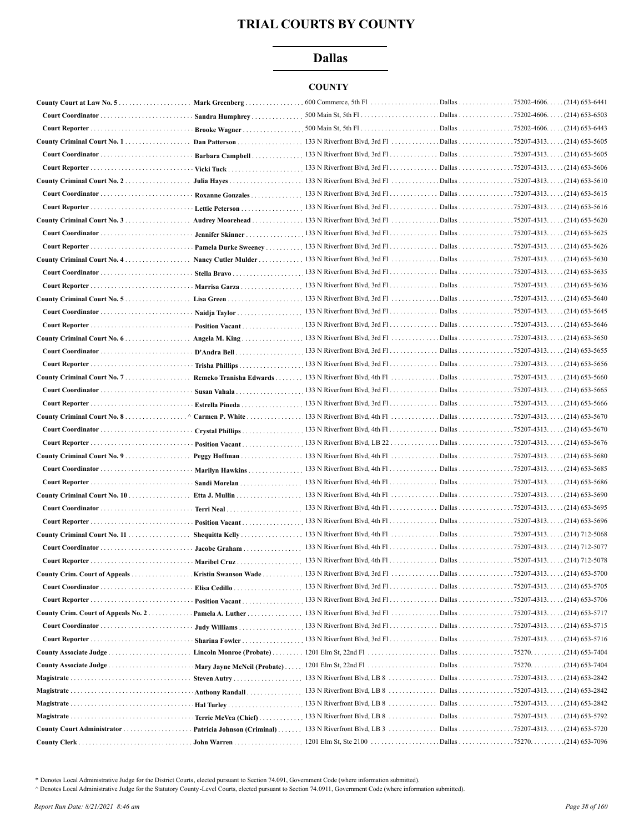# **Dallas**

# **COUNTY**

|                                      | Mark Greenberg       | $600$ Commerce, 5th Fl                                           | Dallas             | $.75202 - 4606$<br>$(214)$ 653-6441 |
|--------------------------------------|----------------------|------------------------------------------------------------------|--------------------|-------------------------------------|
|                                      |                      |                                                                  | Dallas 75202-4606. | (214) 653-6503                      |
|                                      |                      |                                                                  |                    |                                     |
|                                      |                      |                                                                  |                    |                                     |
|                                      |                      |                                                                  |                    |                                     |
|                                      |                      |                                                                  |                    |                                     |
|                                      |                      |                                                                  |                    |                                     |
|                                      | · Roxanne Gonzales   | 133 N Riverfront Blvd, 3rd Fl. Dallas 75207-4313. (214) 653-5615 |                    |                                     |
|                                      |                      | 133 N Riverfront Blvd, 3rd Fl. Dallas 75207-4313. (214) 653-5616 |                    |                                     |
|                                      |                      |                                                                  |                    |                                     |
| Court Coordinator                    |                      |                                                                  |                    |                                     |
|                                      | Pamela Durke Sweeney |                                                                  |                    |                                     |
|                                      |                      |                                                                  |                    |                                     |
|                                      |                      |                                                                  |                    |                                     |
| Court Reporter  Marrisa Garza        |                      |                                                                  |                    |                                     |
|                                      |                      |                                                                  |                    |                                     |
|                                      |                      |                                                                  |                    |                                     |
|                                      |                      |                                                                  |                    |                                     |
|                                      |                      |                                                                  |                    |                                     |
|                                      | D'Andra Bell         | 133 N Riverfront Blvd, 3rd Fl. Dallas 75207-4313. (214) 653-5655 |                    |                                     |
|                                      | Trisha Phillips      | 133 N Riverfront Blvd, 3rd Fl. Dallas 75207-4313. (214) 653-5656 |                    |                                     |
|                                      |                      |                                                                  |                    |                                     |
|                                      |                      |                                                                  |                    |                                     |
|                                      |                      |                                                                  |                    |                                     |
| County Criminal Court No. 8.         | Estrella Pineda      |                                                                  |                    |                                     |
|                                      |                      |                                                                  |                    |                                     |
|                                      |                      |                                                                  |                    |                                     |
|                                      | Position Vacant      |                                                                  |                    |                                     |
|                                      |                      |                                                                  |                    |                                     |
|                                      |                      |                                                                  |                    |                                     |
|                                      | Sandi Morelan        |                                                                  |                    |                                     |
|                                      |                      | 133 N Riverfront Blvd, 4th Fl. Dallas 75207-4313. (214) 653-5695 |                    |                                     |
|                                      |                      |                                                                  |                    |                                     |
|                                      |                      | 133 N Riverfront Blvd, 4th Fl. Dallas 75207-4313. (214) 653-5696 |                    |                                     |
|                                      |                      |                                                                  |                    |                                     |
|                                      |                      | 133 N Riverfront Blvd, 4th Fl. Dallas 75207-4313. (214) 712-5078 |                    |                                     |
| Court Reporter  Maribel Cruz         |                      |                                                                  |                    |                                     |
| County Crim. Court of Appeals        |                      |                                                                  |                    |                                     |
|                                      |                      |                                                                  |                    |                                     |
|                                      | Position Vacant      |                                                                  |                    |                                     |
| County Crim. Court of Appeals No. 2. |                      | Pamela A. Luther 133 N Riverfront Blvd, 3rd Fl                   |                    | . Dallas 75207-4313. (214) 653-5717 |
| Court Coordinator                    |                      |                                                                  |                    |                                     |
|                                      |                      |                                                                  |                    | Dallas 75207-4313. (214) 653-5716   |
|                                      |                      |                                                                  |                    |                                     |
|                                      |                      |                                                                  |                    |                                     |
|                                      |                      |                                                                  |                    |                                     |
|                                      |                      |                                                                  |                    |                                     |
|                                      |                      |                                                                  |                    |                                     |
|                                      |                      |                                                                  |                    |                                     |
|                                      |                      | Patricia Johnson (Criminal)  133 N Riverfront Blvd, LB 3         |                    | Dallas 75207-4313. (214) 653-5720   |
|                                      |                      |                                                                  |                    |                                     |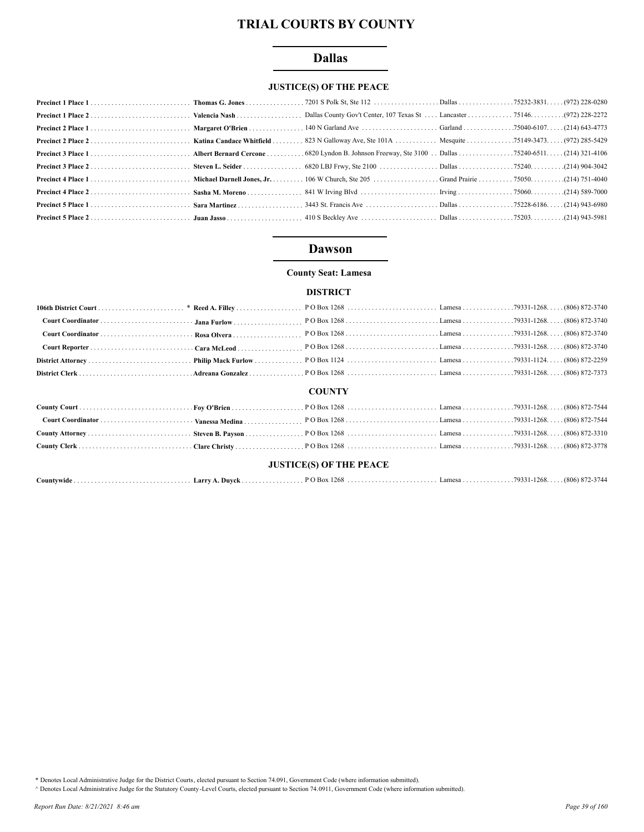# **Dallas**

# **JUSTICE(S) OF THE PEACE**

# **Dawson**

## **County Seat: Lamesa**

#### **DISTRICT**

#### **COUNTY**

## **JUSTICE(S) OF THE PEACE**

| Countvwide | A. Duvck<br>Larry | <sup>2</sup> O Box 1268 | Lamesa79331-1268 | $\ldots$ (806) 872-3744 |
|------------|-------------------|-------------------------|------------------|-------------------------|
|------------|-------------------|-------------------------|------------------|-------------------------|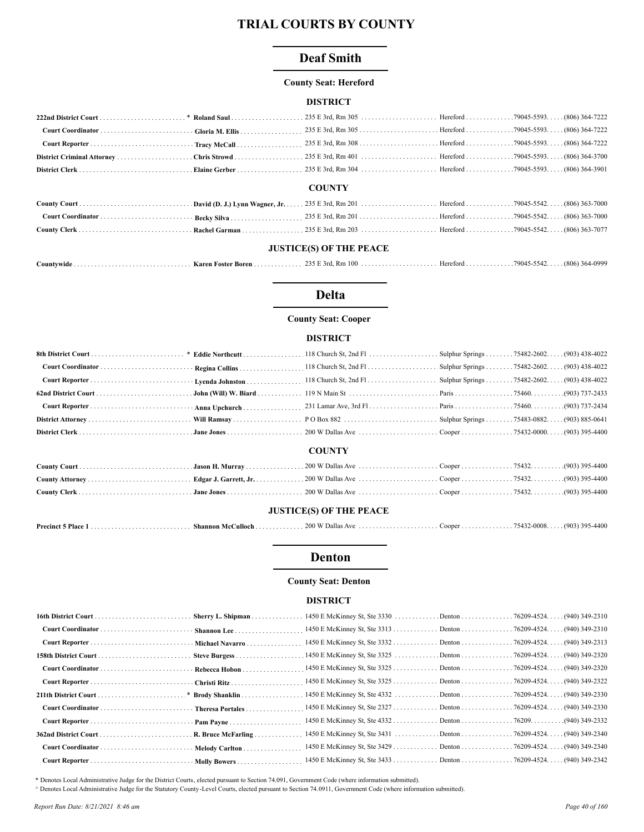# **Deaf Smith**

#### **County Seat: Hereford**

#### **DISTRICT**

| <b>COUNTV</b> |  |  |  |  |  |
|---------------|--|--|--|--|--|

#### **COUNTY**

# **JUSTICE(S) OF THE PEACE**

| Countywide | Karen Foster Boren . | E 3rd. Rm 100<br>235 F | Hereford 79045-5542.<br>. |  | 364-0999<br>(806) |
|------------|----------------------|------------------------|---------------------------|--|-------------------|
|------------|----------------------|------------------------|---------------------------|--|-------------------|

# **Delta**

## **County Seat: Cooper**

#### **DISTRICT**

|                                |  | <b>COUNTY</b> |  |  |  |
|--------------------------------|--|---------------|--|--|--|
|                                |  |               |  |  |  |
|                                |  |               |  |  |  |
|                                |  |               |  |  |  |
| <b>JUSTICE(S) OF THE PEACE</b> |  |               |  |  |  |

| <b>Precinct 5 Place</b> | <b>Shannon McCulloch</b> . | $.200 \text{ W}$ Dallas Ave $.$ | . Cooper 75432-0008. (903) 395-4400 |  |  |
|-------------------------|----------------------------|---------------------------------|-------------------------------------|--|--|
|-------------------------|----------------------------|---------------------------------|-------------------------------------|--|--|

# **Denton**

#### **County Seat: Denton**

#### **DISTRICT**

| Sherry L. Shipman |  |  |
|-------------------|--|--|
|                   |  |  |
|                   |  |  |
|                   |  |  |
|                   |  |  |
|                   |  |  |
|                   |  |  |
|                   |  |  |
|                   |  |  |
|                   |  |  |
|                   |  |  |
|                   |  |  |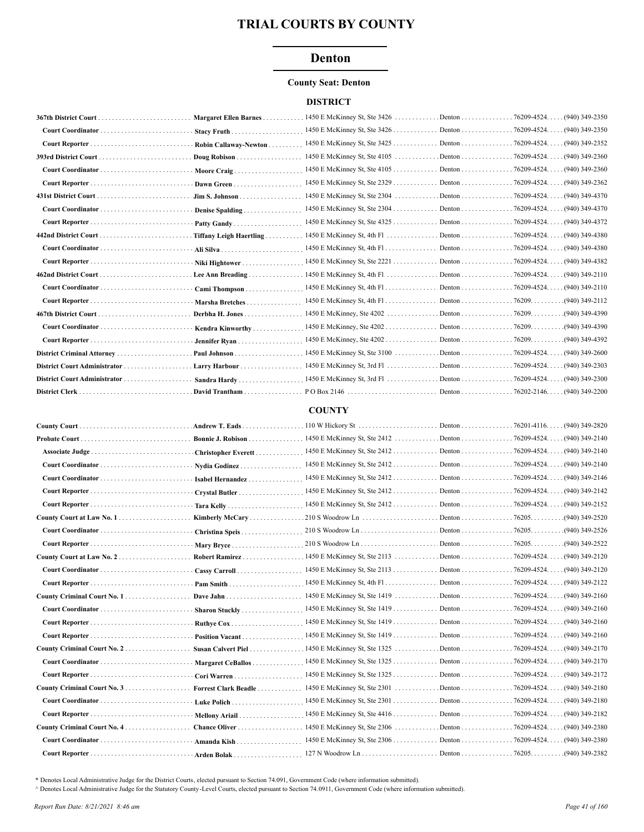# Denton

#### **County Seat: Denton**

## **DISTRICT**

|                              |                         |                                                                                                                                                 | (940) 349-2350     |
|------------------------------|-------------------------|-------------------------------------------------------------------------------------------------------------------------------------------------|--------------------|
|                              |                         |                                                                                                                                                 | (940) 349-2350     |
|                              | Robin Callaway-Newton   | 1450 E McKinney St, Ste 3425 Denton 76209-4524.                                                                                                 | (940) 349-2352     |
|                              | Doug Robison            | 1450 E McKinney St, Ste 4105 Denton 76209-4524                                                                                                  | $(940)$ 349-2360   |
|                              | Moore Craig             | 1450 E McKinney St, Ste 4105 Denton 76209-4524. .                                                                                               | (940) 349-2360     |
|                              |                         | 1450 E McKinney St, Ste 2329 Denton 76209-4524. .                                                                                               | $(940)$ 349-2362   |
|                              | Jim S. Johnson          |                                                                                                                                                 | (940) 349-4370     |
|                              | Denise Spalding         |                                                                                                                                                 | (940) 349-4370     |
|                              | Patty Gandy             | 1450 E McKinney St, Ste 4325 Denton 76209-4524.                                                                                                 | $. (940)$ 349-4372 |
|                              | Tiffany Leigh Haertling | 1450 E McKinney St, 4th Fl. Denton 76209-4524.                                                                                                  | (940) 349-4380     |
|                              |                         | 1450 E McKinney St, 4th Fl. Denton 76209-4524.                                                                                                  | (940) 349-4380     |
|                              | Niki Hightower          |                                                                                                                                                 | (940) 349-4382     |
|                              |                         |                                                                                                                                                 | (940) 349-2110     |
|                              | Cami Thompson           | 1450 E McKinney St, 4th Fl. Denton 76209-4524. .                                                                                                | $(940)$ 349-2110   |
|                              | Marsha Bretches         | 1450 E McKinney St, 4th Fl. $\dots$ . $\dots$ . Denton $\dots$ . $\dots$ . 76209. $\dots$ .                                                     | .(940) 349-2112    |
|                              | Derbha H. Jones         |                                                                                                                                                 | .(940) 349-4390    |
|                              | Kendra Kinworthy        | 1450 E McKinney, Ste 4202 Denton 76209                                                                                                          | .(940) 349-4390    |
|                              | Jennifer Ryan           |                                                                                                                                                 | .(940) 349-4392    |
| District Criminal Attorney   | Paul Johnson            |                                                                                                                                                 | $(940)$ 349-2600   |
|                              | Larry Harbour           |                                                                                                                                                 | $. (940)$ 349-2303 |
| District Court Administrator | Sandra Hardy            |                                                                                                                                                 | $(940)$ 349-2300   |
|                              | David Trantham          | $PO Box 2146 \ldots \ldots \ldots \ldots \ldots \ldots \ldots \text{Denton} \ldots \ldots \ldots \ldots \ldots \ldots \text{76202-2146} \ldots$ | $(940)$ 349-2200   |

#### **COUNTY**

|                 |                      |                                                                | $. (940)$ 349-2820 |
|-----------------|----------------------|----------------------------------------------------------------|--------------------|
|                 |                      |                                                                | (940) 349-2140     |
| Associate Judge |                      |                                                                | (940) 349-2140     |
|                 | Nydia Godinez        |                                                                | (940) 349-2140     |
|                 | Isabel Hernandez     | 1450 E McKinney St, Ste 2412 Denton 76209-4524. .              | $(940)$ 349-2146   |
|                 | Crystal Butler       | 1450 E McKinney St, Ste 2412 Denton 76209-4524.                | (940) 349-2142     |
|                 |                      |                                                                | (940) 349-2152     |
|                 | Kimberly McCary      |                                                                | (940) 349-2520     |
|                 | Christina Speis      |                                                                | (940) 349-2526     |
|                 |                      |                                                                | .(940) 349-2522    |
|                 | Robert Ramirez       |                                                                | $. (940)$ 349-2120 |
|                 | Cassy Carroll        | 1450 E McKinney St, Ste 2113 Denton 76209-4524.                | $. (940)$ 349-2120 |
|                 |                      | 1450 E McKinney St, 4th Fl. Denton 76209-4524.                 | $(940)$ 349-2122   |
|                 |                      |                                                                | $(940)$ 349-2160   |
|                 | Sharon Stuckly       | 1450 E McKinney St, Ste 1419 Denton 76209-4524. (940) 349-2160 |                    |
|                 | Ruthye Cox           | 1450 E McKinney St, Ste 1419 Denton 76209-4524.                | $. (940)$ 349-2160 |
|                 | Position Vacant      | 1450 E McKinney St, Ste 1419 Denton 76209-4524.                | $(940)$ 349-2160   |
|                 |                      |                                                                | $. (940)$ 349-2170 |
|                 |                      |                                                                |                    |
|                 | Margaret CeBallos    | 1450 E McKinney St, Ste 1325 Denton 76209-4524.                | (940) 349-2170     |
|                 |                      |                                                                | (940) 349-2172     |
|                 | Forrest Clark Beadle |                                                                | (940) 349-2180     |
|                 | <b>Luke Polich</b>   | $1450$ E McKinney St, Ste 2301 Denton 76209-4524.              | (940) 349-2180     |
|                 |                      |                                                                | (940) 349-2182     |
|                 |                      |                                                                | (940) 349-2380     |
|                 | Amanda Kish          | 1450 E McKinney St, Ste 2306 Denton 76209-4524.                | (940) 349-2380     |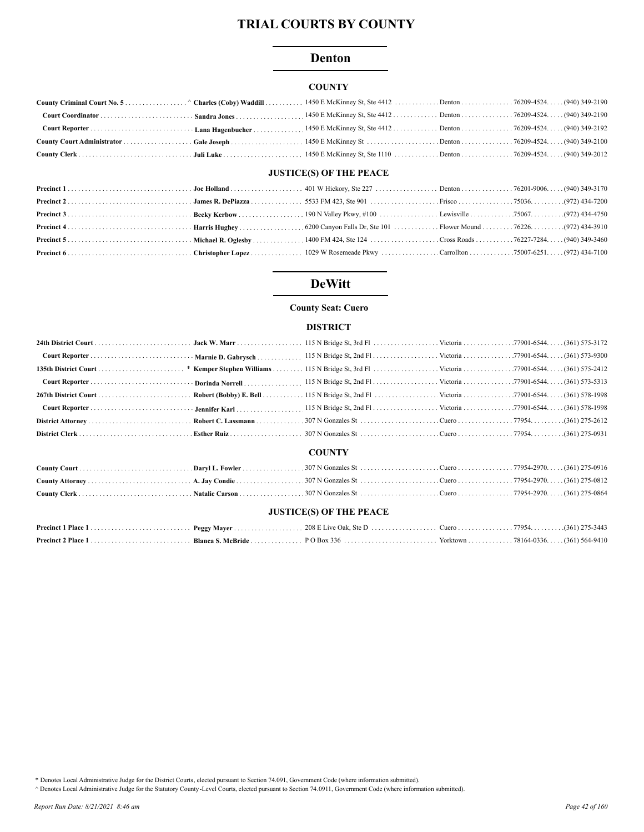# **Denton**

# **COUNTY**

# **JUSTICE(S) OF THE PEACE**

# **DeWitt**

#### **County Seat: Cuero**

#### **DISTRICT**

|                                | * Kemper Stephen Williams |               |  |  |  |  |
|--------------------------------|---------------------------|---------------|--|--|--|--|
|                                | Dorinda Norrell           |               |  |  |  |  |
|                                |                           |               |  |  |  |  |
|                                | Jennifer Karl             |               |  |  |  |  |
|                                |                           |               |  |  |  |  |
|                                |                           |               |  |  |  |  |
|                                |                           | <b>COUNTY</b> |  |  |  |  |
|                                |                           |               |  |  |  |  |
|                                |                           |               |  |  |  |  |
|                                |                           |               |  |  |  |  |
| <b>JUSTICE(S) OF THE PEACE</b> |                           |               |  |  |  |  |
|                                |                           |               |  |  |  |  |
|                                |                           |               |  |  |  |  |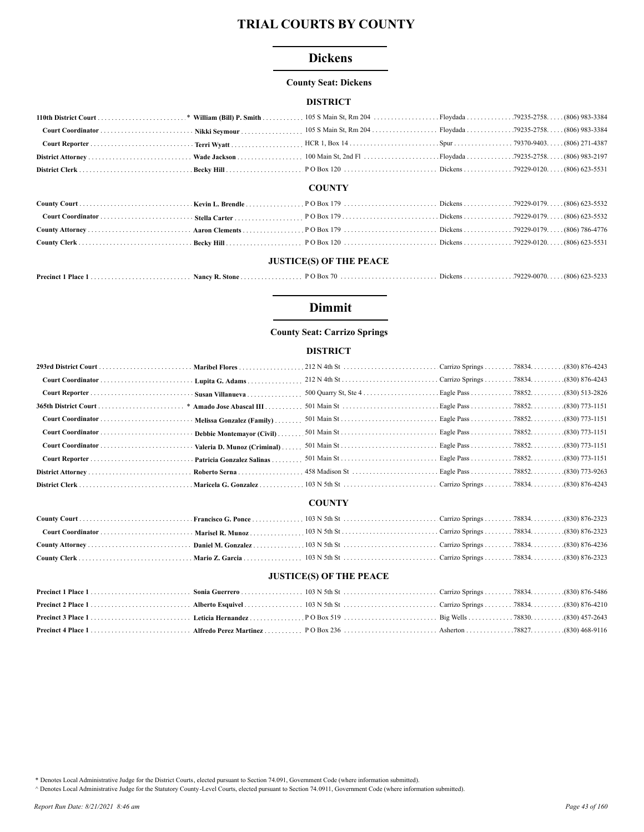# **Dickens**

## **County Seat: Dickens**

## **DISTRICT**

#### **COUNTY**

# **JUSTICE(S) OF THE PEACE**

| Precinct 1<br>Place | Nancy R. Stone |  | 79229-0070. | $(806)$ 623-5233 |
|---------------------|----------------|--|-------------|------------------|
|                     |                |  |             |                  |

# **Dimmit**

# **County Seat: Carrizo Springs**

# **DISTRICT**

| Roberto Serna |  |  |
|---------------|--|--|
|               |  |  |

## **COUNTY**

# **JUSTICE(S) OF THE PEACE**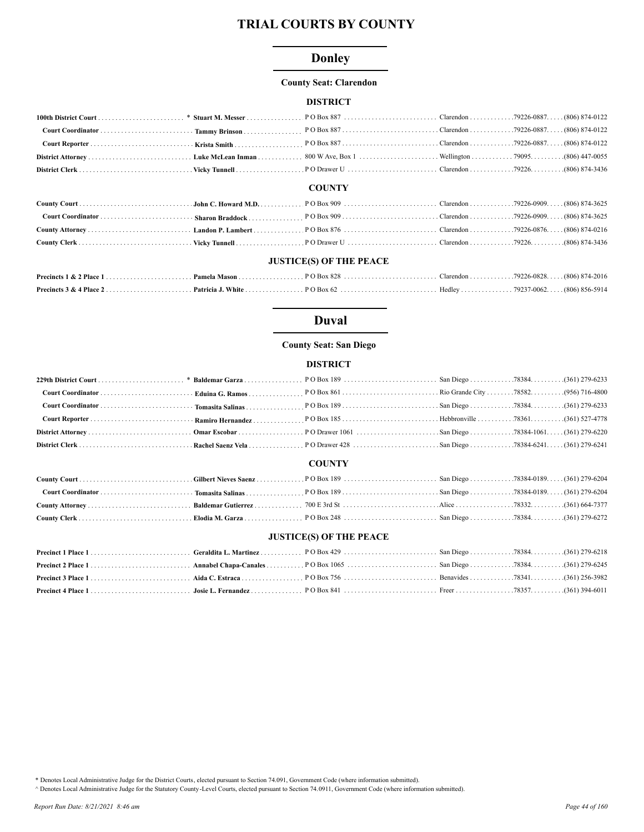# **Donley**

#### **County Seat: Clarendon**

# **DISTRICT**

| <b>COUNTY</b> |  |  |  |  |  |  |
|---------------|--|--|--|--|--|--|

#### **COUNTY**

## **JUSTICE(S) OF THE PEACE**

# **Duval**

## **County Seat: San Diego**

# **DISTRICT**

#### **COUNTY**

| 1664-7377 (1664-7377) (164-7377 (168) (164-7377 (168) (164-7377 (168) (164-7377 (168) (164-7377 (168) (164-737 |  |  |  |
|----------------------------------------------------------------------------------------------------------------|--|--|--|
|                                                                                                                |  |  |  |

## **JUSTICE(S) OF THE PEACE**

| 1361) 394-6011 (361) 394-6011 Free Free Free Free (361) 394-6011 (361) 394-6011 (361) 394-6011 (361) 394-6011 |  |  |  |
|---------------------------------------------------------------------------------------------------------------|--|--|--|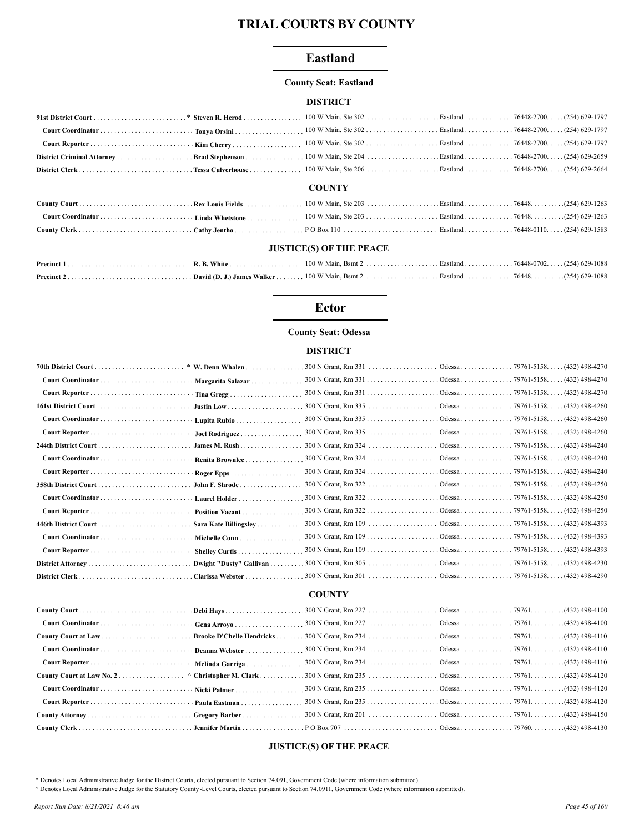# **Eastland**

#### **County Seat: Eastland**

#### **DISTRICT**

|  | <b>COUNTY</b> |  |  |
|--|---------------|--|--|
|  |               |  |  |
|  |               |  |  |
|  |               |  |  |

## **JUSTICE(S) OF THE PEACE**

#### **Ector**

## **County Seat: Odessa**

#### **DISTRICT**

|                 | Margarita Salazar       |  |  |
|-----------------|-------------------------|--|--|
|                 | Tina Gregg              |  |  |
|                 |                         |  |  |
|                 | Lupita Rubio            |  |  |
|                 | Joel Rodriguez          |  |  |
|                 | James M. Rush           |  |  |
|                 | Renita Brownlee         |  |  |
|                 |                         |  |  |
|                 | John F. Shrode          |  |  |
|                 | Laurel Holder           |  |  |
|                 | Position Vacant         |  |  |
|                 | Sara Kate Billingsley   |  |  |
|                 | Michelle Conn           |  |  |
|                 | Shelley Curtis          |  |  |
|                 | Dwight "Dusty" Gallivan |  |  |
| District Clerk. | Clarissa Webster        |  |  |
|                 |                         |  |  |

# **COUNTY**

|                                                   | <b>Brooke D'Chelle Hendricks</b> |  |  |
|---------------------------------------------------|----------------------------------|--|--|
|                                                   |                                  |  |  |
| Court Reporter  Melinda Garriga                   |                                  |  |  |
| County Court at Law No. 2. ^ Christopher M. Clark |                                  |  |  |
|                                                   |                                  |  |  |
|                                                   |                                  |  |  |
|                                                   |                                  |  |  |
|                                                   |                                  |  |  |

# **JUSTICE(S) OF THE PEACE**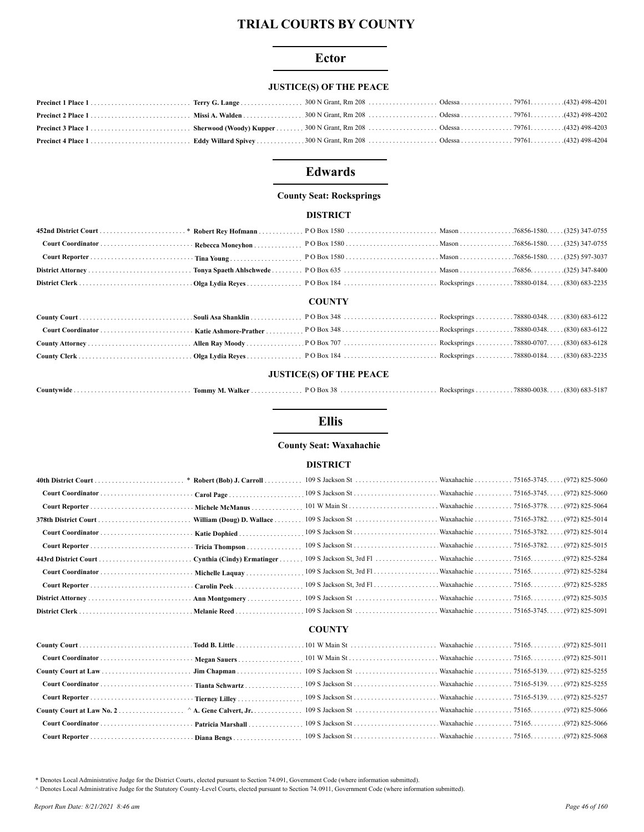## **Ector**

#### **JUSTICE(S) OF THE PEACE**

# **Edwards**

#### **County Seat: Rocksprings**

## **DISTRICT**

|  | <b>COUNTY</b> |  |  |
|--|---------------|--|--|

# 

#### **JUSTICE(S) OF THE PEACE**

| …ountvwid<br>vwiut. | /alker<br>Tommy<br>IV I. | Box | $-K$ SD $r$ ings<br><b>IN OK</b> | (830)<br>ഹാ<br>noon<br>78880-002<br><b>DA3-</b><br>-210 |
|---------------------|--------------------------|-----|----------------------------------|---------------------------------------------------------|
|---------------------|--------------------------|-----|----------------------------------|---------------------------------------------------------|

# **Ellis**

#### **County Seat: Waxahachie**

#### **DISTRICT**

# **COUNTY**

\* Denotes Local Administrative Judge for the District Courts, elected pursuant to Section 74.091, Government Code (where information submitted).

^ Denotes Local Administrative Judge for the Statutory County-Level Courts, elected pursuant to Section 74.0911, Government Code (where information submitted).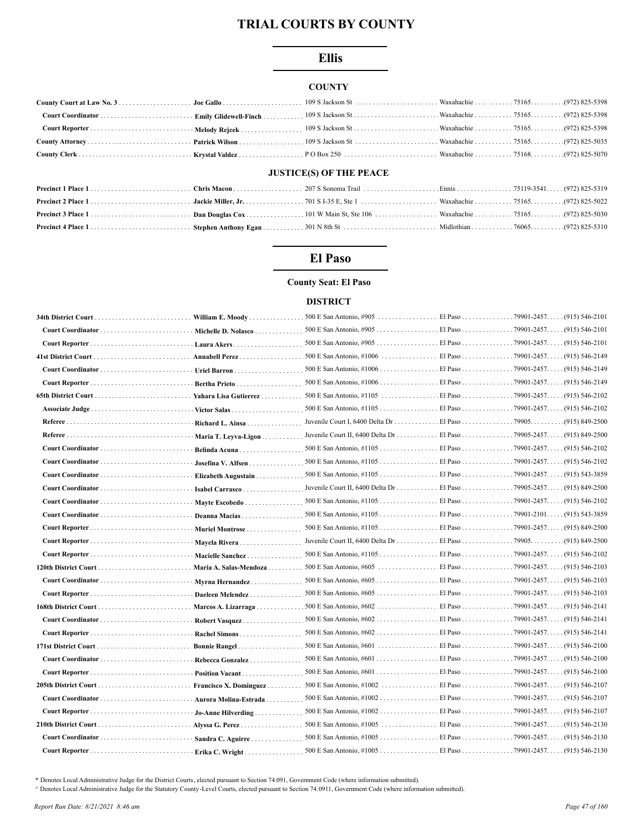# **Ellis**

## **COUNTY**

# **JUSTICE(S) OF THE PEACE**

# El Paso

## **County Seat: El Paso**

# **DISTRICT**

|                                          | William E. Moody       |                                                                     |  |
|------------------------------------------|------------------------|---------------------------------------------------------------------|--|
|                                          | Michelle D. Nolasco    |                                                                     |  |
|                                          |                        |                                                                     |  |
|                                          |                        |                                                                     |  |
|                                          |                        |                                                                     |  |
|                                          | Bertha Prieto          |                                                                     |  |
|                                          | Yahara Lisa Gutierrez  |                                                                     |  |
|                                          |                        |                                                                     |  |
|                                          | Richard L. Ainsa       |                                                                     |  |
|                                          | Maria T. Levva-Ligon   | Juvenile Court II, 6400 Delta Dr El Paso 79905-2457. (915) 849-2500 |  |
|                                          | Belinda Acuna          |                                                                     |  |
|                                          | Josefina V. Alfsen     |                                                                     |  |
|                                          | Elizabeth Augustain    |                                                                     |  |
|                                          | Isabel Carrasco        | Juvenile Court II, 6400 Delta Dr El Paso 79905-2457. (915) 849-2500 |  |
|                                          |                        | 500 E San Antonio, #1105 El Paso 79901-2457 (915) 546-2102          |  |
|                                          | Deanna Macias          |                                                                     |  |
| Court Reporter  Muriel Montrose          |                        | 500 E San Antonio, #1105 El Paso 79901-2457. (915) 849-2500         |  |
|                                          |                        |                                                                     |  |
|                                          | Mayela Rivera          |                                                                     |  |
|                                          | Macielle Sanchez       |                                                                     |  |
|                                          | Maria A. Salas-Mendoza |                                                                     |  |
|                                          | Myrna Hernandez        | 500 E San Antonio, #605 El Paso 79901-2457. (915) 546-2103          |  |
|                                          |                        |                                                                     |  |
|                                          | Marcos A. Lizarraga    |                                                                     |  |
|                                          |                        |                                                                     |  |
|                                          | Rachel Simons          |                                                                     |  |
|                                          | Bonnie Rangel          |                                                                     |  |
|                                          | Rebecca Gonzalez       |                                                                     |  |
|                                          | Position Vacant        |                                                                     |  |
|                                          | Francisco X. Dominguez | .500 E San Antonio, #1002  El Paso 79901-2457(915) 546-2107         |  |
| Court Coordinator  Aurora Molina-Estrada |                        |                                                                     |  |
|                                          | Jo-Anne Hilverding     |                                                                     |  |
|                                          |                        |                                                                     |  |
|                                          | Sandra C. Aguirre      |                                                                     |  |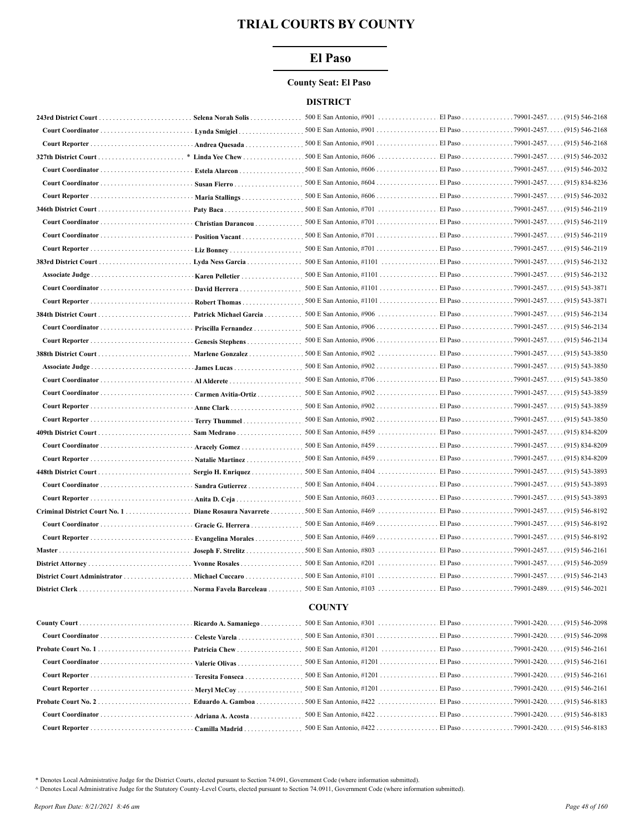# **El Paso**

#### **County Seat: El Paso**

#### **DISTRICT**

|                   | Selena Norah Solis     |                                                             |                     |                    |
|-------------------|------------------------|-------------------------------------------------------------|---------------------|--------------------|
|                   | Lynda Smigiel.         |                                                             |                     |                    |
|                   | Andrea Quesada         |                                                             |                     |                    |
|                   | Linda Yee Chew         |                                                             |                     | $(915) 546 - 2032$ |
|                   | Estela Alarcon         |                                                             |                     |                    |
|                   | Susan Fierro           |                                                             |                     |                    |
|                   | Maria Stallings        |                                                             |                     |                    |
|                   |                        |                                                             |                     |                    |
|                   | Christian Darancou     |                                                             |                     |                    |
|                   | Position Vacant        |                                                             |                     |                    |
|                   |                        |                                                             |                     |                    |
|                   | Lyda Ness Garcia       |                                                             |                     |                    |
|                   | Karen Pelletier        |                                                             |                     |                    |
|                   | David Herrera          | 500 E San Antonio, #1101 El Paso 79901-2457. (915) 543-3871 |                     |                    |
|                   | Robert Thomas          |                                                             |                     |                    |
|                   | Patrick Michael Garcia |                                                             |                     | . (915) 546-2134   |
| Court Coordinator | Priscilla Fernandez    | 500 E San Antonio, #906 El Paso 79901-2457. (915) 546-2134  |                     |                    |
|                   | Genesis Stephens       | 500 E San Antonio, #906 El Paso 79901-2457.                 |                     | $(915) 546 - 2134$ |
|                   | Marlene Gonzalez       | 500 E San Antonio, #902                                     | El Paso 79901-2457. | $(915) 543 - 3850$ |
|                   |                        |                                                             |                     |                    |
|                   |                        |                                                             |                     |                    |
|                   | Carmen Avitia-Ortiz    |                                                             |                     |                    |
|                   | Anne Clark             |                                                             |                     |                    |
|                   | Terry Thummel          |                                                             |                     |                    |
|                   |                        |                                                             |                     |                    |
|                   | Aracely Gomez          | 500 E San Antonio, #459 El Paso 79901-2457. (915) 834-8209  |                     |                    |
|                   | Natalie Martinez       |                                                             |                     |                    |
|                   | Sergio H. Enriquez     | 500 E San Antonio, #404 El Paso 79901-2457. (915) 543-3893  |                     |                    |
|                   | Sandra Gutierrez       |                                                             |                     |                    |
|                   | Anita D. Ceja          |                                                             |                     |                    |
|                   |                        |                                                             |                     |                    |
|                   | Gracie G. Herrera      |                                                             |                     |                    |
|                   | Evangelina Morales     |                                                             |                     |                    |
|                   |                        |                                                             |                     |                    |
|                   |                        |                                                             |                     |                    |
|                   |                        |                                                             |                     |                    |
|                   |                        |                                                             |                     |                    |
|                   |                        | <b>COUNTY</b>                                               |                     |                    |
|                   |                        |                                                             |                     |                    |
|                   |                        |                                                             |                     |                    |
|                   |                        |                                                             |                     |                    |
|                   |                        |                                                             |                     |                    |
|                   |                        |                                                             |                     |                    |

\* Denotes Local Administrative Judge for the District Courts, elected pursuant to Section 74.091, Government Code (where information submitted).

^ Denotes Local Administrative Judge for the Statutory County-Level Courts, elected pursuant to Section 74.0911, Government Code (where information submitted).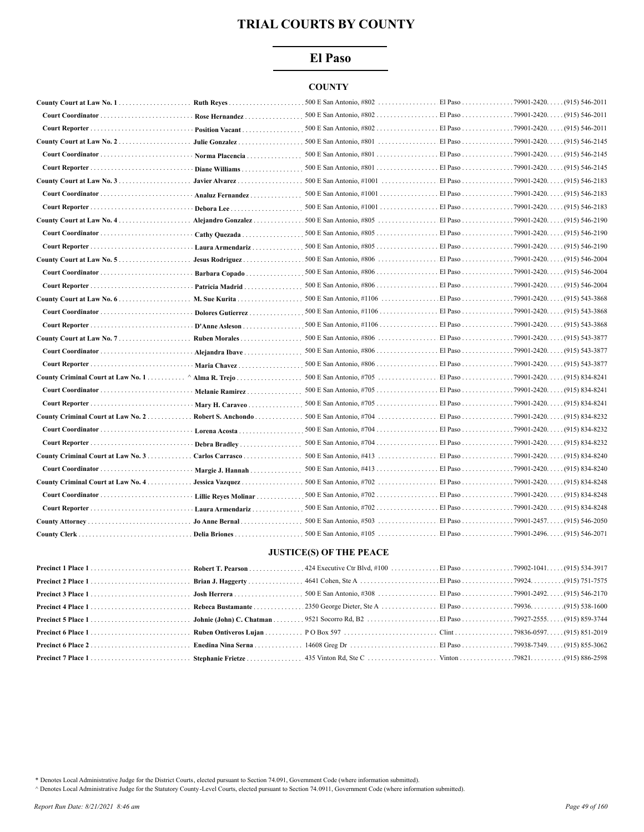# El Paso

# **COUNTY**

|                                                       | Rose Hernandez               |                                                            |                    |
|-------------------------------------------------------|------------------------------|------------------------------------------------------------|--------------------|
|                                                       |                              |                                                            |                    |
|                                                       | Julie Gonzalez               |                                                            | (915) 546-2145     |
|                                                       | Norma Placencia              |                                                            | $(915) 546 - 2145$ |
|                                                       | Diane Williams               |                                                            |                    |
|                                                       | Javier Alvarez               |                                                            |                    |
|                                                       | Analuz Fernandez             |                                                            |                    |
|                                                       |                              | 500 E San Antonio, #1001 El Paso 79901-2420.               | $(915) 546 - 2183$ |
|                                                       | Alejandro Gonzalez           |                                                            | $(915)$ 546-2190   |
|                                                       | Cathy Quezada                | 500 E San Antonio, #805 El Paso 79901-2420.                | $(915) 546 - 2190$ |
|                                                       | Laura Armendariz             |                                                            |                    |
|                                                       | Jesus Rodriguez              |                                                            | $(915) 546 - 2004$ |
|                                                       | Barbara Copado               | 500 E San Antonio, #806 El Paso 79901-2420. (915) 546-2004 |                    |
|                                                       | Patricia Madrid              | 500 E San Antonio, #806 El Paso 79901-2420. (915) 546-2004 |                    |
|                                                       | M. Sue Kurita                |                                                            |                    |
|                                                       |                              |                                                            |                    |
|                                                       | D'Anne Asleson               |                                                            |                    |
|                                                       | Ruben Morales                |                                                            | (915) 543-3877     |
|                                                       | Alejandra Ibave              |                                                            |                    |
|                                                       | Maria Chavez                 |                                                            |                    |
|                                                       |                              | 500 E San Antonio, #705 El Paso 79901-2420.                | $(915) 834 - 8241$ |
|                                                       | · Melanie Ramirez            | 500 E San Antonio, #705 El Paso 79901-2420.                | $(915) 834 - 8241$ |
|                                                       |                              |                                                            |                    |
| County Criminal Court at Law No. 2 Robert S. Anchondo |                              |                                                            |                    |
|                                                       | · Lorena Acosta              |                                                            |                    |
|                                                       | Debra Bradley                | 500 E San Antonio, #704 El Paso 79901-2420.                | $(915) 834 - 8232$ |
| County Criminal Court at Law No. 3                    | Carlos Carrasco              | 500 E San Antonio, #413 El Paso 79901-2420.                | $(915) 834 - 8240$ |
|                                                       | Margie J. Hannah             |                                                            | (915) 834-8240     |
| County Criminal Court at Law No. 4.                   | Jessica Vazquez              |                                                            | $(915) 834 - 8248$ |
|                                                       | <b>Lillie Reves Molinar </b> | 500 E San Antonio, #702 El Paso 79901-2420. .              | (915) 834-8248     |
|                                                       | · Laura Armendariz           | 500 E San Antonio, #702  El Paso 79901-2420                | (915) 834-8248     |
|                                                       |                              |                                                            | $(915)$ 546-2050   |
|                                                       |                              |                                                            |                    |

## **JUSTICE(S) OF THE PEACE**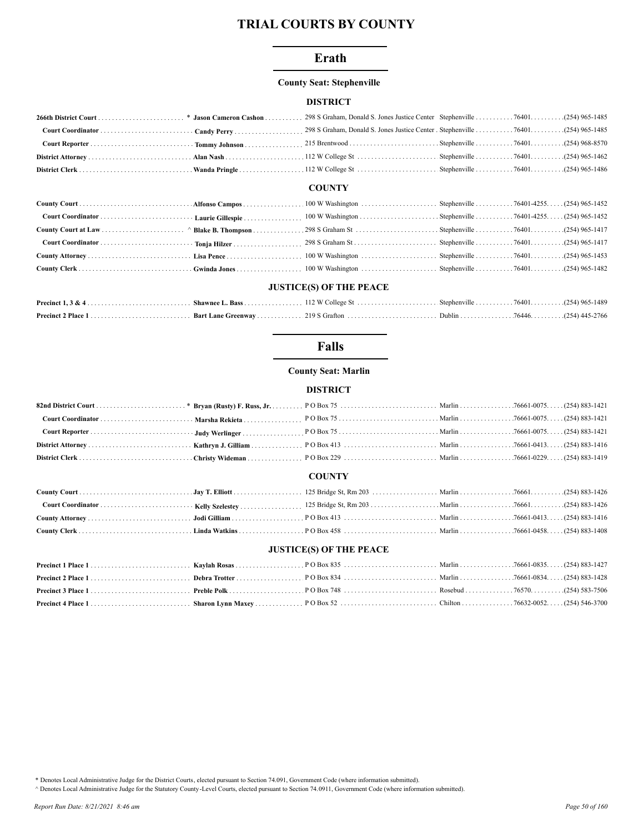# Erath

## **County Seat: Stephenville**

## **DISTRICT**

#### **COUNTY**

## **JUSTICE(S) OF THE PEACE**

# **Falls**

**County Seat: Marlin** 

## **DISTRICT**

#### **COUNTY**

# **JUSTICE(S) OF THE PEACE**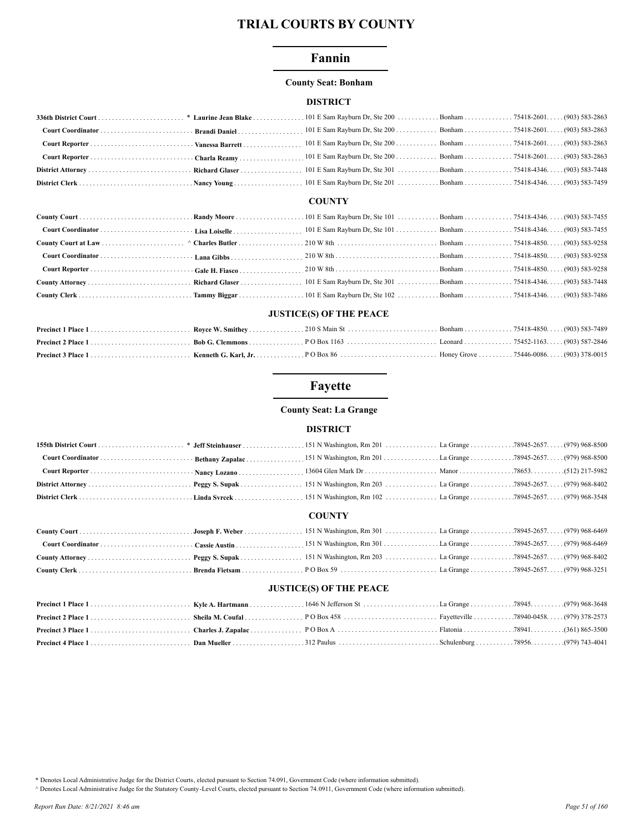# Fannin

## **County Seat: Bonham**

## **DISTRICT**

# **COUNTY**

## **JUSTICE(S) OF THE PEACE**

# Fayette

## **County Seat: La Grange**

#### **DISTRICT**

# **COUNTY**

## **JUSTICE(S) OF THE PEACE**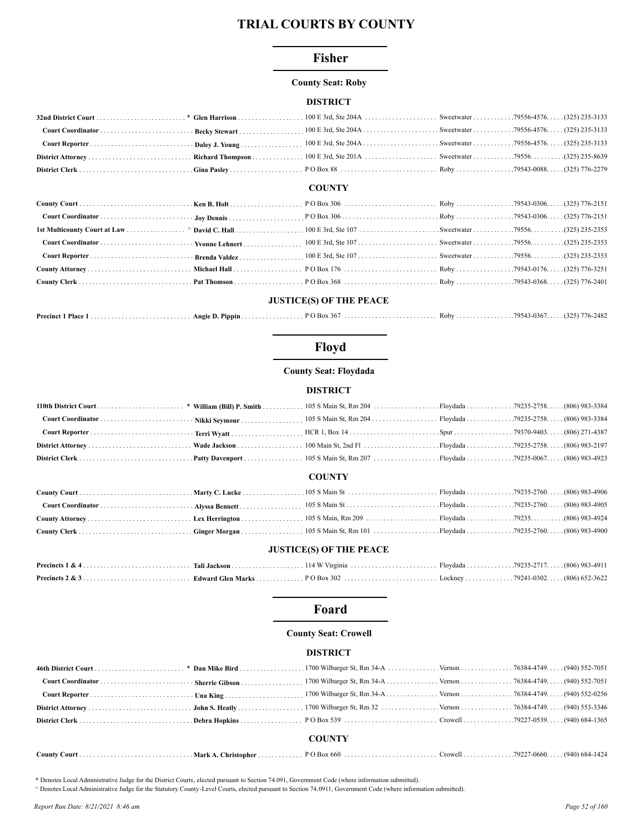## **Fisher**

#### **County Seat: Roby**

#### **DISTRICT**

#### **COUNTY**

## **JUSTICE(S) OF THE PEACE**

| Precinct 1 |  |  |  |
|------------|--|--|--|
|            |  |  |  |

# Floyd

#### **County Seat: Floydada**

#### **DISTRICT**

#### **COUNTY**

#### **JUSTICE(S) OF THE PEACE**

# Foard

#### **County Seat: Crowell**

#### **DISTRICT**

|  | <b>COUNTY</b> |  |
|--|---------------|--|
|  |               |  |

\* Denotes Local Administrative Judge for the District Courts, elected pursuant to Section 74.091, Government Code (where information submitted).

A Denotes Local Administrative Judge for the Statutory County -Level Courts, elected pursuant to Section 74.0911, Government Code (where information submitted).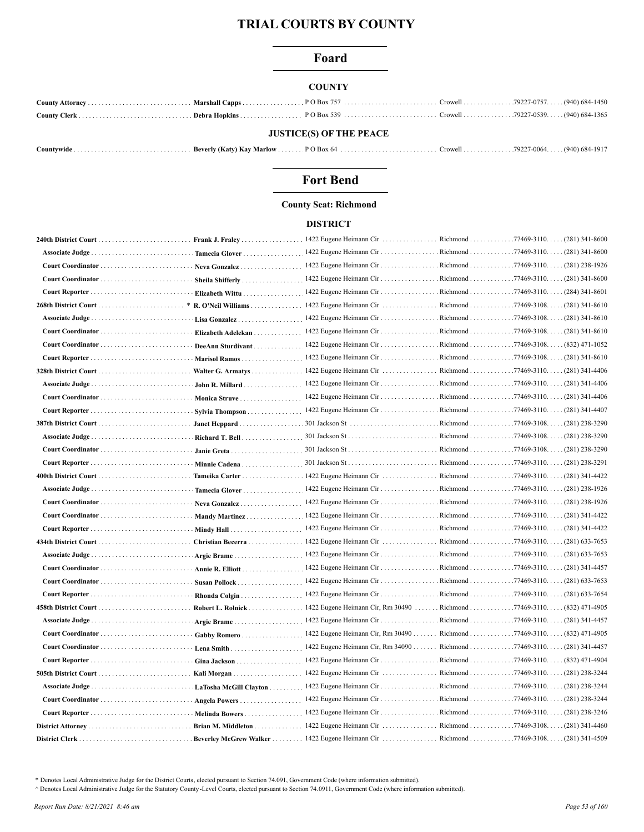# Foard

## **COUNTY**

| <b>JUSTICE(S) OF THE PEACE</b> |  |  |  |  |  |  |
|--------------------------------|--|--|--|--|--|--|

|--|--|--|--|--|--|--|

# **Fort Bend**

# **County Seat: Richmond**

#### **DISTRICT**

|                       | Frank J. Fraley               | 1422 Eugene Heimann Cir                                             | Richmond             | $.77469 - 3110$ $(281)$ 341-8600         |
|-----------------------|-------------------------------|---------------------------------------------------------------------|----------------------|------------------------------------------|
| Associate Judge.      | Tamecia Glover                | 1422 Eugene Heimann Cir Richmond77469-3110(281) 341-8600            |                      |                                          |
| Court Coordinator     | Neva Gonzalez                 | 1422 Eugene Heimann Cir Richmond77469-3110(281) 238-1926            |                      |                                          |
| Court Coordinator.    | Sheila Shifferly              | 1422 Eugene Heimann Cir                                             | Richmond             | 77469-3110.<br>$(281)$ 341-8600          |
| Court Reporter        | Elizabeth Wittu.              | 1422 Eugene Heimann Cir Richmond                                    |                      | $.77469 - 3110. \ldots (284) 341 - 8601$ |
| 268th District Court  | R. O'Neil Williams            | 1422 Eugene Heimann Cir                                             | Richmond 77469-3108. | $(281)$ 341-8610                         |
| Associate Judge       | Lisa Gonzalez                 | 1422 Eugene Heimann Cir                                             | Richmond             | $.77469 - 3108. \ldots (281) 341 - 8610$ |
| Court Coordinator     | Elizabeth Adelekan            | 1422 Eugene Heimann Cir Richmond77469-3108(281) 341-8610            |                      |                                          |
| Court Coordinator     | DeeAnn Sturdivant             | 1422 Eugene Heimann Cir Richmond 77469-3108. (832) 471-1052         |                      |                                          |
|                       | Marisol Ramos                 | 1422 Eugene Heimann Cir Richmond77469-3108(281) 341-8610            |                      |                                          |
|                       | Walter G. Armatys             |                                                                     |                      |                                          |
| Associate Judge       | John R. Millard               | 1422 Eugene Heimann Cir Richmond77469-3110(281) 341-4406            |                      |                                          |
|                       | <b>Monica Struve</b>          | 1422 Eugene Heimann Cir Richmond 77469-3110. (281) 341-4406         |                      |                                          |
| Court Reporter        | Sylvia Thompson               |                                                                     |                      |                                          |
|                       | Janet Heppard.                |                                                                     |                      |                                          |
| Associate Judge       | Richard T. Bell               |                                                                     |                      | Richmond 77469-3108. (281) 238-3290      |
| Court Coordinator     | Janie Greta                   |                                                                     |                      | $.77469 - 3108. \ldots (281) 238 - 3290$ |
| Court Reporter        | Minnie Cadena                 |                                                                     |                      |                                          |
| 400th District Court  | Tameika Carter                |                                                                     |                      |                                          |
| Associate Judge       | Tamecia Glover                | 1422 Eugene Heimann Cir Richmond 77469-3110. (281) 238-1926         |                      |                                          |
| Court Coordinator     | Neva Gonzalez                 | 1422 Eugene Heimann Cir Richmond 77469-3110. (281) 238-1926         |                      |                                          |
| Court Coordinator     | Mandy Martinez                | 1422 Eugene Heimann Cir Richmond77469-3110(281) 341-4422            |                      |                                          |
|                       | Mindy Hall                    |                                                                     |                      |                                          |
| 434th District Court. | Christian Becerra             |                                                                     |                      |                                          |
| Associate Judge       | Argie Brame                   |                                                                     |                      |                                          |
| Court Coordinator     | Annie R. Elliott              |                                                                     |                      |                                          |
| Court Coordinator     | Susan Pollock                 | 1422 Eugene Heimann Cir Richmond 77469-3110. (281) 633-7653         |                      |                                          |
|                       | Rhonda Colgin                 |                                                                     |                      |                                          |
| 458th District Court  | Robert L. Rolnick             | 1422 Eugene Heimann Cir, Rm 30490 Richmond 77469-3110(832) 471-4905 |                      |                                          |
| Associate Judge       | Argie Brame                   | 1422 Eugene Heimann Cir Richmond 77469-3110. (281) 341-4457         |                      |                                          |
| Court Coordinator     | Gabby Romero                  | 1422 Eugene Heimann Cir, Rm 30490                                   |                      | Richmond 77469-3110. (832) 471-4905      |
| Court Coordinator     | Lena Smith                    | 1422 Eugene Heimann Cir, Rm 34090                                   |                      | Richmond 77469-3110. (281) 341-4457      |
| Court Reporter        | Gina Jackson                  | 1422 Eugene Heimann Cir                                             |                      | Richmond 77469-3110. (832) 471-4904      |
|                       | Kali Morgan                   |                                                                     |                      |                                          |
|                       | LaTosha McGill Clayton        | 1422 Eugene Heimann Cir Richmond 77469-3110. (281) 238-3244         |                      |                                          |
|                       | <b>Angela Powers</b>          |                                                                     |                      |                                          |
|                       | <b>Melinda Bowers</b>         | 1422 Eugene Heimann Cir Richmond77469-3110(281) 238-3246            |                      |                                          |
|                       | <b>Brian M. Middleton</b>     | 1422 Eugene Heimann Cir  Richmond77469-3108                         |                      | $(281)$ 341-4460                         |
|                       | <b>Beverley McGrew Walker</b> | 1422 Eugene Heimann Cir  Richmond                                   |                      | $.77469 - 3108$ (281) 341-4509           |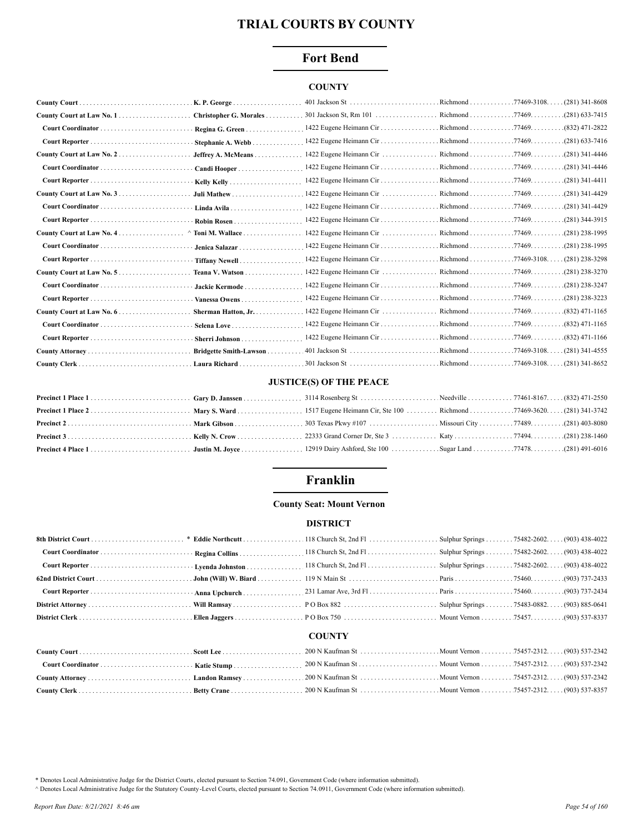# **Fort Bend**

# **COUNTY**

|                         | 401 Jackson St                          | Richmond 77469-3108.                          | $. (281)$ 341-8608                 |
|-------------------------|-----------------------------------------|-----------------------------------------------|------------------------------------|
| Christopher G. Morales  | 301 Jackson St, Rm 101                  | Richmond 77469.                               | $(281)$ 633-7415                   |
| Regina G. Green         | 1422 Eugene Heimann Cir                 | . Richmond 77469.                             | $(832)$ 471-2822                   |
| Stephanie A. Webb       | 1422 Eugene Heimann Cir                 | . Richmond 77469.                             | $(281)$ 633-7416                   |
| Jeffrey A. McMeans      | 1422 Eugene Heimann Cir                 | Richmond 77469.                               | $(281)$ 341-4446                   |
| Candi Hooper            | 1422 Eugene Heimann Cir                 | . Richmond 77469.                             | $(281)$ 341-4446                   |
|                         | 1422 Eugene Heimann Cir                 | $Richmond \ldots \ldots \ldots \ldots \ldots$ | $(281)$ 341-4411                   |
| Juli Mathew             | 1422 Eugene Heimann Cir Richmond 77469. |                                               | $(281)$ 341-4429                   |
|                         | 1422 Eugene Heimann Cir Richmond 77469. |                                               | $(281)$ 341-4429                   |
| Robin Rosen             | 1422 Eugene Heimann Cir                 | Richmond 77469.                               | (281) 344-3915                     |
| $\land$ Toni M. Wallace | 1422 Eugene Heimann Cir                 | Richmond 77469.                               | $(281)$ 238-1995                   |
| Jenica Salazar          | 1422 Eugene Heimann Cir                 | . Richmond 77469.                             | $(281)$ 238-1995                   |
| Tiffany Newell          | 1422 Eugene Heimann Cir                 | . Richmond 77469-3108.                        | (281) 238-3298                     |
| Teana V. Watson         |                                         |                                               | $(281)$ 238-3270                   |
| Jackie Kermode          |                                         |                                               |                                    |
| Vanessa Owens.          |                                         |                                               |                                    |
| Sherman Hatton, Jr.     | 1422 Eugene Heimann Cir                 | Richmond 77469.                               | $(832)$ 471-1165                   |
| Selena Love             |                                         |                                               |                                    |
| Sherri Johnson          | 1422 Eugene Heimann Cir Richmond 77469. |                                               | $(832)$ 471-1166                   |
| Bridgette Smith-Lawson  |                                         |                                               | $. (281)$ 341-4555                 |
| Laura Richard           |                                         | Richmond                                      | $.77469 - 3108.$<br>(281) 341-8652 |

# **JUSTICE(S) OF THE PEACE**

# Franklin

# **County Seat: Mount Vernon**

## **DISTRICT**

## **COUNTY**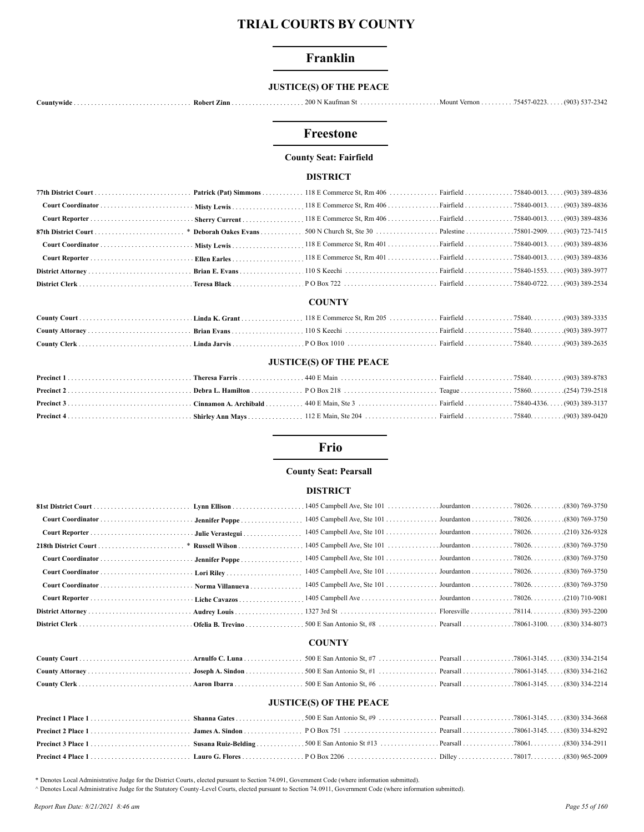# Franklin

## **JUSTICE(S) OF THE PEACE**

# Freestone

# **County Seat: Fairfield**

#### **DISTRICT**

#### **COUNTY**

## **JUSTICE(S) OF THE PEACE**

## Frio

#### **County Seat: Pearsall**

#### **DISTRICT**

## **COUNTY**

#### **JUSTICE(S) OF THE PEACE**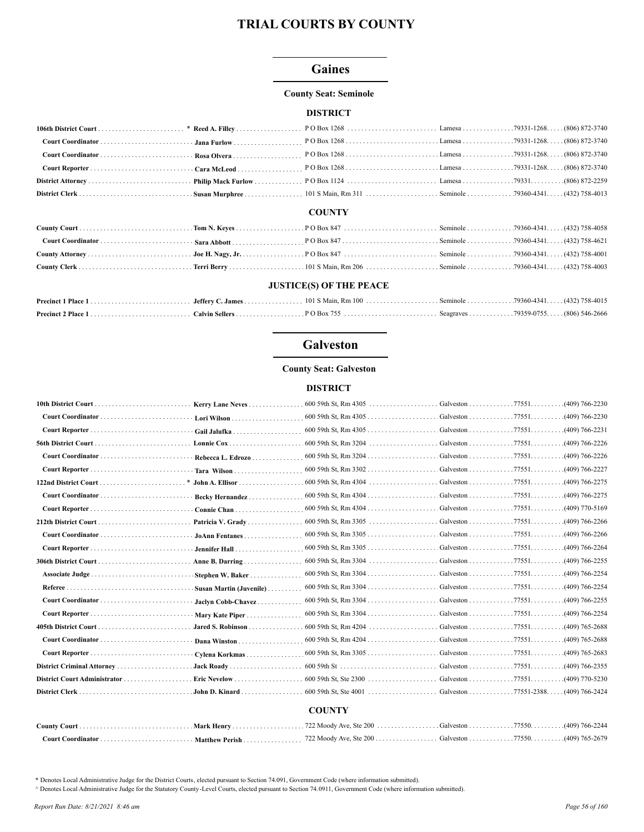# **Gaines**

#### **County Seat: Seminole**

#### **DISTRICT**

#### **COUNTY**

#### **JUSTICE(S) OF THE PEACE**

# **Galveston**

#### **County Seat: Galveston**

#### **DISTRICT**

|                         | 600 59th St, Rm $4305$ | Galveston 77551.                                                   | $(409)$ 766-2230 |
|-------------------------|------------------------|--------------------------------------------------------------------|------------------|
| $\cdot$ Gail Jalufka    |                        | Galveston 77551. (409) 766-2231                                    |                  |
|                         |                        |                                                                    |                  |
|                         |                        | Galveston 77551.                                                   | $(409)$ 766-2226 |
|                         |                        | Galveston 77551.                                                   | $(409)$ 766-2227 |
|                         | 600 59th St, Rm 4304   | $Galveston \ldots \ldots \ldots \ldots \ldots 77551 \ldots \ldots$ | $(409)$ 766-2275 |
| Becky Hernandez         |                        | Galveston 77551.                                                   | .(409) 766-2275  |
| Connie Chan             |                        | Galveston 77551.                                                   | $(409)$ 770-5169 |
| Patricia V. Grady       |                        |                                                                    | $(409)$ 766-2266 |
| JoAnn Fentanes          |                        | Galveston 77551. (409) 766-2266                                    |                  |
| Jennifer Hall           |                        |                                                                    |                  |
| Anne B. Darring         |                        |                                                                    |                  |
| Stephen W. Baker        |                        | Galveston 77551.                                                   | $(409)$ 766-2254 |
| Susan Martin (Juvenile) |                        | Galveston 77551. (409) 766-2254                                    |                  |
| Jaclyn Cobb-Chavez      |                        | Galveston 77551. (409) 766-2255                                    |                  |
| Mary Kate Piper         |                        | Galveston 77551.                                                   | $(409)$ 766-2254 |
| Jared S. Robinson       |                        |                                                                    | $(409)$ 765-2688 |
| Dana Winston            |                        | Galveston 77551. (409) 765-2688                                    |                  |
| Cylena Korkmas          |                        | Galveston 77551. (409) 765-2683                                    |                  |
| Jack Roady              |                        | Galveston 77551.                                                   | (409) 766-2355   |
|                         |                        | Galveston 77551.                                                   | $(409)$ 770-5230 |
| . John D. Kinard.       |                        | Galveston 77551-2388.                                              | $(409)$ 766-2424 |
|                         |                        |                                                                    |                  |
|                         | <b>COUNTY</b>          |                                                                    |                  |
|                         |                        |                                                                    |                  |

#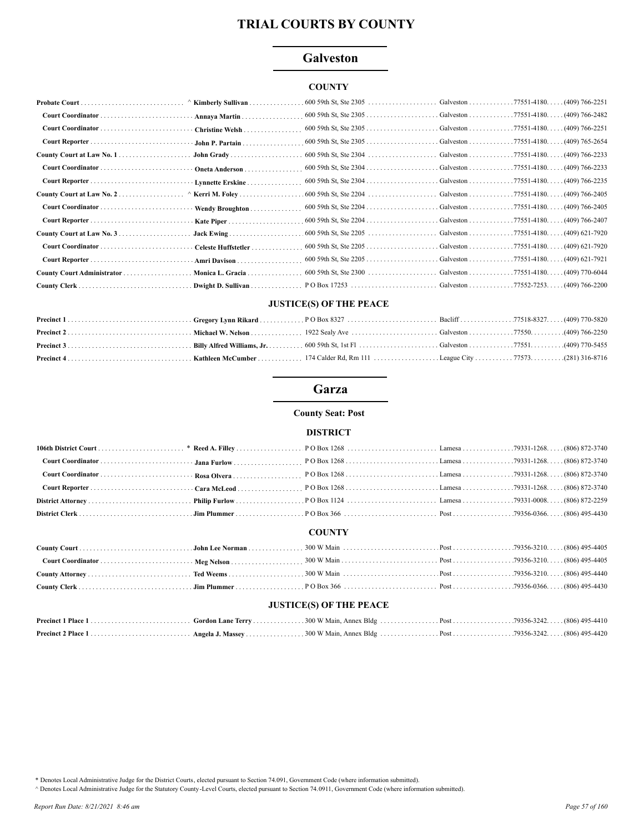# **Galveston**

# **COUNTY**

| Probate Court              | $\land$ Kimberly Sullivan |                          |           |                                            |
|----------------------------|---------------------------|--------------------------|-----------|--------------------------------------------|
|                            | Annaya Martin             |                          |           |                                            |
|                            | Christine Welsh           |                          |           |                                            |
|                            | John P. Partain           |                          |           |                                            |
|                            | John Grady                |                          |           |                                            |
|                            | Oneta Anderson            |                          |           |                                            |
|                            | · Lynnette Erskine<br>.   |                          |           |                                            |
|                            | $\land$ Kerri M. Foley    |                          |           |                                            |
|                            | Wendy Broughton           |                          |           |                                            |
|                            |                           |                          |           |                                            |
|                            |                           |                          |           |                                            |
|                            | Celeste Huffstetler.      |                          |           | $.77551 - 4180$ (409) 621-7920             |
|                            | Amri Davison              |                          |           | $.77551 - 4180. \ldots (409) 621 - 7921$   |
| County Court Administrator | Monica L. Gracia          | $600 59$ th St, Ste 2300 | Galveston | $.77551 - 4180$ $(409) 770 - 6044$         |
| County Clerk               | Dwight D. Sullivan        |                          |           | . . 77552-7253.<br>$\ldots$ (409) 766-2200 |

# **JUSTICE(S) OF THE PEACE**

# Garza

## **County Seat: Post**

#### **DISTRICT**

# **COUNTY**

## **JUSTICE(S) OF THE PEACE**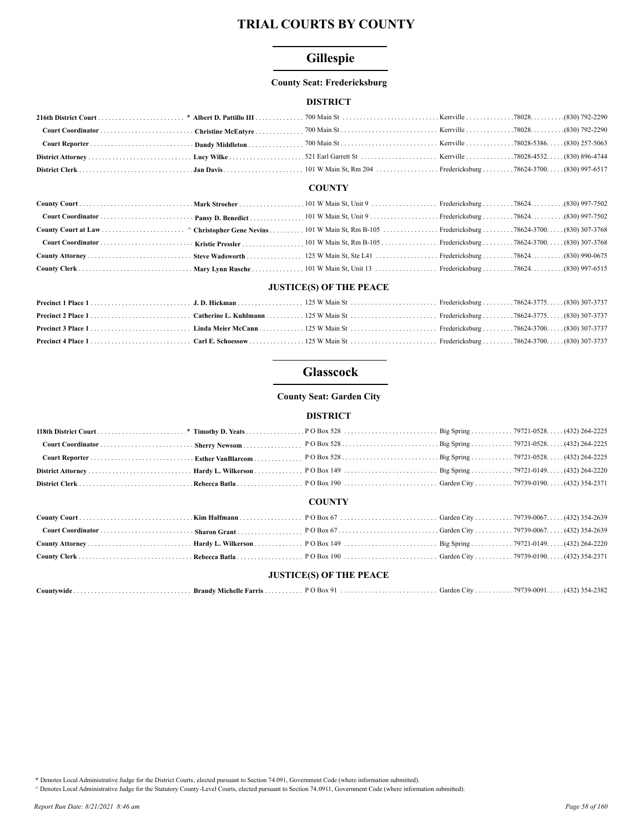# Gillespie

#### **County Seat: Fredericksburg**

## **DISTRICT**

#### **COUNTY**

| 830) 990-0675 (830) 990-0675 (830) 990-0675 (25 W Main St, Ste L41 (25 W Main St, Ste L41 (25 W Main St, Ste L41 (25 W Main St, Ste L41 |  |  |  |
|-----------------------------------------------------------------------------------------------------------------------------------------|--|--|--|
|                                                                                                                                         |  |  |  |

## **JUSTICE(S) OF THE PEACE**

# **Glasscock**

#### **County Seat: Garden City**

## **DISTRICT**

|  | <b>COUNTY</b>                  |  |
|--|--------------------------------|--|
|  |                                |  |
|  |                                |  |
|  |                                |  |
|  |                                |  |
|  |                                |  |
|  | <b>JUSTICE(S) OF THE PEACE</b> |  |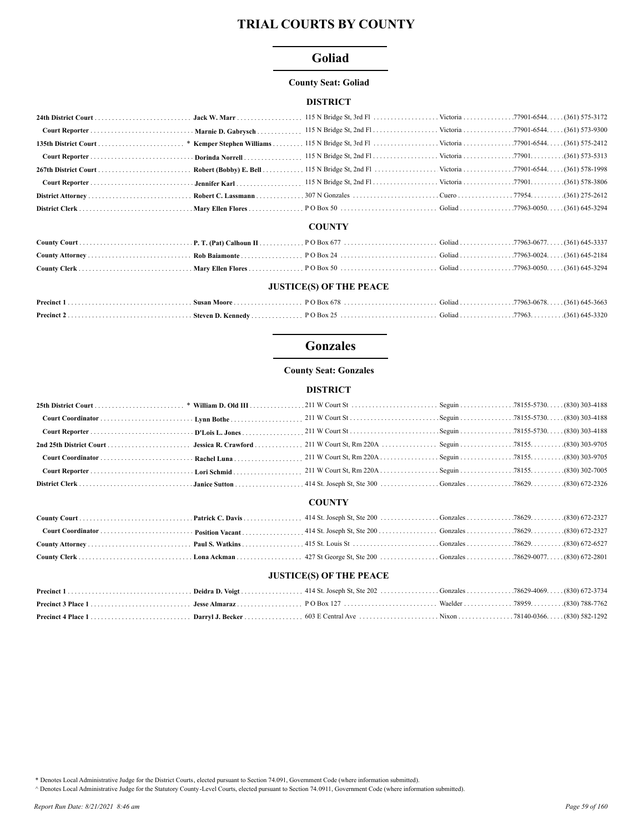# Goliad

#### **County Seat: Goliad**

#### **DISTRICT**

## **COUNTY**

## **JUSTICE(S) OF THE PEACE**

# **Gonzales**

## **County Seat: Gonzales**

#### **DISTRICT**

| 2nd 25th District Court        | Jessica R. Crawford |               |  |  |  |
|--------------------------------|---------------------|---------------|--|--|--|
|                                |                     |               |  |  |  |
|                                |                     |               |  |  |  |
|                                |                     |               |  |  |  |
|                                |                     | <b>COUNTY</b> |  |  |  |
|                                |                     |               |  |  |  |
|                                |                     |               |  |  |  |
|                                |                     |               |  |  |  |
|                                |                     |               |  |  |  |
| <b>JUSTICE(S) OF THE PEACE</b> |                     |               |  |  |  |
|                                |                     |               |  |  |  |
|                                |                     |               |  |  |  |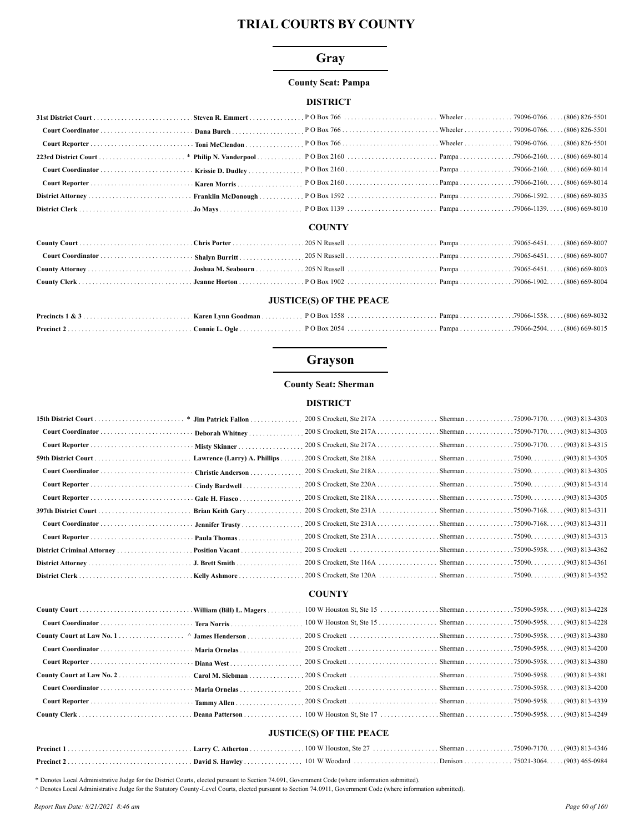# Gray

#### **County Seat: Pampa**

# **DISTRICT**

#### **COUNTY**

| <b>JUSTICE(S) OF THE PEACE</b> |  |  |  |  |  |
|--------------------------------|--|--|--|--|--|

# Grayson

## **County Seat: Sherman**

#### **DISTRICT**

|                     |                              | 200 S Crockett, Ste 217A Sherman 75090-7170. (903) 813-4315 |  |  |
|---------------------|------------------------------|-------------------------------------------------------------|--|--|
| 59th District Court | Lawrence (Larry) A. Phillips |                                                             |  |  |
|                     | Christie Anderson            |                                                             |  |  |
|                     | Cindy Bardwell               |                                                             |  |  |
|                     | Gale H. Fiasco               |                                                             |  |  |
|                     | Brian Keith Gary             |                                                             |  |  |
|                     | · Jennifer Trusty            |                                                             |  |  |
|                     | Paula Thomas                 |                                                             |  |  |
|                     |                              |                                                             |  |  |
|                     |                              |                                                             |  |  |
|                     |                              |                                                             |  |  |
|                     |                              |                                                             |  |  |

## **COUNTY**

| <b>HETICE(C)</b> OF THE DEACE |  |  |  |  |  |
|-------------------------------|--|--|--|--|--|

#### **JUSTICE(S) OF THE PEACE**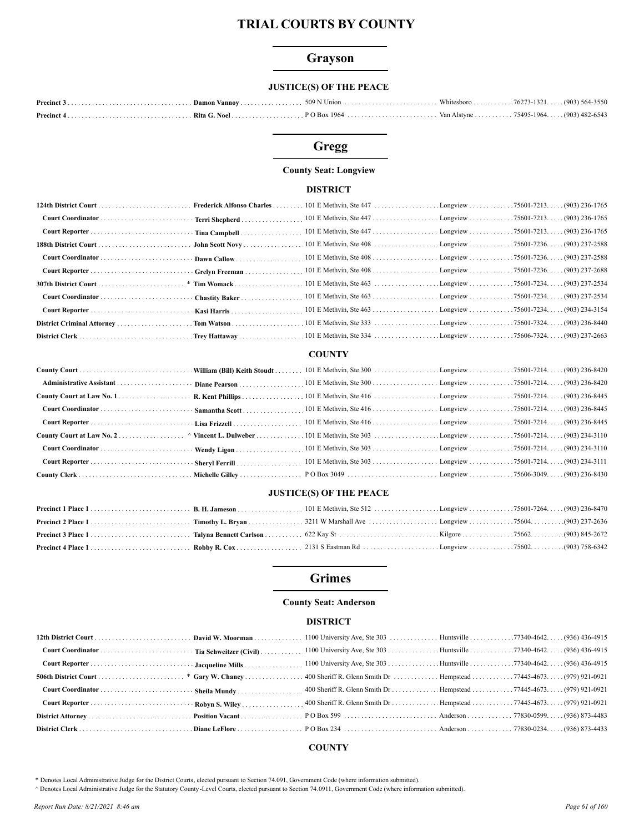# Grayson

# **JUSTICE(S) OF THE PEACE**

# Gregg

## **County Seat: Longview**

#### **DISTRICT**

| 124th District Court  Frederick Alfonso Charles |                 |  |  |
|-------------------------------------------------|-----------------|--|--|
|                                                 |                 |  |  |
|                                                 |                 |  |  |
|                                                 |                 |  |  |
|                                                 |                 |  |  |
| Court Reporter  Grelyn Freeman                  |                 |  |  |
|                                                 | $.*$ Tim Womack |  |  |
|                                                 |                 |  |  |
|                                                 |                 |  |  |
|                                                 |                 |  |  |
|                                                 |                 |  |  |

# **COUNTY**

## **JUSTICE(S) OF THE PEACE**

# **Grimes**

## **County Seat: Anderson**

#### **DISTRICT**

# **COUNTY**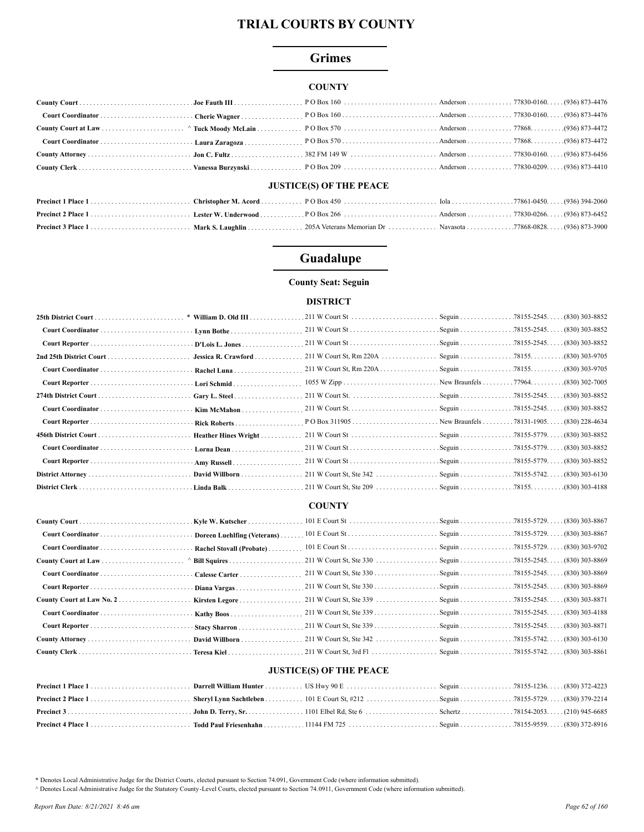# **Grimes**

#### **COUNTY**

## **JUSTICE(S) OF THE PEACE**

# Guadalupe

## **County Seat: Seguin**

# **DISTRICT**

|                   | Rachel Luna          |  |  |
|-------------------|----------------------|--|--|
|                   | Lori Schmid          |  |  |
|                   |                      |  |  |
|                   | Kim McMahon          |  |  |
|                   | Rick Roberts         |  |  |
|                   | Heather Hines Wright |  |  |
| Court Coordinator | Lorna Dean           |  |  |
|                   |                      |  |  |
|                   | David Willborn       |  |  |
|                   |                      |  |  |

#### **COUNTY**

| Kirsten Legore |  |  |
|----------------|--|--|
|                |  |  |
|                |  |  |
| David Willborn |  |  |
|                |  |  |

# **JUSTICE(S) OF THE PEACE**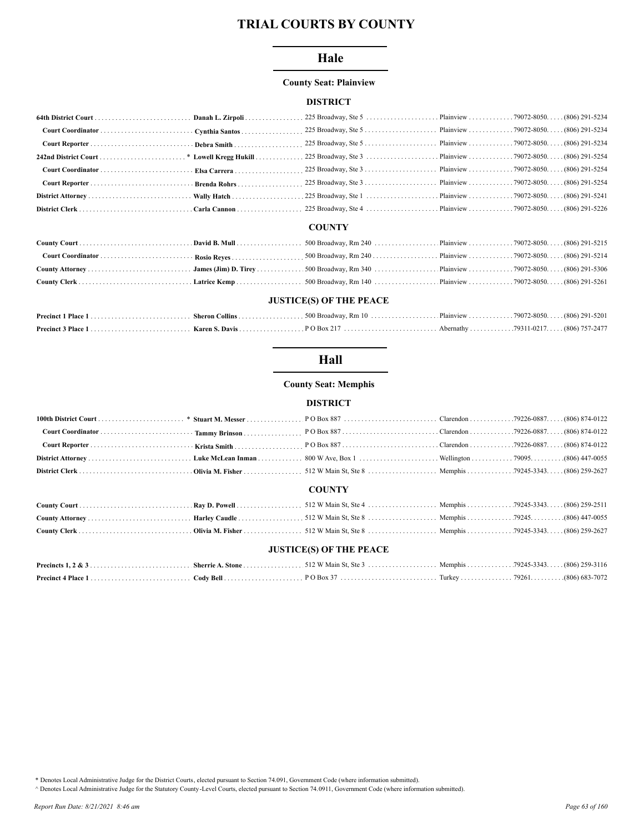# Hale

## **County Seat: Plainview**

## **DISTRICT**

#### **COUNTY**

## **JUSTICE(S) OF THE PEACE**

# Hall

## **County Seat: Memphis**

#### **DISTRICT**

#### **COUNTY**

# **JUSTICE(S) OF THE PEACE**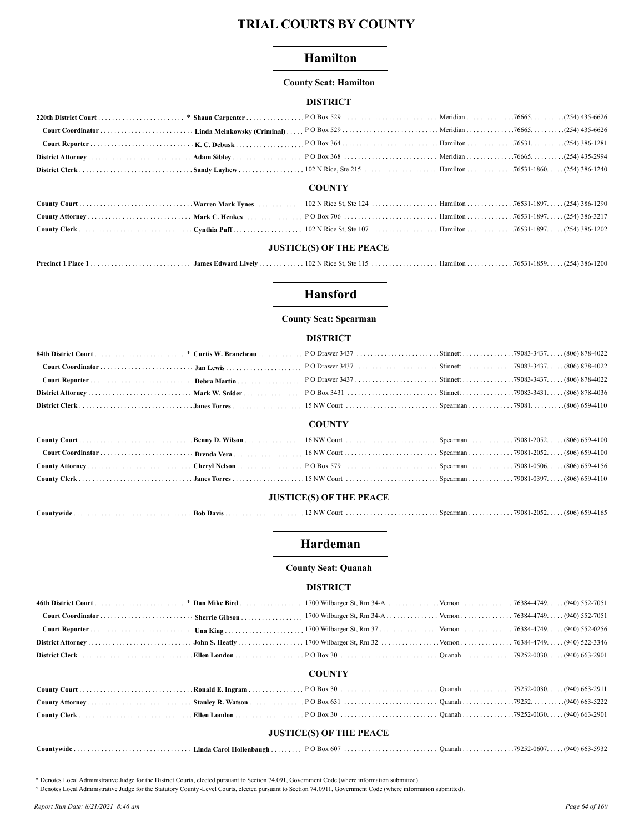# **Hamilton**

#### **County Seat: Hamilton**

#### **DISTRICT**

#### **COUNTY**

## **JUSTICE(S) OF THE PEACE**

# **Hansford**

#### **County Seat: Spearman**

## **DISTRICT**

| 84022 (806) 878-4022 (806) 878-4022 (806) 878-4022 (806) 878-4022 (806) 878-4022 (806) 878-4022 (806) 878-4022 |  |               |  |  |
|----------------------------------------------------------------------------------------------------------------|--|---------------|--|--|
|                                                                                                                |  |               |  |  |
|                                                                                                                |  |               |  |  |
|                                                                                                                |  |               |  |  |
|                                                                                                                |  |               |  |  |
|                                                                                                                |  | <b>COUNTY</b> |  |  |
|                                                                                                                |  |               |  |  |
|                                                                                                                |  |               |  |  |
|                                                                                                                |  |               |  |  |
|                                                                                                                |  |               |  |  |
| <b>JUSTICE(S) OF THE PEACE</b>                                                                                 |  |               |  |  |

#### 

# Hardeman

#### **County Seat: Quanah**

#### **DISTRICT**

## **COUNTY**

| <b>JUSTICE(S) OF THE PEACE</b> |  |  |  |  |  |  |
|--------------------------------|--|--|--|--|--|--|

| Countywide<br>$\sim$<br>- Linda Carol Hollenbaugh | Ouanah 79252-0607. |  | $(940)$ 663-59 <sup>2</sup> |
|---------------------------------------------------|--------------------|--|-----------------------------|
|---------------------------------------------------|--------------------|--|-----------------------------|

\* Denotes Local Administrative Judge for the District Courts, elected pursuant to Section 74.091, Government Code (where information submitted).

A Denotes Local Administrative Judge for the Statutory County-Level Courts, elected pursuant to Section 74.0911, Government Code (where information submitted).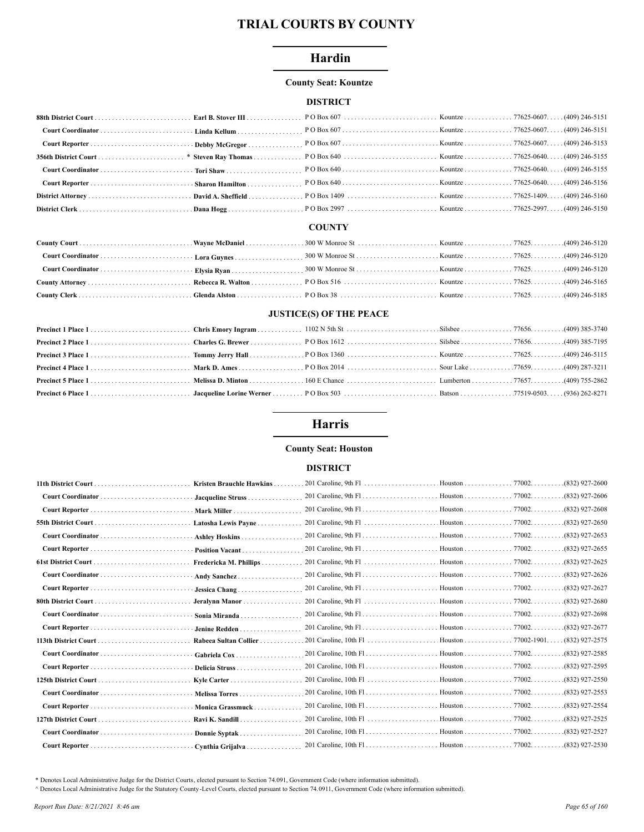# Hardin

#### **County Seat: Kountze**

# **DISTRICT**

#### **COUNTY**

# **JUSTICE(S) OF THE PEACE**

# **Harris**

## **County Seat: Houston**

## **DISTRICT**

| <b>Kristen Brauchle Hawkins</b> |  | $(832)$ 927-2600 |
|---------------------------------|--|------------------|
| Jacqueline Struss               |  | $(832)$ 927-2606 |
| Mark Miller                     |  | $(832)$ 927-2608 |
| Latosha Lewis Payne             |  | (832) 927-2650   |
| Ashley Hoskins                  |  | $(832)$ 927-2653 |
| Position Vacant                 |  | (832) 927-2655   |
| Fredericka M. Phillips          |  | (832) 927-2625.  |
| Andy Sanchez                    |  | $(832)$ 927-2626 |
| Jessica Chang                   |  | $(832)$ 927-2627 |
| Jeralynn Manor                  |  | (832) 927-2680   |
| Sonia Miranda                   |  | $(832)$ 927-2698 |
| Jenine Redden                   |  | $(832)$ 927-2677 |
| Rabeea Sultan Collier           |  | (832) 927-2575   |
| Gabriela Cox                    |  | (832) 927-2585.  |
| Delicia Struss                  |  | (832) 927-2595   |
| Kyle Carter                     |  | $(832)$ 927-2550 |
| Melissa Torres                  |  | (832) 927-2553   |
| · Monica Grassmuck              |  | (832) 927-2554   |
| Ravi K. Sandill                 |  | (832) 927-2525   |
| Donnie Syptak.                  |  |                  |
| Cynthia Grijalva.               |  | (832) 927-2530   |
|                                 |  |                  |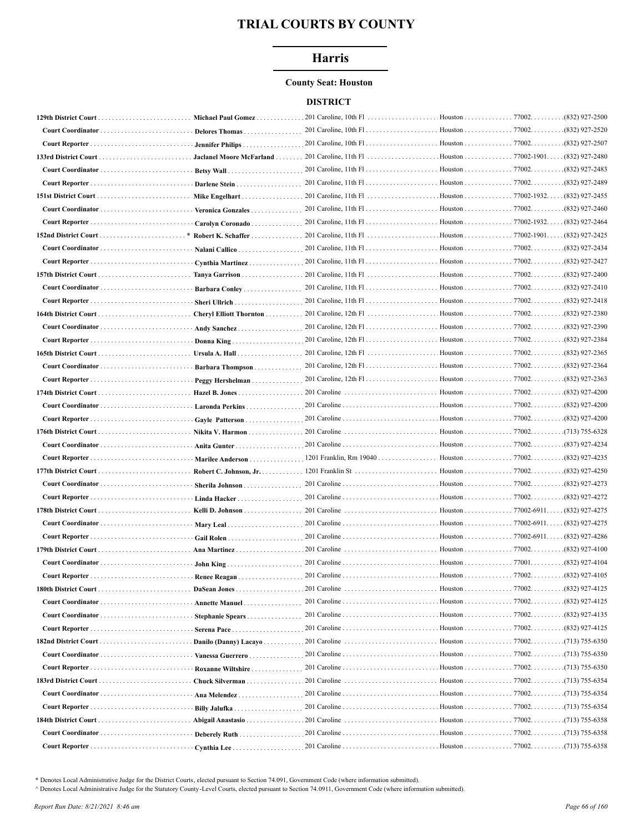# **Harris**

#### **County Seat: Houston**

## **DISTRICT**

|                             | Michael Paul Gomez                              | 201 Caroline, 10th F1 $\ldots$                                    | Houston 77002.                     | (832) 927-2500                 |
|-----------------------------|-------------------------------------------------|-------------------------------------------------------------------|------------------------------------|--------------------------------|
|                             | <b>Delores Thomas</b>                           |                                                                   |                                    | (832) 927-2520                 |
|                             | <b>Jennifer Philips</b>                         |                                                                   |                                    | (832) 927-2507                 |
|                             | Jaclanel Moore McFarland                        |                                                                   |                                    | (832) 927-2480                 |
|                             |                                                 |                                                                   | Houston 77002.                     | .(832) 927-2483                |
|                             | Darlene Stein                                   |                                                                   | Houston 77002.                     | .(832) 927-2489                |
|                             | Mike Engelhart                                  |                                                                   | Houston 77002-1932. (832) 927-2455 |                                |
|                             | Veronica Gonzales                               |                                                                   | Houston 77002.                     | .(832) 927-2460                |
| Court Reporter              | Carolyn Coronado.                               | 201 Caroline, 11th F1                                             | Houston 77002-1932.                | $(832)$ 927-2464               |
| <b>152nd District Court</b> | Robert K. Schaffer                              |                                                                   | Houston 77002-1901. (832) 927-2425 |                                |
|                             | Nalani Callico                                  |                                                                   | Houston 77002.                     | .(832) 927-2434                |
| Court Reporter              | Cynthia Martinez                                | 201 Caroline, 11th F1                                             | Houston 77002.                     | (832) 927-2427                 |
|                             | Tanya Garrison                                  | 201 Caroline, $11th Fl$                                           | Houston 77002.                     | .(832) 927-2400                |
|                             | Barbara Conley                                  |                                                                   |                                    | (832) 927-2410                 |
|                             | Sheri Ullrich                                   |                                                                   |                                    | .(832) 927-2418                |
|                             | Cheryl Elliott Thornton                         | 201 Caroline, 12th F1                                             | Houston 77002.                     | .(832) 927-2380                |
|                             |                                                 |                                                                   |                                    | .(832) 927-2390                |
|                             | Andy Sanchez                                    |                                                                   |                                    | .(832) 927-2384                |
|                             | Donna King                                      | 201 Caroline, 12th Fl                                             | Houston 77002.                     | .(832) 927-2365                |
|                             | Ursula A. Hall $\dots\dots\dots\dots\dots\dots$ |                                                                   |                                    |                                |
|                             | Barbara Thompson                                |                                                                   | Houston 77002.                     | $\ldots \ldots (832)$ 927-2364 |
|                             | Peggy Hershelman                                |                                                                   |                                    | $(832)$ 927-2363               |
|                             | Hazel B. Jones                                  | 201 Caroline                                                      | Houston 77002.                     | .(832) 927-4200                |
|                             | Laronda Perkins                                 |                                                                   | Houston 77002.                     | (832) 927-4200                 |
| Court Reporter              | Gayle Patterson                                 |                                                                   | Houston 77002.                     | (832) 927-4200                 |
|                             |                                                 |                                                                   |                                    |                                |
| 176th District Court        | Nikita V. Harmon                                | 201 Caroline                                                      | Houston 77002.                     | (713) 755-6328                 |
|                             | Anita Gunter                                    |                                                                   | . Houston 77002.                   | .(837) 927-4234                |
|                             | Marilee Anderson.                               | 1201 Franklin, Rm 19040                                           | Houston 77002.                     | (832) 927-4235                 |
|                             | Robert C. Johnson, Jr.                          | 1201 Franklin St                                                  | Houston 77002.                     | (832) 927-4250                 |
|                             | Sherila Johnson                                 |                                                                   | Houston 77002.                     | (832) 927-4273                 |
|                             | Linda Hacker                                    |                                                                   |                                    | (832) 927-4272                 |
|                             | Kelli D. Johnson                                | 201 Caroline                                                      | Houston 77002-6911. .              | . (832) 927-4275               |
|                             | Mary Leal                                       |                                                                   |                                    | $(832)$ 927-4275               |
|                             | Gail Rolen                                      |                                                                   |                                    |                                |
| 179th District Court        | Ana Martinez                                    | 201 Caroline                                                      | Houston 77002.                     | (832) 927-4100                 |
| Court Coordinator           | <b>John King</b>                                |                                                                   | . Houston 77001.                   | .(832) 927-4104                |
| Court Reporter              | Renee Reagan                                    |                                                                   |                                    | (832) 927-4105                 |
|                             | DaSean Jones                                    | .201 Caroline                                                     | Houston 77002.                     | .(832) 927-4125                |
| <b>Court Coordinator</b>    | Annette Manuel                                  |                                                                   | . Houston 77002.                   | .(832) 927-4125                |
|                             | Stephanie Spears                                |                                                                   |                                    |                                |
|                             | Serena Pace                                     |                                                                   | . Houston 77002.                   | .(832) 927-4125                |
|                             | Danilo (Danny) Lacayo                           | . 201 Caroline $\ldots \ldots \ldots \ldots \ldots \ldots \ldots$ | Houston 77002.                     | $(713)$ 755-6350               |
|                             | Vanessa Guerrero                                |                                                                   | Houston 77002.                     | (713) 755-6350                 |
|                             | Roxanne Wiltshire                               |                                                                   | Houston 77002.                     | $(713)$ 755-6350               |
|                             | Chuck Silverman                                 | 201 Caroline                                                      | Houston 77002. 713) 755-6354       |                                |
|                             | Ana Melendez                                    |                                                                   | . Houston 77002. (713) 755-6354    |                                |
|                             | Billy Jalufka                                   |                                                                   | . Houston 77002. (713) 755-6354    |                                |
|                             | Abigail Anastasio                               | 201 Caroline                                                      | Houston 77002. (713) 755-6358      |                                |
|                             | Deberely Ruth                                   |                                                                   | . Houston 77002. (713) 755-6358    |                                |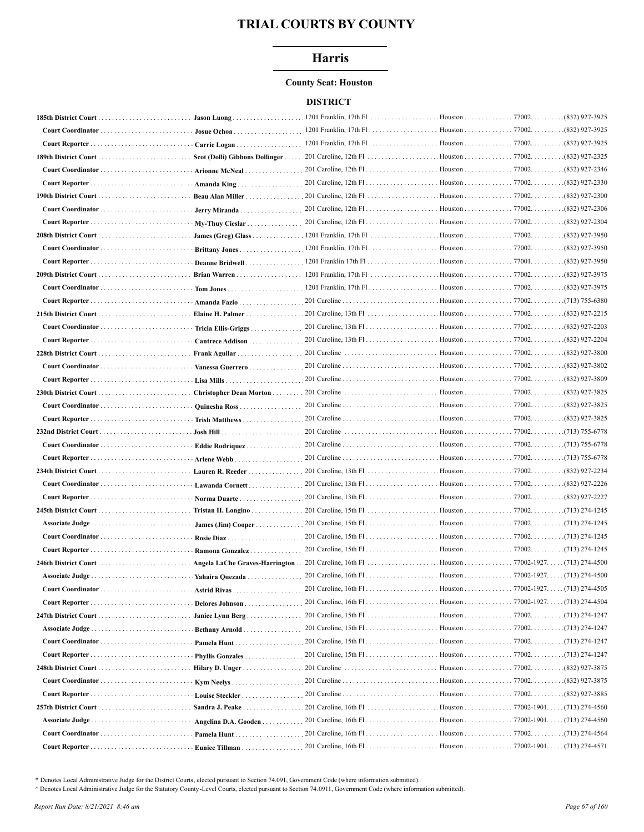# **Harris**

#### **County Seat: Houston**

## **DISTRICT**

|                      |                         |                                                                     |                                      |                                          | .(832) 927-3925  |
|----------------------|-------------------------|---------------------------------------------------------------------|--------------------------------------|------------------------------------------|------------------|
|                      | Josue Ochoa             |                                                                     |                                      |                                          | .(832) 927-3925  |
|                      | Carrie Logan            |                                                                     |                                      |                                          | .(832) 927-3925  |
|                      |                         | Scot (Dolli) Gibbons Dollinger 201 Caroline, 12th Fl Houston 77002. |                                      |                                          | (832) 927-2325   |
|                      | Arionne McNeal          |                                                                     |                                      |                                          | .(832) 927-2346  |
|                      | Amanda King             |                                                                     |                                      |                                          | .(832) 927-2330  |
|                      | Beau Alan Miller        |                                                                     |                                      |                                          | $(832)$ 927-2300 |
|                      | Jerry Miranda           |                                                                     |                                      |                                          |                  |
|                      | My-Thuy Cieslar         |                                                                     |                                      |                                          | (832) 927-2304   |
| 208th District Court |                         |                                                                     |                                      |                                          | .(832) 927-3950  |
|                      | Brittany Jones          |                                                                     |                                      |                                          | (832) 927-3950   |
|                      | Deanne Bridwell         |                                                                     |                                      |                                          | (832) 927-3950   |
| 209th District Court |                         |                                                                     |                                      |                                          | .(832) 927-3975  |
|                      |                         |                                                                     |                                      |                                          | .(832) 927-3975  |
|                      | Amanda Fazio            |                                                                     |                                      |                                          | $(713)$ 755-6380 |
|                      | Elaine H. Palmer        | 201 Caroline, 13th F1                                               | Houston 77002.                       |                                          | (832) 927-2215   |
|                      | Tricia Ellis-Griggs     |                                                                     | Houston 77002.                       |                                          | .(832) 927-2203  |
| Court Reporter       | Cantrece Addison        |                                                                     | Houston 77002.                       |                                          | (832) 927-2204   |
| 228th District Court | Frank Aguilar           | 201 Caroline                                                        | Houston 77002.                       |                                          | (832) 927-3800   |
|                      | Vanessa Guerrero        | 201 Caroline                                                        | Houston 77002.                       |                                          | .(832) 927-3802  |
|                      | Lisa Mills              |                                                                     |                                      |                                          | (832) 927-3809   |
|                      | Christopher Dean Morton | 201 Caroline                                                        | Houston 77002.                       |                                          | .(832) 927-3825  |
|                      | Quinesha Ross           |                                                                     | Houston 77002.                       |                                          | (832) 927-3825   |
|                      | Trish Matthews          |                                                                     |                                      |                                          | (832) 927-3825   |
|                      |                         |                                                                     |                                      |                                          | (713) 755-6778   |
|                      | Eddie Rodriquez         |                                                                     |                                      |                                          | (713) 755-6778   |
|                      | Arlene Webb             |                                                                     |                                      |                                          |                  |
|                      | Lauren R. Reeder        |                                                                     |                                      |                                          | .(832) 927-2234  |
|                      |                         |                                                                     |                                      |                                          | .(832) 927-2226  |
|                      | Norma Duarte            |                                                                     |                                      |                                          | (832) 927-2227   |
|                      | Tristan H. Longino      |                                                                     |                                      |                                          | $(713)$ 274-1245 |
|                      | James (Jim) Cooper      |                                                                     |                                      |                                          |                  |
|                      |                         |                                                                     |                                      |                                          |                  |
|                      | Ramona Gonzalez         |                                                                     |                                      |                                          |                  |
| 246th District Court |                         |                                                                     |                                      |                                          |                  |
| Associate Judge      |                         |                                                                     |                                      |                                          | (713) 274-4500   |
|                      | <b>Yahaira Quezada</b>  |                                                                     |                                      |                                          |                  |
|                      |                         |                                                                     | . Houston 77002-1927. (713) 274-4505 |                                          |                  |
| Court Reporter       | Delores Johnson         |                                                                     |                                      |                                          |                  |
|                      | Janice Lynn Berg        |                                                                     |                                      |                                          |                  |
| Associate Judge      | Bethany Arnold          |                                                                     |                                      |                                          |                  |
|                      | Pamela Hunt             |                                                                     |                                      |                                          |                  |
|                      | Phyllis Gonzales        |                                                                     | Houston 77002.                       |                                          | (713) 274-1247.  |
|                      | Hilary D. Unger         | 201 Caroline                                                        | Houston 77002.                       |                                          | .(832) 927-3875  |
|                      | Kym Neelys              |                                                                     | Houston 77002.                       |                                          | .(832) 927-3875  |
|                      | Louise Steckler         |                                                                     | . Houston 77002.                     |                                          | (832) 927-3885   |
|                      | Sandra J. Peake         |                                                                     | Houston                              | $.77002 - 1901. \ldots (713) 274 - 4560$ |                  |
|                      | Angelina D.A. Gooden    | 201 Caroline, $16th$ Fl                                             | . Houston 77002-1901. (713) 274-4560 |                                          |                  |
|                      | Pamela Hunt             |                                                                     | Houston 77002. (713) 274-4564        |                                          |                  |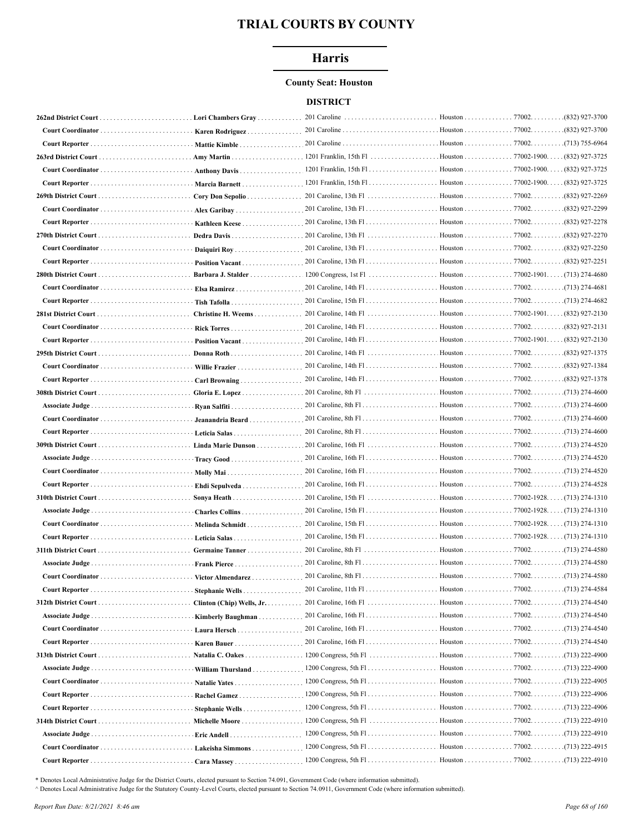# **Harris**

## **County Seat: Houston**

## **DISTRICT**

|                            | Karen Rodriguez      |                         |                               |                  |
|----------------------------|----------------------|-------------------------|-------------------------------|------------------|
|                            | Mattie Kimble        |                         |                               |                  |
|                            | . Amy Martin         |                         |                               | . (832) 927-3725 |
|                            | Anthony Davis        |                         |                               | . (832) 927-3725 |
|                            | Marcia Barnett       |                         |                               | . (832) 927-3725 |
|                            | Cory Don Sepolio     |                         |                               | .(832) 927-2269  |
|                            |                      |                         |                               |                  |
|                            | Kathleen Keese       |                         |                               | (832) 927-2278.  |
|                            |                      |                         | Houston 77002.                | .(832) 927-2270  |
|                            | Daiquiri Roy         |                         |                               | (832) 927-2250   |
|                            | Position Vacant      |                         |                               | (832) 927-2251.  |
|                            |                      |                         |                               |                  |
|                            |                      |                         |                               |                  |
|                            |                      |                         |                               |                  |
|                            | Christine H. Weems   | 201 Caroline, 14th F1   | Houston 77002-1901. .         | $(832)$ 927-2130 |
|                            | Rick Torres          |                         |                               | .(832) 927-2131  |
|                            | Position Vacant      |                         | Houston 77002-1901. .         | . (832) 927-2130 |
|                            | Donna Roth           |                         | Houston 77002.                | (832) 927-1375   |
| Court Coordinator.         |                      |                         | Houston 77002.                | .(832) 927-1384  |
|                            | Willie Frazier       |                         |                               |                  |
|                            |                      | $201$ Caroline, 8th Fl  | Houston 77002.                | $(713)$ 274-4600 |
|                            | Gloria E. Lopez      |                         |                               | (713) 274-4600   |
|                            | Ryan Salfiti         |                         |                               |                  |
|                            | Jeanandria Beard     |                         |                               |                  |
|                            |                      |                         |                               |                  |
|                            |                      |                         |                               |                  |
|                            | Tracy Good           |                         |                               |                  |
|                            |                      |                         |                               |                  |
|                            | Ehdi Sepulveda       |                         |                               | (713) 274-4528   |
|                            | Sonya Heath          |                         | Houston 77002-1928.           | . (713) 274-1310 |
| Associate Judge            | Charles Collins      |                         |                               |                  |
|                            | Melinda Schmidt      |                         |                               |                  |
|                            | <b>Leticia Salas</b> |                         |                               |                  |
|                            | Germaine Tanner      |                         |                               |                  |
|                            | Frank Pierce         |                         |                               | .(713) 274-4580  |
|                            | Victor Almendarez    |                         |                               |                  |
|                            | Stephanie Wells      | 201 Caroline, 11th F1   | Houston 77002. (713) 274-4584 |                  |
|                            |                      |                         | Houston 77002. (713) 274-4540 |                  |
|                            |                      |                         |                               |                  |
|                            | Laura Hersch         |                         |                               |                  |
|                            | Karen Bauer          |                         | Houston 77002. (713) 274-4540 |                  |
|                            | Natalia C. Oakes     |                         |                               |                  |
|                            | William Thursland    |                         | Houston 77002. (713) 222-4900 |                  |
| Court Coordinator          | Natalie Yates        | $1200$ Congress, 5th Fl | Houston 77002. (713) 222-4905 |                  |
|                            | Rachel Gamez         | $1200$ Congress, 5th Fl | Houston 77002. (713) 222-4906 |                  |
|                            | Stephanie Wells      | $1200$ Congress, 5th Fl | Houston 77002. (713) 222-4906 |                  |
|                            | Michelle Moore       |                         | Houston 77002. 4910           |                  |
|                            |                      |                         | Houston 77002. (713) 222-4910 |                  |
|                            | Lakeisha Simmons     | $1200$ Congress, 5th Fl | Houston 77002. (713) 222-4915 |                  |
| Court Reporter Cara Massey |                      |                         |                               |                  |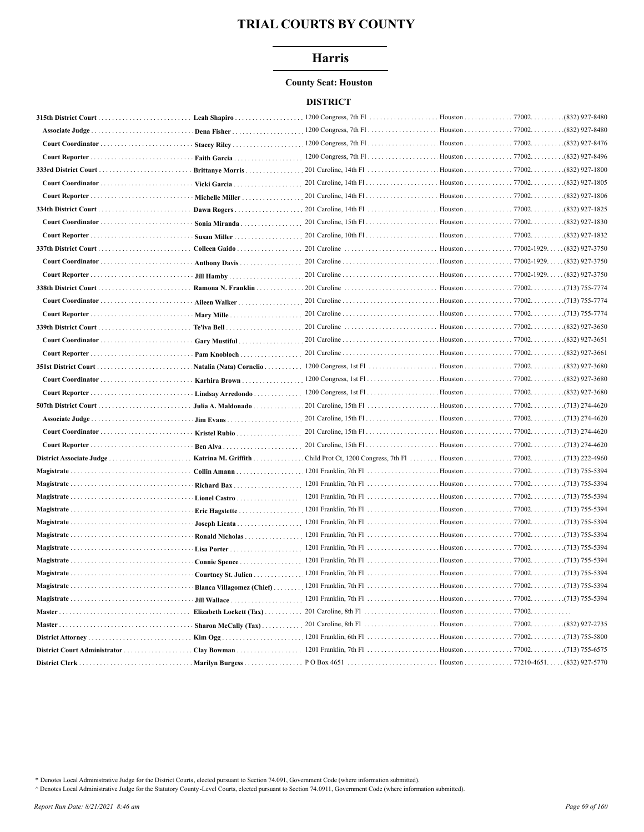# **Harris**

## **County Seat: Houston**

## **DISTRICT**

|                          | Leah Shapiro            |                         |                     | .(832) 927-8480               |
|--------------------------|-------------------------|-------------------------|---------------------|-------------------------------|
| Associate Judge          | Dena Fisher             |                         |                     | (832) 927-8480                |
|                          | Stacey Riley            |                         |                     | (832) 927-8476                |
|                          | Faith Garcia            | $1200$ Congress, 7th F1 | Houston 77002.      | (832) 927-8496                |
| 333rd District Court.    | Brittanye Morris        |                         | Houston 77002.      | (832) 927-1800                |
| Court Coordinator        | Vicki Garcia            |                         | Houston 77002.      | (832) 927-1805                |
|                          | Michelle Miller         |                         | Houston 77002.      | .(832) 927-1806               |
|                          | Dawn Rogers             | 201 Caroline, 14th F1   | Houston 77002.      | (832) 927-1825.               |
|                          | Sonia Miranda           |                         |                     | (832) 927-1830                |
|                          | Susan Miller            |                         |                     | (832) 927-1832                |
|                          | Colleen Gaido           | 201 Caroline            | Houston 77002-1929. | (832) 927-3750                |
|                          | Anthony Davis           |                         |                     |                               |
|                          |                         |                         |                     | . (832) 927-3750              |
|                          | Ramona N. Franklin      | 201 Caroline            | Houston 77002.      | .(713) 755-7774               |
|                          | Aileen Walker           |                         | . Houston 77002.    | .(713) 755-7774               |
|                          |                         |                         | Houston 77002.      | .(713) 755-7774               |
|                          |                         | 201 Caroline            | Houston 77002.      | .(832) 927-3650               |
|                          | Gary Mustiful           |                         | Houston 77002.      | (832) 927-3651                |
|                          | Pam Knobloch            |                         | . Houston 77002.    | .(832) 927-3661               |
|                          | Natalia (Nata) Cornelio |                         |                     | (832) 927-3680                |
|                          | Karhira Brown           |                         |                     |                               |
| Court Reporter           | Lindsay Arredondo       |                         | . Houston 77002.    | .(832) 927-3680               |
|                          | Julia A. Maldonado      | 201 Caroline, 15th Fl   | Houston 77002.      | (713) 274-4620                |
|                          |                         |                         |                     | (713) 274-4620                |
|                          | Kristel Rubio           |                         |                     | $(713)$ 274-4620              |
|                          | Ben Alva                |                         |                     | $(713)$ 274-4620              |
| District Associate Judge | Katrina M. Griffith     |                         |                     |                               |
|                          | Collin Amann            |                         |                     |                               |
|                          | Richard Bax             |                         |                     | .(713) 755-5394               |
|                          | Lionel Castro           |                         |                     | .(713) 755-5394               |
|                          | Eric Hagstette          |                         |                     | .(713) 755-5394               |
|                          | Joseph Licata           |                         |                     | .(713) 755-5394               |
|                          | Ronald Nicholas         |                         |                     | .(713) 755-5394               |
|                          | Lisa Porter             |                         |                     | .(713) 755-5394               |
|                          | Connie Spence           |                         |                     | (713) 755-5394                |
|                          | Courtney St. Julien     |                         |                     |                               |
|                          |                         |                         |                     |                               |
| Magistrate               |                         |                         |                     |                               |
|                          |                         |                         |                     |                               |
|                          |                         |                         |                     | Houston 77002. (832) 927-2735 |
|                          |                         |                         |                     |                               |
|                          |                         |                         |                     |                               |
|                          |                         |                         |                     |                               |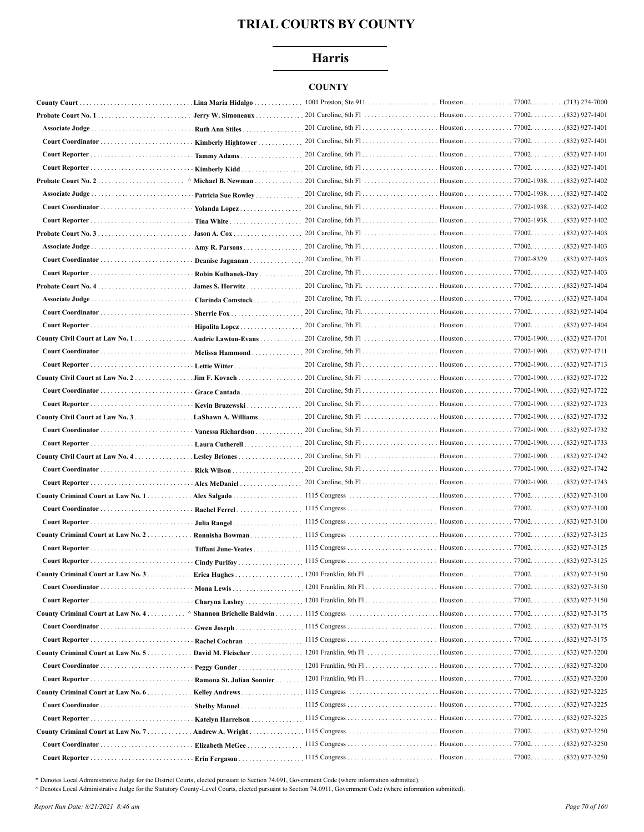# **Harris**

# **COUNTY**

| <b>County Court.</b>                 | Lina Maria Hidalgo.       | 1001 Preston, Ste 911               | Houston                       | 77002. | .(713) 274-7000    |
|--------------------------------------|---------------------------|-------------------------------------|-------------------------------|--------|--------------------|
| <b>Probate Court No. 1</b>           | Jerry W. Simoneaux        | 201 Caroline, 6th Fl                | Houston 77002.                |        | (832) 927-1401     |
|                                      |                           |                                     | Houston 77002.                |        | $(832)$ 927-1401   |
|                                      | Kimberly Hightower        |                                     |                               |        |                    |
|                                      | Tammy Adams               |                                     |                               |        |                    |
|                                      | Kimberly Kidd             |                                     |                               |        |                    |
| Probate Court No. 2                  | Michael B. Newman         | 201 Caroline, 6th Fl. (32) 927-1402 |                               |        |                    |
|                                      | Patricia Sue Rowley       |                                     |                               |        | (832) 927-1402     |
|                                      | Yolanda Lopez             |                                     |                               |        | $(832)$ 927-1402   |
|                                      |                           |                                     |                               |        | $(832)$ 927-1402   |
|                                      | Jason A. Cox              |                                     |                               |        | .(832) 927-1403    |
|                                      | Amy R. Parsons            |                                     |                               |        | .(832) 927-1403    |
|                                      | Deanise Jagnanan          |                                     |                               |        |                    |
|                                      | Robin Kulhanek-Day        |                                     |                               |        |                    |
|                                      |                           |                                     |                               |        |                    |
|                                      | Clarinda Comstock         |                                     |                               |        |                    |
|                                      | Sherrie Fox               |                                     |                               |        |                    |
|                                      |                           |                                     |                               |        | $(832)$ 927-1404   |
| County Civil Court at Law No. 1.     | Audrie Lawton-Evans       |                                     |                               |        | (832) 927-1701     |
|                                      | Melissa Hammond           |                                     |                               |        | . (832) 927-1711   |
|                                      |                           |                                     | Houston 77002-1900. .         |        | $(832)$ 927-1713   |
| County Civil Court at Law No. 2.     | Jim F. Kovach             |                                     |                               |        | (832) 927-1722     |
|                                      | Grace Cantada             |                                     |                               |        | (832) 927-1722     |
|                                      | Kevin Bruzewski           |                                     |                               |        | . (832) 927-1723   |
| County Civil Court at Law No. 3.     | LaShawn A. Williams       |                                     |                               |        | . . (832) 927-1732 |
|                                      |                           |                                     |                               |        |                    |
|                                      |                           |                                     |                               |        | (832) 927-1732     |
|                                      | Vanessa Richardson        |                                     |                               |        | (832) 927-1733     |
| County Civil Court at Law No. 4.     | Laura Cutherell           |                                     |                               |        | . (832) 927-1742   |
|                                      |                           |                                     |                               |        | . (832) 927-1742   |
|                                      | Alex McDaniel             |                                     |                               |        | $(832)$ 927-1743   |
|                                      |                           |                                     |                               |        |                    |
|                                      | Rachel Ferrel             |                                     |                               |        |                    |
|                                      |                           |                                     |                               |        | $(832)$ 927-3100   |
|                                      |                           |                                     |                               |        | (832) 927-3125     |
| Court Reporter  Tiffani June-Yeates  |                           |                                     |                               |        | .(832) 927-3125    |
|                                      |                           |                                     |                               |        | .(832) 927-3125    |
| County Criminal Court at Law No. 3.  |                           |                                     |                               |        |                    |
| Court Coordinator                    |                           |                                     |                               |        |                    |
|                                      | Charyna Lashey            |                                     |                               |        |                    |
| County Criminal Court at Law No. 4   |                           |                                     | Houston 77002.                |        | .(832) 927-3175    |
|                                      |                           |                                     | Houston 77002. (832) 927-3175 |        |                    |
|                                      |                           |                                     | Houston 77002.                |        | .(832) 927-3175    |
| County Criminal Court at Law No. $5$ |                           |                                     |                               |        | (832) 927-3200     |
|                                      |                           |                                     |                               |        | (832) 927-3200     |
|                                      | Ramona St. Julian Sonnier |                                     |                               |        |                    |
| County Criminal Court at Law No. 6   |                           |                                     |                               |        | .(832) 927-3225    |
| Court Coordinator                    | <b>Shelby Manuel</b>      |                                     | Houston 77002.                |        | .(832) 927-3225    |
|                                      | Katelyn Harrelson         |                                     | Houston 77002.                |        | .(832) 927-3225    |
| County Criminal Court at Law No. 7.  | Andrew A. Wright          | . 1115 Congress                     | . Houston 77002.              |        | .(832) 927-3250    |
|                                      | Elizabeth McGee           |                                     | Houston 77002.                |        | .(832) 927-3250    |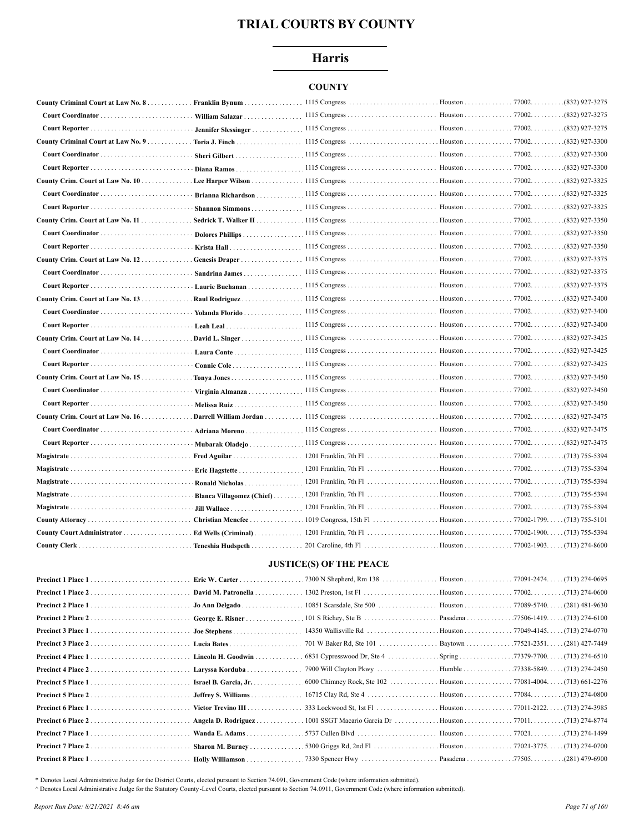# **Harris**

# **COUNTY**

| County Criminal Court at Law No. 8. | Franklin Bynum            |  |                  |
|-------------------------------------|---------------------------|--|------------------|
|                                     | William Salazar           |  | (832) 927-3275   |
|                                     |                           |  |                  |
|                                     |                           |  |                  |
|                                     | Sheri Gilbert             |  | $(832)$ 927-3300 |
|                                     | Diana Ramos               |  | (832) 927-3300   |
| County Crim. Court at Law No. 10    |                           |  |                  |
|                                     |                           |  | (832) 927-3325   |
|                                     |                           |  |                  |
|                                     |                           |  | (832) 927-3350   |
|                                     |                           |  | .(832) 927-3350  |
|                                     |                           |  | (832) 927-3350   |
| County Crim. Court at Law No. 12.   |                           |  | (832) 927-3375   |
|                                     | Sandrina James            |  | (832) 927-3375   |
|                                     | Laurie Buchanan           |  | (832) 927-3375   |
|                                     |                           |  |                  |
|                                     | $\cdot$ Yolanda Florido   |  | (832) 927-3400   |
|                                     |                           |  | (832) 927-3400   |
|                                     |                           |  |                  |
|                                     | Laura Conte               |  | (832) 927-3425   |
|                                     |                           |  |                  |
|                                     |                           |  |                  |
|                                     | Virginia Almanza          |  | (832) 927-3450   |
|                                     |                           |  | (832) 927-3450   |
|                                     |                           |  | (832) 927-3475   |
|                                     | Adriana Moreno            |  |                  |
|                                     | Mubarak Oladejo           |  |                  |
| Magistrate                          |                           |  |                  |
|                                     | Eric Hagstette            |  |                  |
| Magistrate                          | Ronald Nicholas           |  | (713) 755-5394   |
| Magistrate                          | Blanca Villagomez (Chief) |  | (713) 755-5394   |
|                                     |                           |  | (713) 755-5394   |
|                                     | Christian Menefee         |  |                  |
|                                     |                           |  |                  |
|                                     |                           |  |                  |

## **JUSTICE(S) OF THE PEACE**

|                    | Eric W. Carter        | .7300 N Shepherd, Rm 138 Houston 77091-2474. (713) 274-0695 |  |
|--------------------|-----------------------|-------------------------------------------------------------|--|
|                    |                       |                                                             |  |
| Precinct 2 Place 1 | Jo Ann Delgado        |                                                             |  |
| Precinct 2 Place 2 | George E. Risner      |                                                             |  |
| Precinct 3 Place 1 |                       |                                                             |  |
|                    |                       |                                                             |  |
| Precinct 4 Place 1 | Lincoln H. Goodwin    |                                                             |  |
|                    |                       |                                                             |  |
| Precinct 5 Place 1 | Israel B. Garcia, Jr. |                                                             |  |
|                    |                       |                                                             |  |
| Precinct 6 Place 1 | Victor Trevino III    |                                                             |  |
| Precinct 6 Place 2 | Angela D. Rodriguez   |                                                             |  |
|                    |                       |                                                             |  |
| Precinct 7 Place 2 | Sharon M. Burney      |                                                             |  |
|                    |                       |                                                             |  |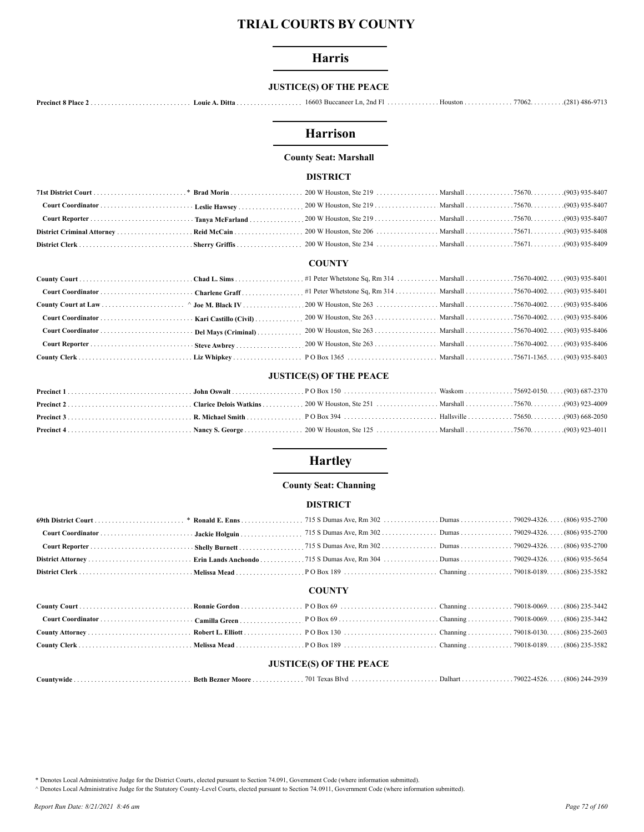# **Harris**

# **JUSTICE(S) OF THE PEACE**

# Harrison

# **County Seat: Marshall**

#### **DISTRICT**

#### **COUNTY**

# **JUSTICE(S) OF THE PEACE**

# **Hartley**

## **County Seat: Channing**

## **DISTRICT**

| <b>COUNTY</b>                  |  |  |  |  |  |
|--------------------------------|--|--|--|--|--|
|                                |  |  |  |  |  |
|                                |  |  |  |  |  |
|                                |  |  |  |  |  |
|                                |  |  |  |  |  |
| <b>JUSTICE(S) OF THE PEACE</b> |  |  |  |  |  |

| <i>C</i> ountvwide | Beth<br>Bezner<br>Moore | 70 L<br>$\sim$<br>$\mathbf{u}$<br>3.75 | Dalhar | .<br>79022 | (806)<br>2020 |
|--------------------|-------------------------|----------------------------------------|--------|------------|---------------|
|--------------------|-------------------------|----------------------------------------|--------|------------|---------------|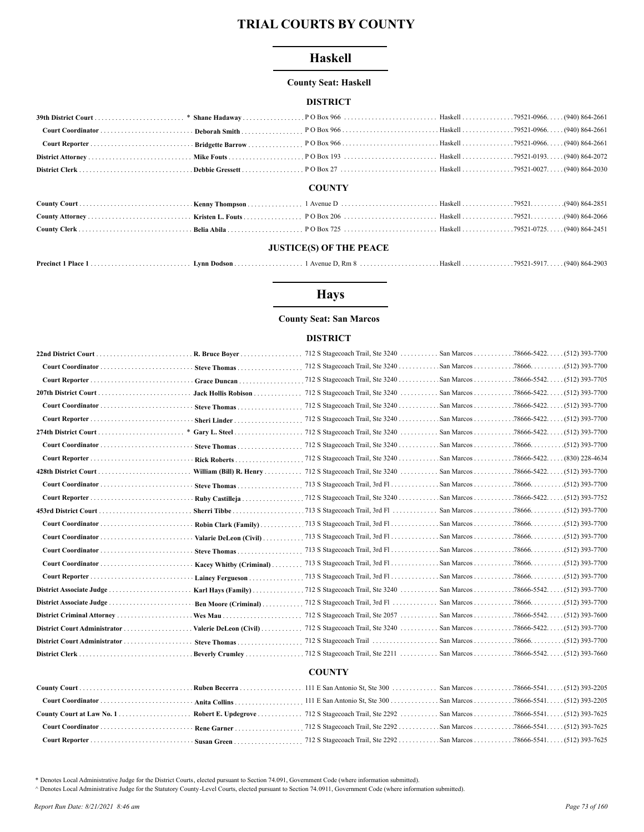# **Haskell**

## **County Seat: Haskell**

## **DISTRICT**

|  | <b>COUNTY</b> |  |
|--|---------------|--|

## **JUSTICE(S) OF THE PEACE**

|  | $\blacksquare$ Lynn Dodson $\ldots \ldots \ldots \ldots \ldots \ldots$ |  |  |  |  |
|--|------------------------------------------------------------------------|--|--|--|--|
|--|------------------------------------------------------------------------|--|--|--|--|

# **Hays**

## **County Seat: San Marcos**

## **DISTRICT**

|                          | R. Bruce Bover             | 712 S Stagecoach Trail, Ste 3240  San Marcos 78666-5422   |  | $(512)$ 393-7700     |
|--------------------------|----------------------------|-----------------------------------------------------------|--|----------------------|
|                          | Steve Thomas               | 712 S Stagecoach Trail, Ste 3240 San Marcos 78666.        |  | $(512)$ 393-7700     |
|                          | Grace Duncan               |                                                           |  | . (512) 393-7705     |
|                          | Jack Hollis Robison        |                                                           |  | (512) 393-7700       |
|                          | Steve Thomas               | 712 S Stagecoach Trail, Ste 3240 San Marcos 78666-5422. . |  | $(512)$ 393-7700     |
|                          | Sheri Linder               | 712 S Stagecoach Trail, Ste 3240 San Marcos 78666-5422. . |  | (512) 393-7700       |
| $\ast$                   | Gary L. Steel              | 712 S Stagecoach Trail, Ste 3240  San Marcos 78666-5422   |  | (512) 393-7700       |
|                          | Steve Thomas               |                                                           |  | (512) 393-7700       |
|                          | Rick Roberts               |                                                           |  |                      |
|                          | William (Bill) $R$ . Henry | 712 S Stagecoach Trail, Ste 3240  San Marcos 78666-5422   |  | $(512)$ 393-7700     |
|                          | Steve Thomas               |                                                           |  |                      |
|                          | Ruby Castilleia            |                                                           |  | $. (512) 393 - 7752$ |
|                          | Sherri Tibbe               |                                                           |  |                      |
|                          | Robin Clark (Family)       |                                                           |  |                      |
|                          | Valarie DeLeon (Civil)     |                                                           |  |                      |
|                          | Steve Thomas               |                                                           |  |                      |
|                          | Kacey Whitby (Criminal)    |                                                           |  |                      |
|                          | Lainey Fergueson           |                                                           |  |                      |
|                          | Karl Hays (Family)         | .712 S Stagecoach Trail, Ste 3240  San Marcos 78666-5542  |  | $. (512)$ 393-7700   |
| District Associate Judge | Ben Moore (Criminal)       |                                                           |  |                      |
|                          |                            | 712 S Stagecoach Trail, Ste 2057  San Marcos 78666-5542   |  | $(512)$ 393-7600     |
|                          |                            |                                                           |  |                      |
|                          | Steve Thomas               |                                                           |  |                      |
|                          | . Beverly Crumley          |                                                           |  |                      |
|                          |                            |                                                           |  |                      |

# **COUNTY**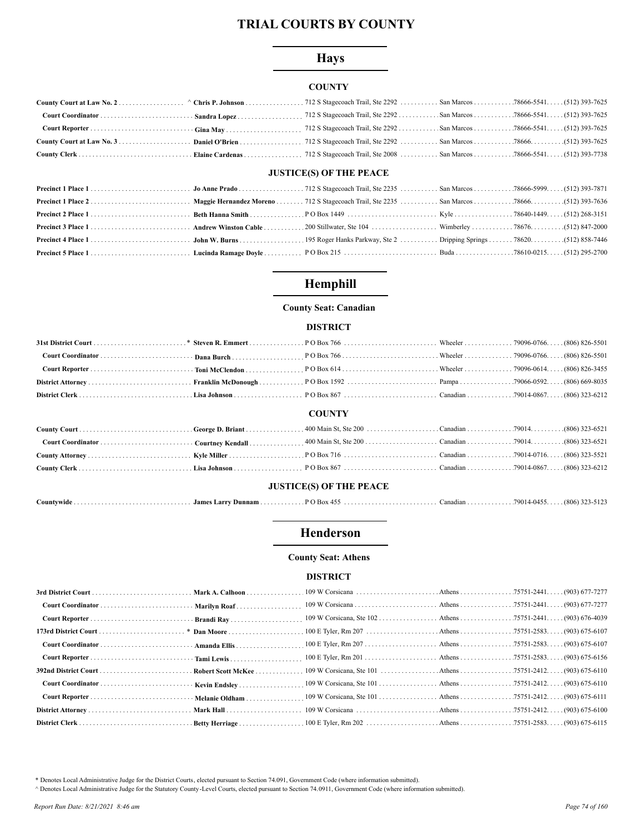# **Hays**

## **COUNTY**

# **JUSTICE(S) OF THE PEACE**

# Hemphill

## **County Seat: Canadian**

## **DISTRICT**

|                                |  | <b>COUNTY</b> |  |  |  |
|--------------------------------|--|---------------|--|--|--|
|                                |  |               |  |  |  |
|                                |  |               |  |  |  |
|                                |  |               |  |  |  |
|                                |  |               |  |  |  |
| <b>JUSTICE(S) OF THE PEACE</b> |  |               |  |  |  |
|                                |  |               |  |  |  |

# Henderson

## **County Seat: Athens**

### **DISTRICT**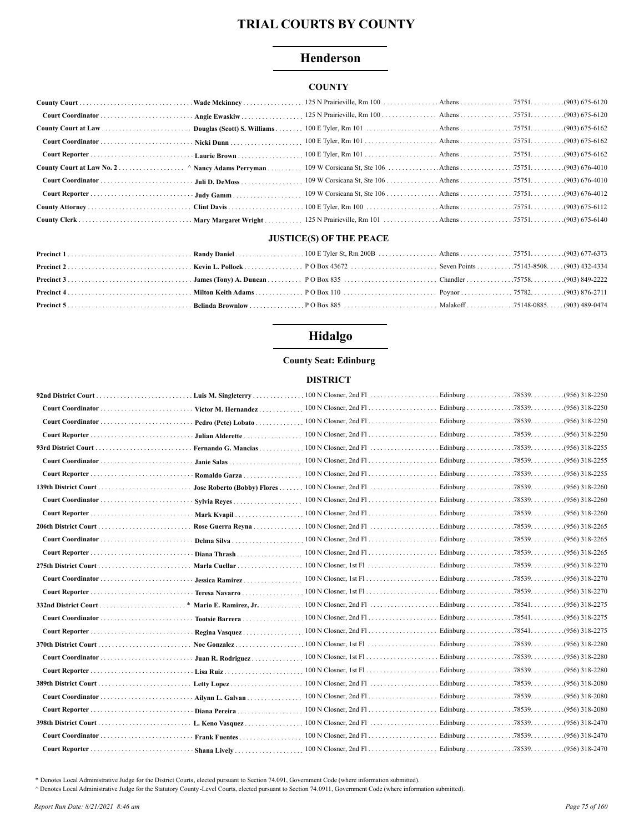# Henderson

## **COUNTY**

| Court Coordinator  Angie Ewaskiw |  |  |  |
|----------------------------------|--|--|--|
|                                  |  |  |  |
|                                  |  |  |  |
|                                  |  |  |  |
|                                  |  |  |  |
|                                  |  |  |  |
|                                  |  |  |  |
|                                  |  |  |  |
|                                  |  |  |  |

## **JUSTICE(S) OF THE PEACE**

# Hidalgo

## **County Seat: Edinburg**

#### **DISTRICT**

|                                        |                    | . Luis M. Singleterry 100 N Closner, 2nd Fl | . Edinburg 78539. | $(956)$ 318-2250 |
|----------------------------------------|--------------------|---------------------------------------------|-------------------|------------------|
|                                        |                    |                                             |                   |                  |
| Court Coordinator  Pedro (Pete) Lobato |                    |                                             |                   |                  |
|                                        | - Julian Alderette |                                             |                   | $(956)$ 318-2250 |
|                                        |                    |                                             |                   |                  |
|                                        |                    |                                             |                   |                  |
|                                        | · Romaldo Garza    |                                             |                   | $(956)$ 318-2255 |
|                                        |                    |                                             |                   |                  |
|                                        |                    |                                             |                   |                  |
|                                        |                    |                                             |                   |                  |
|                                        |                    |                                             |                   |                  |
|                                        |                    |                                             |                   | $(956)$ 318-2265 |
|                                        |                    |                                             |                   | $(956)$ 318-2265 |
|                                        |                    |                                             |                   | .(956) 318-2270  |
|                                        |                    |                                             |                   | $(956)$ 318-2270 |
| Court Reporter  Teresa Navarro         |                    |                                             |                   |                  |
|                                        |                    |                                             |                   |                  |
|                                        |                    |                                             |                   |                  |
| Court Reporter  Regina Vasquez         |                    |                                             |                   |                  |
|                                        |                    |                                             |                   | $(956)$ 318-2280 |
|                                        |                    |                                             |                   | .(956) 318-2280  |
|                                        |                    |                                             |                   |                  |
|                                        |                    |                                             |                   | .(956) 318-2080  |
|                                        |                    |                                             |                   | .(956) 318-2080  |
|                                        |                    |                                             |                   |                  |
|                                        |                    |                                             |                   | .(956) 318-2470  |
|                                        |                    |                                             |                   | $(956)$ 318-2470 |
|                                        |                    |                                             |                   |                  |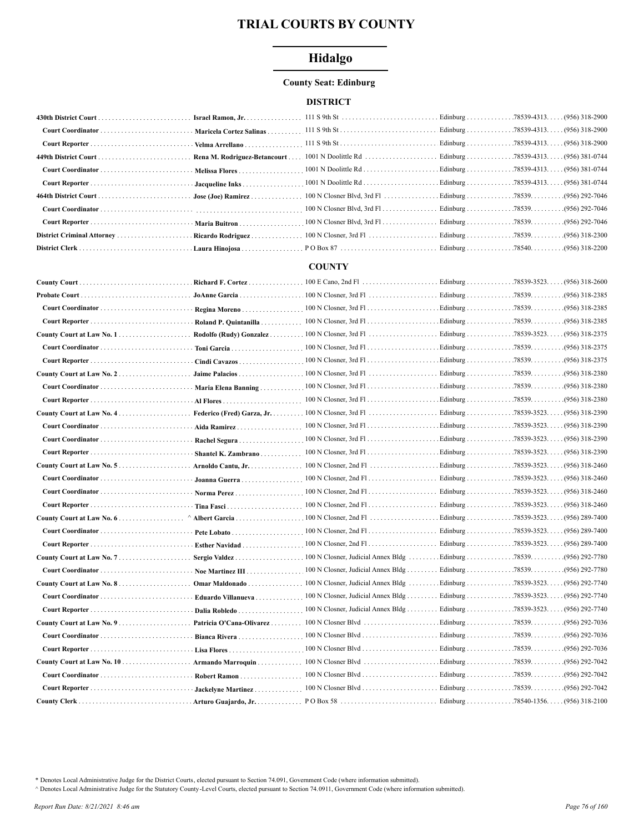# Hidalgo

# **County Seat: Edinburg**

## **DISTRICT**

| Rena M. Rodriguez-Betancourt |  |  |
|------------------------------|--|--|
|                              |  |  |
|                              |  |  |
|                              |  |  |
|                              |  |  |
|                              |  |  |
|                              |  |  |
|                              |  |  |

# **COUNTY**

| Regina Moreno              |                                                                                                                                   |                        | .(956) 318-2385                     |
|----------------------------|-----------------------------------------------------------------------------------------------------------------------------------|------------------------|-------------------------------------|
| Roland P. Quintanilla      |                                                                                                                                   |                        |                                     |
| Rodolfo (Rudy) Gonzalez    | $100 \text{ N}$ Closner, 3rd Fl                                                                                                   | Edinburg 78539-3523.   | (956) 318-2375                      |
| Toni Garcia                |                                                                                                                                   |                        |                                     |
| Cindi Cavazos              |                                                                                                                                   |                        |                                     |
| Jaime Palacios             | $100 \text{ N}$ Closner, 3rd Fl $\ldots$ $\ldots$ $\ldots$ $\ldots$ $\ldots$ Edinburg $\ldots$ $\ldots$ $\ldots$ . 78539 $\ldots$ |                        | $(956)$ 318-2380                    |
| Maria Elena Banning        | $100 \text{ N}$ Closner, 3rd Fl                                                                                                   | Edinburg 78539.        | .(956) 318-2380                     |
|                            |                                                                                                                                   |                        | .(956) 318-2380                     |
| Federico (Fred) Garza, Jr. |                                                                                                                                   |                        | $(956)$ 318-2390                    |
| Aida Ramirez               |                                                                                                                                   |                        | (956) 318-2390                      |
| Rachel Segura              |                                                                                                                                   |                        | (956) 318-2390                      |
| Shantel K. Zambrano        |                                                                                                                                   |                        | $(956)$ 318-2390                    |
| Arnoldo Cantu, Jr.         |                                                                                                                                   |                        |                                     |
| Joanna Guerra              |                                                                                                                                   |                        |                                     |
|                            |                                                                                                                                   |                        |                                     |
| Tina Fasci                 |                                                                                                                                   |                        |                                     |
|                            |                                                                                                                                   |                        | $(956)$ 289-7400                    |
|                            | $100 \text{ N}$ Closner, 2nd Fl                                                                                                   | Edinburg 78539-3523. . | $(956)$ 289-7400                    |
| Esther Navidad             |                                                                                                                                   | Edinburg 78539-3523.   | (956) 289-7400                      |
|                            |                                                                                                                                   |                        | .(956) 292-7780                     |
| Noe Martinez III           |                                                                                                                                   |                        | .(956) 292-7780                     |
|                            |                                                                                                                                   |                        | (956) 292-7740                      |
| Eduardo Villanueva         |                                                                                                                                   |                        | . (956) 292-7740                    |
| Dalia Robledo              | 100 N Closner, Judicial Annex Bldg Edinburg 78539-3523. (956) 292-7740                                                            |                        |                                     |
| Patricia O'Cana-Olivarez   | 100 N Closner Blvd                                                                                                                | Edinburg 78539.        | .(956) 292-7036                     |
| Bianca Rivera              |                                                                                                                                   |                        |                                     |
|                            |                                                                                                                                   |                        |                                     |
| Armando Marroquin          |                                                                                                                                   |                        |                                     |
| Robert Ramon               |                                                                                                                                   | Edinburg 78539.        | .(956) 292-7042                     |
| Jackelyne Martinez         |                                                                                                                                   |                        |                                     |
| Arturo Guajardo, Jr.       | PO Box 58                                                                                                                         |                        | Edinburg 78540-1356. (956) 318-2100 |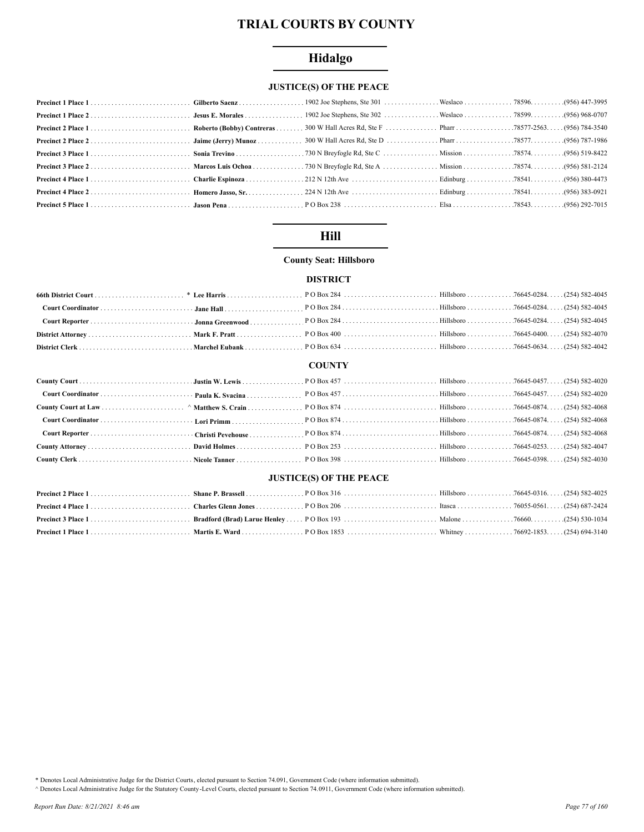# Hidalgo

# **JUSTICE(S) OF THE PEACE**

# **Hill**

# **County Seat: Hillsboro**

## **DISTRICT**

### **COUNTY**

## **JUSTICE(S) OF THE PEACE**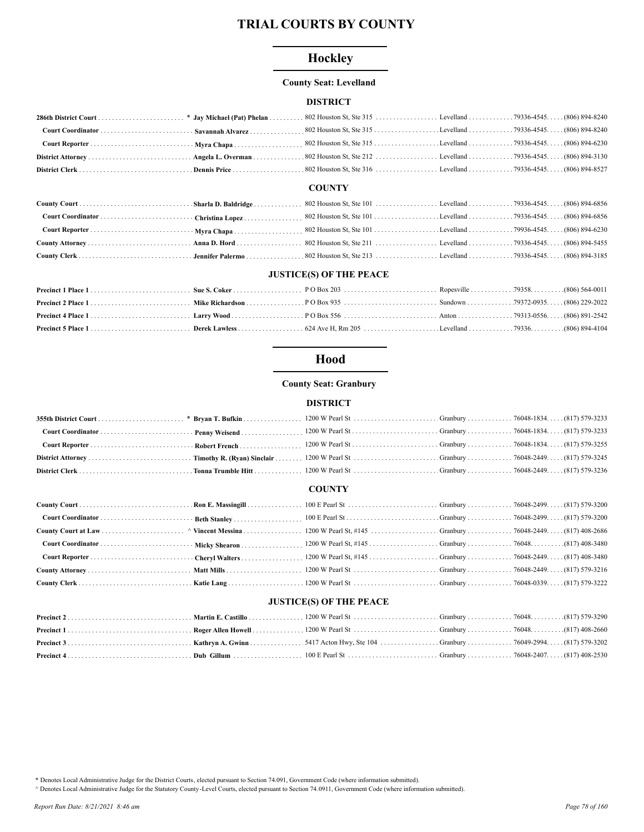# Hockley

## **County Seat: Levelland**

## **DISTRICT**

### **COUNTY**

## **JUSTICE(S) OF THE PEACE**

# Hood

## **County Seat: Granbury**

### **DISTRICT**

### **COUNTY**

# **JUSTICE(S) OF THE PEACE**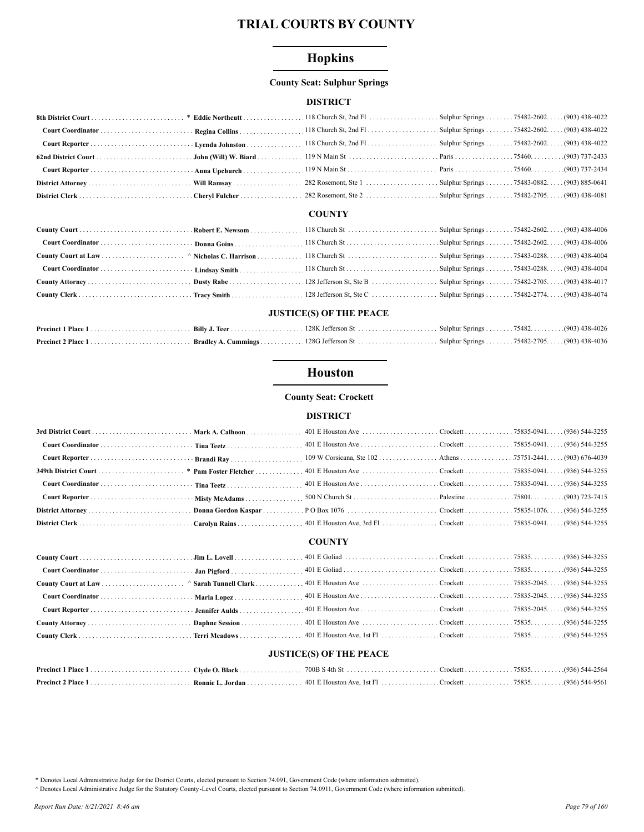# **Hopkins**

## **County Seat: Sulphur Springs**

### **DISTRICT**

# **COUNTY**

## **JUSTICE(S) OF THE PEACE**

# **Houston**

## **County Seat: Crockett**

### **DISTRICT**

#### **COUNTY**

## **JUSTICE(S) OF THE PEACE**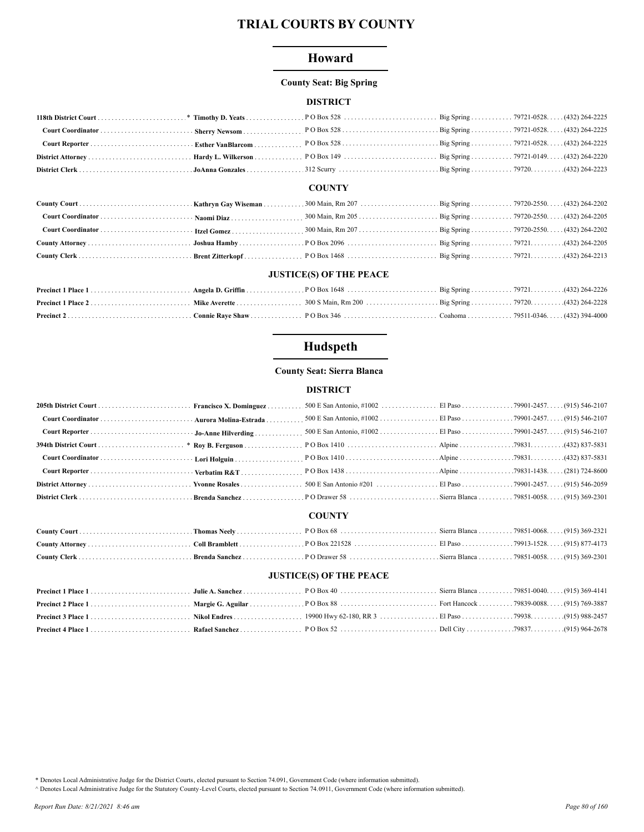# Howard

#### **County Seat: Big Spring**

## **DISTRICT**

#### **COUNTY**

## **JUSTICE(S) OF THE PEACE**

# Hudspeth

## **County Seat: Sierra Blanca**

## **DISTRICT**

# **COUNTY**

## **JUSTICE(S) OF THE PEACE**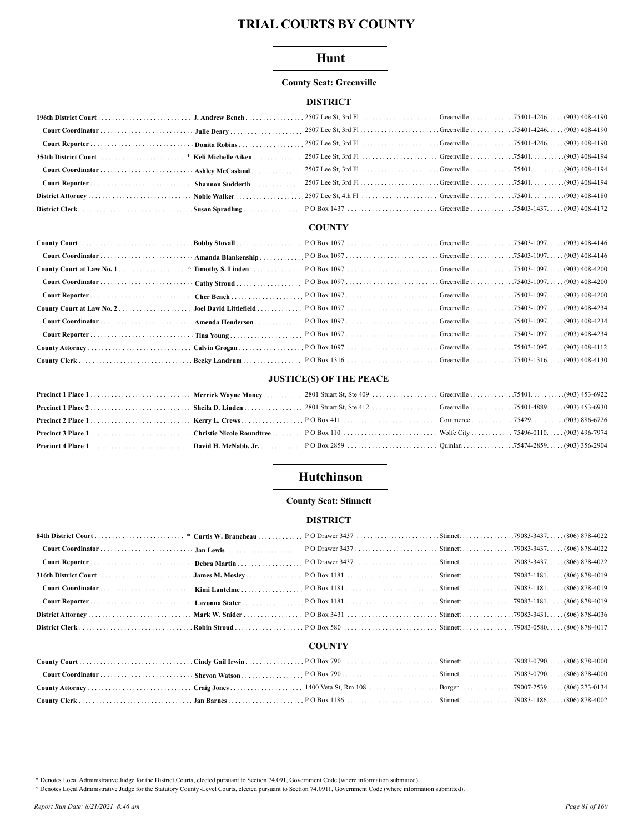# Hunt

## **County Seat: Greenville**

## **DISTRICT**

#### **COUNTY**

# **JUSTICE(S) OF THE PEACE**

# Hutchinson

## **County Seat: Stinnett**

## **DISTRICT**

#### **COUNTY**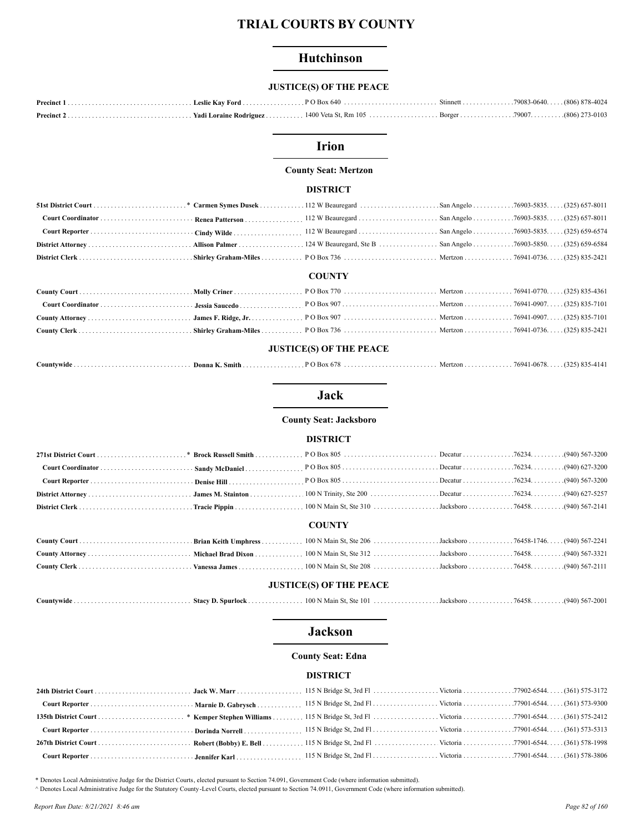# Hutchinson

# **JUSTICE(S) OF THE PEACE**

## **Irion**

#### **County Seat: Mertzon**

#### **DISTRICT**

| <b>COUNTY</b> |  |  |  |  |  |  |
|---------------|--|--|--|--|--|--|
|               |  |  |  |  |  |  |
|               |  |  |  |  |  |  |
|               |  |  |  |  |  |  |
|               |  |  |  |  |  |  |
|               |  |  |  |  |  |  |

| Mertzon 76941-0678.<br>.<br>Donna<br><b>Box</b><br>K. Smith<br>ountvwideٽ<br><u>חוחי</u><br>- - - - -<br>. | $\theta$<br>7295)<br>(1.1.1) |  | ודודי |
|------------------------------------------------------------------------------------------------------------|------------------------------|--|-------|
|------------------------------------------------------------------------------------------------------------|------------------------------|--|-------|

# **Jack**

**County Seat: Jacksboro** 

#### **DISTRICT**

#### **COUNTY**

#### **JUSTICE(S) OF THE PEACE**

| Countywide<br><b>Stacy D. Spurlock</b> |  |  |  |  |
|----------------------------------------|--|--|--|--|
|----------------------------------------|--|--|--|--|

## **Jackson**

#### **County Seat: Edna**

### **DISTRICT**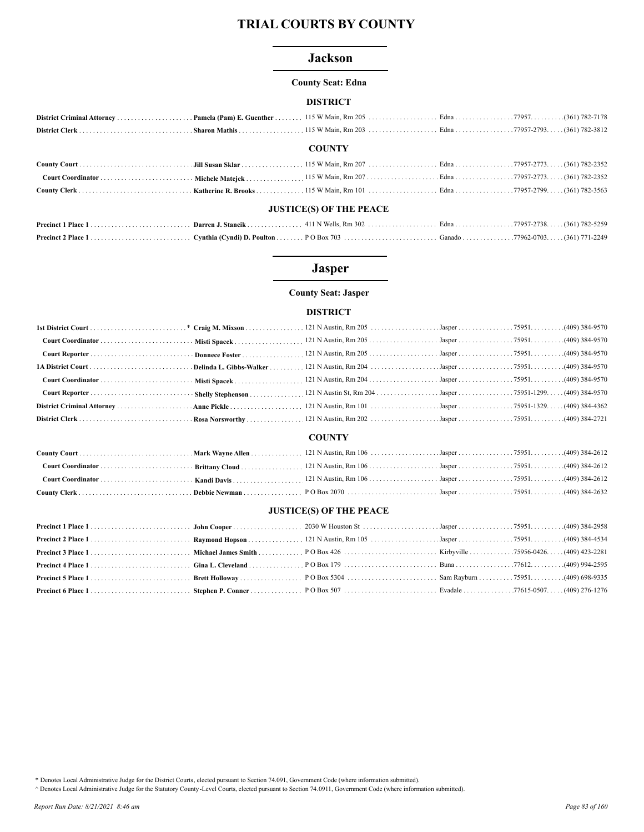### **Jackson**

#### **County Seat: Edna**

#### **DISTRICT**

### **COUNTY**

#### **JUSTICE(S) OF THE PEACE**

# **Jasper**

## **County Seat: Jasper**

## **DISTRICT**

|                                | Misti Spacek            |                                                          |  |  |  |  |  |
|--------------------------------|-------------------------|----------------------------------------------------------|--|--|--|--|--|
|                                | Donnece Foster          |                                                          |  |  |  |  |  |
|                                | Delinda L. Gibbs-Walker |                                                          |  |  |  |  |  |
|                                |                         |                                                          |  |  |  |  |  |
|                                | Shelly Stephenson       | 121 N Austin St, Rm 204 Jasper 75951-1299 (409) 384-9570 |  |  |  |  |  |
|                                |                         |                                                          |  |  |  |  |  |
|                                |                         |                                                          |  |  |  |  |  |
|                                |                         | <b>COUNTY</b>                                            |  |  |  |  |  |
|                                |                         |                                                          |  |  |  |  |  |
|                                | Brittany Cloud          |                                                          |  |  |  |  |  |
|                                |                         |                                                          |  |  |  |  |  |
|                                | Debbie Newman           |                                                          |  |  |  |  |  |
| <b>JUSTICE(S) OF THE PEACE</b> |                         |                                                          |  |  |  |  |  |
| Precinct 1 Place 1             |                         |                                                          |  |  |  |  |  |
| Precinct 2 Place 1             |                         |                                                          |  |  |  |  |  |
| Precinct 3 Place 1             |                         |                                                          |  |  |  |  |  |
| Precinct 4 Place 1             |                         |                                                          |  |  |  |  |  |
| Precinct 5 Place 1             |                         |                                                          |  |  |  |  |  |

\* Denotes Local Administrative Judge for the District Courts, elected pursuant to Section 74.091, Government Code (where information submitted).

A Denotes Local Administrative Judge for the Statutory County -Level Courts, elected pursuant to Section 74.0911, Government Code (where information submitted).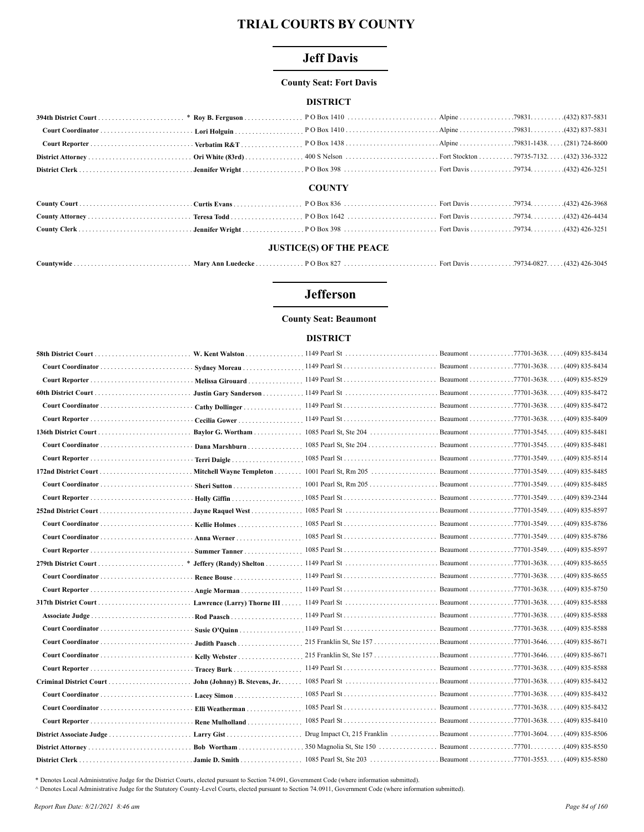# **Jeff Davis**

#### **County Seat: Fort Davis**

### **DISTRICT**

| <b>COUNTY</b> |  |  |  |  |  |  |
|---------------|--|--|--|--|--|--|

# 

## **JUSTICE(S) OF THE PEACE**

| Countywide | . Marv Ann Luedecke . | $P$ O Box 82 |  |  |  |
|------------|-----------------------|--------------|--|--|--|
|------------|-----------------------|--------------|--|--|--|

# **Jefferson**

#### **County Seat: Beaumont**

#### **DISTRICT**

|                          |                               |                                                                  | Beaumont 77701-3638. | (409) 835-8434                      |
|--------------------------|-------------------------------|------------------------------------------------------------------|----------------------|-------------------------------------|
|                          | Sydney Moreau                 |                                                                  |                      |                                     |
|                          | Melissa Girouard              |                                                                  |                      |                                     |
|                          | Justin Gary Sanderson         |                                                                  |                      | (409) 835-8472                      |
|                          | Cathy Dollinger               |                                                                  | Beaumont 77701-3638. | $(409)$ 835-8472                    |
|                          | Cecilia Gower                 |                                                                  |                      |                                     |
|                          | Baylor G. Wortham             |                                                                  |                      |                                     |
|                          | Dana Marshburn                |                                                                  |                      |                                     |
|                          | Terri Daigle                  |                                                                  |                      |                                     |
|                          |                               |                                                                  |                      |                                     |
|                          |                               |                                                                  |                      |                                     |
|                          |                               |                                                                  |                      |                                     |
|                          |                               |                                                                  |                      |                                     |
|                          |                               |                                                                  |                      |                                     |
|                          | Anna Werner                   |                                                                  |                      |                                     |
|                          | Summer Tanner                 |                                                                  |                      |                                     |
|                          |                               |                                                                  |                      |                                     |
|                          |                               |                                                                  |                      |                                     |
|                          | Angie Morman                  |                                                                  |                      |                                     |
|                          |                               |                                                                  |                      |                                     |
|                          |                               |                                                                  |                      | $(409)$ 835-8588                    |
|                          |                               |                                                                  |                      |                                     |
|                          | Judith Paasch                 | 215 Franklin St, Ste 157 Beaumont 77701-3646. (409) 835-8671     |                      |                                     |
|                          |                               | 215 Franklin St, Ste 157 Beaumont 77701-3646. (409) 835-8671     |                      |                                     |
|                          | Tracey Burk                   |                                                                  |                      |                                     |
|                          | John (Johnny) B. Stevens, Jr. |                                                                  |                      | (409) 835-8432                      |
|                          | Lacey Simon                   |                                                                  |                      | Beaumont 77701-3638. (409) 835-8432 |
|                          | Elli Weatherman               |                                                                  |                      |                                     |
|                          | Rene Mulholland               |                                                                  |                      | $(409)$ 835-8410                    |
| District Associate Judge |                               | Drug Impact Ct, 215 Franklin Beaumont 77701-3604. (409) 835-8506 |                      |                                     |
|                          |                               |                                                                  |                      |                                     |
|                          | <b>Jamie D. Smith</b>         |                                                                  |                      |                                     |

\* Denotes Local Administrative Judge for the District Courts, elected pursuant to Section 74.091, Government Code (where information submitted).

^ Denotes Local Administrative Judge for the Statutory County-Level Courts, elected pursuant to Section 74.0911, Government Code (where information submitted).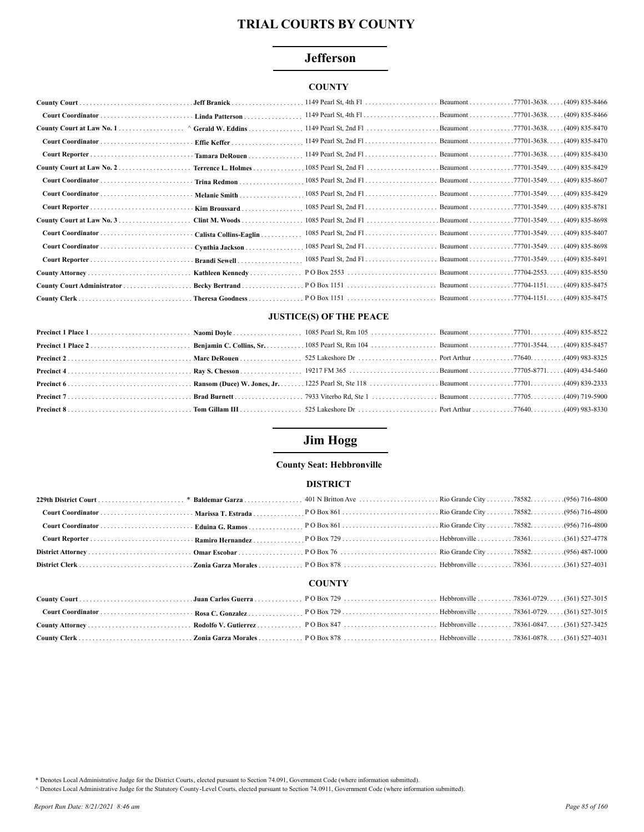# **Jefferson**

## **COUNTY**

|                                              |                        | 1149 Pearl St, 4th Fl | Beaumont 77701-3638. (409) 835-8466 |
|----------------------------------------------|------------------------|-----------------------|-------------------------------------|
|                                              | · Linda Patterson      |                       |                                     |
| County Court at Law No. 1 ^ Gerald W. Eddins |                        |                       |                                     |
|                                              |                        |                       | $(409)$ 835-8470                    |
|                                              | Tamara DeRouen         |                       |                                     |
| County Court at Law No. $2$                  | Terrence L. Holmes     |                       |                                     |
|                                              | Trina Redmon           |                       |                                     |
|                                              | Melanie Smith          |                       |                                     |
|                                              | Kim Broussard          |                       |                                     |
|                                              | Clint M. Woods         |                       |                                     |
|                                              | Calista Collins-Eaglin |                       |                                     |
|                                              | Cynthia Jackson        |                       |                                     |
|                                              | Brandi Sewell          |                       |                                     |
|                                              | Kathleen Kennedy       |                       |                                     |
|                                              | Becky Bertrand         |                       |                                     |
|                                              |                        |                       |                                     |

#### **JUSTICE(S) OF THE PEACE**

# **Jim Hogg**

#### **County Seat: Hebbronville**

### **DISTRICT**

|  | <b>COUNTY</b> |  |  |
|--|---------------|--|--|

# 

\* Denotes Local Administrative Judge for the District Courts, elected pursuant to Section 74.091, Government Code (where information submitted).

A Denotes Local Administrative Judge for the Statutory County-Level Courts, elected pursuant to Section 74.0911, Government Code (where information submitted).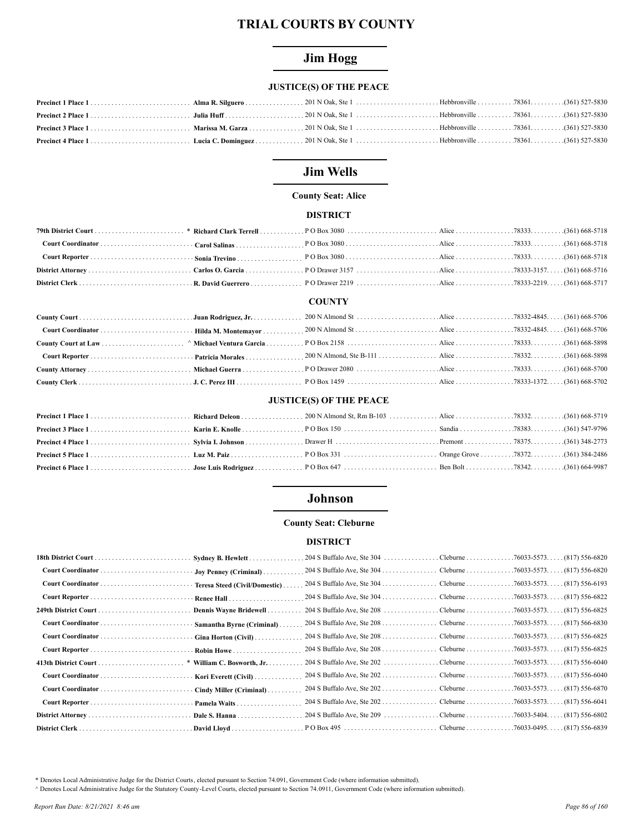# **Jim Hogg**

# **JUSTICE(S) OF THE PEACE**

# **Jim Wells**

# **County Seat: Alice**

## **DISTRICT**

## **COUNTY**

# **JUSTICE(S) OF THE PEACE**

# **Johnson**

## **County Seat: Cleburne**

### **DISTRICT**

| Sydney B. Hewlett             |  |  |
|-------------------------------|--|--|
| Joy Penney (Criminal)         |  |  |
| Teresa Steed (Civil/Domestic) |  |  |
| Renee Hall                    |  |  |
| Dennis Wayne Bridewell        |  |  |
| Samantha Byrne (Criminal)     |  |  |
| Gina Horton $(Civil)$         |  |  |
| <b>Robin Howe</b>             |  |  |
| * William C. Bosworth, Jr.    |  |  |
| Kori Everett (Civil)          |  |  |
| Cindy Miller (Criminal)       |  |  |
| Pamela Waits                  |  |  |
|                               |  |  |
|                               |  |  |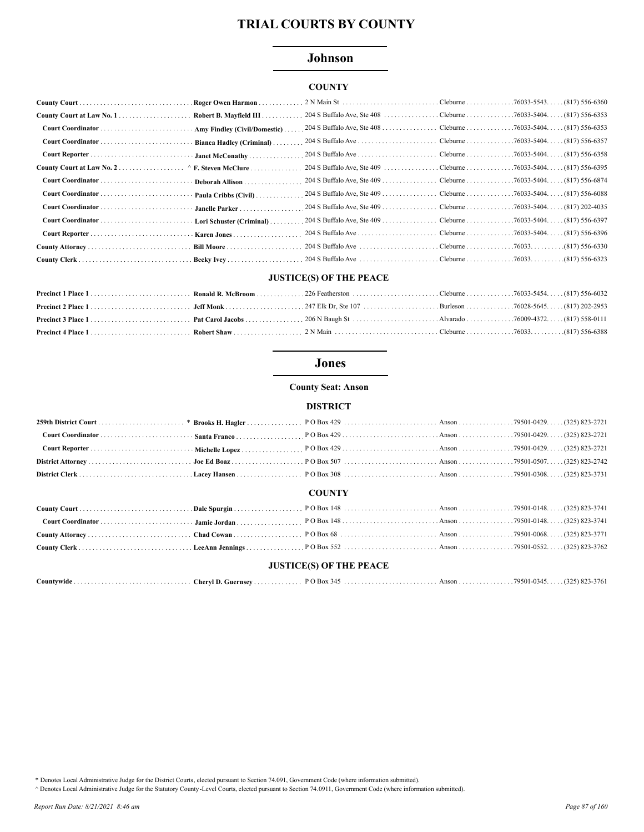# Johnson

# **COUNTY**

|                   | Roger Owen Harmon            |  |  |
|-------------------|------------------------------|--|--|
|                   | Robert B. Mayfield III       |  |  |
| Court Coordinator | Amy Findley (Civil/Domestic) |  |  |
|                   |                              |  |  |
|                   | · Janet McConathy            |  |  |
|                   |                              |  |  |
| Court Coordinator | Deborah Allison              |  |  |
|                   | $\cdot$ Paula Cribbs (Civil) |  |  |
|                   | Janelle Parker               |  |  |
|                   | Lori Schuster (Criminal)     |  |  |
|                   |                              |  |  |
|                   |                              |  |  |
|                   |                              |  |  |

# **JUSTICE(S) OF THE PEACE**

# **Jones**

**County Seat: Anson** 

#### **DISTRICT**

### **COUNTY**

## **JUSTICE(S) OF THE PEACE**

|  | Countvwide<br>.<br>. | Chervl D.<br>. Guernsev . |  |  | . 79501-0345. | $(325)$ 823-3761 |
|--|----------------------|---------------------------|--|--|---------------|------------------|
|--|----------------------|---------------------------|--|--|---------------|------------------|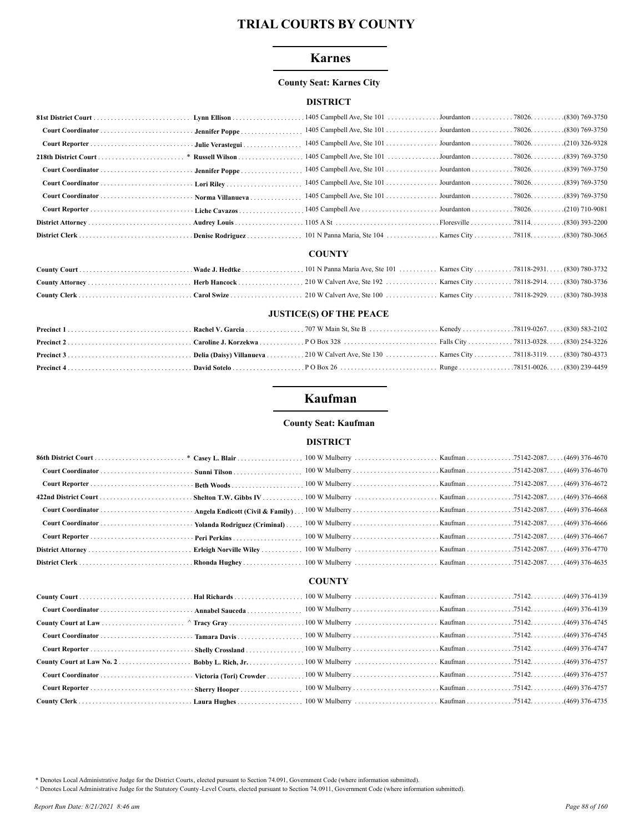## **Karnes**

## **County Seat: Karnes City**

## **DISTRICT**

| Court Coordinator  Norma Villanueva |  |  |  |
|-------------------------------------|--|--|--|
|                                     |  |  |  |
|                                     |  |  |  |
|                                     |  |  |  |

### **COUNTY**

## **JUSTICE(S) OF THE PEACE**

# Kaufman

# **County Seat: Kaufman**

### **DISTRICT**

# **COUNTY**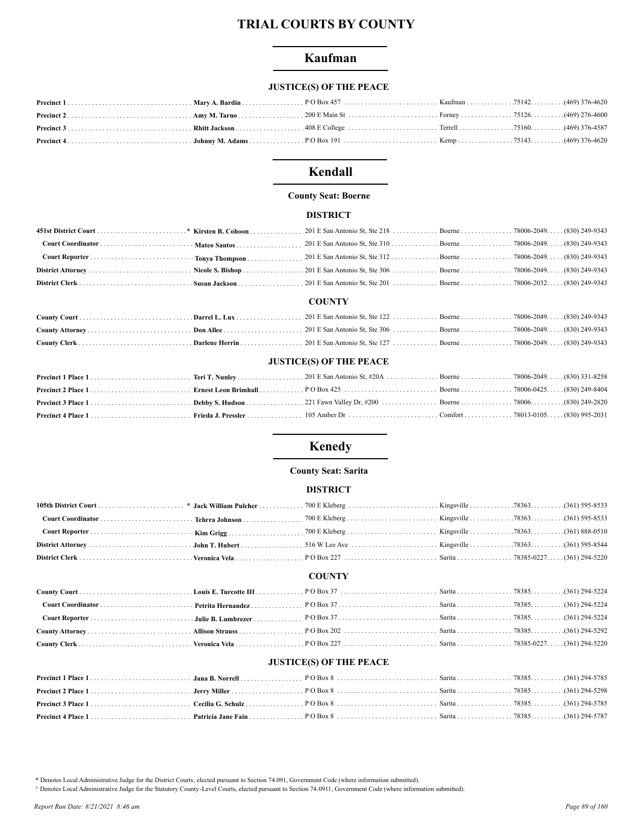# Kaufman

# **JUSTICE(S) OF THE PEACE**

# Kendall

## **County Seat: Boerne**

## **DISTRICT**

## **COUNTY**

## **JUSTICE(S) OF THE PEACE**

# **Kenedy**

### **County Seat: Sarita**

#### **DISTRICT**

#### **COUNTY**

#### **JUSTICE(S) OF THE PEACE**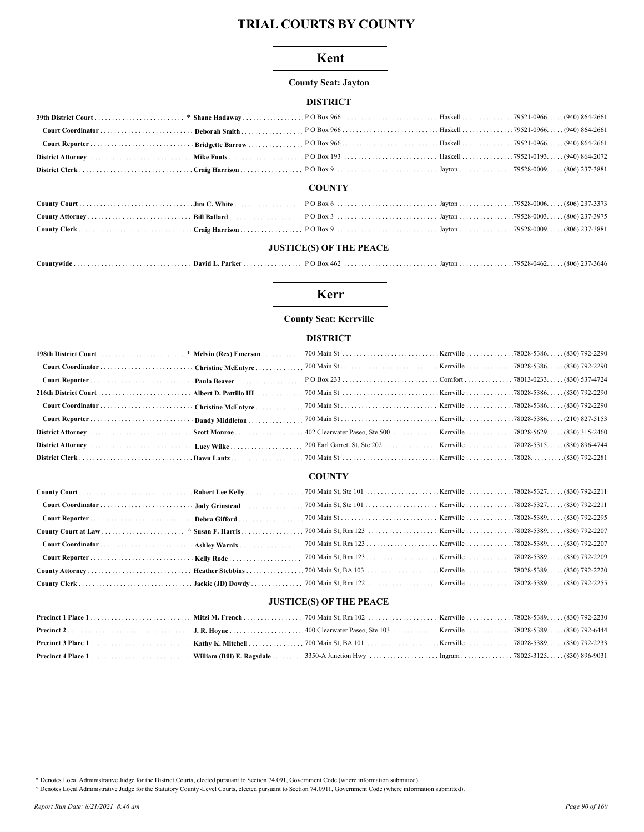### Kent

## **County Seat: Jayton**

## **DISTRICT**

|  | <b>COUNTY</b> |  |
|--|---------------|--|

# **JUSTICE(S) OF THE PEACE**

| <i>_</i> ountvwide | . Parke<br>David 1 | P<br>:46 $\epsilon$<br>. | Javton | 79528-046. | (806)<br>-3646 |
|--------------------|--------------------|--------------------------|--------|------------|----------------|
|                    |                    |                          |        |            |                |

# **Kerr**

## **County Seat: Kerrville**

## **DISTRICT**

### **COUNTY**

## **JUSTICE(S) OF THE PEACE**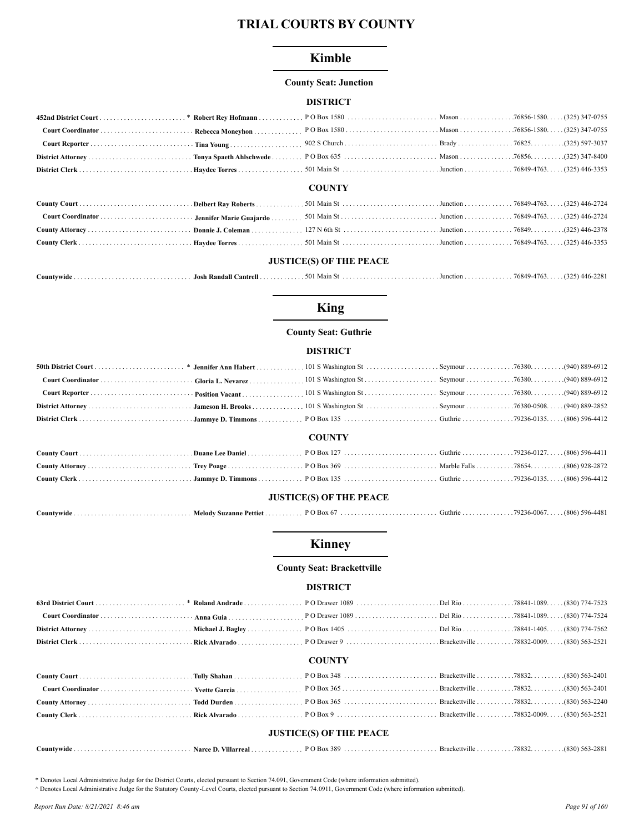# **Kimble**

#### **County Seat: Junction**

### **DISTRICT**

|  | <b>COUNTY</b> |  |  |
|--|---------------|--|--|

#### COU.

## **JUSTICE(S) OF THE PEACE**

| 76849-4763.<br>.501 Main St.<br>Countywide.<br>Josh Randall Cantrell . |  |  |  |  |  | $(325)$ 446-2281 |
|------------------------------------------------------------------------|--|--|--|--|--|------------------|
|------------------------------------------------------------------------|--|--|--|--|--|------------------|

## **King**

### **County Seat: Guthrie**

### **DISTRICT**

|                                |  | <b>COUNTY</b> |  |  |  |  |  |
|--------------------------------|--|---------------|--|--|--|--|--|
|                                |  |               |  |  |  |  |  |
|                                |  |               |  |  |  |  |  |
|                                |  |               |  |  |  |  |  |
| <b>JUSTICE(S) OF THE PEACE</b> |  |               |  |  |  |  |  |
|                                |  |               |  |  |  |  |  |

# 

# **Kinney**

#### **County Seat: Brackettville**

#### **DISTRICT**

### **COUNTY**

| <b>JUSTICE(S) OF THE PEACE</b> |  |  |  |  |  |  |  |  |
|--------------------------------|--|--|--|--|--|--|--|--|
|                                |  |  |  |  |  |  |  |  |

#### \* Denotes Local Administrative Judge for the District Courts, elected pursuant to Section 74.091, Government Code (where information submitted).

A Denotes Local Administrative Judge for the Statutory County -Level Courts, elected pursuant to Section 74.0911, Government Code (where information submitted).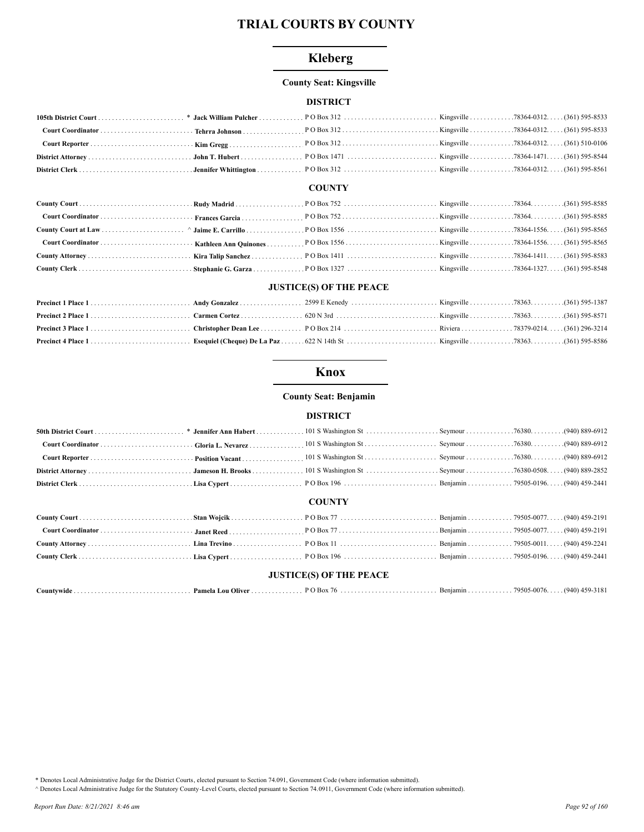# **Kleberg**

## **County Seat: Kingsville**

## **DISTRICT**

#### **COUNTY**

## **JUSTICE(S) OF THE PEACE**

# **Knox**

#### **County Seat: Benjamin**

## **DISTRICT**

|  | <b>COUNTY</b>                  |  |  |
|--|--------------------------------|--|--|
|  |                                |  |  |
|  |                                |  |  |
|  |                                |  |  |
|  |                                |  |  |
|  |                                |  |  |
|  | <b>JUSTICE(S) OF THE PEACE</b> |  |  |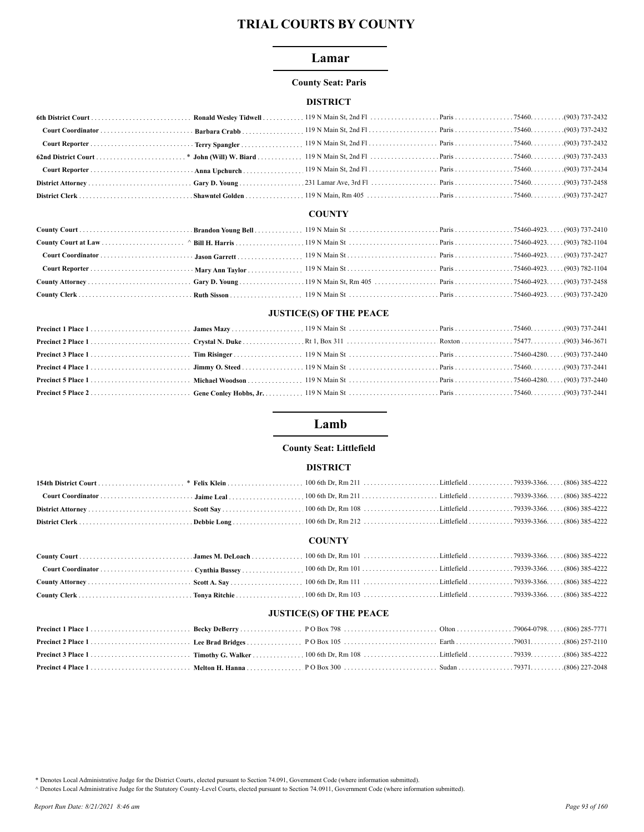## Lamar

#### **County Seat: Paris**

## **DISTRICT**

# **COUNTY**

# **JUSTICE(S) OF THE PEACE**

# Lamb

#### **County Seat: Littlefield**

#### **DISTRICT**

#### **COUNTY**

# **JUSTICE(S) OF THE PEACE**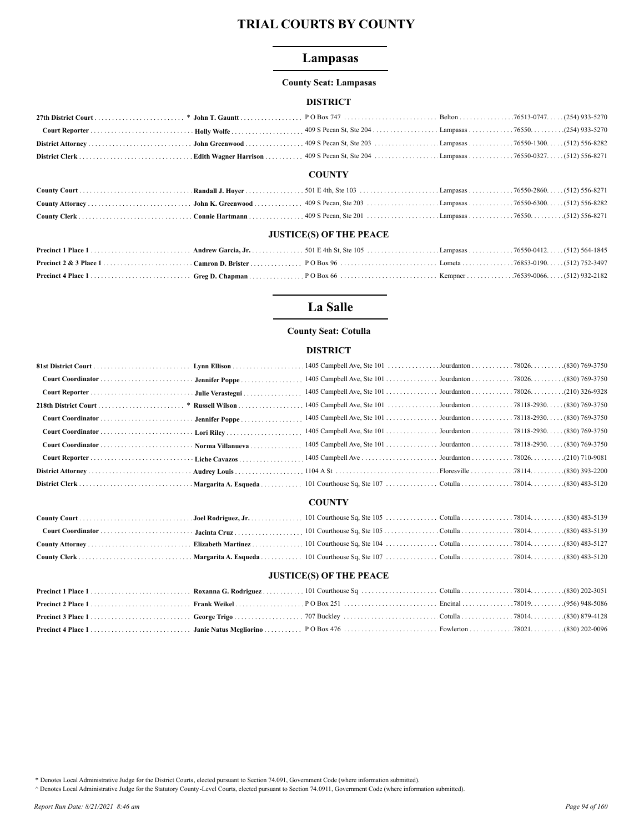# Lampasas

#### **County Seat: Lampasas**

### **DISTRICT**

|                         |  | <b>COUNTY</b> |  |  |  |  |
|-------------------------|--|---------------|--|--|--|--|
|                         |  |               |  |  |  |  |
|                         |  |               |  |  |  |  |
|                         |  |               |  |  |  |  |
| HIGHLORGY OR THE BRIANS |  |               |  |  |  |  |

#### **JUSTICE(S) OF THE PEACE**

# La Salle

#### **County Seat: Cotulla**

### **DISTRICT**

|                                     | * Russell Wilson | 1405 Campbell Ave, Ste 101 Jourdanton 78118-2930. (830) 769-3750 |  |  |
|-------------------------------------|------------------|------------------------------------------------------------------|--|--|
|                                     |                  | 1405 Campbell Ave, Ste 101 Jourdanton 78118-2930. (830) 769-3750 |  |  |
|                                     |                  | 1405 Campbell Ave, Ste 101 Jourdanton 78118-2930. (830) 769-3750 |  |  |
| Court Coordinator  Norma Villanueva |                  | 1405 Campbell Ave, Ste 101 Jourdanton 78118-2930. (830) 769-3750 |  |  |
|                                     |                  |                                                                  |  |  |
|                                     |                  |                                                                  |  |  |
|                                     |                  |                                                                  |  |  |
|                                     |                  | <b>COUNTY</b>                                                    |  |  |
|                                     |                  |                                                                  |  |  |
|                                     |                  |                                                                  |  |  |

# **JUSTICE(S) OF THE PEACE**

\* Denotes Local Administrative Judge for the District Courts, elected pursuant to Section 74.091, Government Code (where information submitted).

A Denotes Local Administrative Judge for the Statutory County-Level Courts, elected pursuant to Section 74.0911, Government Code (where information submitted).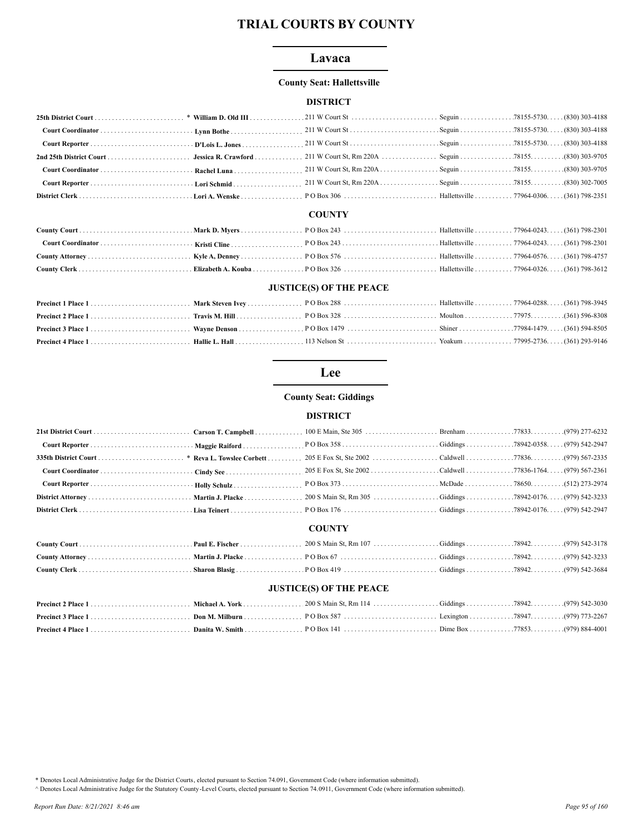## Lavaca

## **County Seat: Hallettsville**

## **DISTRICT**

# **COUNTY**

## **JUSTICE(S) OF THE PEACE**

# Lee

## **County Seat: Giddings**

#### **DISTRICT**

# **COUNTY**

## **JUSTICE(S) OF THE PEACE**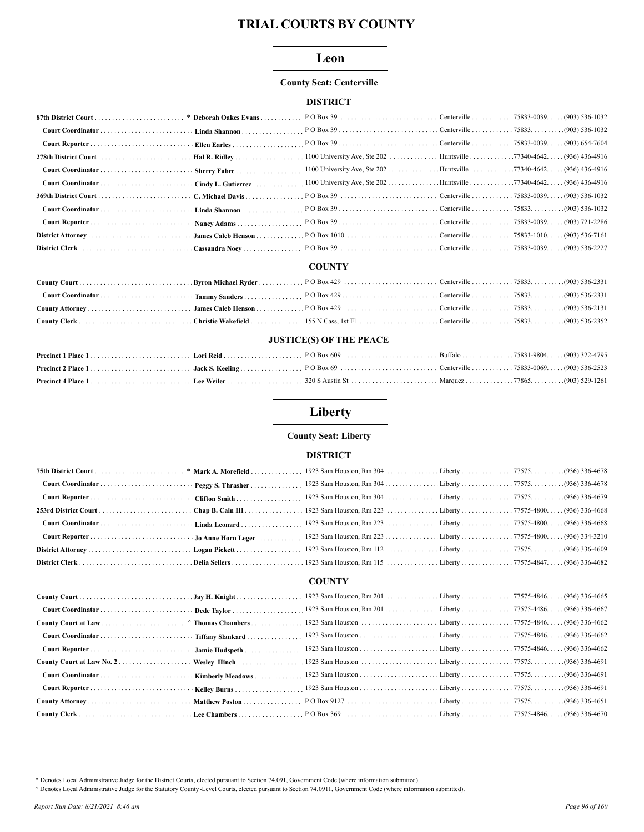## Leon

## **County Seat: Centerville**

## **DISTRICT**

## **COUNTY**

## **JUSTICE(S) OF THE PEACE**

# Liberty

## **County Seat: Liberty**

#### **DISTRICT**

# **COUNTY**

| Wesley Hinch |  |  |
|--------------|--|--|
|              |  |  |
|              |  |  |
|              |  |  |
|              |  |  |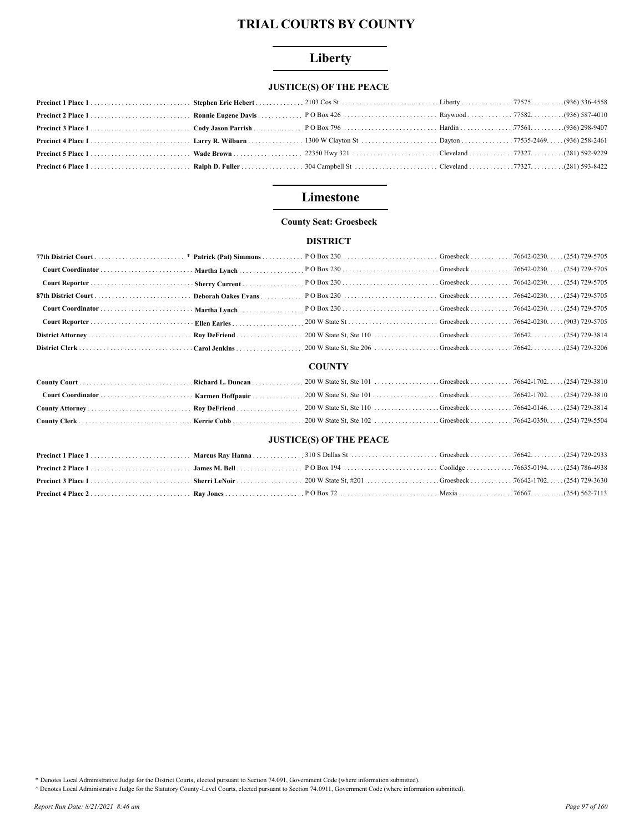# Liberty

# **JUSTICE(S) OF THE PEACE**

# Limestone

## **County Seat: Groesbeck**

# **DISTRICT**

#### **COUNTY**

## **JUSTICE(S) OF THE PEACE**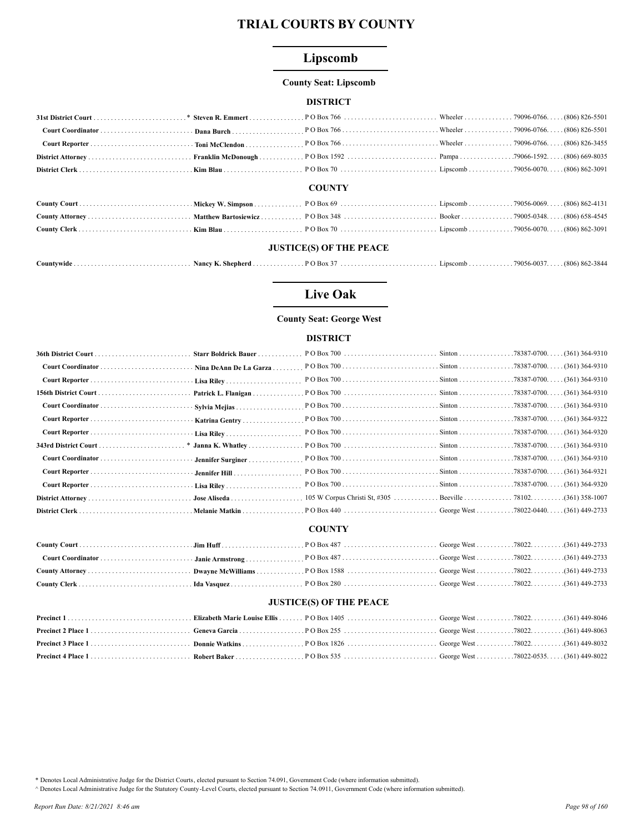# Lipscomb

## **County Seat: Lipscomb**

## **DISTRICT**

#### **COUNTY**

## **JUSTICE(S) OF THE PEACE**

| countywide | Nhenherd<br>Nancv | $\overline{O}$ Box. | LIDSCOMD -<br>. | 0037<br>79056.<br>(906) 962 2944<br>. 600 M 62-3844<br>- , , , , , , |  |
|------------|-------------------|---------------------|-----------------|----------------------------------------------------------------------|--|
|------------|-------------------|---------------------|-----------------|----------------------------------------------------------------------|--|

# **Live Oak**

# **County Seat: George West**

## **DISTRICT**

|                      | Starr Boldrick Bauer |  |  |
|----------------------|----------------------|--|--|
|                      |                      |  |  |
|                      |                      |  |  |
| 156th District Court |                      |  |  |
|                      | Sylvia Mejias        |  |  |
|                      |                      |  |  |
|                      |                      |  |  |
|                      |                      |  |  |
|                      | - Jennifer Surginer  |  |  |
|                      |                      |  |  |
|                      |                      |  |  |
|                      |                      |  |  |
|                      |                      |  |  |

## **COUNTY**

## **JUSTICE(S) OF THE PEACE**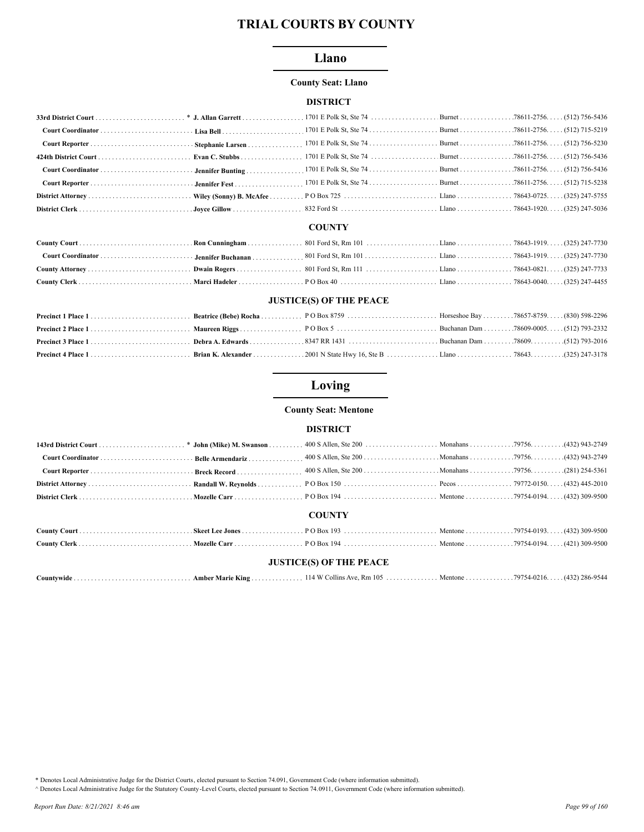## Llano

#### **County Seat: Llano**

#### **DISTRICT**

#### **COUNTY**

## **JUSTICE(S) OF THE PEACE**

# Loving

#### **County Seat: Mentone**

## **DISTRICT**

| (432) 943-2749 (432) 943-2749 (432) 943-2749 (432) 943-2749 (432) 943-2749 (432) 943-2749 (432) 943-2749 (432) 943-2749 (432) 943-2749 |  |  |  |  |
|----------------------------------------------------------------------------------------------------------------------------------------|--|--|--|--|
|                                                                                                                                        |  |  |  |  |
|                                                                                                                                        |  |  |  |  |
|                                                                                                                                        |  |  |  |  |
| <b>COUNTY</b>                                                                                                                          |  |  |  |  |
|                                                                                                                                        |  |  |  |  |
|                                                                                                                                        |  |  |  |  |

#### **JUSTICE(S) OF THE PEACE**

| . 114 W Collins Ave. Rm 105 Mentone 79754-0216.<br>$Countwide \dots \dots \dots \dots \dots \dots \dots \dots \dots \dots \dots \dots$<br>Amber Marie King | $\ldots$ (432) 286-9544 |
|------------------------------------------------------------------------------------------------------------------------------------------------------------|-------------------------|
|------------------------------------------------------------------------------------------------------------------------------------------------------------|-------------------------|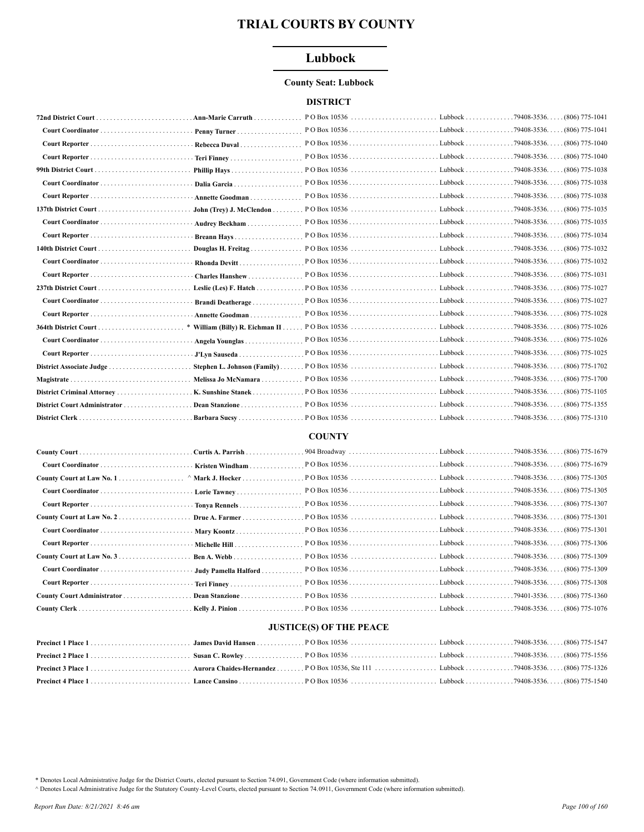# Lubbock

#### **County Seat: Lubbock**

## **DISTRICT**

|                      | . Ann-Marie Carruth         | $POBox 10536       $             | $Lubbock$                      | $.79408 - 3536.$<br>$(806)$ 775-1041   |
|----------------------|-----------------------------|----------------------------------|--------------------------------|----------------------------------------|
|                      | Penny Turner                | PO Box 10536                     | . Lubbock                      | $. .79408 - 3536.$<br>$(806)$ 775-1041 |
|                      | Rebecca Duval               | P O Box 10536Lubbock79408-3536   |                                | (806) 775-1040                         |
|                      |                             | $POBox 10536$ Lubbock            |                                | $.79408 - 3536$<br>$(806)$ 775-1040    |
|                      | Phillip Hays                |                                  |                                |                                        |
|                      |                             |                                  |                                | $(806)$ 775-1038                       |
|                      | Annette Goodman             |                                  |                                | (806) 775-1038                         |
|                      | John (Trey) J. McClendon    |                                  |                                | $(806)$ 775-1035                       |
|                      | Audrey Beckham              |                                  |                                | $(806)$ 775-1035                       |
|                      | Breann Hays                 |                                  |                                | (806) 775-1034                         |
|                      | Douglas H. Freitag          |                                  |                                | $(806)$ 775-1032                       |
|                      | Rhonda Devitt               |                                  |                                | $(806)$ 775-1032                       |
|                      | Charles Hanshew             |                                  | Lubbock 79408-3536.            | $(806)$ 775-1031                       |
|                      |                             | $PO Box 10536$                   | $Lubbock \ldots \ldots \ldots$ | $.79408 - 3536.$<br>$(806)$ 775-1027   |
|                      | <b>Brandi Deatherage</b>    |                                  |                                | $(806)$ 775-1027                       |
|                      | <b>Annette Goodman</b>      | $PO Box 10536$ Lubbock79408-3536 |                                | $(806)$ 775-1028                       |
| 364th District Court |                             |                                  |                                |                                        |
|                      | Angela Younglas             |                                  |                                |                                        |
|                      | J'Lyn Sauseda               |                                  |                                | $(806)$ 775-1025                       |
|                      | Stephen L. Johnson (Family) |                                  |                                | (806) 775-1702                         |
|                      | Melissa Jo McNamara         |                                  |                                | $(806)$ 775-1700                       |
|                      | K. Sunshine Stanek          |                                  |                                | $.79408 - 3536$<br>$(806)$ 775-1105    |
|                      | Dean Stanzione              |                                  |                                | $.79408 - 3536.$<br>(806) 775-1355     |
|                      |                             |                                  |                                |                                        |
|                      |                             |                                  |                                |                                        |

## **COUNTY**

|                    | .904 Broadway Lubbock 79408-3536(806) 775-1679 |  |
|--------------------|------------------------------------------------|--|
|                    |                                                |  |
|                    |                                                |  |
|                    |                                                |  |
|                    |                                                |  |
|                    |                                                |  |
|                    | PO Box 10536Lubbock79408-3536(806) 775-1301    |  |
|                    |                                                |  |
| <b>Ben A. Webb</b> |                                                |  |
|                    | PO Box 10536Lubbock79408-3536(806) 775-1309    |  |
|                    |                                                |  |
|                    |                                                |  |
|                    |                                                |  |

## **JUSTICE(S) OF THE PEACE**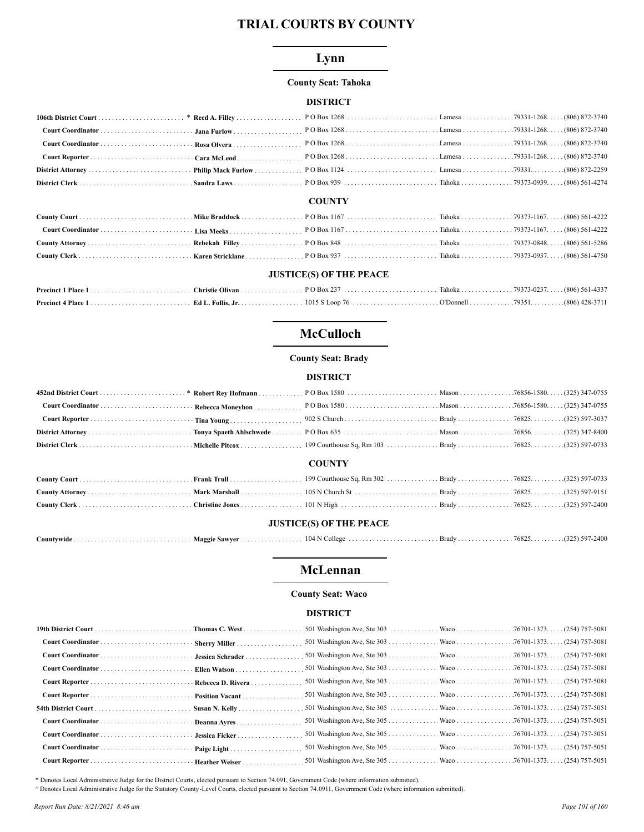# Lynn

## **County Seat: Tahoka**

## **DISTRICT**

### **COUNTY**

| <b>JUSTICE(S) OF THE PEACE</b> |  |  |  |  |  |
|--------------------------------|--|--|--|--|--|

# **McCulloch**

## **County Seat: Brady**

#### **DISTRICT**

|  | <b>COUNTY</b> |  |  |
|--|---------------|--|--|

## **JUSTICE(S) OF THE PEACE**

| Countywide | <b>Maggie Sawver</b> | $104 \,\mathrm{N} \,\mathrm{C}$ |  |  |  |
|------------|----------------------|---------------------------------|--|--|--|
|------------|----------------------|---------------------------------|--|--|--|

# **McLennan**

#### **County Seat: Waco**

## **DISTRICT**

| Susan N. Kelly |  |  |
|----------------|--|--|
|                |  |  |
|                |  |  |
|                |  |  |
|                |  |  |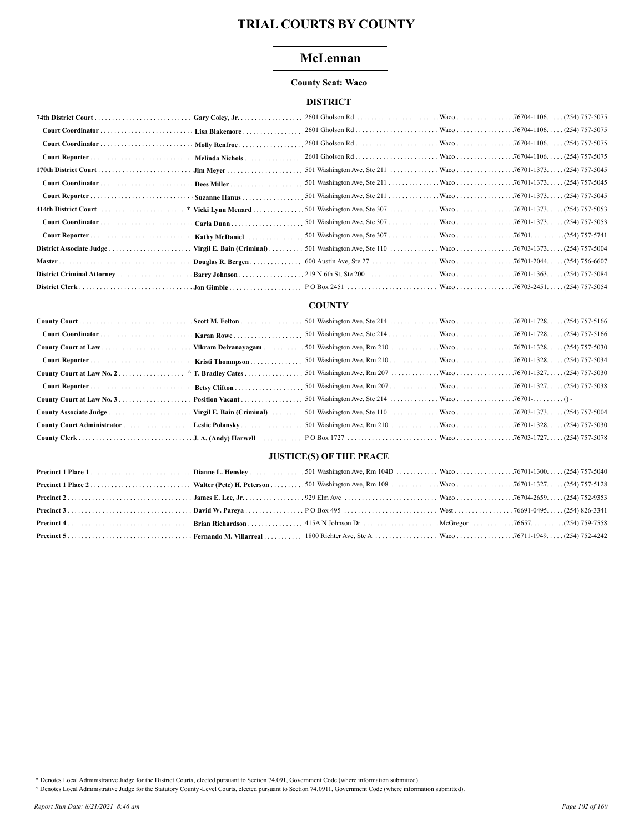# McLennan

#### **County Seat: Waco**

## **DISTRICT**

|                      | Gary Coley, Jr.                    |  |  |
|----------------------|------------------------------------|--|--|
|                      | Lisa Blakemore                     |  |  |
|                      | Molly Renfroe                      |  |  |
|                      | · · Melinda Nichols                |  |  |
|                      |                                    |  |  |
|                      |                                    |  |  |
|                      |                                    |  |  |
| 414th District Court | * Vicki Lynn Menard                |  |  |
|                      |                                    |  |  |
|                      | Kathy McDaniel                     |  |  |
|                      | Virgil E. Bain (Criminal) $\ldots$ |  |  |
|                      | Douglas R. Bergen                  |  |  |
|                      | Barry Johnson                      |  |  |
|                      |                                    |  |  |

#### **COUNTY**

# **JUSTICE(S) OF THE PEACE**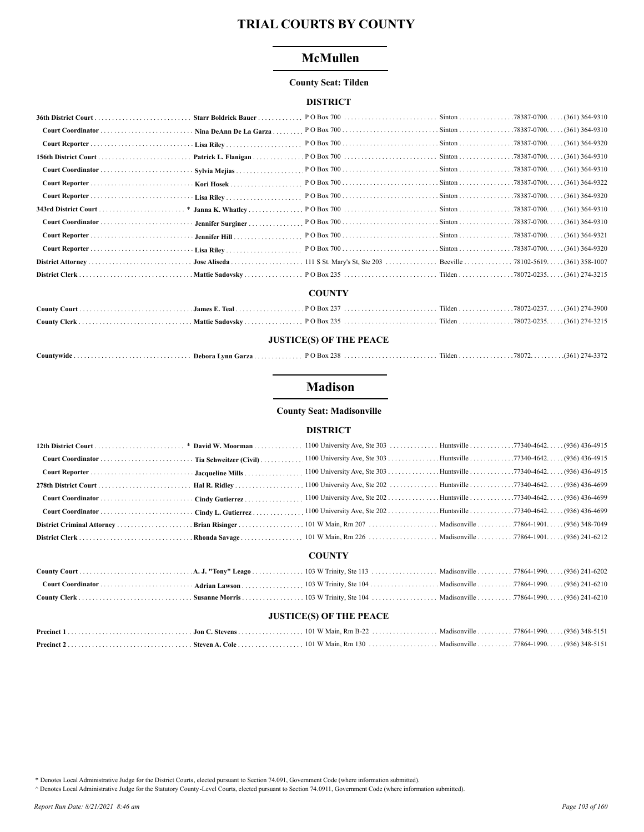# **McMullen**

#### **County Seat: Tilden**

## **DISTRICT**

| Starr Boldrick Bauer   |                                                                  |  |
|------------------------|------------------------------------------------------------------|--|
| Nina DeAnn De La Garza |                                                                  |  |
|                        |                                                                  |  |
| Patrick L. Flanigan    |                                                                  |  |
| Sylvia Mejias          |                                                                  |  |
|                        |                                                                  |  |
|                        |                                                                  |  |
|                        |                                                                  |  |
| Jennifer Surginer      |                                                                  |  |
|                        |                                                                  |  |
|                        |                                                                  |  |
|                        | 111 S St. Mary's St, Ste 203 Beeville 78102-5619. (361) 358-1007 |  |
| Mattie Sadovsky        |                                                                  |  |

## **COUNTY**

## **JUSTICE(S) OF THE PEACE**

| Countvwide. | - Debora Lynn Garza | 238<br>$\overline{P}$ O Box 2.36 |  | . Tilden 78072. 461) 274-337 | ے رہے۔ |
|-------------|---------------------|----------------------------------|--|------------------------------|--------|
|-------------|---------------------|----------------------------------|--|------------------------------|--------|

# **Madison**

## **County Seat: Madisonville**

#### **DISTRICT**

|  | <b>COUNTY</b> |  |
|--|---------------|--|

## **JUSTICE(S) OF THE PEACE**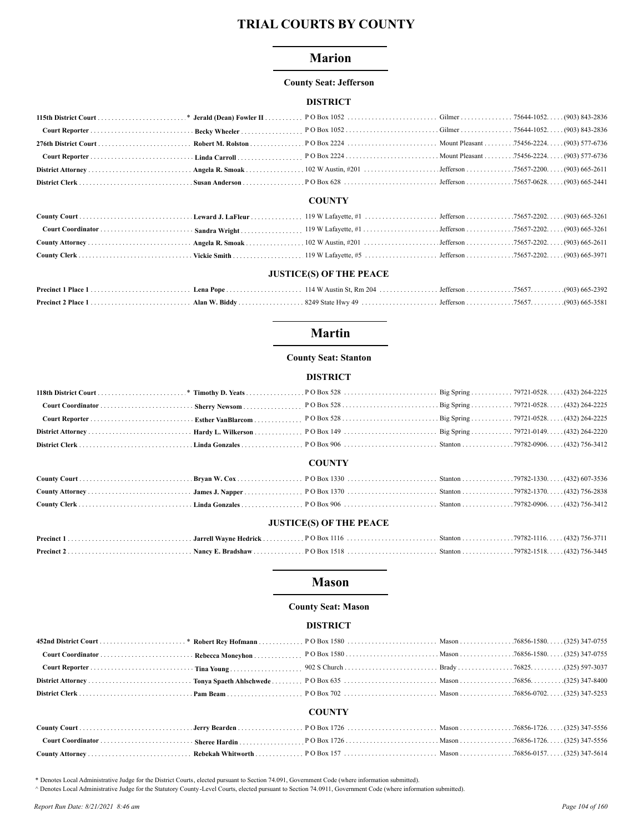## **Marion**

#### **County Seat: Jefferson**

### **DISTRICT**

### **COUNTY**

| <b>JUSTICE(S) OF THE PEACE</b> |  |  |  |  |  |
|--------------------------------|--|--|--|--|--|

## **Martin**

### **County Seat: Stanton**

#### **DISTRICT**

## **COUNTY**

| <b>JUSTICE(S) OF THE PEACE</b> |  |  |  |  |  |
|--------------------------------|--|--|--|--|--|

# **Mason**

### **County Seat: Mason**

### **DISTRICT**

|  | <b>COUNTY</b> |  |
|--|---------------|--|
|  |               |  |
|  |               |  |

\* Denotes Local Administrative Judge for the District Courts, elected pursuant to Section 74.091, Government Code (where information submitted).

A Denotes Local Administrative Judge for the Statutory County -Level Courts, elected pursuant to Section 74.0911, Government Code (where information submitted).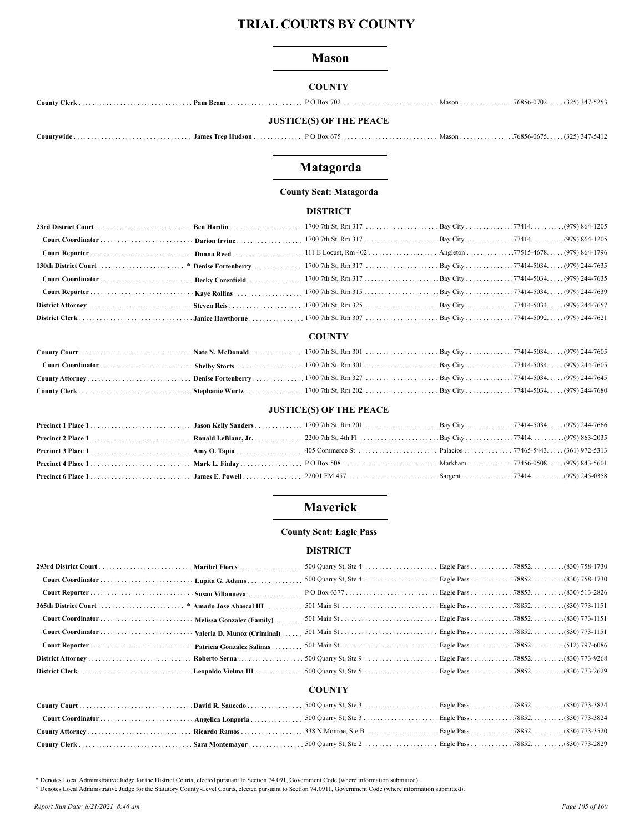## **Mason**

## **COUNTY**

|  | <b>JUSTICE(S) OF THE PEACE</b> |  |  |
|--|--------------------------------|--|--|

|--|--|--|--|--|--|

# Matagorda

## **County Seat: Matagorda**

## **DISTRICT**

## **COUNTY**

## **JUSTICE(S) OF THE PEACE**

# **Maverick**

# **County Seat: Eagle Pass**

### **DISTRICT**

# **COUNTY**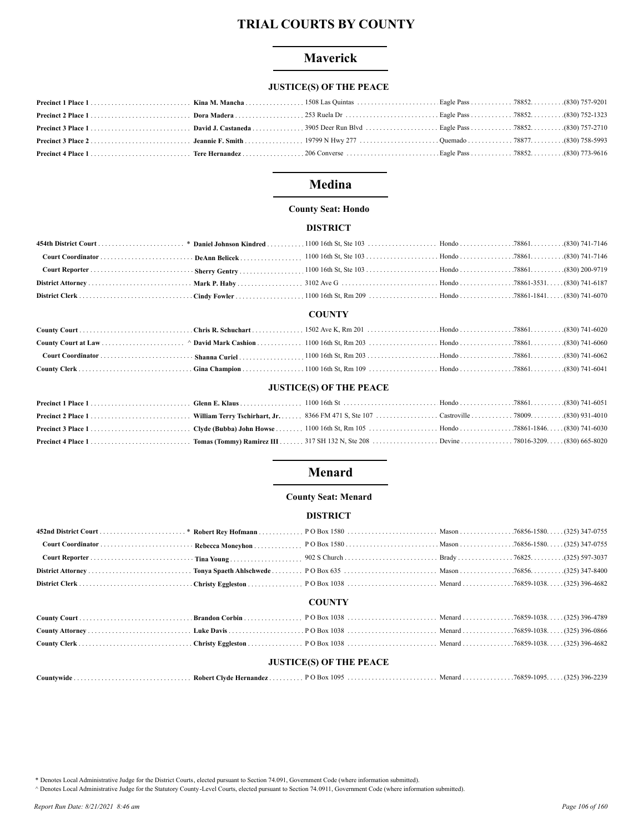# **Maverick**

# **JUSTICE(S) OF THE PEACE**

# **Medina**

#### **County Seat: Hondo**

#### **DISTRICT**

#### **COUNTY**

### **JUSTICE(S) OF THE PEACE**

# **Menard**

#### **County Seat: Menard**

#### **DISTRICT**

|                                |  | <b>COUNTY</b> |  |  |  |
|--------------------------------|--|---------------|--|--|--|
|                                |  |               |  |  |  |
|                                |  |               |  |  |  |
|                                |  |               |  |  |  |
| <b>JUSTICE(S) OF THE PEACE</b> |  |               |  |  |  |
|                                |  |               |  |  |  |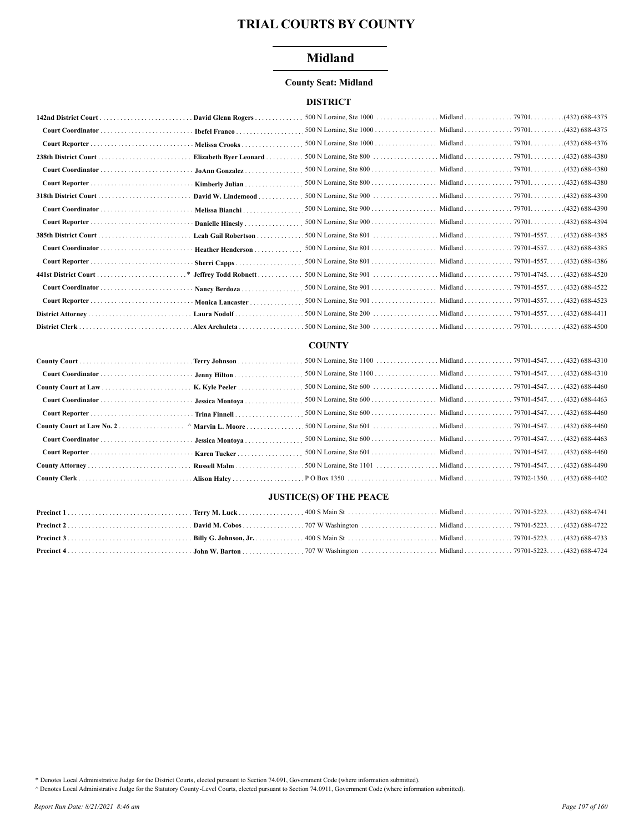# **Midland**

## **County Seat: Midland**

## **DISTRICT**

| 142nd District Court | David Glenn Rogers                                    |  |  |
|----------------------|-------------------------------------------------------|--|--|
|                      | <b>Ibefel Franco</b>                                  |  |  |
|                      | Melissa Crooks                                        |  |  |
|                      | Elizabeth Byer Leonard                                |  |  |
|                      | JoAnn Gonzalez                                        |  |  |
|                      | Kimberly Julian                                       |  |  |
| 318th District Court | David W. Lindemood                                    |  |  |
|                      | Melissa Bianchi                                       |  |  |
|                      | Danielle Hinesly                                      |  |  |
|                      | Leah Gail Robertson                                   |  |  |
|                      | <b>Heather Henderson</b>                              |  |  |
|                      | Sherri Capps                                          |  |  |
|                      |                                                       |  |  |
|                      | Nancy Berdoza                                         |  |  |
|                      | Monica Lancaster                                      |  |  |
|                      | Laura Nodolf                                          |  |  |
|                      | $Alex$ Archuleta $\ldots \ldots \ldots \ldots \ldots$ |  |  |

### **COUNTY**

| Russell Malm |  |  |
|--------------|--|--|
|              |  |  |

# **JUSTICE(S) OF THE PEACE**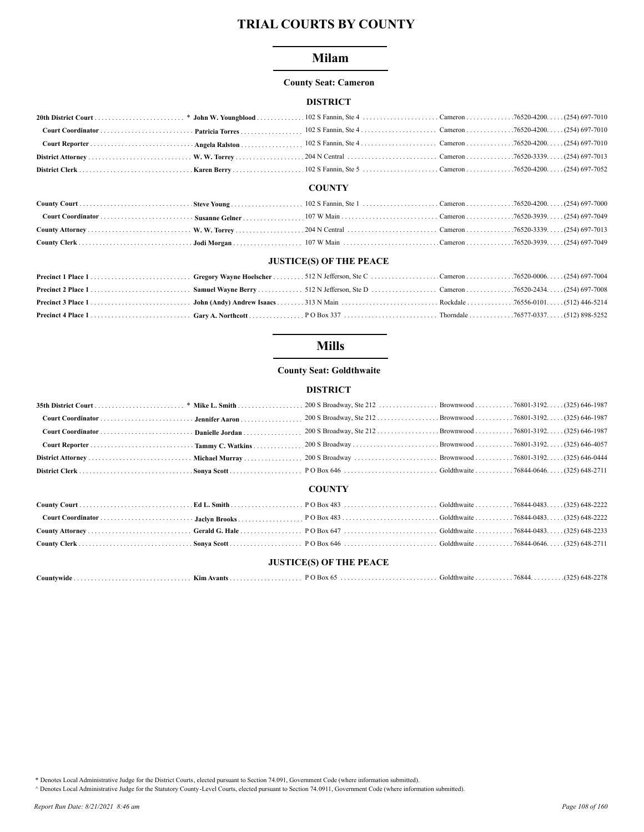# **Milam**

#### **County Seat: Cameron**

## **DISTRICT**

#### **COUNTY**

#### **JUSTICE(S) OF THE PEACE**

# **Mills**

## **County Seat: Goldthwaite**

## **DISTRICT**

|                                |  | 200 S Broadway, Ste 212 Brownwood 76801-3192. (325) 646-1987 |  |  |  |
|--------------------------------|--|--------------------------------------------------------------|--|--|--|
|                                |  | 200 S Broadway, Ste 212 Brownwood 76801-3192. (325) 646-1987 |  |  |  |
|                                |  |                                                              |  |  |  |
|                                |  |                                                              |  |  |  |
|                                |  |                                                              |  |  |  |
| <b>COUNTY</b>                  |  |                                                              |  |  |  |
|                                |  |                                                              |  |  |  |
|                                |  |                                                              |  |  |  |
|                                |  |                                                              |  |  |  |
|                                |  |                                                              |  |  |  |
| <b>JUSTICE(S) OF THE PEACE</b> |  |                                                              |  |  |  |

| Countvwide. | Kim Avants<br>. |  | Goldthwaite | 76844 | $(225)$ 648-44 |
|-------------|-----------------|--|-------------|-------|----------------|
|-------------|-----------------|--|-------------|-------|----------------|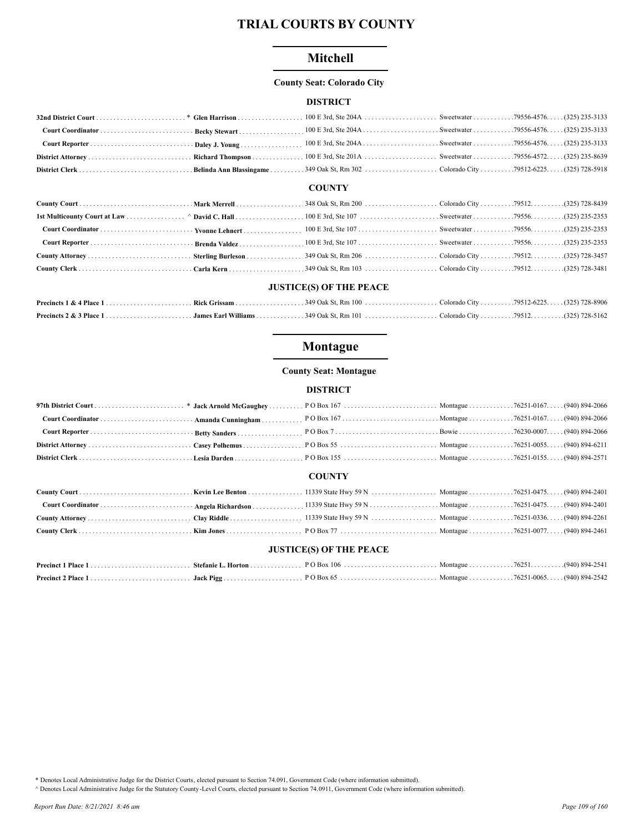## Mitchell

#### **County Seat: Colorado City**

#### **DISTRICT**

#### **COUNTY**

#### **JUSTICE(S) OF THE PEACE**

## Montague

#### **County Seat: Montague**

### **DISTRICT**

#### **COUNTY**

## **JUSTICE(S) OF THE PEACE**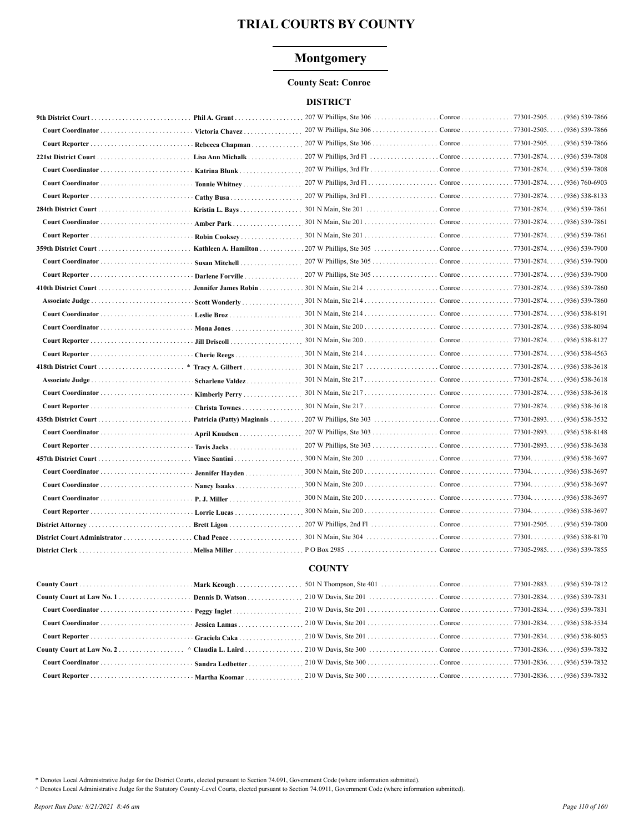### **Montgomery**

#### **County Seat: Conroe**

#### **DISTRICT**

|                      | Phil A. Grant             | $207$ W Phillips, Ste 306                                          | Conroe 77301-2505.   | (936) 539-7866                    |
|----------------------|---------------------------|--------------------------------------------------------------------|----------------------|-----------------------------------|
|                      | Victoria Chavez           |                                                                    |                      | (936) 539-7866                    |
|                      | Rebecca Chapman           |                                                                    |                      | $(936)$ 539-7866                  |
|                      | Lisa Ann Michalk          |                                                                    |                      | (936) 539-7808                    |
|                      | Katrina Blunk             |                                                                    |                      | (936) 539-7808                    |
|                      | Tonnie Whitney            |                                                                    |                      | (936) 760-6903                    |
|                      |                           |                                                                    | Conroe 77301-2874.   | . (936) 538-8133                  |
| 284th District Court | Kristin L. Bays           |                                                                    |                      | . (936) 539-7861                  |
|                      | Amber Park                |                                                                    | Conroe 77301-2874.   | . (936) 539-7861                  |
|                      | Robin Cooksey             |                                                                    |                      |                                   |
|                      |                           |                                                                    |                      |                                   |
|                      | Susan Mitchell            |                                                                    |                      |                                   |
|                      | Darlene Forville          | 207 W Phillips, Ste 305                                            | Conroe 77301-2874. . | (936) 539-7900                    |
|                      | Jennifer James Robin      |                                                                    |                      | (936) 539-7860                    |
|                      | Scott Wonderly            |                                                                    | Conroe 77301-2874. . | . (936) 539-7860                  |
|                      |                           |                                                                    | Conroe 77301-2874.   | $(936)$ 538-8191                  |
|                      |                           |                                                                    | Conroe 77301-2874.   | (936) 538-8094                    |
|                      |                           |                                                                    |                      | . (936) 538-8127                  |
|                      |                           |                                                                    |                      | . (936) 538-4563                  |
|                      | Tracy A. Gilbert          |                                                                    |                      | (936) 538-3618                    |
| Associate Judge      | Scharlene Valdez          |                                                                    |                      | $(936)$ 538-3618                  |
|                      | Kimberly Perry            |                                                                    |                      | $(936)$ 538-3618                  |
|                      | Christa Townes            |                                                                    | Conroe 77301-2874. . | $(936) 538 - 3618$                |
|                      | Patricia (Patty) Maginnis |                                                                    |                      | (936) 538-3532                    |
|                      | April Knudsen             |                                                                    |                      | $(936) 538 - 8148$                |
|                      | Tavis Jacks               |                                                                    |                      | $(936) 538 - 3638$                |
|                      |                           |                                                                    |                      | .(936) 538-3697                   |
|                      | Jennifer Hayden           | $300 \text{ N}$ Main, Ste $200 \ldots \ldots \ldots \ldots \ldots$ | Conroe 77304.        | .(936) 538-3697                   |
|                      | Nancy Isaaks              | $300 \text{ N}$ Main, Ste $200 \ldots \ldots \ldots \ldots \ldots$ | Conroe 77304.        | .(936) 538-3697                   |
|                      | P. J. Miller              | $300 \text{ N}$ Main, Ste $200 \ldots \ldots \ldots \ldots \ldots$ | Conroe 77304.        | .(936) 538-3697                   |
|                      | Lorrie Lucas              | $300$ N Main, Ste $200$                                            | Conroe 77304.        | .(936) 538-3697                   |
|                      |                           | $207$ W Phillips, 2nd Fl                                           |                      | Conroe 77301-2505. (936) 539-7800 |
|                      |                           | 301 N Main, Ste 304                                                | Conroe 77301.        | (936) 538-8170                    |
|                      | . Melisa Miller           | $PO Box 2985$                                                      |                      | Conroe 77305-2985. (936) 539-7855 |
|                      |                           | <b>COUNTY</b>                                                      |                      |                                   |

## 

\* Denotes Local Administrative Judge for the District Courts, elected pursuant to Section 74.091, Government Code (where information submitted).

^ Denotes Local Administrative Judge for the Statutory County-Level Courts, elected pursuant to Section 74.0911, Government Code (where information submitted).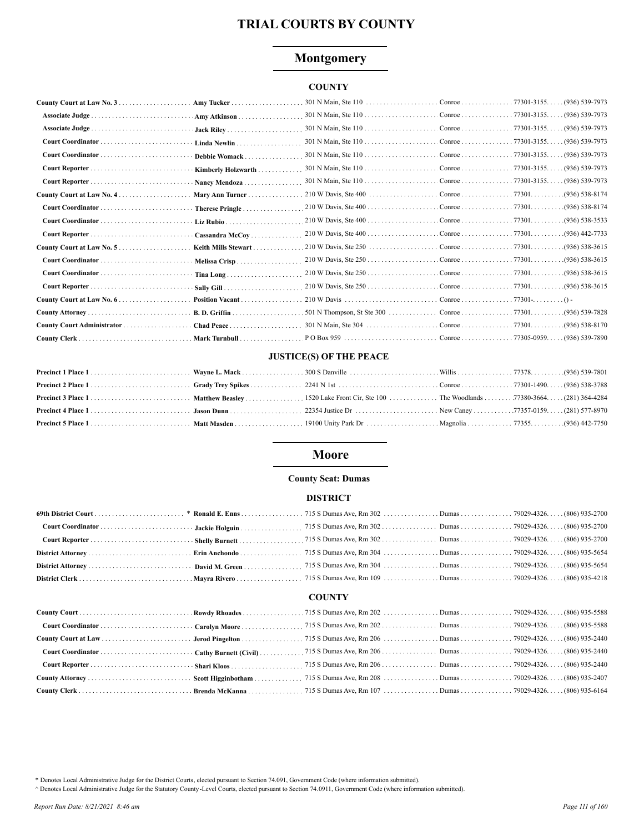## **Montgomery**

## **COUNTY**

|                 | Amy Tucker          |  |                 |
|-----------------|---------------------|--|-----------------|
|                 | Amy Atkinson        |  |                 |
| Associate Judge |                     |  |                 |
|                 | Linda Newlin        |  |                 |
|                 | Debbie Womack       |  |                 |
|                 | Kimberly Holzwarth  |  |                 |
|                 | Nancy Mendoza       |  |                 |
|                 | Mary Ann Turner     |  |                 |
|                 | Therese Pringle     |  |                 |
|                 |                     |  |                 |
|                 | Cassandra McCov     |  |                 |
|                 | Keith Mills Stewart |  |                 |
|                 | Melissa Crisp       |  |                 |
|                 | $T$ ina Long        |  |                 |
|                 |                     |  |                 |
|                 | Position Vacant     |  |                 |
|                 |                     |  | .(936) 539-7828 |
|                 |                     |  |                 |
|                 |                     |  |                 |

## **JUSTICE(S) OF THE PEACE**

## **Moore**

#### **County Seat: Dumas**

#### **DISTRICT**

## **COUNTY**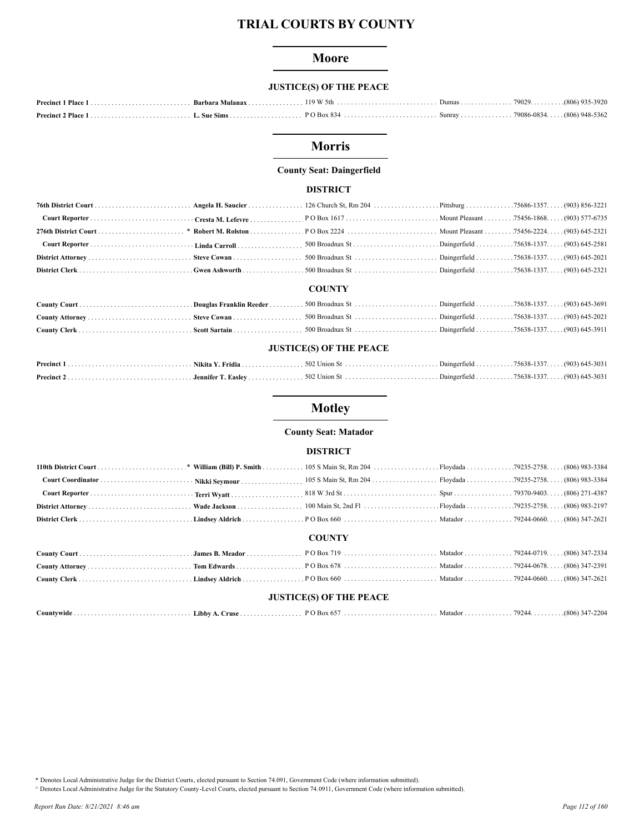### **Moore**

## **JUSTICE(S) OF THE PEACE**

## **Morris**

#### **County Seat: Daingerfield**

#### **DISTRICT**

#### **COUNTY**

| <b>JUSTICE(S) OF THE PEACE</b> |  |  |  |  |  |
|--------------------------------|--|--|--|--|--|
|                                |  |  |  |  |  |
|                                |  |  |  |  |  |

## **Motley**

#### **County Seat: Matador**

#### **DISTRICT**

## **COUNTY**

#### **JUSTICE(S) OF THE PEACE**

|--|--|--|--|--|--|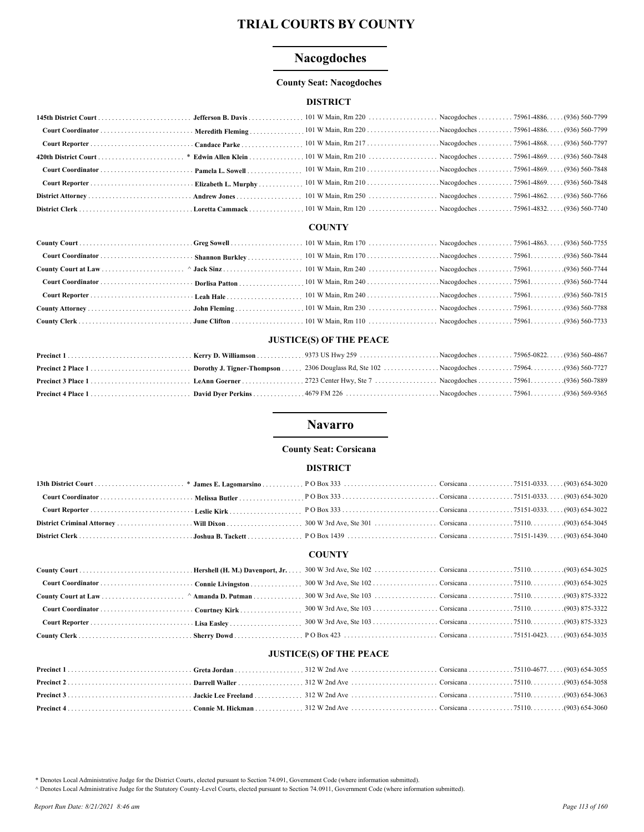## **Nacogdoches**

#### **County Seat: Nacogdoches**

#### **DISTRICT**

#### **COUNTY**

#### **JUSTICE(S) OF THE PEACE**

## **Navarro**

#### **County Seat: Corsicana**

#### **DISTRICT**

## **COUNTY**

## **JUSTICE(S) OF THE PEACE**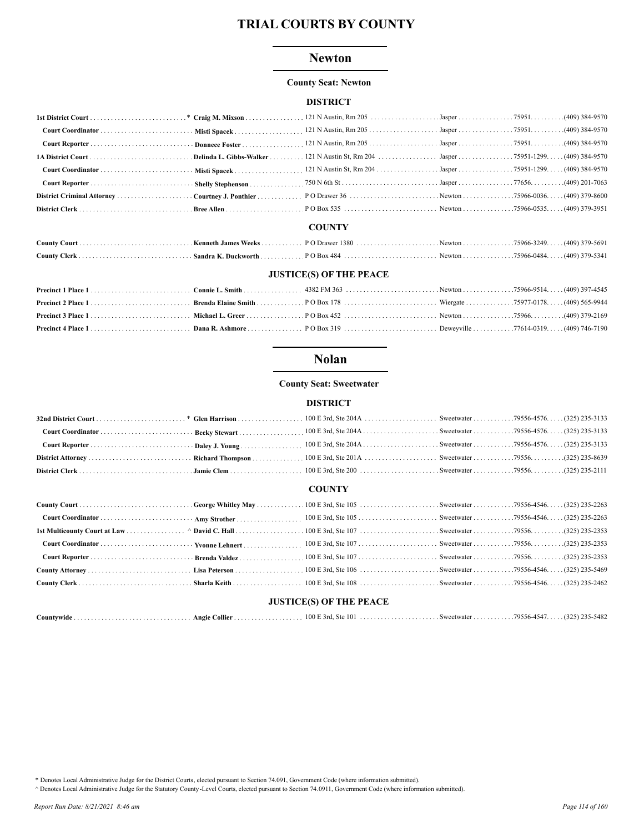## **Newton**

#### **County Seat: Newton**

#### **DISTRICT**

#### **COUNTY**

## **JUSTICE(S) OF THE PEACE**

## **Nolan**

#### **County Seat: Sweetwater**

#### **DISTRICT**

#### **COUNTY**

| <b>JUSTICE(S) OF THE PEACE</b> |  |  |  |  |  |  |  |
|--------------------------------|--|--|--|--|--|--|--|

| Countvwide |  | <b>Angie Collier</b> | 100 F<br><b>Ste</b><br>3rd | . Sweetwater | ACAA<br>79556-454 | 235-5482<br>າງຕະ |
|------------|--|----------------------|----------------------------|--------------|-------------------|------------------|
|            |  |                      |                            |              |                   |                  |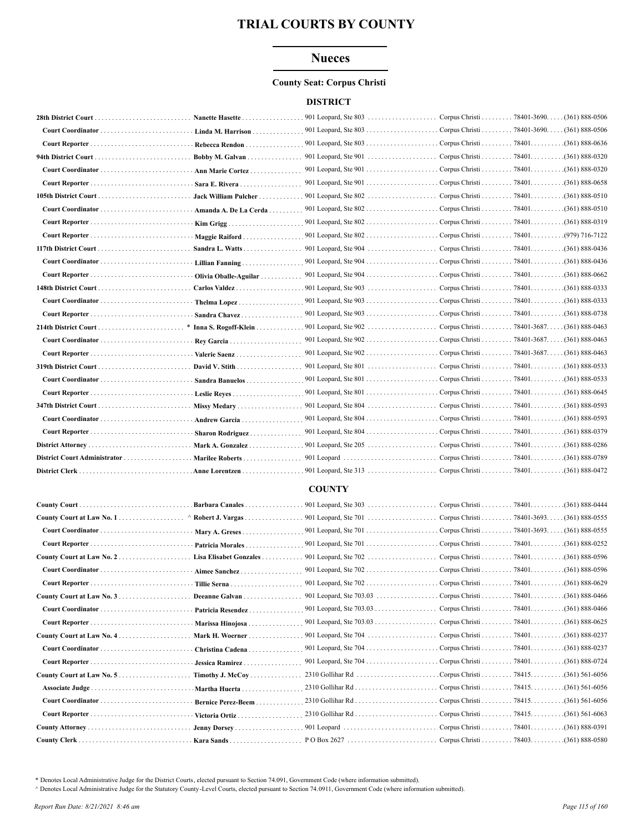## **Nueces**

#### **County Seat: Corpus Christi**

#### **DISTRICT**

|                              | Nanette Hasette        | 901 Leopard, Ste $803$        | Corpus Christi               | $.78401 - 3690.$<br>$. (361) 888 - 0506$    |
|------------------------------|------------------------|-------------------------------|------------------------------|---------------------------------------------|
|                              | Linda M. Harrison      | 901 Leopard, Ste $803$        | Corpus Christi 78401-3690.   | $(361) 888 - 0506$                          |
|                              | Rebecca Rendon         |                               |                              | $(361) 888 - 0636$                          |
|                              | Bobby M. Galvan        | 901 Leopard, Ste 901          | Corpus Christi 78401.        | $(361) 888 - 0320$                          |
|                              | Ann Marie Cortez       |                               |                              | $(361) 888 - 0320$                          |
|                              | Sara E. Rivera         | 901 Leopard, Ste $901$        | . Corpus Christi 78401.      | $(361) 888 - 0658$                          |
|                              | Jack William Pulcher   | 901 Leopard, Ste 802          | Corpus Christi 78401.        | $(361) 888 - 0510$                          |
|                              | Amanda A. De La Cerda  |                               |                              | $(361) 888 - 0510$                          |
|                              |                        | 901 Leopard, Ste 802          | Corpus Christi 78401.        | $(361) 888 - 0319$                          |
|                              | Maggie Raiford         |                               | Corpus Christi  78401        | .(979) 716-7122                             |
|                              | Sandra L. Watts        | 901 Leopard, Ste 904          | Corpus Christi 78401.        | $(361) 888 - 0436$                          |
|                              | Lillian Fanning        | 901 Leopard, Ste 904          | Corpus Christi 78401.        | $(361) 888 - 0436$                          |
|                              | Olivia Oballe-Aguilar  | 901 Leopard, Ste 904          | Corpus Christi 78401.        | $(361) 888 - 0662$                          |
|                              | Carlos Valdez          | 901 Leopard, Ste 903 $\ldots$ | Corpus Christi 78401.        | .(361) 888-0333                             |
|                              | Thelma Lopez           | 901 Leopard, Ste 903          | Corpus Christi 78401.        | .(361) 888-0333                             |
|                              | Sandra Chavez          |                               | Corpus Christi 78401.        | $(361) 888 - 0738$                          |
|                              | * Inna S. Rogoff-Klein | 901 Leopard, Ste 902          | Corpus Christi 78401-3687. . | $(361) 888 - 0463$                          |
|                              | Rey Garcia             |                               |                              | $(361) 888 - 0463$                          |
|                              | Valerie Saenz          | 901 Leopard, Ste 902          |                              | . Corpus Christi 78401-3687. (361) 888-0463 |
|                              | David V. Stith         | 901 Leopard, Ste $801$        | Corpus Christi 78401.        | $(361) 888 - 0533$                          |
|                              | Sandra Banuelos        |                               |                              | $(361) 888 - 0533$                          |
|                              | Leslie Reves           |                               |                              | $(361) 888 - 0645$                          |
|                              | Missy Medary           | 901 Leopard, Ste $804$        | Corpus Christi 78401.        | $(361) 888 - 0593$                          |
|                              | Andrew Garcia          |                               | Corpus Christi 78401.        | $(361) 888 - 0593$                          |
|                              | Sharon Rodriguez       |                               |                              | $(361) 888 - 0379$                          |
|                              | Mark A. Gonzalez       |                               | Corpus Christi 78401.        | $(361) 888 - 0286$                          |
| District Court Administrator | Marilee Roberts        | 901 Leopard                   | Corpus Christi 78401.        | $(361) 888 - 0789$                          |
|                              | Anne Lorentzen         |                               | Corpus Christi 78401.        | $(361) 888 - 0472$                          |

#### **COUNTY**

|                 | Barbara Canales           | 901 Leopard, Ste 303 $\ldots$                                  | Corpus Christi 78401.                     | $(361) 888 - 0444$ |
|-----------------|---------------------------|----------------------------------------------------------------|-------------------------------------------|--------------------|
|                 | $\land$ Robert J. Vargas  | 901 Leopard, Ste $701$                                         | Corpus Christi 78401-3693. (361) 888-0555 |                    |
|                 | Mary A. Greses            |                                                                | Corpus Christi 78401-3693. (361) 888-0555 |                    |
|                 | Patricia Morales.         | 901 Leopard, Ste 701                                           | Corpus Christi 78401.                     | $(361) 888 - 0252$ |
|                 | Lisa Elisabet Gonzales    |                                                                | Corpus Christi 78401.                     | .(361) 888-0596    |
|                 | Aimee Sanchez             | 901 Leopard, Ste $702$                                         | Corpus Christi 78401.                     | $(361) 888 - 0596$ |
|                 |                           |                                                                | Corpus Christi 78401.                     | $(361) 888 - 0629$ |
|                 | Deeanne Galvan            | 901 Leopard, Ste 703.03                                        | Corpus Christi 78401.                     | $(361) 888 - 0466$ |
|                 | Patricia Resendez         | 901 Leopard, Ste $703.03$                                      | Corpus Christi 78401.                     | $(361) 888 - 0466$ |
|                 | Marissa Hinojosa.         | 901 Leopard, Ste 703.03                                        | Corpus Christi 78401.                     | $(361) 888 - 0625$ |
|                 | Mark H. Woerner           | 901 Leopard, Ste $704$                                         | Corpus Christi 78401.                     | $(361) 888 - 0237$ |
|                 | Christina Cadena.         | 901 Leopard, Ste $704$                                         | Corpus Christi 78401.                     | $(361) 888 - 0237$ |
|                 | <b>Jessica Ramirez.</b>   | 901 Leopard, Ste $704$                                         | Corpus Christi 78401.                     | $(361) 888 - 0724$ |
|                 | $Timothv$ J. McCov        | 2310 Gollihar Rd                                               | Corpus Christi 78415.                     | $(361)$ 561-6056   |
| Associate Judge | Martha Huerta             |                                                                | Corpus Christi 78415.                     | $(361)$ 561-6056   |
|                 | <b>Bernice Perez-Beem</b> |                                                                | Corpus Christi 78415.                     | $(361)$ 561-6056   |
|                 | Victoria Ortiz.           |                                                                |                                           |                    |
|                 | Jenny Dorsey              | 901 Leopard $\ldots \ldots \ldots \ldots \ldots \ldots \ldots$ | Corpus Christi 78401.                     | $(361) 888 - 0391$ |
|                 | Kara Sands                | $PO Box 2627        $                                          | Corpus Christi 78403.                     | $(361) 888 - 0580$ |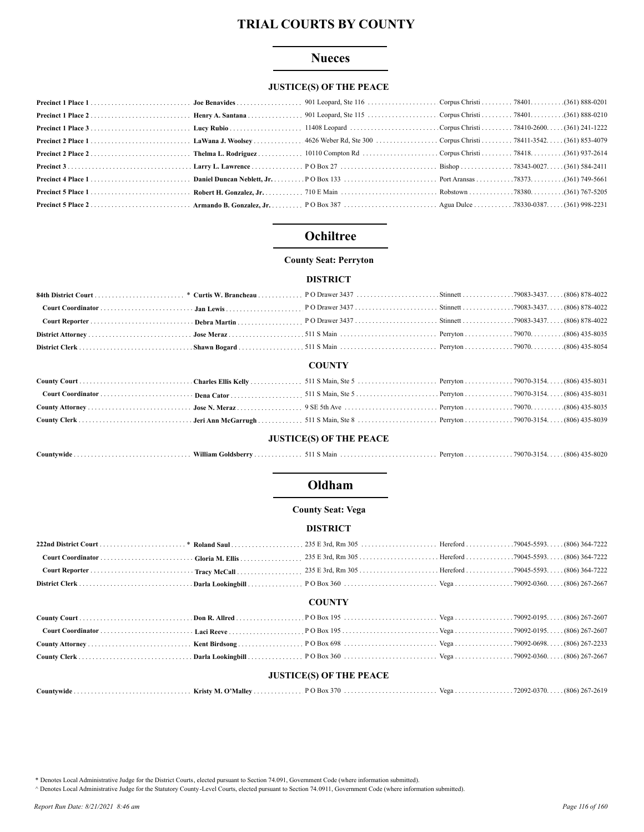### **Nueces**

## **JUSTICE(S) OF THE PEACE**

## Ochiltree

#### **County Seat: Perryton**

#### **DISTRICT**

| 806) 878-4022 (806) 878-4022 (806) 878-4022 (806) 878-4022 (806) 878-4022 (806) 878-4022 (806) 878-4022 (806) 878-4022 (806) 878-4022 (806) 878-4022 (806) 878-4022 (806) 878-4022 (806) 878-4022 (806) 878-4022 (806) 878-402 |  |  |  |
|--------------------------------------------------------------------------------------------------------------------------------------------------------------------------------------------------------------------------------|--|--|--|
|                                                                                                                                                                                                                                |  |  |  |
|                                                                                                                                                                                                                                |  |  |  |
|                                                                                                                                                                                                                                |  |  |  |
|                                                                                                                                                                                                                                |  |  |  |

#### **COUNTY**

#### **JUSTICE(S) OF THE PEACE**

| $Countwide \dots \dots \dots \dots \dots \dots \dots \dots \dots \dots \dots \dots$ | William Goldsberry |  |  |  | $(806)$ 435-8020 |
|-------------------------------------------------------------------------------------|--------------------|--|--|--|------------------|
|-------------------------------------------------------------------------------------|--------------------|--|--|--|------------------|

## Oldham

#### **County Seat: Vega**

#### **DISTRICT**

#### **COUNTY**

### **JUSTICE(S) OF THE PEACE**

\* Denotes Local Administrative Judge for the District Courts, elected pursuant to Section 74.091, Government Code (where information submitted).

A Denotes Local Administrative Judge for the Statutory County -Level Courts, elected pursuant to Section 74.0911, Government Code (where information submitted).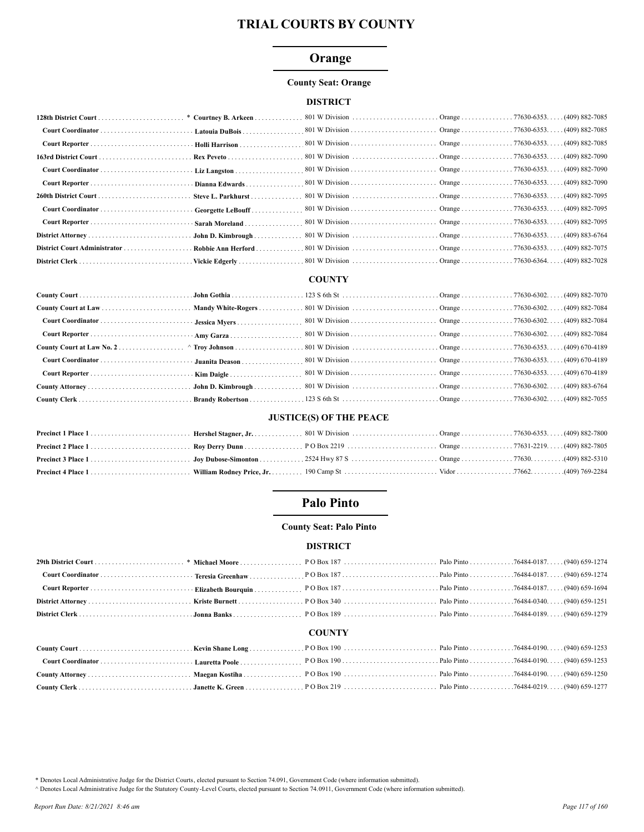## Orange

#### **County Seat: Orange**

## **DISTRICT**

| 163rd District Court |                    |  |  |
|----------------------|--------------------|--|--|
|                      |                    |  |  |
|                      |                    |  |  |
|                      | Steve L. Parkhurst |  |  |
|                      |                    |  |  |
|                      |                    |  |  |
|                      |                    |  |  |
|                      | Robbie Ann Herford |  |  |
|                      |                    |  |  |

#### **COUNTY**

### **JUSTICE(S) OF THE PEACE**

## **Palo Pinto**

## **County Seat: Palo Pinto**

#### **DISTRICT**

#### **COUNTY**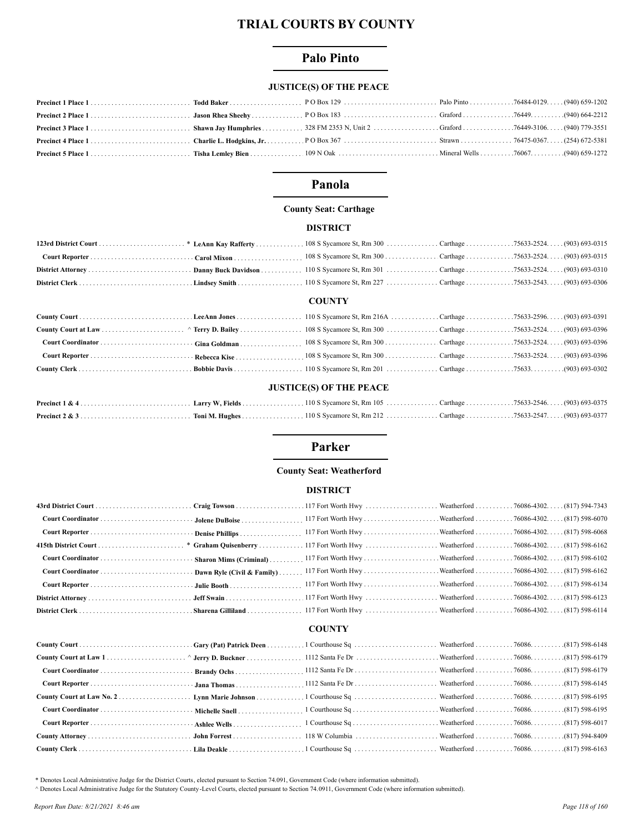## **Palo Pinto**

## **JUSTICE(S) OF THE PEACE**

## Panola

#### **County Seat: Carthage**

#### **DISTRICT**

### **COUNTY**

## **JUSTICE(S) OF THE PEACE**

## Parker

## **County Seat: Weatherford**

#### **DISTRICT**

## **COUNTY**

| (817) 598-6148. The Unit of Court Court Court Court Court Court Court Court Court Court Court Court Court Court Court Court Court Court Court Court Court Court Court Court Court Court Court Court Court Court Court Court Co |  |  |  |
|--------------------------------------------------------------------------------------------------------------------------------------------------------------------------------------------------------------------------------|--|--|--|
|                                                                                                                                                                                                                                |  |  |  |
|                                                                                                                                                                                                                                |  |  |  |
|                                                                                                                                                                                                                                |  |  |  |
|                                                                                                                                                                                                                                |  |  |  |
|                                                                                                                                                                                                                                |  |  |  |
|                                                                                                                                                                                                                                |  |  |  |
|                                                                                                                                                                                                                                |  |  |  |
|                                                                                                                                                                                                                                |  |  |  |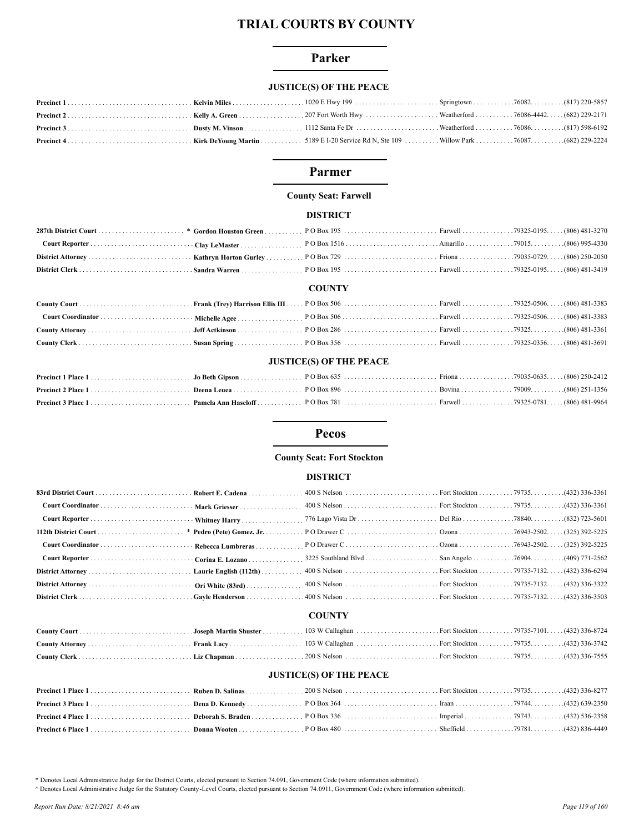### Parker

## **JUSTICE(S) OF THE PEACE**

## Parmer

#### **County Seat: Farwell**

## **DISTRICT**

#### **COUNTY**

#### **JUSTICE(S) OF THE PEACE**

## **Pecos**

#### **County Seat: Fort Stockton**

#### **DISTRICT**

## **COUNTY**

## **JUSTICE(S) OF THE PEACE**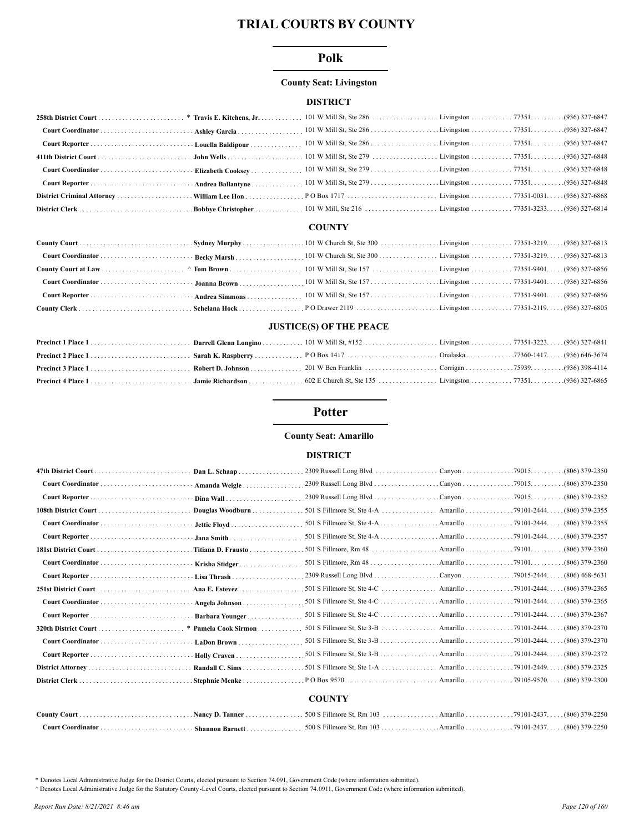### Polk

#### **County Seat: Livingston**

### **DISTRICT**

#### **COUNTY**

#### **JUSTICE(S) OF THE PEACE**

## **Potter**

#### **County Seat: Amarillo**

#### **DISTRICT**

| Dan L. Schaap      |                                                                |                      |                                       |
|--------------------|----------------------------------------------------------------|----------------------|---------------------------------------|
| Amanda Weigle      |                                                                |                      |                                       |
| Dina Wall          |                                                                |                      |                                       |
| Douglas Woodburn   |                                                                |                      |                                       |
|                    |                                                                |                      |                                       |
|                    |                                                                |                      |                                       |
| Titiana D. Frausto |                                                                |                      | (806) 379-2360                        |
| Krisha Stidger     |                                                                |                      | . (806) 379-2360                      |
|                    |                                                                |                      |                                       |
|                    |                                                                |                      | Amarillo 79101-2444. (806) 379-2365   |
| Angela Johnson     | 501 S Fillmore St, Ste $4-C$                                   |                      | . Amarillo 79101-2444. (806) 379-2365 |
| Barbara Younger    | 501 S Fillmore St, Ste 4-C Amarillo 79101-2444.                |                      | $(806)$ 379-2367                      |
|                    | 501 S Fillmore St, Ste $3-B$                                   | Amarillo 79101-2444. | $(806)$ 379-2370                      |
| . LaDon Brown      |                                                                |                      |                                       |
|                    | 501 S Fillmore St, Ste 3-B Amarillo 79101-2444. (806) 379-2372 |                      |                                       |
|                    |                                                                |                      |                                       |
| Stephnie Menke     |                                                                |                      |                                       |
|                    | <b>COUNTY</b>                                                  |                      |                                       |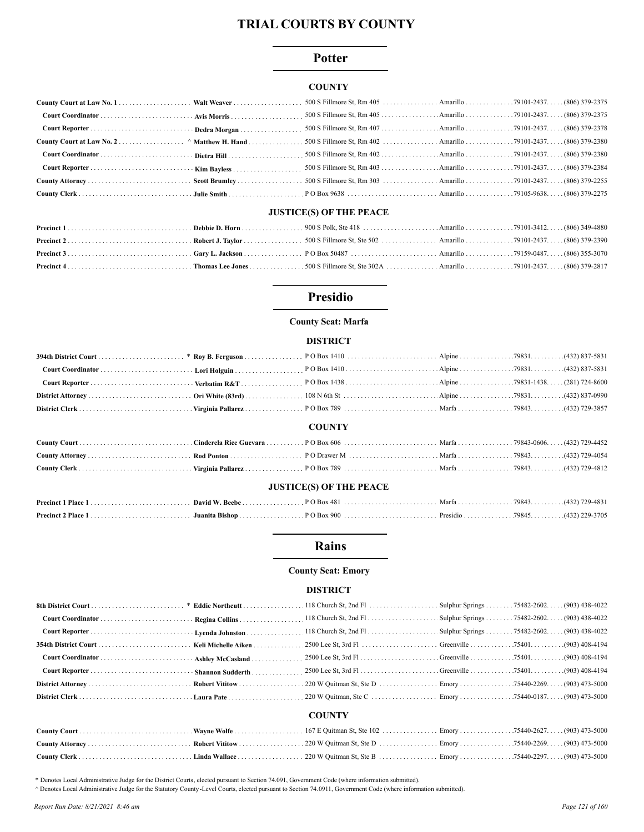## **Potter**

#### **COUNTY**

#### **JUSTICE(S) OF THE PEACE**

## **Presidio**

#### **County Seat: Marfa**

#### **DISTRICT**

#### **COUNTY**

#### **JUSTICE(S) OF THE PEACE**

#### **Rains**

#### **County Seat: Emory**

#### **DISTRICT**

|               |  | . 118 Church St, 2nd Fl. $\ldots$ . Sulphur Springs 75482-2602. (903) 438-4022 |  |  |  |  |  |
|---------------|--|--------------------------------------------------------------------------------|--|--|--|--|--|
|               |  |                                                                                |  |  |  |  |  |
|               |  |                                                                                |  |  |  |  |  |
|               |  |                                                                                |  |  |  |  |  |
|               |  |                                                                                |  |  |  |  |  |
|               |  |                                                                                |  |  |  |  |  |
|               |  |                                                                                |  |  |  |  |  |
|               |  |                                                                                |  |  |  |  |  |
| <b>COUNTY</b> |  |                                                                                |  |  |  |  |  |
|               |  |                                                                                |  |  |  |  |  |
|               |  |                                                                                |  |  |  |  |  |

\* Denotes Local Administrative Judge for the District Courts, elected pursuant to Section 74.091, Government Code (where information submitted).

A Denotes Local Administrative Judge for the Statutory County -Level Courts, elected pursuant to Section 74.0911, Government Code (where information submitted).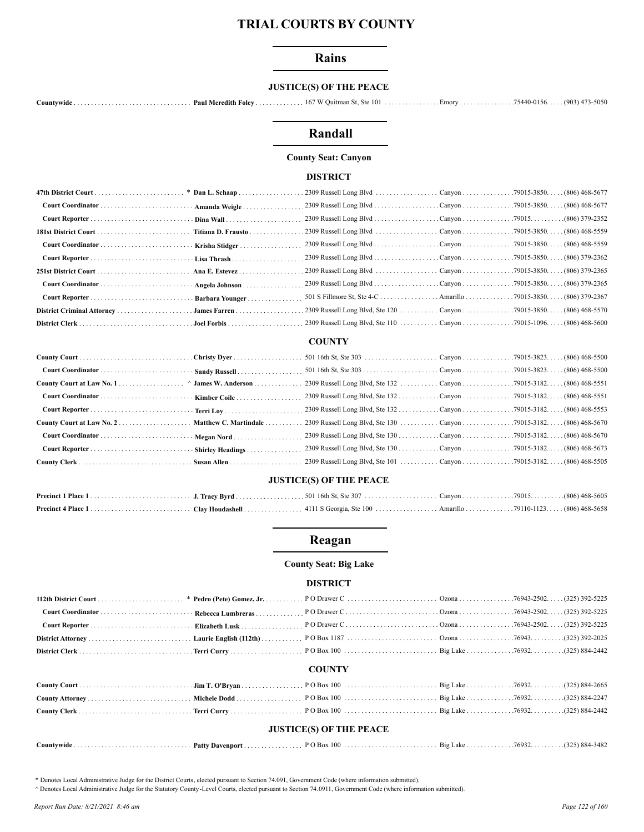#### **Rains**

## **JUSTICE(S) OF THE PEACE**

## Randall

#### **County Seat: Canyon**

#### **DISTRICT**

| Ana E. Estevez |  |  |
|----------------|--|--|
|                |  |  |
|                |  |  |
|                |  |  |
|                |  |  |

#### **COUNTY**

| County Court at Law No. 1 ^ James W. Anderson |                       |  |  |
|-----------------------------------------------|-----------------------|--|--|
|                                               |                       |  |  |
|                                               |                       |  |  |
|                                               | Matthew C. Martindale |  |  |
|                                               |                       |  |  |
|                                               |                       |  |  |
|                                               |                       |  |  |
|                                               |                       |  |  |

#### **JUSTICE(S) OF THE PEACE**

## Reagan

#### **County Seat: Big Lake**

#### **DISTRICT**

#### **COUNTY**

| <b>JUSTICE(S) OF THE PEACE</b> |  |  |  |  |  |  |  |
|--------------------------------|--|--|--|--|--|--|--|
|                                |  |  |  |  |  |  |  |

\* Denotes Local Administrative Judge for the District Courts, elected pursuant to Section 74.091, Government Code (where information submitted).

A Denotes Local Administrative Judge for the Statutory County-Level Courts, elected pursuant to Section 74.0911, Government Code (where information submitted).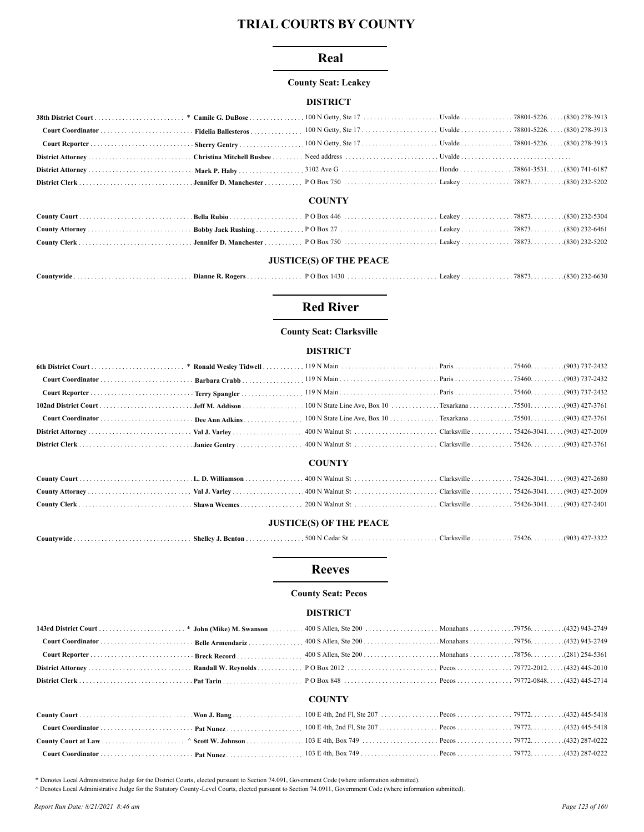### Real

#### **County Seat: Leakey**

#### **DISTRICT**

#### **COUNTY**

#### **JUSTICE(S) OF THE PEACE**

| 78873<br>(830)<br>Countvwide<br>an <i>raw</i><br>Box I<br>Dianne R. Rogers<br>Leaney |  |  |  |  |  | $-22-0030$ |
|--------------------------------------------------------------------------------------|--|--|--|--|--|------------|
|--------------------------------------------------------------------------------------|--|--|--|--|--|------------|

## **Red River**

#### **County Seat: Clarksville**

#### **DISTRICT**

|  | <b>COUNTY</b> |  |
|--|---------------|--|
|  |               |  |
|  |               |  |
|  |               |  |

#### **JUSTICE(S) OF THE PEACE**

| ountvwideٽ<br>. | <b>Shelley</b><br>. Bentor | --<br>500 N<br>eda. | Clarksville. | 7512<br>. | (903)<br>ے در<br>$-$ |
|-----------------|----------------------------|---------------------|--------------|-----------|----------------------|
|-----------------|----------------------------|---------------------|--------------|-----------|----------------------|

#### **Reeves**

#### **County Seat: Pecos**

#### **DISTRICT**

|  | <b>COUNTY</b> |  |  |
|--|---------------|--|--|

## 

\* Denotes Local Administrative Judge for the District Courts, elected pursuant to Section 74.091, Government Code (where information submitted).

^ Denotes Local Administrative Judge for the Statutory County-Level Courts, elected pursuant to Section 74.0911, Government Code (where information submitted).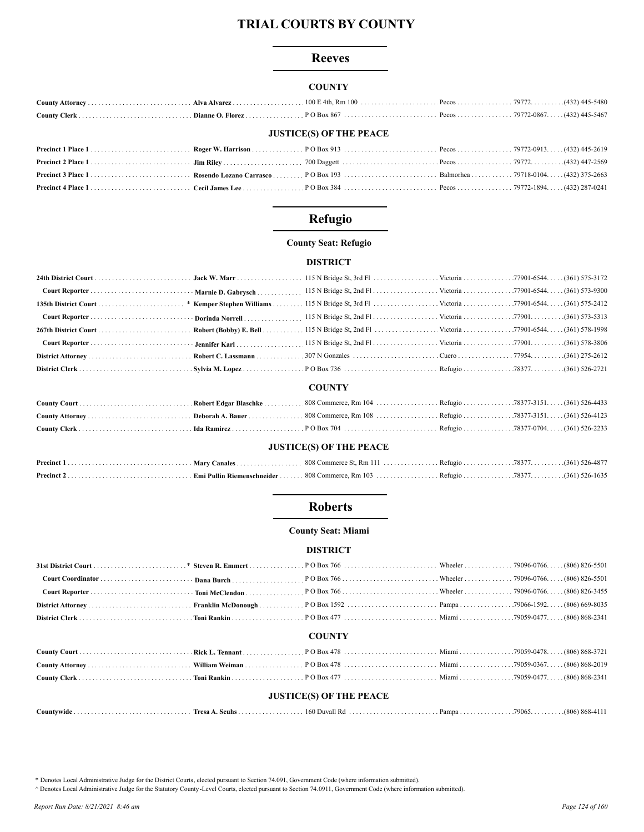### **Reeves**

### **COUNTY**

## **JUSTICE(S) OF THE PEACE**

## Refugio

## **County Seat: Refugio**

#### **DISTRICT**

## **COUNTY**

## **JUSTICE(S) OF THE PEACE**

## **Roberts**

#### **County Seat: Miami**

#### **DISTRICT**

### **COUNTY**

| <b>JUSTICE(S) OF THE PEACE</b> |  |  |  |  |  |  |
|--------------------------------|--|--|--|--|--|--|

| ountvwide<br>$\sim$ $\sim$ | <b>Tresa</b><br>seuhs | $H_{\rm D}$<br>160<br>$\lambda$ | Pampa | 79065 | $.1806$ 868- <sup>4</sup> |
|----------------------------|-----------------------|---------------------------------|-------|-------|---------------------------|
|----------------------------|-----------------------|---------------------------------|-------|-------|---------------------------|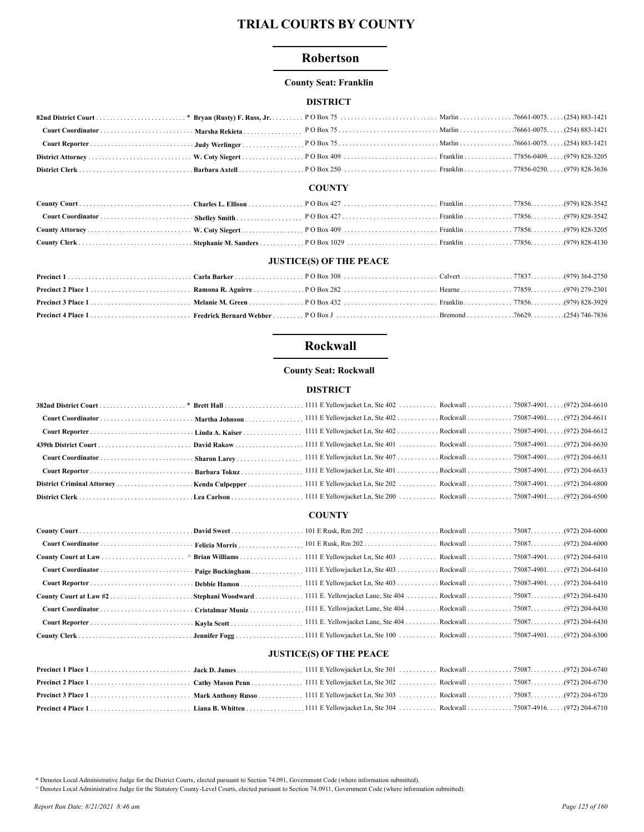## Robertson

#### **County Seat: Franklin**

## **DISTRICT**

#### **COUNTY**

#### **JUSTICE(S) OF THE PEACE**

## **Rockwall**

### **County Seat: Rockwall**

## **DISTRICT**

|  | 1111 E Yellowjacket Ln, Ste 401 Rockwall 75087-4901. (972) 204-6633 |  |
|--|---------------------------------------------------------------------|--|
|  |                                                                     |  |
|  |                                                                     |  |

## **COUNTY**

## **JUSTICE(S) OF THE PEACE**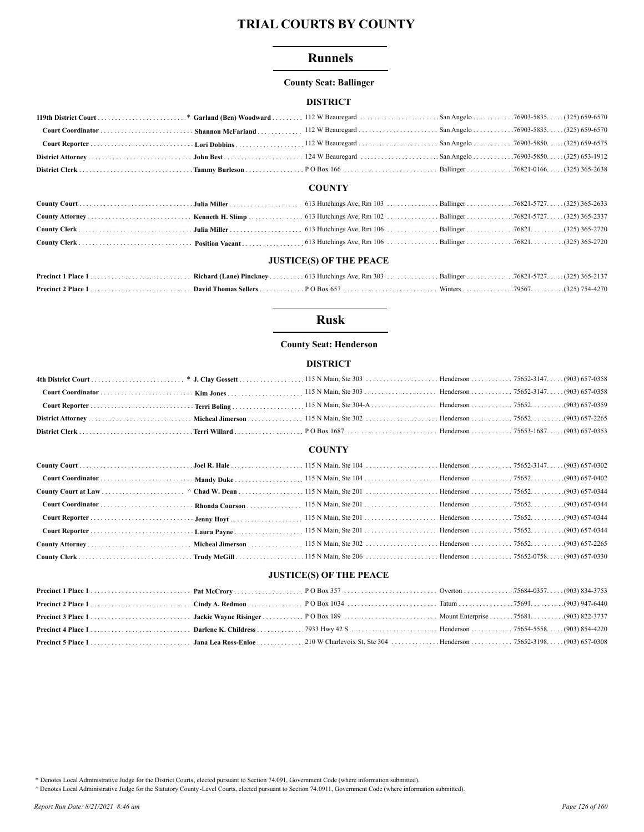## **Runnels**

#### **County Seat: Ballinger**

#### **DISTRICT**

#### **COUNTY**

| <b>JUSTICE(S) OF THE PEACE</b> |  |  |  |  |  |
|--------------------------------|--|--|--|--|--|

## **Rusk**

## **County Seat: Henderson**

#### **DISTRICT**

#### **COUNTY**

#### **JUSTICE(S) OF THE PEACE**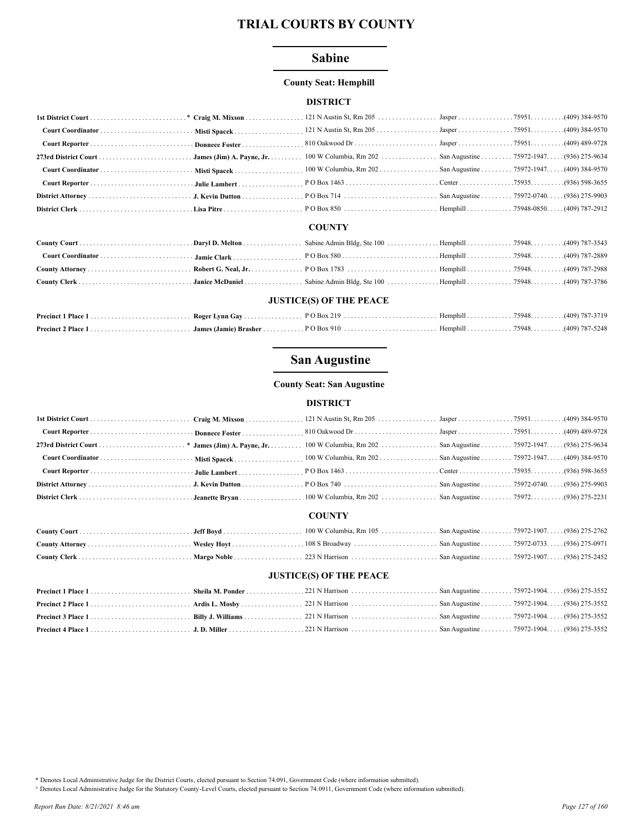## **Sabine**

#### **County Seat: Hemphill**

#### **DISTRICT**

#### **COUNTY**

| <b>JUSTICE(S) OF THE PEACE</b> |  |  |  |  |  |  |
|--------------------------------|--|--|--|--|--|--|

# 

## **San Augustine**

#### **County Seat: San Augustine**

#### **DISTRICT**

#### **COUNTY**

#### **JUSTICE(S) OF THE PEACE**

\* Denotes Local Administrative Judge for the District Courts, elected pursuant to Section 74.091, Government Code (where information submitted).

A Denotes Local Administrative Judge for the Statutory County-Level Courts, elected pursuant to Section 74.0911, Government Code (where information submitted).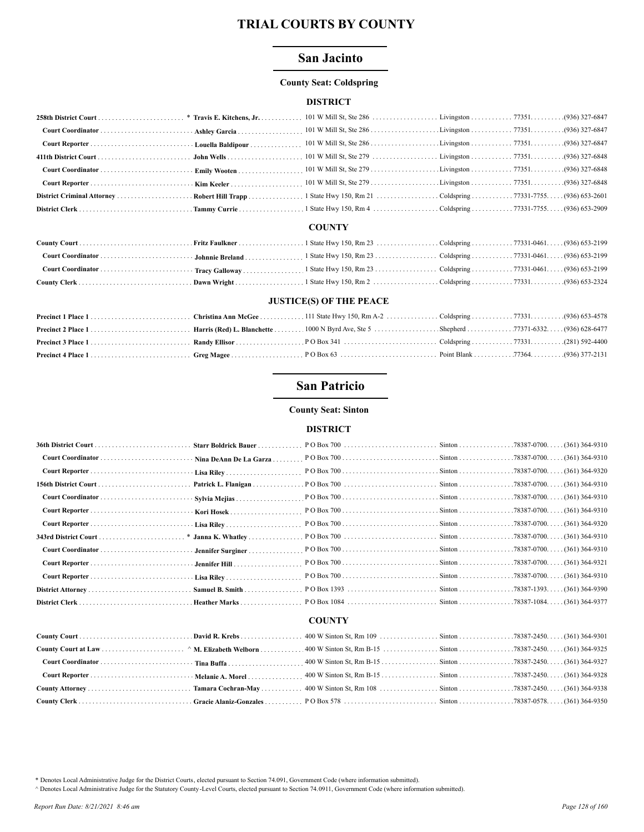## **San Jacinto**

#### **County Seat: Coldspring**

#### **DISTRICT**

#### **COUNTY**

#### **JUSTICE(S) OF THE PEACE**

## **San Patricio**

#### **County Seat: Sinton**

#### **DISTRICT**

|                      | Starr Boldrick Bauer   |  |  |                  |  |  |  |
|----------------------|------------------------|--|--|------------------|--|--|--|
|                      | Nina DeAnn De La Garza |  |  |                  |  |  |  |
|                      |                        |  |  |                  |  |  |  |
|                      | Patrick L. Flanigan    |  |  | $(361)$ 364-9310 |  |  |  |
|                      | Sylvia Mejias          |  |  | . (361) 364-9310 |  |  |  |
|                      |                        |  |  | . (361) 364-9310 |  |  |  |
|                      |                        |  |  | (361) 364-9320   |  |  |  |
| 343rd District Court |                        |  |  | . (361) 364-9310 |  |  |  |
|                      | Jennifer Surginer      |  |  | . (361) 364-9310 |  |  |  |
|                      | Jennifer Hill          |  |  | (361) 364-9321   |  |  |  |
|                      |                        |  |  |                  |  |  |  |
|                      | Samuel B. Smith        |  |  |                  |  |  |  |
|                      | Heather Marks          |  |  |                  |  |  |  |
| <b>COUNTY</b>        |                        |  |  |                  |  |  |  |
|                      |                        |  |  | (361) 364-9301   |  |  |  |
|                      |                        |  |  | . (361) 364-9325 |  |  |  |
|                      |                        |  |  | (361) 364-9327   |  |  |  |
|                      |                        |  |  | (361) 364-9328   |  |  |  |
|                      |                        |  |  |                  |  |  |  |

\* Denotes Local Administrative Judge for the District Courts, elected pursuant to Section 74.091, Government Code (where information submitted).

A Denotes Local Administrative Judge for the Statutory County -Level Courts, elected pursuant to Section 74.0911, Government Code (where information submitted).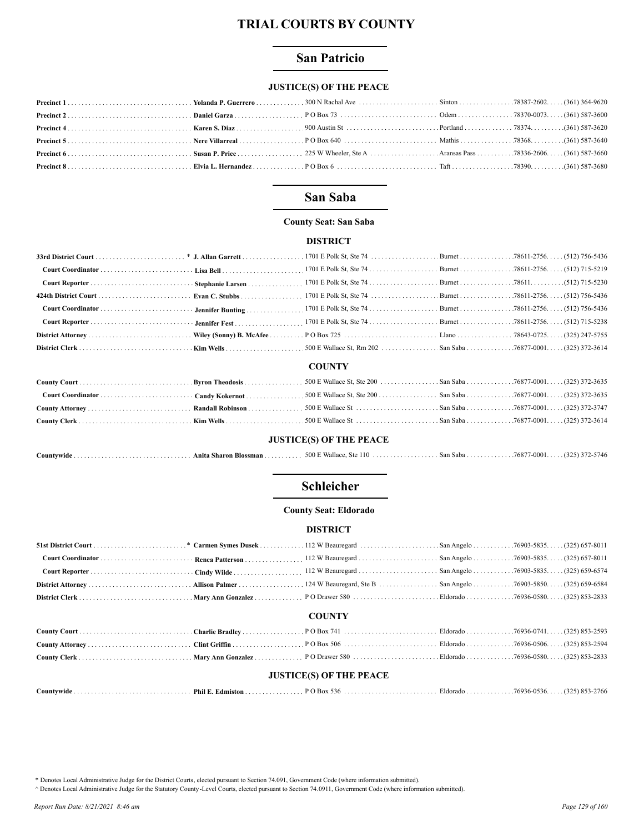## **San Patricio**

## **JUSTICE(S) OF THE PEACE**

## San Saba

#### **County Seat: San Saba**

#### **DISTRICT**

#### **COUNTY**

## **JUSTICE(S) OF THE PEACE**

| ountvwide | <b>Blossman</b><br>Anita Sharon | 500 E Wallace.<br>$^{\circ}10$<br><b>Ste</b> | . San Saba 76877-0001.<br>. |  | $(325)$ 372-5746 |
|-----------|---------------------------------|----------------------------------------------|-----------------------------|--|------------------|
|-----------|---------------------------------|----------------------------------------------|-----------------------------|--|------------------|

## Schleicher

#### **County Seat: Eldorado**

#### **DISTRICT**

## **COUNTY**

| <b>JUSTICE(S) OF THE PEACE</b> |  |  |  |  |  |  |
|--------------------------------|--|--|--|--|--|--|

| Countvwide | Phil E.<br>∴dmisto | $'$ Box 5.7<br>546<br>າເາ | $-1$<br>Eldorado | - 5936-0.<br>. 0526 | $\sqrt{2}$<br>2766<br>$\cdots$ |
|------------|--------------------|---------------------------|------------------|---------------------|--------------------------------|
|------------|--------------------|---------------------------|------------------|---------------------|--------------------------------|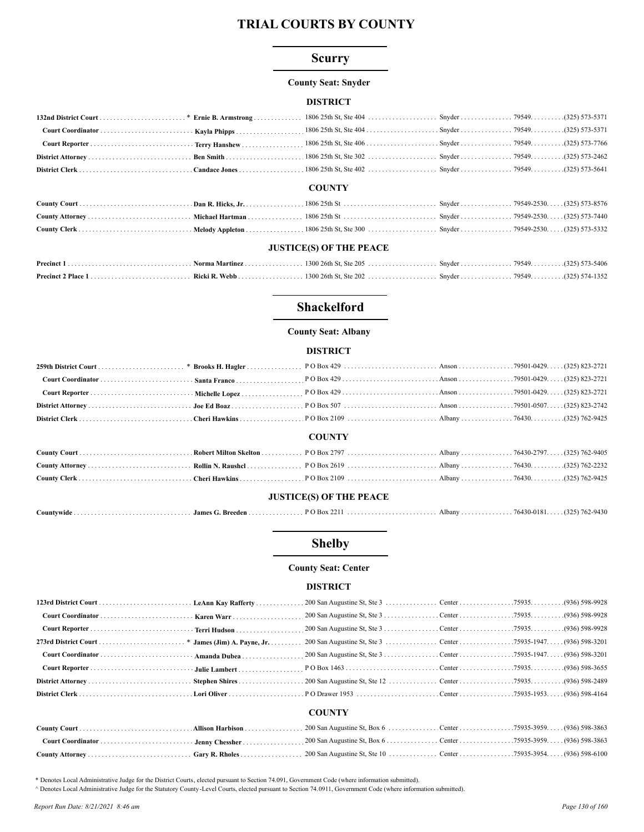## **Scurry**

#### **County Seat: Snyder**

### **DISTRICT**

|  | $C\Lambda T$ |  |  |
|--|--------------|--|--|

#### **COUNTY**

| HETICE(C) OF THE DEACE |  |  |  |  |  |  |
|------------------------|--|--|--|--|--|--|

#### **JUSTICE(S) OF THE PEACE**

## **Shackelford**

## **County Seat: Albany**

#### **DISTRICT**

|                                |  | <b>COUNTY</b> |  |  |  |  |
|--------------------------------|--|---------------|--|--|--|--|
|                                |  |               |  |  |  |  |
|                                |  |               |  |  |  |  |
|                                |  |               |  |  |  |  |
| <b>JUSTICE(S) OF THE PEACE</b> |  |               |  |  |  |  |
|                                |  |               |  |  |  |  |

## **Shelby**

#### **County Seat: Center**

#### **DISTRICT**

|  | <b>COUNTY</b> |  |  |
|--|---------------|--|--|
|  |               |  |  |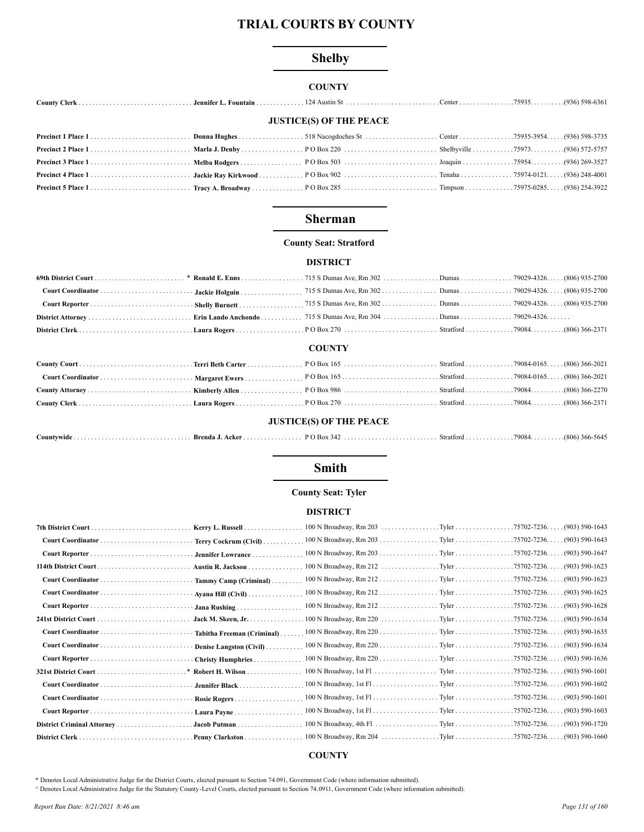## **Shelby**

## **COUNTY**

| <b>JUSTICE(S) OF THE PEACE</b> |  |  |  |  |  |  |
|--------------------------------|--|--|--|--|--|--|
|                                |  |  |  |  |  |  |
|                                |  |  |  |  |  |  |
|                                |  |  |  |  |  |  |
|                                |  |  |  |  |  |  |
|                                |  |  |  |  |  |  |

## **Sherman**

## **County Seat: Stratford**

#### **DISTRICT**

## **COUNTY**

#### **JUSTICE(S) OF THE PEACE**

| Countywide | - Brenda J.<br>Acker | .<br>$\Omega$ O Box $\Omega$<br>$-14$<br>. | Strattord | 79084 | $(806)^{\circ}$<br>366-:<br>-5645- |
|------------|----------------------|--------------------------------------------|-----------|-------|------------------------------------|
|------------|----------------------|--------------------------------------------|-----------|-------|------------------------------------|

## **Smith**

## **County Seat: Tyler**

#### **DISTRICT**

| Kerry L. Russell           | 100 N Broadway, Rm 203 Tyler 75702-7236. (903) 590-1643 |                                |
|----------------------------|---------------------------------------------------------|--------------------------------|
| Terry Cockrum (Civil)      | 100 N Broadway, Rm 203 Tyler 75702-7236 (903) 590-1643  |                                |
| Jennifer Lowrance          | 100 N Broadway, Rm 203 Tyler 75702-7236. (903) 590-1647 |                                |
| Austin R. Jackson          | $100 \text{ N}$ Broadway, Rm 212 Tyler                  | $.75702 - 7236$ (903) 590-1623 |
| Tammy Camp (Criminal)      | 100 N Broadway, Rm 212 Tyler 75702-7236 (903) 590-1623  |                                |
| Ayana Hill $(Civil)$       |                                                         |                                |
| Jana Rushing               |                                                         |                                |
| Jack M. Skeen, Jr.         |                                                         |                                |
| Tabitha Freeman (Criminal) |                                                         |                                |
| Denise Langston (Civil)    | 100 N Broadway, Rm 220 Tyler 75702-7236 (903) 590-1634  |                                |
| Christy Humphries          |                                                         |                                |
| <b>*</b> Robert H. Wilson  |                                                         |                                |
| Jennifer Black             |                                                         |                                |
| Rosie Rogers               |                                                         |                                |
|                            |                                                         | $(903) 590 - 1603$             |
| Jacob Putman               |                                                         | $(903) 590 - 1720$             |
| Penny Clarkston            |                                                         |                                |

### **COUNTY**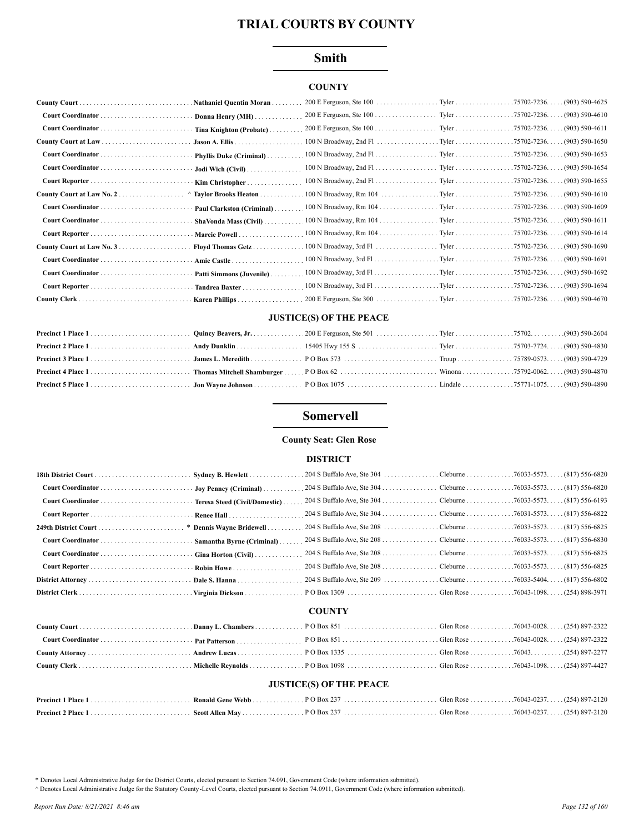## **Smith**

## **COUNTY**

| <b>Nathaniel Quentin Moran.</b>        |                                                         | . (903) 590-4625                    |
|----------------------------------------|---------------------------------------------------------|-------------------------------------|
| Donna Henry (MH)                       |                                                         | . (903) 590-4610                    |
| Tina Knighton (Probate)                |                                                         | $(903) 590 - 4611$                  |
| $ Jason A. Ellis \ldots \ldots \ldots$ |                                                         | $.75702 - 7236$<br>. (903) 590-1650 |
| Phyllis Duke (Criminal)                |                                                         | . (903) 590-1653                    |
| Jodi Wich (Civil)                      | 100 N Broadway, 2nd Fl. Tyler 75702-7236.               | $(903)$ 590-1654                    |
| Kim Christopher                        |                                                         | $(903)$ 590-1655                    |
| Taylor Brooks Heaton                   | 100 N Broadway, Rm 104 Tyler 75702-7236.                | . (903) 590-1610                    |
| Paul Clarkston (Criminal)              | 100 N Broadway, Rm 104 Tyler 75702-7236.                | $(903)$ 590-1609                    |
| ShaVonda Mass (Civil).                 | 100 N Broadway, Rm 104 Tyler 75702-7236. (903) 590-1611 |                                     |
| Marcie Powell                          | 100 N Broadway, Rm 104 Tyler 75702-7236.                | $(903) 590 - 1614$                  |
| Floyd Thomas Getz                      |                                                         | $(903) 590 - 1690$                  |
| Amie Castle                            |                                                         | . (903) 590-1691                    |
| Patti Simmons (Juvenile)               |                                                         |                                     |
| Tandrea Baxter.                        |                                                         | $(903) 590 - 1694$                  |
| Karen Phillips                         |                                                         | (903) 590-4670                      |

#### **JUSTICE(S) OF THE PEACE**

## **Somervell**

## **County Seat: Glen Rose**

#### **DISTRICT**

|  | <b>COUNTY</b> |  |
|--|---------------|--|

#### **JUSTICE(S) OF THE PEACE**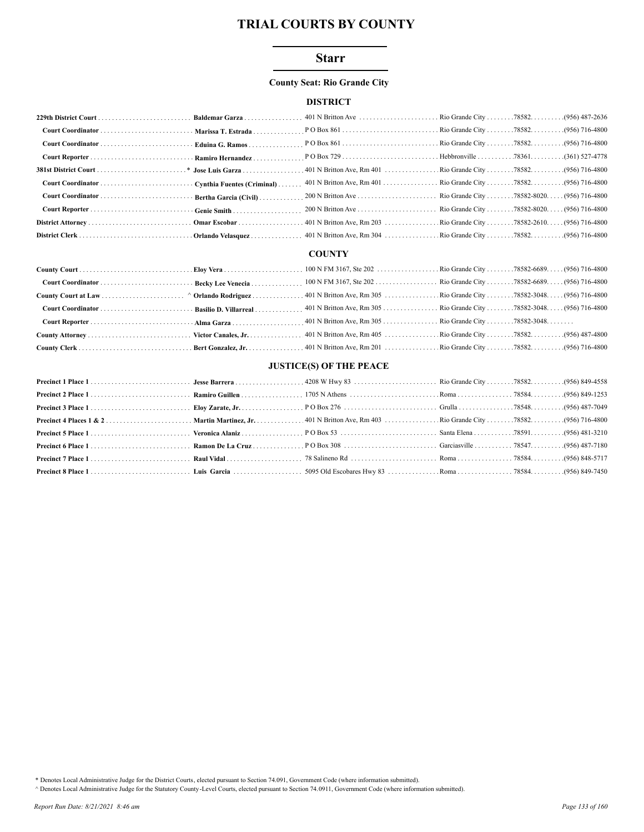### **Starr**

#### **County Seat: Rio Grande City**

#### **DISTRICT**

|  | Rio Grande City 78582-8020. (956) 716-4800 |  |
|--|--------------------------------------------|--|
|  | Rio Grande City 78582-8020. (956) 716-4800 |  |
|  |                                            |  |
|  |                                            |  |

#### **COUNTY**

#### **JUSTICE(S) OF THE PEACE**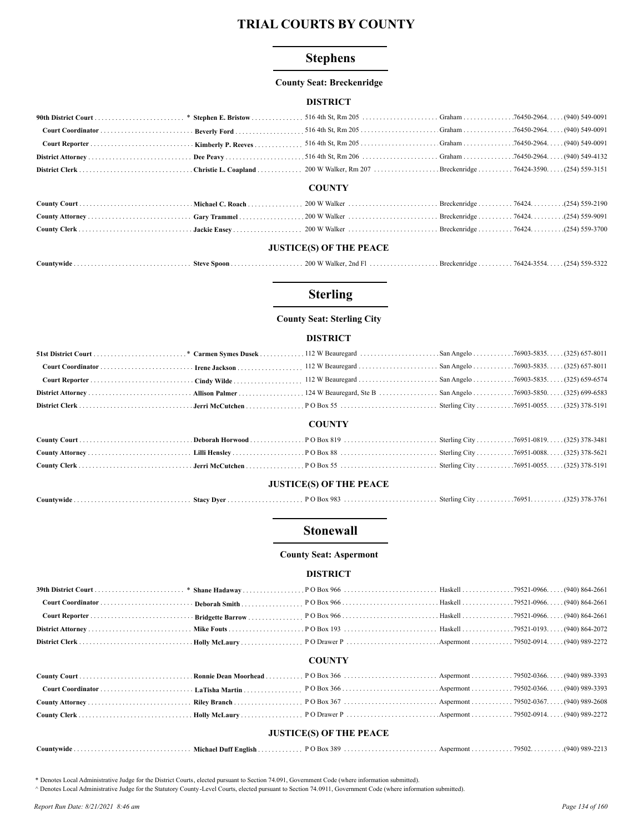## **Stephens**

#### **County Seat: Breckenridge**

#### **DISTRICT**

#### **COUNTY**

#### **JUSTICE(S) OF THE PEACE**

|            |                 | $\overline{H}$<br>Walke<br>'OO<br>2ndF | Brec     | 164 <sub>4</sub> | (2.5)<br>. 550 |
|------------|-----------------|----------------------------------------|----------|------------------|----------------|
| ountvwideٽ | - Snoon<br>Stev |                                        | kenridge |                  | ، ے ر          |

## **Sterling**

### **County Seat: Sterling City**

#### **DISTRICT**

|                                |  | <b>COUNTY</b> |  |  |  |  |  |
|--------------------------------|--|---------------|--|--|--|--|--|
|                                |  |               |  |  |  |  |  |
|                                |  |               |  |  |  |  |  |
|                                |  |               |  |  |  |  |  |
| <b>JUSTICE(S) OF THE PEACE</b> |  |               |  |  |  |  |  |

| ' Dve<br><i>C</i> ountvwide<br>Stacy | $\sim$<br>• вох<br>70.<br>. | Sterling Cr | 76951. | $(1.15)$ 270 $27$<br>22.2<br>.5/61 |
|--------------------------------------|-----------------------------|-------------|--------|------------------------------------|
|--------------------------------------|-----------------------------|-------------|--------|------------------------------------|

## **Stonewall**

**County Seat: Aspermont** 

#### **DISTRICT**

### **COUNTY**

| <b>JUSTICE(S) OF THE PEACE</b> |  |  |  |  |  |  |  |  |
|--------------------------------|--|--|--|--|--|--|--|--|

|  |  |  | * Departed Local Administrative Judge for the District Courte algoted pursuant to Section 74.001. Government Code (where information submitted) |  |  |  |
|--|--|--|-------------------------------------------------------------------------------------------------------------------------------------------------|--|--|--|

A Denotes Local Administrative Judge for the Statutory County -Level Courts, elected pursuant to Section 74.0911, Government Code (where information submitted).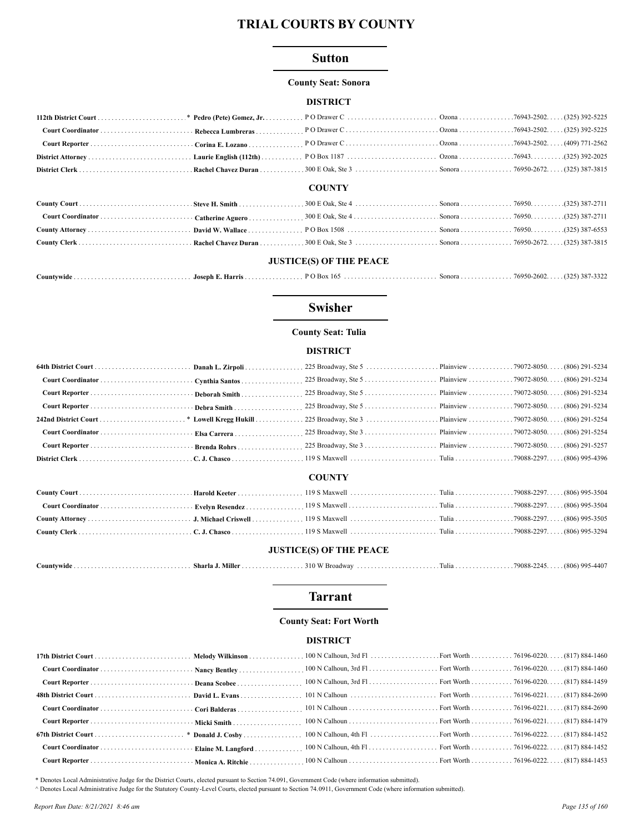#### **Sutton**

#### **County Seat: Sonora**

#### **DISTRICT**

#### **COUNTY**

## **JUSTICE(S) OF THE PEACE**

|  |  |  |  |  |  | $(325)$ 387-3322 |
|--|--|--|--|--|--|------------------|
|--|--|--|--|--|--|------------------|

## **Swisher**

## **County Seat: Tulia**

#### **DISTRICT**

#### **COUNTY**

#### **JUSTICE(S) OF THE PEACE**

|  | . Sharla J. Miller ^ | $310 \,\mathrm{W}$ <sup>r</sup><br>Broadway | $\frac{1}{2}$ $\frac{1}{2}$ $\frac{1}{2}$ $\frac{1}{2}$ $\frac{1}{2}$ $\frac{1}{2}$ $\frac{1}{2}$ $\frac{1}{2}$ $\frac{1}{2}$ $\frac{1}{2}$ $\frac{1}{2}$ $\frac{1}{2}$ $\frac{1}{2}$ $\frac{1}{2}$ $\frac{1}{2}$ $\frac{1}{2}$ $\frac{1}{2}$ $\frac{1}{2}$ $\frac{1}{2}$ $\frac{1}{2}$ $\frac{1}{2}$ $\frac{1}{2}$ |  | (806) 995-4407 |
|--|----------------------|---------------------------------------------|---------------------------------------------------------------------------------------------------------------------------------------------------------------------------------------------------------------------------------------------------------------------------------------------------------------------|--|----------------|
|--|----------------------|---------------------------------------------|---------------------------------------------------------------------------------------------------------------------------------------------------------------------------------------------------------------------------------------------------------------------------------------------------------------------|--|----------------|

## **Tarrant**

### **County Seat: Fort Worth**

#### **DISTRICT**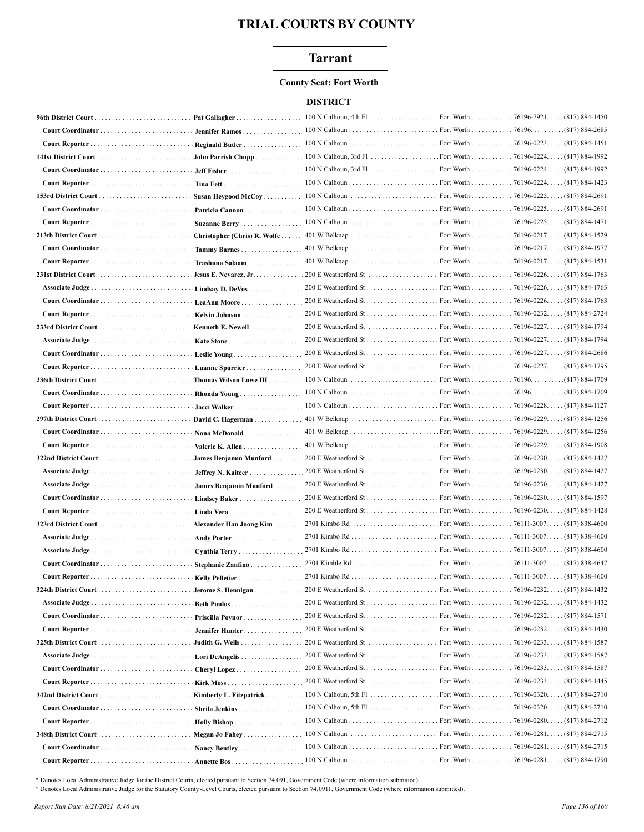## **Tarrant**

#### **County Seat: Fort Worth**

#### **DISTRICT**

|                   | Pat Gallagher                              | $100 \text{ N}$ Calhoun, 4th Fl | . Fort Worth 76196-7921. | $(817) 884 - 1450$                    |
|-------------------|--------------------------------------------|---------------------------------|--------------------------|---------------------------------------|
|                   | Jennifer Ramos                             |                                 |                          | (817) 884-2685.                       |
|                   | Reginald Butler                            |                                 |                          |                                       |
|                   |                                            |                                 |                          | $(817) 884 - 1992$                    |
|                   |                                            |                                 |                          | . (817) 884-1992                      |
|                   | Tina Fett                                  |                                 |                          |                                       |
|                   |                                            |                                 |                          | . (817) 884-2691                      |
|                   | Patricia Cannon                            |                                 |                          |                                       |
|                   | Suzanne Berry                              |                                 |                          |                                       |
|                   |                                            |                                 |                          |                                       |
|                   | Tammy Barnes                               |                                 |                          |                                       |
|                   |                                            |                                 |                          |                                       |
|                   |                                            |                                 |                          |                                       |
|                   | Lindsay D. DeVos                           |                                 |                          |                                       |
|                   |                                            |                                 | . Fort Worth 76196-0226. | (817) 884-1763                        |
|                   | LeaAnn Moore                               |                                 | Fort Worth 76196-0232.   | $(817) 884 - 2724$                    |
|                   | <b>Kelvin Johnson</b><br>Kenneth E. Newell | $200 \text{ E}$ Weatherford St  | Fort Worth 76196-0227. . | . (817) 884-1794                      |
|                   |                                            |                                 | . Fort Worth 76196-0227. | . (817) 884-1794                      |
|                   |                                            |                                 |                          |                                       |
|                   |                                            |                                 |                          |                                       |
|                   | Luanne Spurrier                            |                                 |                          |                                       |
|                   |                                            |                                 |                          | Fort Worth 76196. (817) 884-1709      |
|                   | Rhonda Young                               |                                 |                          |                                       |
|                   |                                            |                                 |                          | $(817) 884 - 1127$                    |
|                   | David C. Hagerman                          |                                 |                          | . (817) 884-1256                      |
|                   |                                            |                                 |                          |                                       |
|                   | Valerie K. Allen                           |                                 |                          | . (817) 884-1908                      |
|                   |                                            |                                 | Fort Worth 76196-0230.   | (817) 884-1427                        |
|                   | Jeffrey N. Kaitcer                         |                                 |                          | . (817) 884-1427                      |
|                   | James Benjamin Munford                     |                                 |                          | . (817) 884-1427                      |
| Court Coordinator | Lindsey Baker                              |                                 |                          |                                       |
|                   |                                            |                                 |                          |                                       |
|                   | Alexander Han Joong Kim                    |                                 |                          |                                       |
|                   |                                            |                                 |                          | Fort Worth 76111-3007. (817) 838-4600 |
|                   |                                            |                                 |                          | Fort Worth 76111-3007. (817) 838-4600 |
|                   | Stephanie Zanfino                          |                                 |                          |                                       |
|                   | Kelly Pelletier.                           |                                 |                          |                                       |
|                   |                                            |                                 |                          |                                       |
|                   |                                            |                                 |                          |                                       |
|                   | Priscilla Povnor                           |                                 |                          |                                       |
|                   | Jennifer Hunter                            |                                 |                          | . (817) 884-1430                      |
|                   | Judith G. Wells                            | 200 E Weatherford St            | Fort Worth 76196-0233.   | $(817) 884 - 1587$                    |
|                   | Lori DeAngelis                             |                                 |                          |                                       |
|                   | Cheryl Lopez                               |                                 |                          |                                       |
|                   | <b>Kirk Moss</b> .                         |                                 |                          |                                       |
|                   |                                            |                                 |                          |                                       |
|                   | <b>Sheila Jenkins</b>                      |                                 |                          |                                       |
|                   | Holly Bishop                               |                                 |                          |                                       |
|                   |                                            |                                 |                          |                                       |
|                   |                                            |                                 |                          |                                       |
|                   |                                            |                                 |                          |                                       |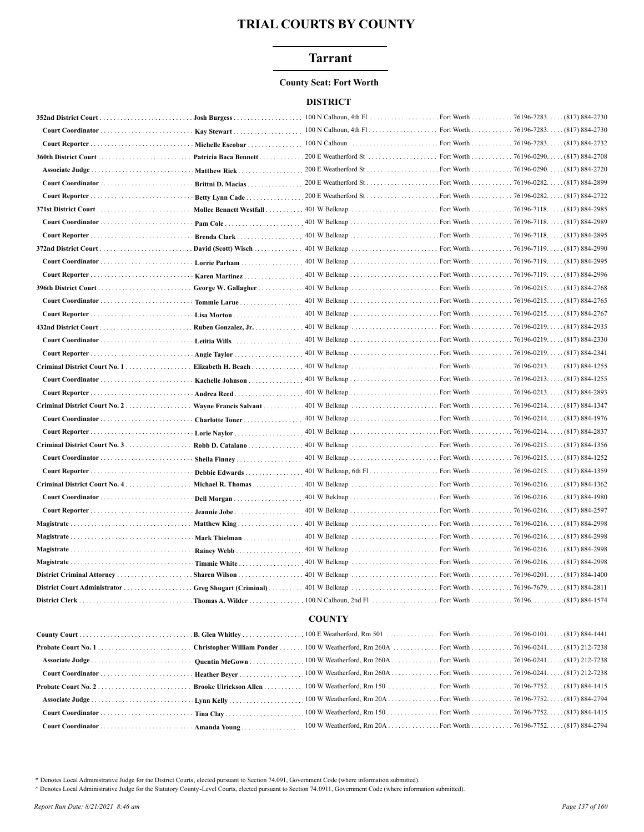## **Tarrant**

#### **County Seat: Fort Worth**

#### **DISTRICT**

| $(817) 884 - 2730$<br>Michelle Escobar<br>$(817) 884 - 2708$<br>Patricia Baca Bennett<br>$(817) 884 - 2720$<br>Matthew Riek<br>(817) 884-2899<br>Brittni D. Macias<br>Betty Lynn Cade<br>Mollee Bennett Westfall<br>Brenda Clark<br>Lorrie Parham<br>Karen Martinez<br>George W. Gallagher<br>Tommie Larue<br>Lisa Morton<br>Ruben Gonzalez, Jr.<br>Angie Taylor<br>401 W Belknap<br>Fort Worth 76196-0213. (817) 884-1255<br>Criminal District Court No. 1<br>Elizabeth H. Beach<br>Kachelle Johnson<br>Andrea Reed<br>Criminal District Court No. 2<br>Charlotte Toner<br>Debbie Edwards<br>Michael R. Thomas<br>Criminal District Court No. $4$<br>Dell Morgan<br>Jeannie Jobe<br>Matthew King<br>Mark Thielman<br>Rainey Webb<br>Timmie White<br>Sharen Wilson<br><b>COUNTY</b><br>100 W Weatherford, Rm 260A Fort Worth 76196-0241. (817) 212-7238<br>100 W Weatherford, Rm 150  Fort Worth  76196-7752(817) 884-1415<br><b>Probate Court No. 2</b><br>Brooke Ulrickson Allen<br>100 W Weatherford, Rm 20A Fort Worth 76196-7752. (817) 884-2794<br>100 W Weatherford, Rm 150 Fort Worth 76196-7752. (817) 884-1415 |  | $100 \text{ N}$ Calhoun, 4th Fl | Fort Worth 76196-7283. (817) 884-2730 |
|--------------------------------------------------------------------------------------------------------------------------------------------------------------------------------------------------------------------------------------------------------------------------------------------------------------------------------------------------------------------------------------------------------------------------------------------------------------------------------------------------------------------------------------------------------------------------------------------------------------------------------------------------------------------------------------------------------------------------------------------------------------------------------------------------------------------------------------------------------------------------------------------------------------------------------------------------------------------------------------------------------------------------------------------------------------------------------------------------------------------------|--|---------------------------------|---------------------------------------|
|                                                                                                                                                                                                                                                                                                                                                                                                                                                                                                                                                                                                                                                                                                                                                                                                                                                                                                                                                                                                                                                                                                                          |  |                                 |                                       |
|                                                                                                                                                                                                                                                                                                                                                                                                                                                                                                                                                                                                                                                                                                                                                                                                                                                                                                                                                                                                                                                                                                                          |  |                                 |                                       |
|                                                                                                                                                                                                                                                                                                                                                                                                                                                                                                                                                                                                                                                                                                                                                                                                                                                                                                                                                                                                                                                                                                                          |  |                                 |                                       |
|                                                                                                                                                                                                                                                                                                                                                                                                                                                                                                                                                                                                                                                                                                                                                                                                                                                                                                                                                                                                                                                                                                                          |  |                                 |                                       |
|                                                                                                                                                                                                                                                                                                                                                                                                                                                                                                                                                                                                                                                                                                                                                                                                                                                                                                                                                                                                                                                                                                                          |  |                                 |                                       |
|                                                                                                                                                                                                                                                                                                                                                                                                                                                                                                                                                                                                                                                                                                                                                                                                                                                                                                                                                                                                                                                                                                                          |  |                                 |                                       |
|                                                                                                                                                                                                                                                                                                                                                                                                                                                                                                                                                                                                                                                                                                                                                                                                                                                                                                                                                                                                                                                                                                                          |  |                                 |                                       |
|                                                                                                                                                                                                                                                                                                                                                                                                                                                                                                                                                                                                                                                                                                                                                                                                                                                                                                                                                                                                                                                                                                                          |  |                                 |                                       |
|                                                                                                                                                                                                                                                                                                                                                                                                                                                                                                                                                                                                                                                                                                                                                                                                                                                                                                                                                                                                                                                                                                                          |  |                                 |                                       |
|                                                                                                                                                                                                                                                                                                                                                                                                                                                                                                                                                                                                                                                                                                                                                                                                                                                                                                                                                                                                                                                                                                                          |  |                                 |                                       |
|                                                                                                                                                                                                                                                                                                                                                                                                                                                                                                                                                                                                                                                                                                                                                                                                                                                                                                                                                                                                                                                                                                                          |  |                                 |                                       |
|                                                                                                                                                                                                                                                                                                                                                                                                                                                                                                                                                                                                                                                                                                                                                                                                                                                                                                                                                                                                                                                                                                                          |  |                                 |                                       |
|                                                                                                                                                                                                                                                                                                                                                                                                                                                                                                                                                                                                                                                                                                                                                                                                                                                                                                                                                                                                                                                                                                                          |  |                                 |                                       |
|                                                                                                                                                                                                                                                                                                                                                                                                                                                                                                                                                                                                                                                                                                                                                                                                                                                                                                                                                                                                                                                                                                                          |  |                                 |                                       |
|                                                                                                                                                                                                                                                                                                                                                                                                                                                                                                                                                                                                                                                                                                                                                                                                                                                                                                                                                                                                                                                                                                                          |  |                                 |                                       |
|                                                                                                                                                                                                                                                                                                                                                                                                                                                                                                                                                                                                                                                                                                                                                                                                                                                                                                                                                                                                                                                                                                                          |  |                                 |                                       |
|                                                                                                                                                                                                                                                                                                                                                                                                                                                                                                                                                                                                                                                                                                                                                                                                                                                                                                                                                                                                                                                                                                                          |  |                                 |                                       |
|                                                                                                                                                                                                                                                                                                                                                                                                                                                                                                                                                                                                                                                                                                                                                                                                                                                                                                                                                                                                                                                                                                                          |  |                                 |                                       |
|                                                                                                                                                                                                                                                                                                                                                                                                                                                                                                                                                                                                                                                                                                                                                                                                                                                                                                                                                                                                                                                                                                                          |  |                                 |                                       |
|                                                                                                                                                                                                                                                                                                                                                                                                                                                                                                                                                                                                                                                                                                                                                                                                                                                                                                                                                                                                                                                                                                                          |  |                                 |                                       |
|                                                                                                                                                                                                                                                                                                                                                                                                                                                                                                                                                                                                                                                                                                                                                                                                                                                                                                                                                                                                                                                                                                                          |  |                                 |                                       |
|                                                                                                                                                                                                                                                                                                                                                                                                                                                                                                                                                                                                                                                                                                                                                                                                                                                                                                                                                                                                                                                                                                                          |  |                                 |                                       |
|                                                                                                                                                                                                                                                                                                                                                                                                                                                                                                                                                                                                                                                                                                                                                                                                                                                                                                                                                                                                                                                                                                                          |  |                                 |                                       |
|                                                                                                                                                                                                                                                                                                                                                                                                                                                                                                                                                                                                                                                                                                                                                                                                                                                                                                                                                                                                                                                                                                                          |  |                                 |                                       |
|                                                                                                                                                                                                                                                                                                                                                                                                                                                                                                                                                                                                                                                                                                                                                                                                                                                                                                                                                                                                                                                                                                                          |  |                                 |                                       |
|                                                                                                                                                                                                                                                                                                                                                                                                                                                                                                                                                                                                                                                                                                                                                                                                                                                                                                                                                                                                                                                                                                                          |  |                                 |                                       |
|                                                                                                                                                                                                                                                                                                                                                                                                                                                                                                                                                                                                                                                                                                                                                                                                                                                                                                                                                                                                                                                                                                                          |  |                                 |                                       |
|                                                                                                                                                                                                                                                                                                                                                                                                                                                                                                                                                                                                                                                                                                                                                                                                                                                                                                                                                                                                                                                                                                                          |  |                                 |                                       |
|                                                                                                                                                                                                                                                                                                                                                                                                                                                                                                                                                                                                                                                                                                                                                                                                                                                                                                                                                                                                                                                                                                                          |  |                                 |                                       |
|                                                                                                                                                                                                                                                                                                                                                                                                                                                                                                                                                                                                                                                                                                                                                                                                                                                                                                                                                                                                                                                                                                                          |  |                                 |                                       |
|                                                                                                                                                                                                                                                                                                                                                                                                                                                                                                                                                                                                                                                                                                                                                                                                                                                                                                                                                                                                                                                                                                                          |  |                                 |                                       |
|                                                                                                                                                                                                                                                                                                                                                                                                                                                                                                                                                                                                                                                                                                                                                                                                                                                                                                                                                                                                                                                                                                                          |  |                                 |                                       |
|                                                                                                                                                                                                                                                                                                                                                                                                                                                                                                                                                                                                                                                                                                                                                                                                                                                                                                                                                                                                                                                                                                                          |  |                                 |                                       |
|                                                                                                                                                                                                                                                                                                                                                                                                                                                                                                                                                                                                                                                                                                                                                                                                                                                                                                                                                                                                                                                                                                                          |  |                                 |                                       |
|                                                                                                                                                                                                                                                                                                                                                                                                                                                                                                                                                                                                                                                                                                                                                                                                                                                                                                                                                                                                                                                                                                                          |  |                                 |                                       |
|                                                                                                                                                                                                                                                                                                                                                                                                                                                                                                                                                                                                                                                                                                                                                                                                                                                                                                                                                                                                                                                                                                                          |  |                                 |                                       |
|                                                                                                                                                                                                                                                                                                                                                                                                                                                                                                                                                                                                                                                                                                                                                                                                                                                                                                                                                                                                                                                                                                                          |  |                                 |                                       |
|                                                                                                                                                                                                                                                                                                                                                                                                                                                                                                                                                                                                                                                                                                                                                                                                                                                                                                                                                                                                                                                                                                                          |  |                                 |                                       |
|                                                                                                                                                                                                                                                                                                                                                                                                                                                                                                                                                                                                                                                                                                                                                                                                                                                                                                                                                                                                                                                                                                                          |  |                                 |                                       |
|                                                                                                                                                                                                                                                                                                                                                                                                                                                                                                                                                                                                                                                                                                                                                                                                                                                                                                                                                                                                                                                                                                                          |  |                                 |                                       |
|                                                                                                                                                                                                                                                                                                                                                                                                                                                                                                                                                                                                                                                                                                                                                                                                                                                                                                                                                                                                                                                                                                                          |  |                                 |                                       |
|                                                                                                                                                                                                                                                                                                                                                                                                                                                                                                                                                                                                                                                                                                                                                                                                                                                                                                                                                                                                                                                                                                                          |  |                                 |                                       |
|                                                                                                                                                                                                                                                                                                                                                                                                                                                                                                                                                                                                                                                                                                                                                                                                                                                                                                                                                                                                                                                                                                                          |  |                                 |                                       |
|                                                                                                                                                                                                                                                                                                                                                                                                                                                                                                                                                                                                                                                                                                                                                                                                                                                                                                                                                                                                                                                                                                                          |  |                                 |                                       |
|                                                                                                                                                                                                                                                                                                                                                                                                                                                                                                                                                                                                                                                                                                                                                                                                                                                                                                                                                                                                                                                                                                                          |  |                                 |                                       |

\* Denotes Local Administrative Judge for the District Courts, elected pursuant to Section 74.091, Government Code (where information submitted).

A Denotes Local Administrative Judge for the Statutory County -Level Courts, elected pursuant to Section 74.0911, Government Code (where information submitted).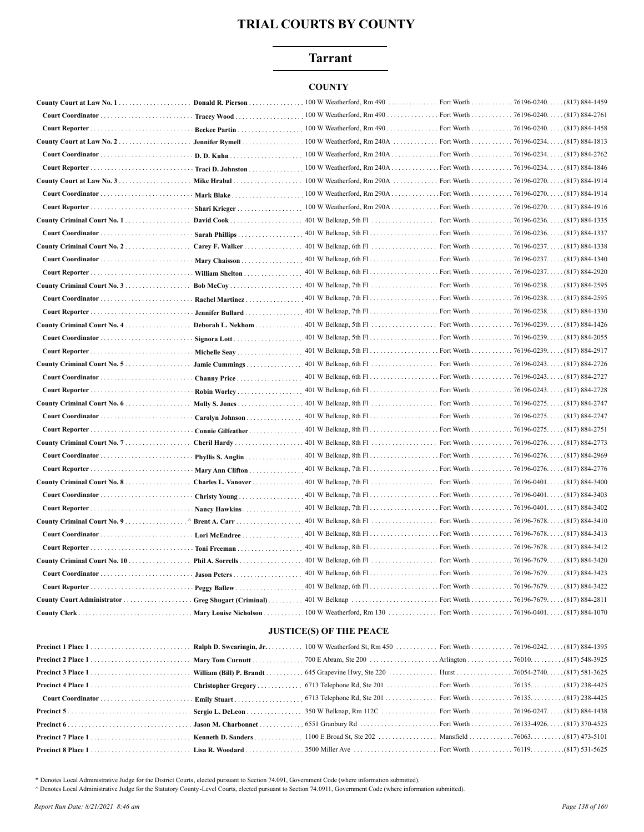## **Tarrant**

## **COUNTY**

| County Court at Law No. 1          | Donald R. Pierson.             | 100 W Weatherford, Rm 490                           | Fort Worth.            | $\ldots \ldots 76196-0240 \ldots (817) 884-1459$ |
|------------------------------------|--------------------------------|-----------------------------------------------------|------------------------|--------------------------------------------------|
|                                    | Tracey Wood                    | 100 W Weatherford, Rm 490                           | Fort Worth 76196-0240. | . (817) 884-2761                                 |
|                                    | <b>Beckee Partin.</b>          | 100 W Weatherford, Rm 490 Fort Worth 76196-0240.    |                        | $(817) 884 - 1458$                               |
| County Court at Law No. $2$        | Jennifer Rymell                |                                                     |                        | (817) 884-1813                                   |
| Court Coordinator                  | D. D. Kuhn                     | 100 W Weatherford, Rm 240A Fort Worth 76196-0234. . |                        | (817) 884-2762                                   |
|                                    | <b>Traci D. Johnston</b>       |                                                     |                        |                                                  |
|                                    | Mike Hrabal                    | 100 W Weatherford, Rm 290A                          |                        | Fort Worth 76196-0270. (817) 884-1914            |
| Court Coordinator                  | Mark Blake                     |                                                     |                        |                                                  |
|                                    | Shari Krieger                  |                                                     |                        |                                                  |
| County Criminal Court No. 1        | David Cook                     |                                                     |                        | $(817) 884 - 1335$                               |
|                                    | Sarah Phillips                 |                                                     |                        | . (817) 884-1337                                 |
| County Criminal Court No. 2.       | Carey F. Walker                |                                                     |                        | (817) 884-1338                                   |
|                                    | Mary Chaisson                  |                                                     |                        | (817) 884-1340                                   |
|                                    | William Shelton                |                                                     |                        | $(817) 884 - 2920$                               |
| County Criminal Court No. 3        | Bob McCoy                      |                                                     |                        | $(817) 884 - 2595$                               |
| Court Coordinator                  | Rachel Martinez                |                                                     |                        | $(817) 884 - 2595$                               |
| Court Reporter                     | Jennifer Bullard               |                                                     |                        | $(817) 884 - 1330$                               |
| County Criminal Court No. 4.       | Deborah L. Nekhom              |                                                     | Fort Worth 76196-0239. | (817) 884-1426                                   |
| Court Coordinator                  | Signora Lott                   |                                                     |                        | $(817) 884 - 2055$                               |
|                                    | Michelle Seav                  |                                                     |                        |                                                  |
| County Criminal Court No. $5$      | Jamie Cummings                 |                                                     |                        | $(817) 884 - 2726$                               |
|                                    | Channy Price                   |                                                     |                        |                                                  |
|                                    | Robin Worley                   |                                                     |                        | . (817) 884-2728                                 |
| County Criminal Court No. 6.       | Molly S. Jones                 |                                                     |                        | (817) 884-2747                                   |
| Court Coordinator                  | Carolyn Johnson                |                                                     |                        | (817) 884-2747                                   |
| Court Reporter                     | Connie Gilfeather              |                                                     |                        | (817) 884-2751                                   |
| County Criminal Court No. 7        | Cheril Hardy                   |                                                     |                        | (817) 884-2773                                   |
| Court Coordinator                  | Phyllis S. Anglin              |                                                     |                        | (817) 884-2969                                   |
|                                    | Mary Ann Clifton               |                                                     |                        | (817) 884-2776                                   |
| County Criminal Court No. 8        | Charles L. Vanover             |                                                     |                        | $(817) 884 - 3400$                               |
|                                    | Christy Young                  |                                                     |                        | . (817) 884-3403                                 |
|                                    | Nancy Hawkins                  |                                                     |                        | (817) 884-3402                                   |
| <b>County Criminal Court No. 9</b> | Brent A. Carr                  |                                                     |                        | (817) 884-3410                                   |
| Court Coordinator                  | Lori McEndree                  |                                                     |                        | $(817) 884 - 3413$                               |
| Court Reporter                     | Toni Freeman                   |                                                     |                        | $(817) 884 - 3412$                               |
| County Criminal Court No. 10       | Phil A. Sorrells               |                                                     |                        | (817) 884-3420                                   |
| Court Coordinator                  |                                |                                                     |                        | $(817) 884 - 3423$                               |
|                                    | Peggy Ballew                   |                                                     |                        | (817) 884-3422                                   |
|                                    | <b>Greg Shugart (Criminal)</b> |                                                     |                        | $(817) 884 - 2811$                               |
| County Clerk                       | <b>Mary Louise Nicholson</b>   | $100$ W Weatherford, Rm $130$                       |                        | Fort Worth 76196-0401. (817) 884-1070            |

#### **JUSTICE(S) OF THE PEACE**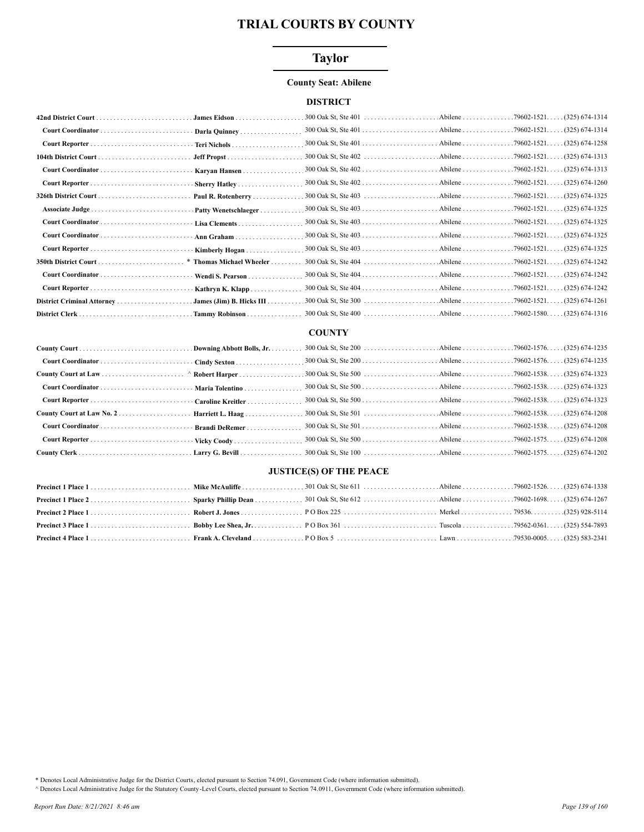## **Taylor**

#### **County Seat: Abilene**

### **DISTRICT**

|                 | James Eidson                             |  |  |
|-----------------|------------------------------------------|--|--|
|                 | Darla Quinney                            |  |  |
|                 | <b>Teri Nichols</b>                      |  |  |
|                 |                                          |  |  |
|                 | Karyan Hansen                            |  |  |
|                 | Sherry Hatley                            |  |  |
|                 | Paul R. Rotenberry                       |  |  |
| Associate Judge | Patty Wenetschlaeger                     |  |  |
|                 | Lisa Clements                            |  |  |
|                 | Ann Graham                               |  |  |
|                 | Kimberly Hogan                           |  |  |
|                 | * Thomas Michael Wheeler.                |  |  |
|                 |                                          |  |  |
|                 | Wendi S. Pearson.                        |  |  |
|                 | Kathryn K. Klapp                         |  |  |
|                 | James (Jim) B. Hicks $III \ldots \ldots$ |  |  |
|                 | Tammy Robinson                           |  |  |

### **COUNTY**

| Court Coordinator  Brandi DeRemer |  |  |
|-----------------------------------|--|--|
|                                   |  |  |
|                                   |  |  |

## **JUSTICE(S) OF THE PEACE**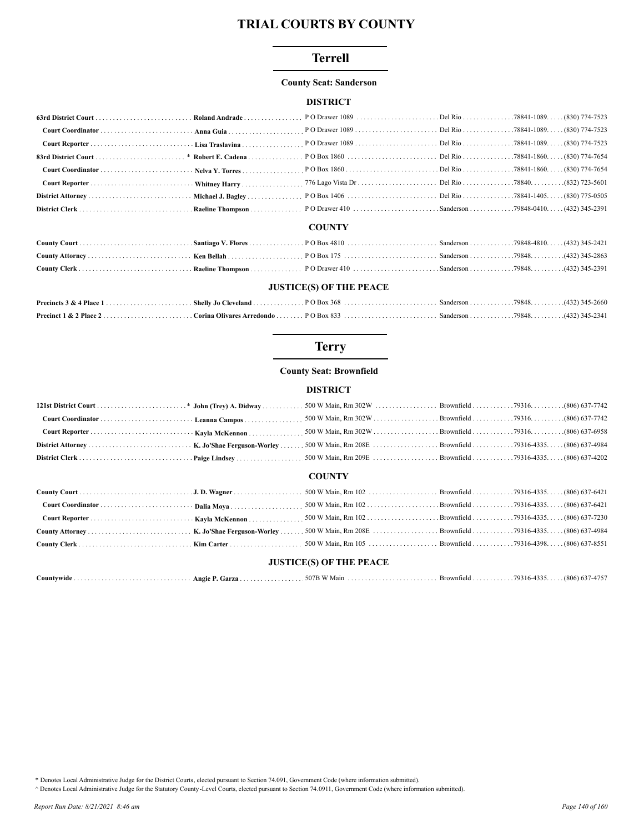## **Terrell**

#### **County Seat: Sanderson**

## **DISTRICT**

#### **COUNTY**

#### **JUSTICE(S) OF THE PEACE**

# **Terry**

#### **County Seat: Brownfield**

## **DISTRICT**

#### **COUNTY**

## **JUSTICE(S) OF THE PEACE**

|  | $Countwide \dots \dots \dots \dots \dots \dots \dots \dots \dots \dots \dots \dots \dots$ |  | 507D 1111<br>50 H<br>Main |  |  | $(806)$ 637-4757 |
|--|-------------------------------------------------------------------------------------------|--|---------------------------|--|--|------------------|
|--|-------------------------------------------------------------------------------------------|--|---------------------------|--|--|------------------|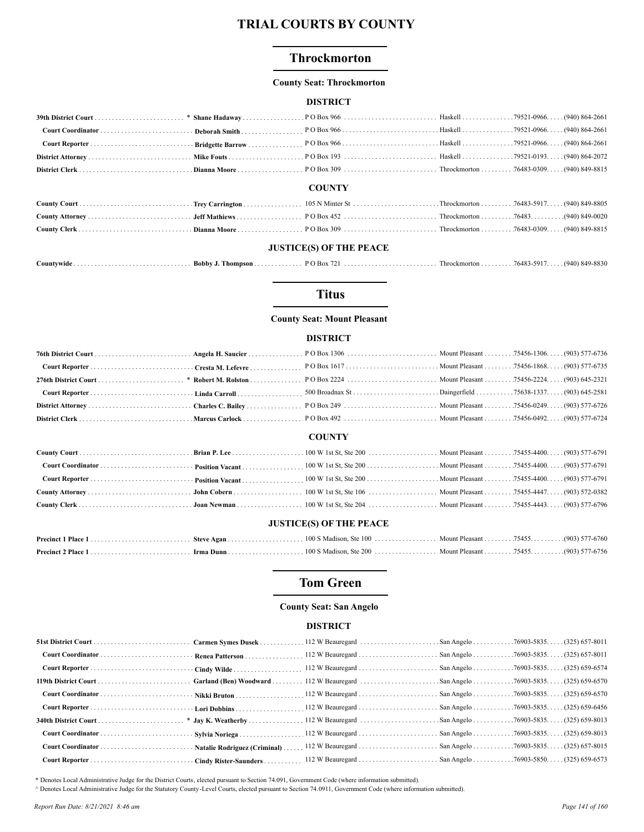## **Throckmorton**

#### **County Seat: Throckmorton**

#### **DISTRICT**

#### **COUNTY**

#### **JUSTICE(S) OF THE PEACE**

| Countvwide . | Bobby<br>hompson | $\overline{D}$ O Box. | $1$ hrockmorton $\ldots$ . | 76483-5917 | $(940)$ 849-8830 |
|--------------|------------------|-----------------------|----------------------------|------------|------------------|
|              |                  |                       |                            |            |                  |

## **Titus**

#### **County Seat: Mount Pleasant**

#### **DISTRICT**

| Court Reporter Cresta M. Lefevre |  |  |  |  |  |  |
|----------------------------------|--|--|--|--|--|--|
|                                  |  |  |  |  |  |  |
|                                  |  |  |  |  |  |  |
|                                  |  |  |  |  |  |  |
|                                  |  |  |  |  |  |  |
| <b>COUNTY</b>                    |  |  |  |  |  |  |
|                                  |  |  |  |  |  |  |
|                                  |  |  |  |  |  |  |
|                                  |  |  |  |  |  |  |
|                                  |  |  |  |  |  |  |
|                                  |  |  |  |  |  |  |
| <b>JUSTICE(S) OF THE PEACE</b>   |  |  |  |  |  |  |
|                                  |  |  |  |  |  |  |
|                                  |  |  |  |  |  |  |

## **Tom Green**

#### **County Seat: San Angelo**

#### **DISTRICT**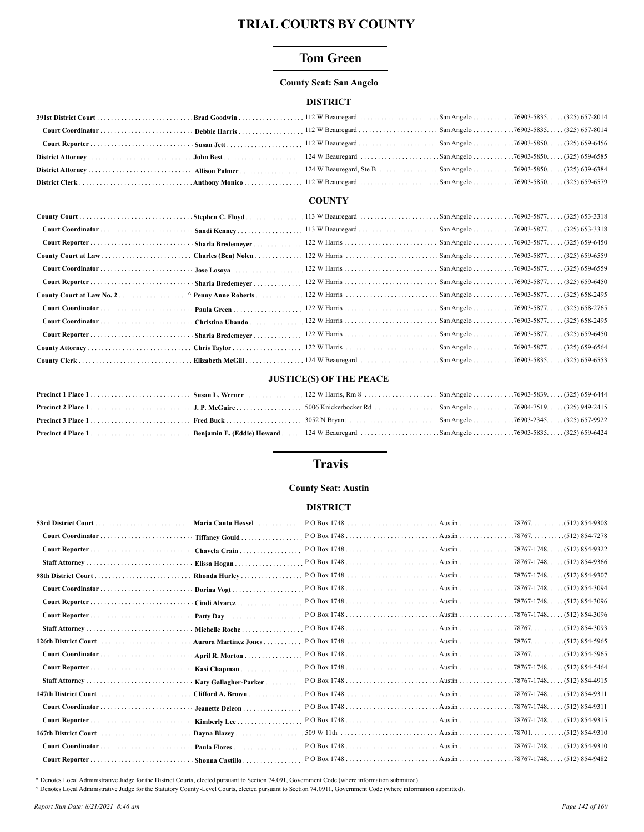## **Tom Green**

#### **County Seat: San Angelo**

#### **DISTRICT**

#### **COUNTY**

## **JUSTICE(S) OF THE PEACE**

## **Travis**

## **County Seat: Austin**

#### **DISTRICT**

|                      | Maria Cantu Hexsel     |  |                  |
|----------------------|------------------------|--|------------------|
|                      | Tiffaney Gould         |  |                  |
|                      | Chavela Crain          |  |                  |
|                      | Elissa Hogan           |  |                  |
|                      | Rhonda Hurley          |  |                  |
|                      | Dorina Vogt            |  |                  |
|                      | Cindi Alvarez          |  |                  |
|                      |                        |  |                  |
|                      | Michelle Roche         |  | (512) 854-3093   |
| 126th District Court | Aurora Martinez Jones  |  |                  |
|                      | April R. Morton        |  |                  |
|                      | Kasi Chapman           |  |                  |
|                      | Katy Gallagher-Parker  |  |                  |
|                      | Clifford A. Brown      |  |                  |
|                      | <b>Jeanette Deleon</b> |  |                  |
|                      | Kimberly Lee           |  |                  |
|                      | Davna Blazev           |  | $(512) 854-9310$ |
|                      | Paula Flores           |  |                  |
|                      | Shonna Castillo        |  |                  |
|                      |                        |  |                  |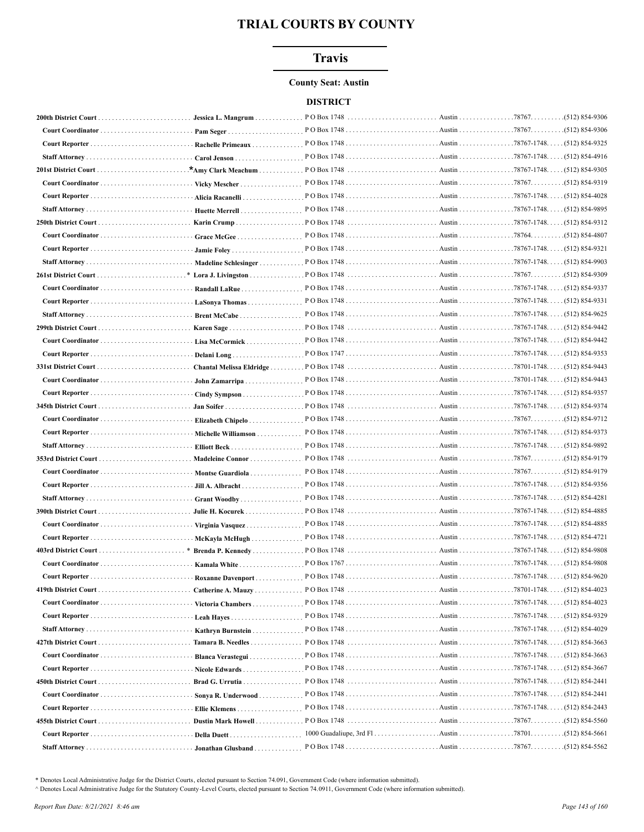## **Travis**

#### **County Seat: Austin**

## **DISTRICT**

|                   | Jessica L. Mangrum       |                      |                                     |  |
|-------------------|--------------------------|----------------------|-------------------------------------|--|
| Court Coordinator | Pam Seger                |                      |                                     |  |
|                   | Rachelle Primeaux        |                      |                                     |  |
|                   | Carol Jenson             |                      |                                     |  |
|                   |                          |                      | Austin 78767-1748. (512) 854-9305   |  |
|                   | Vicky Mescher            |                      |                                     |  |
|                   | Alicia Racanelli         |                      |                                     |  |
|                   | Huette Merrell           |                      |                                     |  |
|                   |                          |                      |                                     |  |
|                   | Grace McGee              |                      |                                     |  |
|                   |                          |                      |                                     |  |
|                   | Madeline Schlesinger     |                      |                                     |  |
|                   | Lora J. Livingston       |                      |                                     |  |
|                   | Randall LaRue            |                      |                                     |  |
|                   | LaSonya Thomas           |                      | Austin 78767-1748. (512) 854-9331   |  |
|                   | Brent McCabe             |                      | Austin 78767-1748. (512) 854-9625   |  |
|                   |                          | PO Box 1748          | Austin 78767-1748. (512) 854-9442   |  |
|                   | Lisa McCormick           |                      |                                     |  |
|                   | Delani Long              |                      |                                     |  |
|                   |                          |                      |                                     |  |
|                   | John Zamarripa           |                      |                                     |  |
|                   |                          |                      |                                     |  |
|                   |                          |                      |                                     |  |
|                   |                          |                      |                                     |  |
|                   | Michelle Williamson      |                      |                                     |  |
|                   | Elliott Beck             |                      |                                     |  |
|                   | Madeleine Connor         | PO Box 1748          |                                     |  |
| Court Coordinator | Montse Guardiola         |                      |                                     |  |
|                   | Jill A. Albracht         |                      |                                     |  |
|                   | <b>Grant Woodby.</b>     |                      |                                     |  |
|                   | Julie H. Kocurek         |                      |                                     |  |
|                   | Virginia Vasquez         |                      |                                     |  |
|                   | McKayla McHugh.          |                      |                                     |  |
|                   |                          |                      |                                     |  |
|                   | Kamala White             |                      |                                     |  |
|                   | <b>Roxanne Davenport</b> |                      |                                     |  |
|                   |                          |                      |                                     |  |
|                   |                          |                      |                                     |  |
|                   | Leah Hayes               |                      |                                     |  |
|                   | Kathryn Burnstein        |                      |                                     |  |
|                   | Tamara B. Needles        | $POBox 1748        $ | Austin 78767-1748. (512) 854-3663   |  |
|                   | Blanca Verastegui        |                      | . Austin 78767-1748. (512) 854-3663 |  |
|                   | Nicole Edwards           |                      |                                     |  |
|                   | Brad G. Urrutia          |                      | Austin 78767-1748. (512) 854-2441   |  |
|                   | Sonya R. Underwood       |                      |                                     |  |
|                   | Ellie Klemens            |                      |                                     |  |
|                   | Dustin Mark Howell       |                      |                                     |  |
|                   | Della Duett              |                      |                                     |  |
|                   |                          |                      |                                     |  |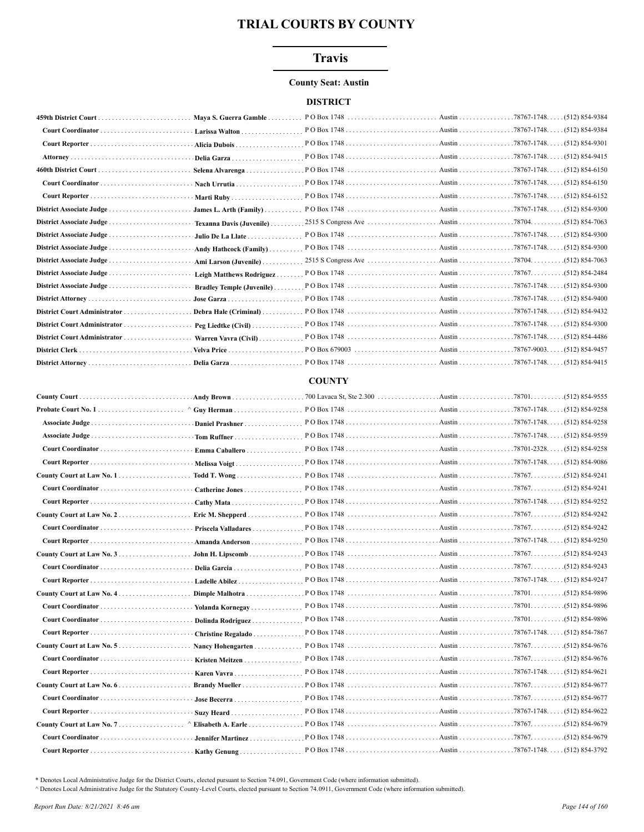## **Travis**

#### **County Seat: Austin**

## **DISTRICT**

| 459th District Court<br>Maya S. Guerra Gamble         |  |                    |
|-------------------------------------------------------|--|--------------------|
| Larissa Walton                                        |  |                    |
| Alicia Dubois                                         |  |                    |
| Delia Garza                                           |  |                    |
| Selena Alvarenga                                      |  |                    |
| Nach Urrutia                                          |  |                    |
| Marti Ruby                                            |  |                    |
| James L. Arth (Family) $\ldots$                       |  |                    |
| Texanna Davis (Juvenile)                              |  |                    |
| Julio De La Llate                                     |  | $(512) 854-9300$   |
| Andy Hathcock (Family)                                |  |                    |
| Ami Larson (Juvenile)                                 |  | (512) 854-7063     |
| Leigh Matthews Rodriguez                              |  |                    |
| District Associate Judge<br>Bradley Temple (Juvenile) |  |                    |
| Jose Garza                                            |  |                    |
| District Court Administrator<br>Debra Hale (Criminal) |  | $(512) 854-9432$   |
| District Court Administrator<br>Peg Liedtke (Civil)   |  | $(512) 854-9300$   |
| District Court Administrator<br>Warren Vavra (Civil)  |  | . (512) 854-4486   |
| District Clerk<br>Velva Price                         |  | . (512) 854-9457   |
|                                                       |  | $(512) 854 - 9415$ |

## **COUNTY**

|                                 |                            |  | $(512) 854 - 9555$ |
|---------------------------------|----------------------------|--|--------------------|
|                                 |                            |  |                    |
|                                 | Daniel Prashner            |  |                    |
| Associate Judge                 | Tom Ruffner                |  |                    |
|                                 | Emma Caballero             |  |                    |
|                                 | Melissa Voigt              |  |                    |
|                                 | Todd T. Wong               |  | $(512) 854 - 9241$ |
|                                 | Catherine Jones            |  | $(512) 854 - 9241$ |
|                                 | Cathy Mata                 |  |                    |
|                                 | Eric M. Shepperd           |  | $(512) 854 - 9242$ |
|                                 | Priscela Valladares        |  |                    |
|                                 | Amanda Anderson            |  |                    |
|                                 | John H. Lipscomb           |  |                    |
|                                 | Delia Garcia               |  |                    |
|                                 | Ladelle Abilez             |  |                    |
|                                 | Dimple Malhotra            |  |                    |
|                                 | Yolanda Kornegay           |  |                    |
|                                 | Dolinda Rodriguez          |  |                    |
|                                 | Christine Regalado         |  |                    |
|                                 | Nancy Hohengarten          |  |                    |
|                                 | Kristen Meitzen            |  |                    |
|                                 | Karen Vavra                |  |                    |
|                                 | Brandy Mueller             |  | $(512) 854 - 9677$ |
|                                 | Jose Becerra               |  |                    |
|                                 | Suzy Heard                 |  |                    |
|                                 | $\land$ Elisabeth A. Earle |  | $(512) 854 - 9679$ |
|                                 | Jennifer Martinez          |  | $(512) 854 - 9679$ |
| Court Reporter<br>Kathy Genung. |                            |  |                    |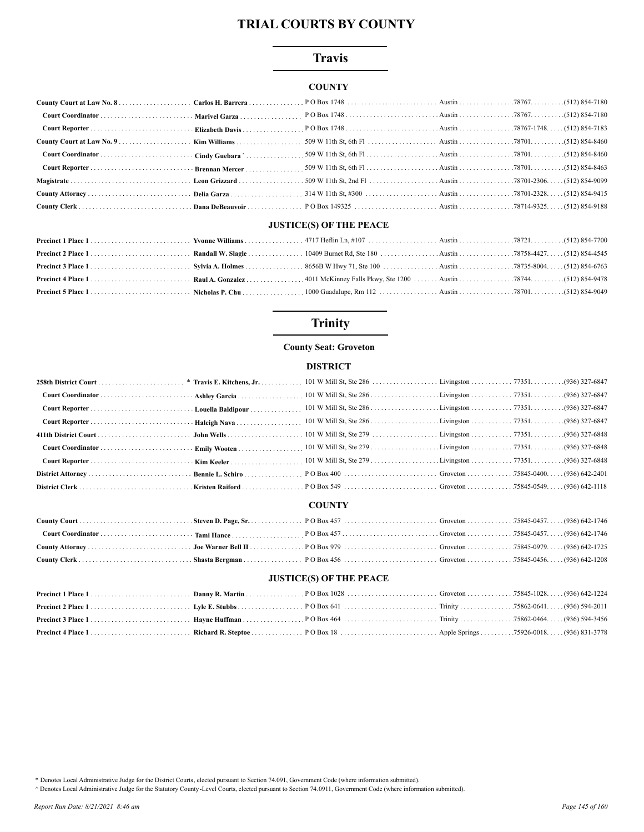## **Travis**

## **COUNTY**

| Court Reporter  Brennan Mercer |  |  |  |
|--------------------------------|--|--|--|
|                                |  |  |  |
|                                |  |  |  |
|                                |  |  |  |
|                                |  |  |  |

## **JUSTICE(S) OF THE PEACE**

# **Trinity**

### **County Seat: Groveton**

#### **DISTRICT**

#### **COUNTY**

### **JUSTICE(S) OF THE PEACE**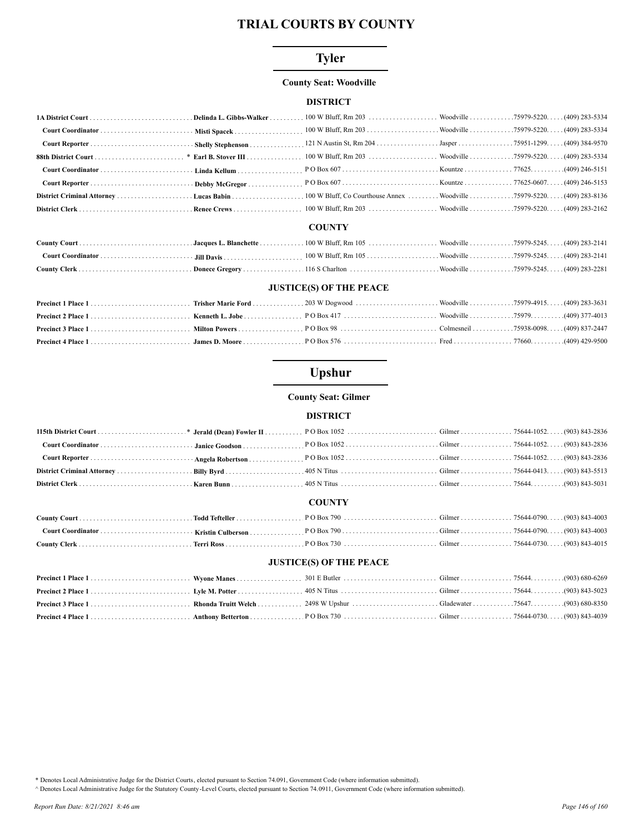## **Tyler**

### **County Seat: Woodville**

## **DISTRICT**

#### **COUNTY**

### **JUSTICE(S) OF THE PEACE**

# Upshur

### **County Seat: Gilmer**

### **DISTRICT**

|  | <b>COUNTY</b> |  |
|--|---------------|--|
|  |               |  |

#### **JUSTICE(S) OF THE PEACE**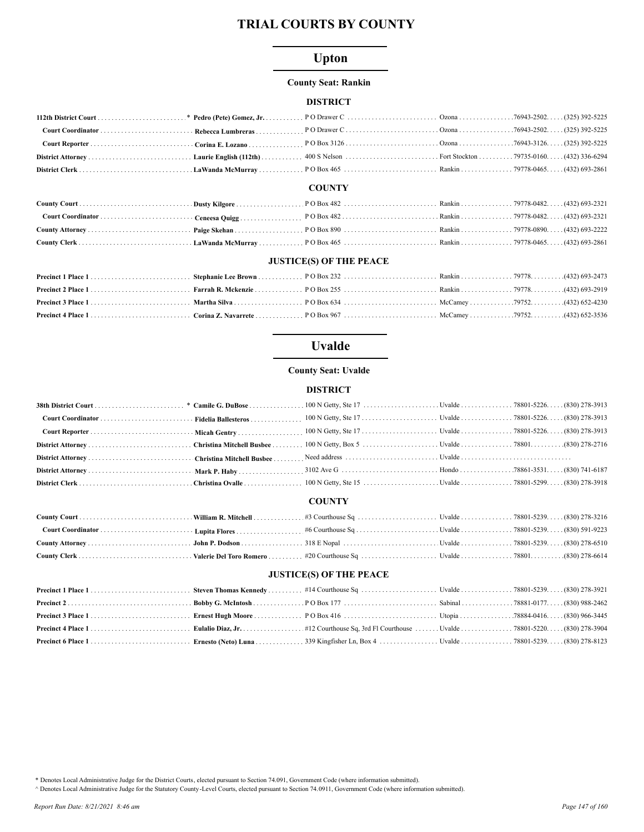# **Upton**

### **County Seat: Rankin**

## **DISTRICT**

#### **COUNTY**

## **JUSTICE(S) OF THE PEACE**

# **Uvalde**

### **County Seat: Uvalde**

## **DISTRICT**

### **COUNTY**

#### **JUSTICE(S) OF THE PEACE**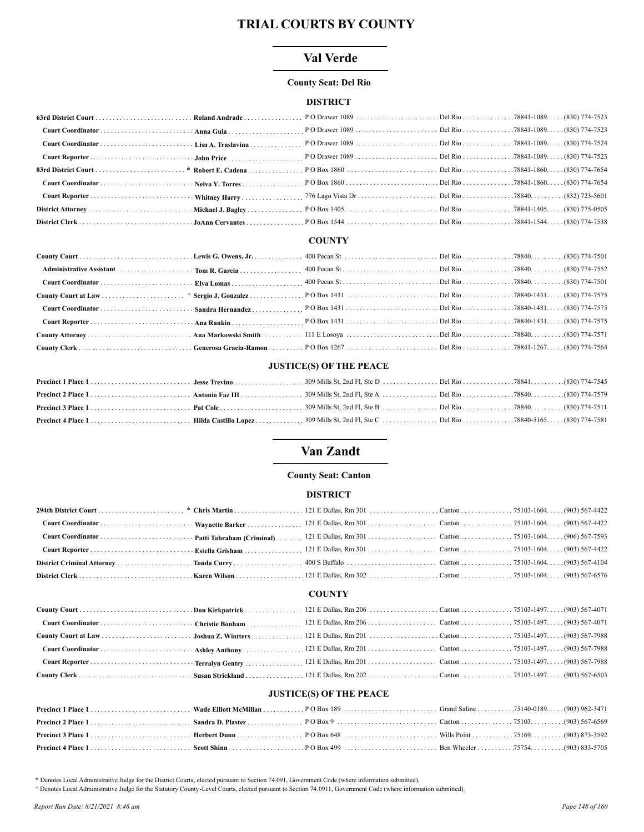## Val Verde

#### **County Seat: Del Rio**

### **DISTRICT**

| 8307-47654 (830) 774-7654 (830) 774-7654 (1.000 PO Box 1860 (1.000 PO Box 1860 (1.000 PO Box 1860 (1.000 PO Box 1860 (1.000 PO Box 1860 (1.000 PO Box 1860 (1.000 PO Box 1860 (1.000 PO Box 1860 (1.000 PO Box 1860 ) 774-7654 |  |  |
|--------------------------------------------------------------------------------------------------------------------------------------------------------------------------------------------------------------------------------|--|--|
|                                                                                                                                                                                                                                |  |  |
|                                                                                                                                                                                                                                |  |  |
|                                                                                                                                                                                                                                |  |  |
|                                                                                                                                                                                                                                |  |  |

## **COUNTY**

### **JUSTICE(S) OF THE PEACE**

# Van Zandt

### **County Seat: Canton**

#### **DISTRICT**

#### **COUNTY**

# **JUSTICE(S) OF THE PEACE**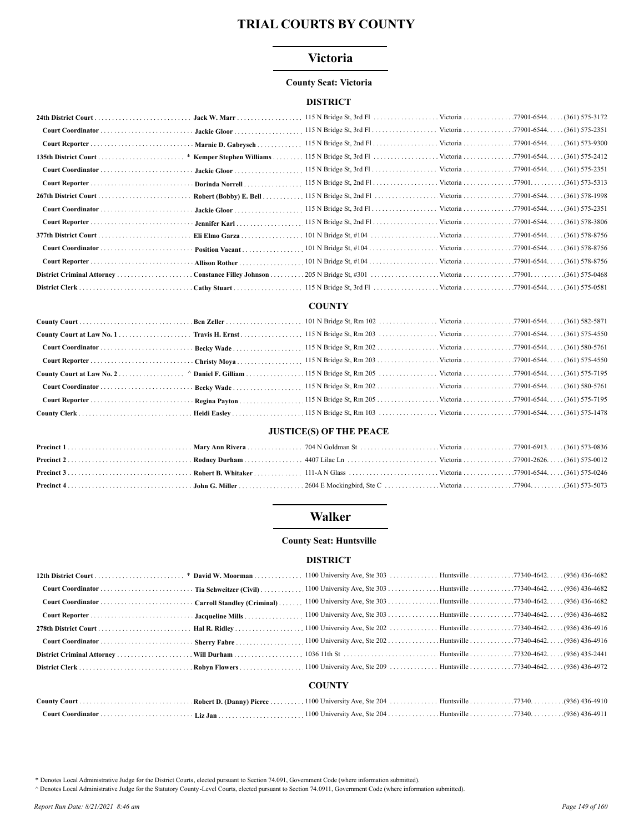## Victoria

#### **County Seat: Victoria**

#### **DISTRICT**

|                                                     | · Jackie Gloor                  |  |  |
|-----------------------------------------------------|---------------------------------|--|--|
|                                                     | Marnie D. Gabrysch              |  |  |
|                                                     | * Kemper Stephen Williams       |  |  |
|                                                     | Jackie Gloor                    |  |  |
|                                                     | Dorinda Norrell                 |  |  |
|                                                     | Robert (Bobby) E. Bell $\ldots$ |  |  |
|                                                     | Jackie Gloor                    |  |  |
|                                                     | Jennifer Karl                   |  |  |
|                                                     | Eli Elmo Garza                  |  |  |
|                                                     | Position Vacant                 |  |  |
|                                                     | - Allison Rother                |  |  |
| District Criminal Attorney Constance Filley Johnson |                                 |  |  |
|                                                     | Cathy Stuart                    |  |  |

#### **COUNTY**

### **JUSTICE(S) OF THE PEACE**

## **Walker**

#### **County Seat: Huntsville**

#### **DISTRICT**

|  | 1100 University Ave, Ste 303 Huntsville 77340-4642. (936) 436-4682 |  |
|--|--------------------------------------------------------------------|--|
|  |                                                                    |  |
|  |                                                                    |  |
|  |                                                                    |  |
|  |                                                                    |  |
|  | <b>COUNTY</b>                                                      |  |
|  |                                                                    |  |

. (Danny) ıty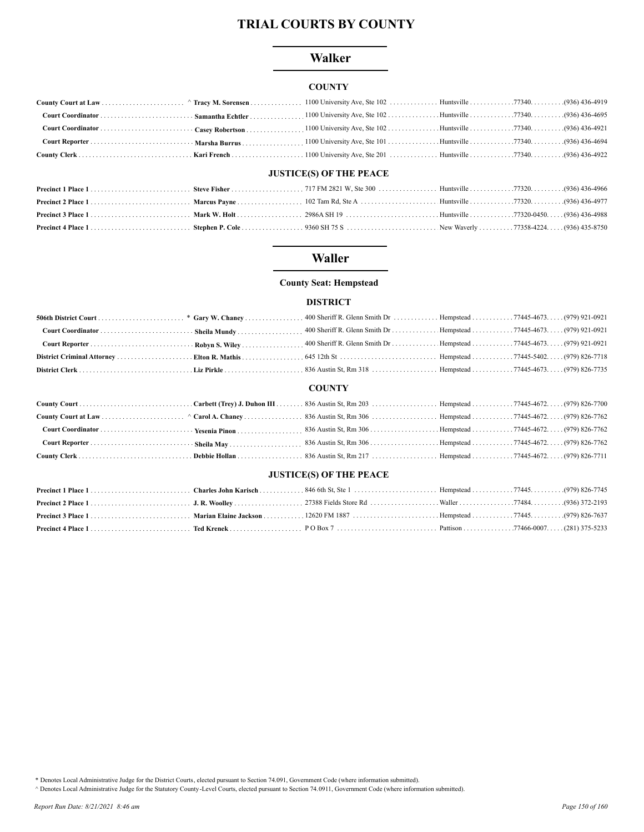## **Walker**

## **COUNTY**

## **JUSTICE(S) OF THE PEACE**

## **Waller**

### **County Seat: Hempstead**

## **DISTRICT**

### **COUNTY**

### **JUSTICE(S) OF THE PEACE**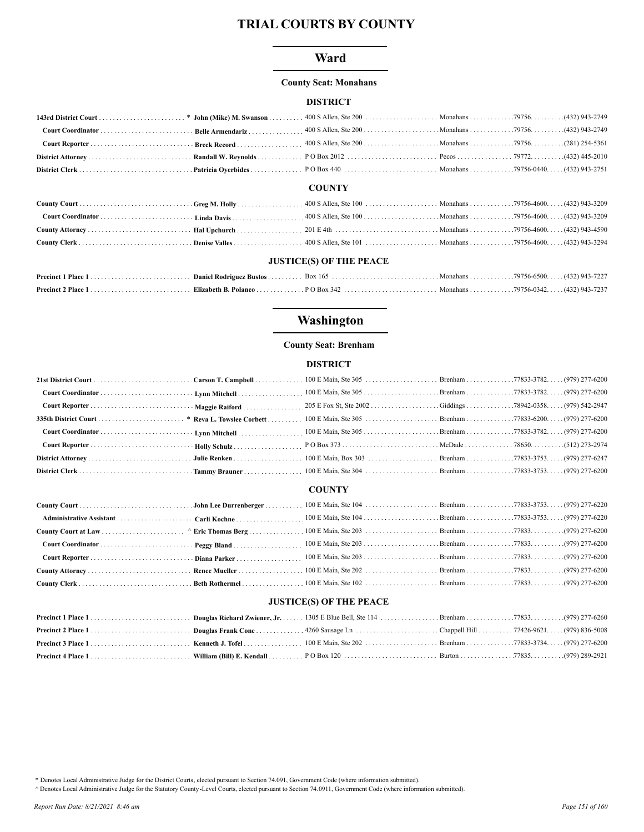## Ward

### **County Seat: Monahans**

### **DISTRICT**

#### **COUNTY**

### **JUSTICE(S) OF THE PEACE**

# Washington

### **County Seat: Brenham**

### **DISTRICT**

#### **COUNTY**

### **JUSTICE(S) OF THE PEACE**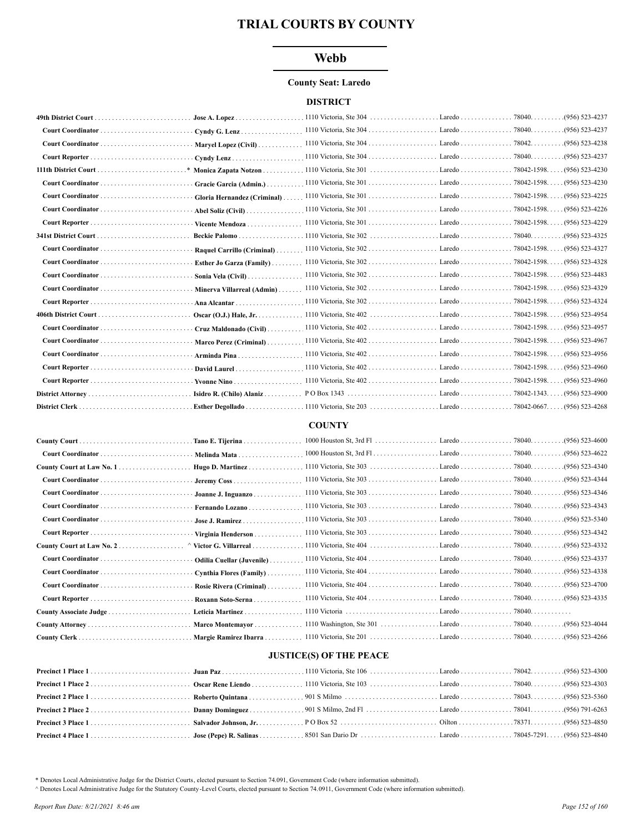## **Webb**

#### **County Seat: Laredo**

### **DISTRICT**

| $\cdot$ Cyndy G. Lenz       |                                                                         |                    |
|-----------------------------|-------------------------------------------------------------------------|--------------------|
| Maryel Lopez (Civil)        |                                                                         |                    |
|                             |                                                                         | $(956) 523 - 4237$ |
|                             |                                                                         | $(956) 523 - 4230$ |
|                             |                                                                         |                    |
|                             | Gloria Hernandez (Criminal)  1110 Victoria, Ste 301  Laredo  78042-1598 | $(956) 523 - 4225$ |
| Abel Soliz (Civil) $\ldots$ |                                                                         |                    |
| Vicente Mendoza             |                                                                         | $. (956)$ 523-4229 |
|                             |                                                                         | .(956) 523-4325    |
|                             |                                                                         | (956) 523-4327     |
| Esther Jo Garza (Family)    |                                                                         | $(956) 523 - 4328$ |
| Sonia Vela (Civil)          |                                                                         | $(956) 523 - 4483$ |
| Minerva Villarreal (Admin)  |                                                                         | (956) 523-4329     |
| $-$ Ana Alcantar            |                                                                         | $(956) 523 - 4324$ |
|                             |                                                                         |                    |
|                             |                                                                         | $(956) 523 - 4957$ |
|                             |                                                                         |                    |
|                             |                                                                         |                    |
|                             |                                                                         | $(956) 523 - 4960$ |
|                             |                                                                         | $(956) 523 - 4960$ |
|                             |                                                                         | $. (956)$ 523-4900 |
|                             |                                                                         | $(956) 523 - 4268$ |

## **COUNTY**

| Tano E. Tijerina             |  |                 |
|------------------------------|--|-----------------|
| Melinda Mata                 |  |                 |
| Hugo D. Martinez             |  |                 |
|                              |  |                 |
| Joanne J. Inguanzo           |  |                 |
| Fernando Lozano.             |  |                 |
| Jose J. Ramirez              |  |                 |
| Virginia Henderson           |  |                 |
| $\land$ Victor G. Villarreal |  | .(956) 523-4332 |
| Odilia Cuellar (Juvenile)    |  |                 |
| Cynthia Flores (Family)      |  |                 |
| Rosie Rivera (Criminal)      |  |                 |
| Roxann Soto-Serna            |  |                 |
|                              |  |                 |
|                              |  | .(956) 523-4044 |
|                              |  | .(956) 523-4266 |

## **JUSTICE(S) OF THE PEACE**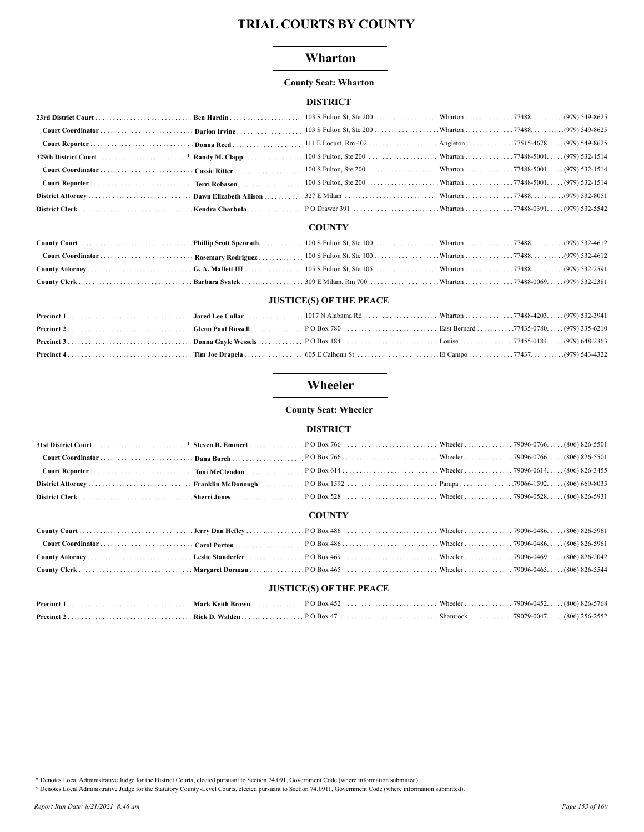### Wharton

#### **County Seat: Wharton**

#### **DISTRICT**

#### **COUNTY**

### **JUSTICE(S) OF THE PEACE**

# Wheeler

#### **County Seat: Wheeler**

### **DISTRICT**

### **COUNTY**

| <b>JUSTICE(S) OF THE PEACE</b> |  |  |  |  |  |  |
|--------------------------------|--|--|--|--|--|--|
|                                |  |  |  |  |  |  |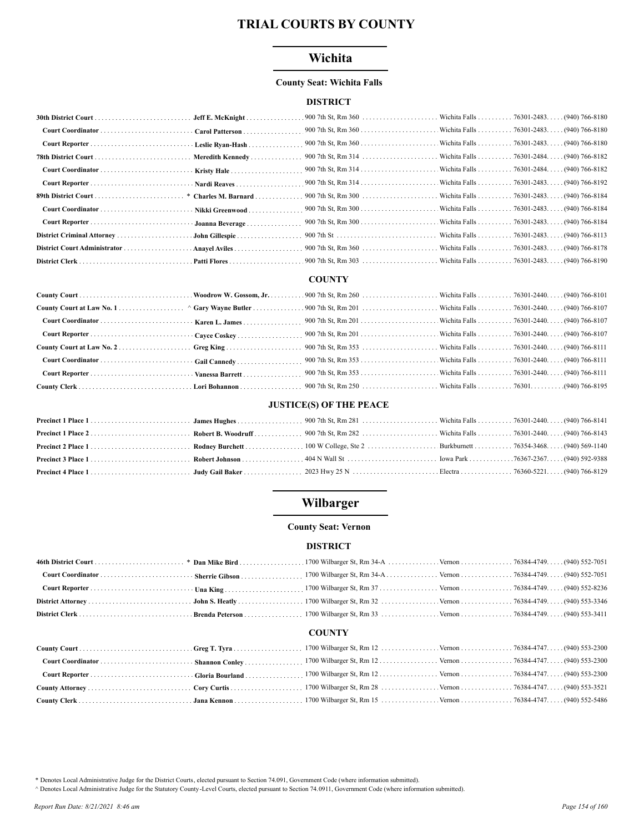## Wichita

### **County Seat: Wichita Falls**

### **DISTRICT**

| Carol Patterson |  |  |
|-----------------|--|--|
|                 |  |  |
|                 |  |  |
|                 |  |  |
|                 |  |  |
|                 |  |  |
|                 |  |  |
|                 |  |  |
|                 |  |  |
|                 |  |  |
|                 |  |  |

#### **COUNTY**

### **JUSTICE(S) OF THE PEACE**

# Wilbarger

### **County Seat: Vernon**

#### **DISTRICT**

#### **COUNTY**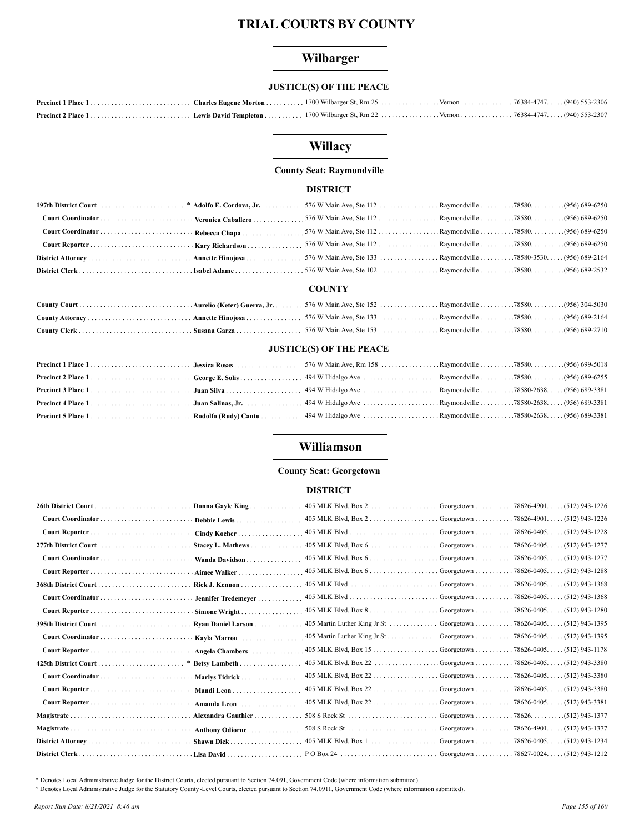# Wilbarger

## **JUSTICE(S) OF THE PEACE**

# Willacy

### **County Seat: Raymondville**

# **DISTRICT**

## **COUNTY**

### **JUSTICE(S) OF THE PEACE**

## Williamson

#### **County Seat: Georgetown**

#### **DISTRICT**

|                | Donna Gayle King.<br>. | 405 MLK Blvd, Box 2                                 |                                                                 | Georgetown 78626-4901. (512) 943-1226  |
|----------------|------------------------|-----------------------------------------------------|-----------------------------------------------------------------|----------------------------------------|
|                | Debbie Lewis           |                                                     |                                                                 |                                        |
|                | Cindy Kocher           |                                                     |                                                                 |                                        |
|                | Stacey L. Mathews      |                                                     |                                                                 | (512) 943-1277                         |
|                | Wanda Davidson         |                                                     |                                                                 |                                        |
|                | Aimee Walker           |                                                     |                                                                 |                                        |
|                | Rick J. Kennon         |                                                     |                                                                 |                                        |
|                | Jennifer Tredemeyer    |                                                     |                                                                 | $(512)$ 943-1368                       |
|                | Simone Wright          |                                                     |                                                                 | $(512)$ 943-1280                       |
|                | Ryan Daniel Larson     | 405 Martin Luther King Jr St Georgetown 78626-0405. |                                                                 | . (512) 943-1395                       |
|                | Kayla Marrou           | 405 Martin Luther King Jr St Georgetown 78626-0405. |                                                                 | . (512) 943-1395                       |
|                | Angela Chambers        |                                                     |                                                                 | $(512)$ 943-1178                       |
|                | * Betsy Lambeth        | $405$ MLK Blvd, Box 22                              | Georgetown 78626-0405.                                          | (512) 943-3380                         |
|                | Marlys Tidrick         |                                                     |                                                                 | $(512)$ 943-3380                       |
|                | Mandi Leon             | 405 MLK Blvd, Box 22                                | Georgetown 78626-0405. .                                        | (512) 943-3380                         |
|                | Amanda Leon            | 405 MLK Blvd, Box 22                                | Georgetown                                                      | $(512)$ 943-3381<br>$.78626 - 0405.$   |
| Magistrate     | Alexandra Gauthier     | 508 S Rock St                                       | Georgetown $\ldots \ldots \ldots \ldots$ 78626. $\ldots \ldots$ | $(512)$ 943-1377                       |
|                | Anthony Odiorne        |                                                     |                                                                 | $(512)$ 943-1377                       |
|                | Shawn Dick<br>.        | 405 MLK Blvd, Box 1  Georgetown                     |                                                                 | $.78626 - 0405$<br>$(512)$ 943-1234    |
| District Clerk |                        |                                                     | Georgetown                                                      | $. .78627 - 0024.$<br>$(512)$ 943-1212 |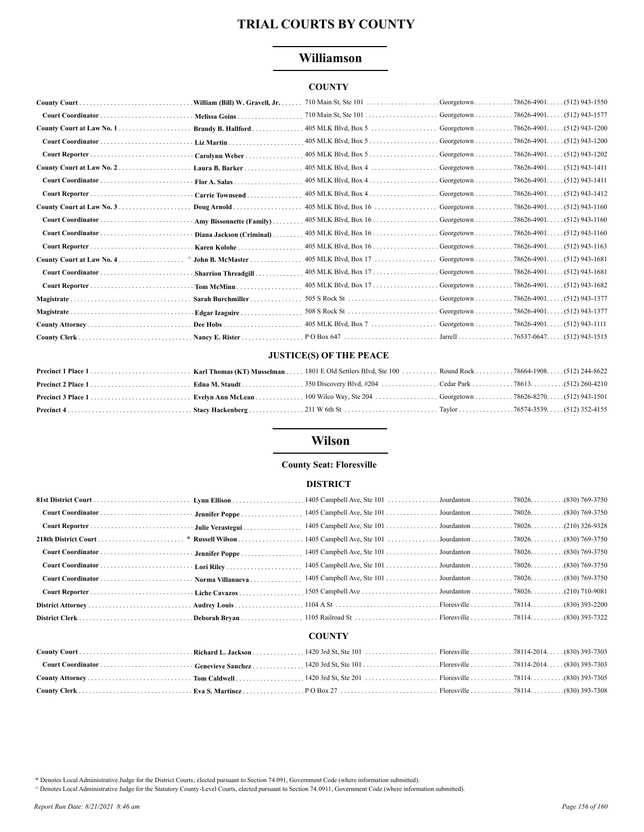## Williamson

## **COUNTY**

|                            | William (Bill) W. Gravell, Jr. |                          |                                                      |                                       |
|----------------------------|--------------------------------|--------------------------|------------------------------------------------------|---------------------------------------|
|                            | Melissa Goins                  |                          |                                                      |                                       |
|                            | Brandy B. Hallford             | $405$ MLK Blvd, Box $5$  |                                                      | Georgetown 78626-4901. (512) 943-1200 |
|                            |                                | $405$ MLK Blvd, Box $5$  |                                                      | Georgetown 78626-4901. (512) 943-1200 |
|                            | Carolynn Weber                 | $405$ MLK Blvd, Box $5$  |                                                      | Georgetown 78626-4901. (512) 943-1202 |
| County Court at Law No. 2. | Laura B. Barker                | $405$ MLK Blvd, Box 4    |                                                      | Georgetown 78626-4901. (512) 943-1411 |
|                            |                                | $405$ MLK Blvd, Box $4$  |                                                      | Georgetown 78626-4901. (512) 943-1411 |
|                            | Carrie Townsend                |                          |                                                      |                                       |
|                            | Doug Arnold                    | $405$ MLK Blvd, Box $16$ | Georgetown 78626-4901.                               | $(512)$ 943-1160                      |
|                            | Amy Bissonnette (Family)       | $405$ MLK Blvd, Box $16$ | Georgetown $\ldots \ldots \ldots \ldots$ 78626-4901  | $(512)$ 943-1160                      |
|                            | Diana Jackson (Criminal)       |                          |                                                      | . (512) 943-1160                      |
|                            | Karen Kolohe                   | 405 MLK Blvd, Box 16     | Georgetown 78626-4901. .                             | $(512)$ 943-1163                      |
|                            | $\land$ John B. McMaster       | $405$ MLK Blvd, Box 17   | Georgetown                                           | (512) 943-1681<br>$.78626 - 4901.$    |
|                            | <b>Sharrion Threadgill.</b>    |                          |                                                      | $.78626 - 4901.$<br>. (512) 943-1681  |
|                            | Tom McMinn                     |                          |                                                      | $(512)$ 943-1682                      |
|                            | Sarah Burchmiller              |                          |                                                      | (512) 943-1377<br>$.78626 - 4901.$    |
|                            | Edgar Izaguire.                | $508$ S Rock St          | Georgetown $\ldots \ldots \ldots \ldots$ 78626-4901. | (512) 943-1377                        |
|                            |                                |                          |                                                      |                                       |
|                            |                                |                          | Jarrell                                              | $.76537 - 0647.$<br>$(512)$ 943-1515  |

### **JUSTICE(S) OF THE PEACE**

# **Wilson**

## **County Seat: Floresville**

### **DISTRICT**

### **COUNTY**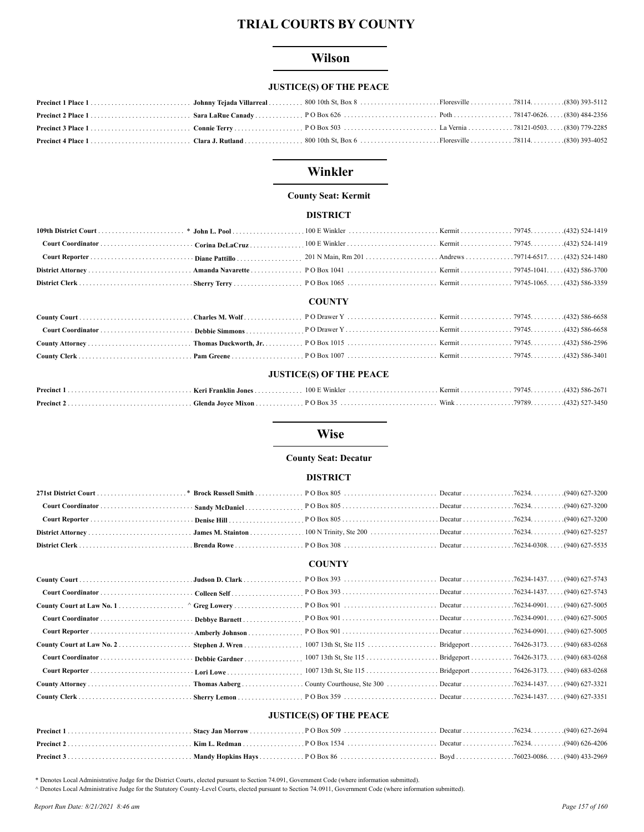## **Wilson**

## **JUSTICE(S) OF THE PEACE**

## Winkler

# **County Seat: Kermit**

## **DISTRICT**

### **COUNTY**

#### **JUSTICE(S) OF THE PEACE**

## **Wise**

#### **County Seat: Decatur**

#### **DISTRICT**

#### **COUNTY**

### **JUSTICE(S) OF THE PEACE**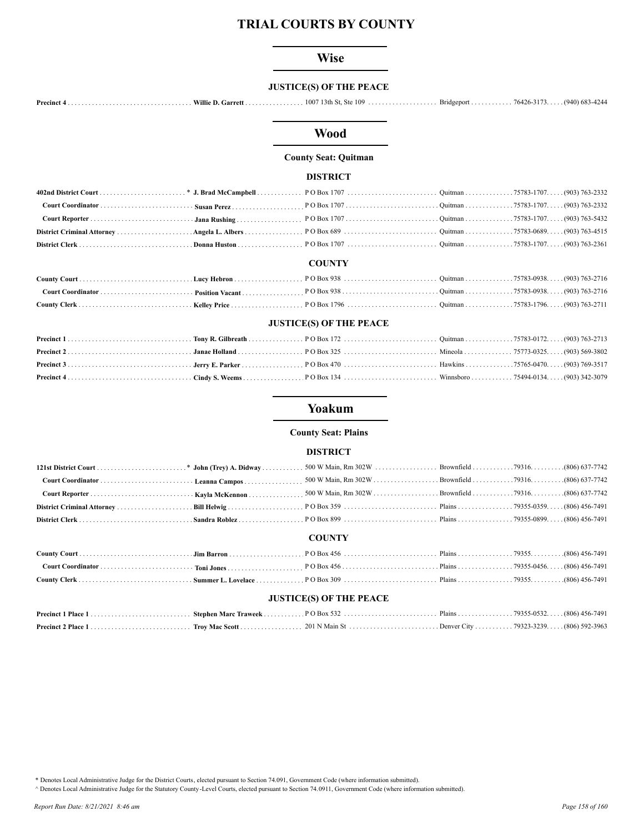## **Wise**

## **JUSTICE(S) OF THE PEACE**

## **Wood**

### **County Seat: Quitman**

#### **DISTRICT**

#### **COUNTY**

### **JUSTICE(S) OF THE PEACE**

## Yoakum

#### **County Seat: Plains**

#### **DISTRICT**

#### **COUNTY**

### **JUSTICE(S) OF THE PEACE**

\* Denotes Local Administrative Judge for the District Courts, elected pursuant to Section 74.091, Government Code (where information submitted).

A Denotes Local Administrative Judge for the Statutory County -Level Courts, elected pursuant to Section 74.0911, Government Code (where information submitted).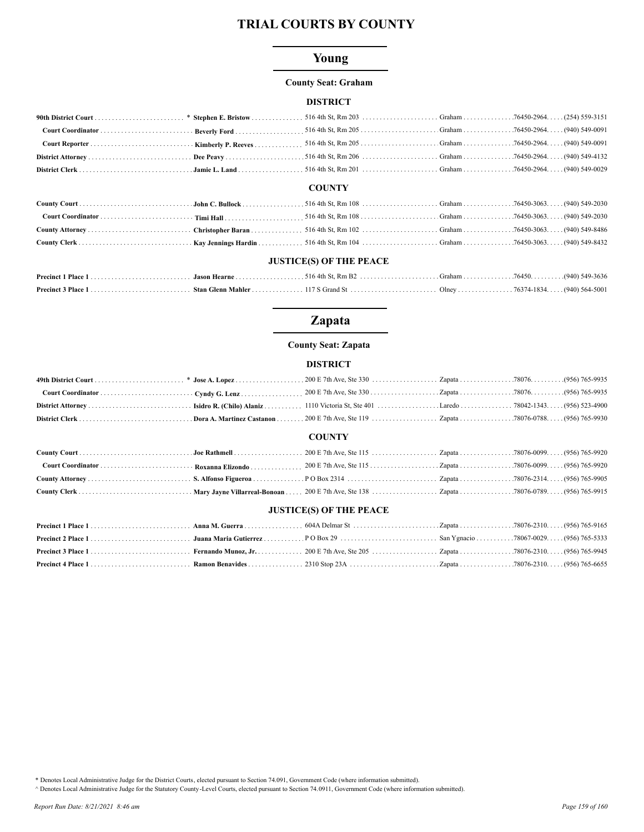## Young

#### **County Seat: Graham**

#### **DISTRICT**

#### **COUNTY**

#### **JUSTICE(S) OF THE PEACE**

# **Zapata**

### **County Seat: Zapata**

### **DISTRICT**

|                                | <b>COUNTY</b> |  |  |  |  |  |
|--------------------------------|---------------|--|--|--|--|--|
|                                |               |  |  |  |  |  |
|                                |               |  |  |  |  |  |
|                                |               |  |  |  |  |  |
|                                |               |  |  |  |  |  |
| <b>JUSTICE(S) OF THE PEACE</b> |               |  |  |  |  |  |
|                                |               |  |  |  |  |  |
|                                |               |  |  |  |  |  |

\* Denotes Local Administrative Judge for the District Courts, elected pursuant to Section 74.091, Government Code (where information submitted).

A Denotes Local Administrative Judge for the Statutory County-Level Courts, elected pursuant to Section 74.0911, Government Code (where information submitted).